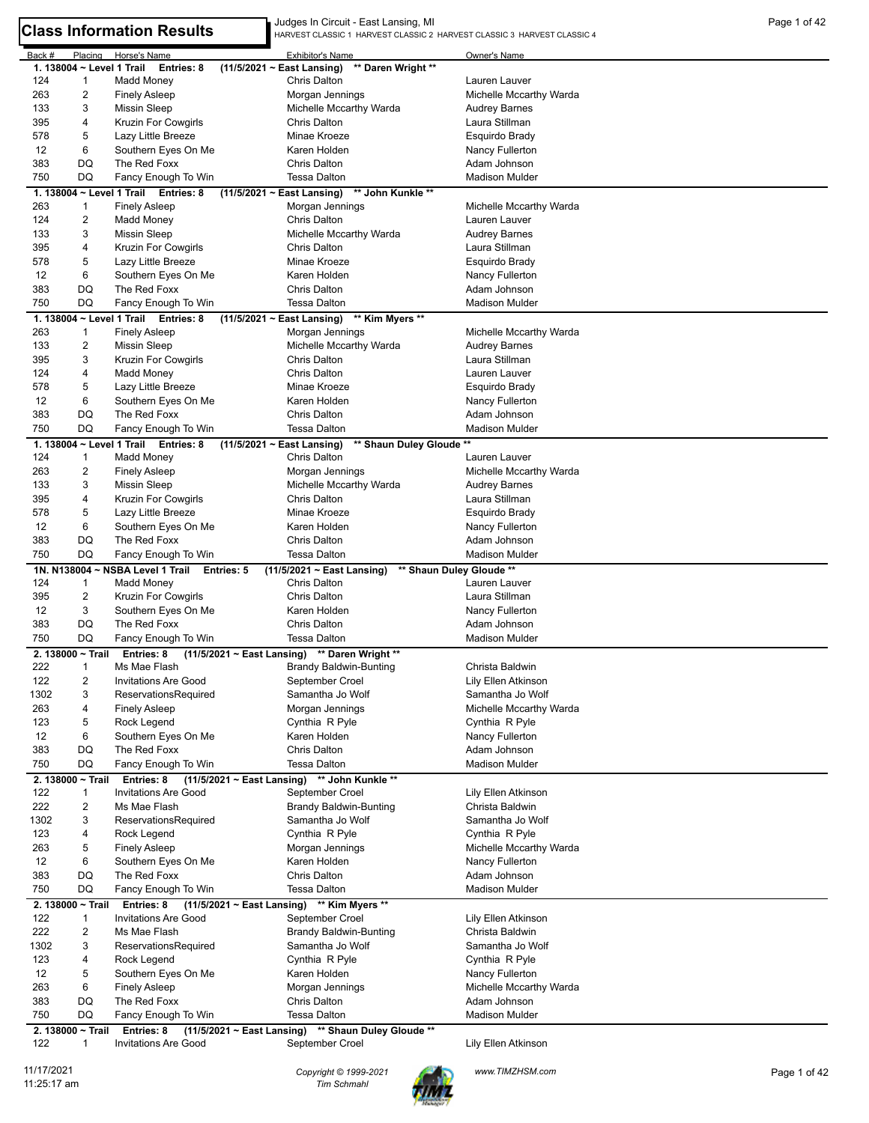|        |                           |                                             | Judges In Circuit - East Lansing, MI                                       |                         | Page 1 of 42 |
|--------|---------------------------|---------------------------------------------|----------------------------------------------------------------------------|-------------------------|--------------|
|        |                           | <b>Class Information Results</b>            | HARVEST CLASSIC 1 HARVEST CLASSIC 2 HARVEST CLASSIC 3 HARVEST CLASSIC 4    |                         |              |
| Back # | Placing                   | Horse's Name                                | Exhibitor's Name                                                           | Owner's Name            |              |
|        | 1. 138004 ~ Level 1 Trail | Entries: 8                                  | $(11/5/2021 \sim$ East Lansing)<br>** Daren Wright **                      |                         |              |
| 124    | $\mathbf{1}$              | Madd Money                                  | Chris Dalton                                                               | Lauren Lauver           |              |
| 263    | $\overline{c}$            | <b>Finely Asleep</b>                        | Morgan Jennings                                                            | Michelle Mccarthy Warda |              |
| 133    | 3                         | <b>Missin Sleep</b>                         | Michelle Mccarthy Warda                                                    | <b>Audrey Barnes</b>    |              |
| 395    | 4                         | Kruzin For Cowgirls                         | Chris Dalton                                                               | Laura Stillman          |              |
| 578    | 5                         | Lazy Little Breeze                          | Minae Kroeze                                                               | Esquirdo Brady          |              |
| 12     | 6                         | Southern Eyes On Me                         | Karen Holden                                                               | Nancy Fullerton         |              |
| 383    | DQ                        | The Red Foxx                                | Chris Dalton                                                               | Adam Johnson            |              |
| 750    | DQ                        | Fancy Enough To Win                         | <b>Tessa Dalton</b>                                                        | <b>Madison Mulder</b>   |              |
|        |                           | 1. 138004 ~ Level 1 Trail Entries: 8        | ** John Kunkle **                                                          |                         |              |
|        |                           |                                             | $(11/5/2021 \sim$ East Lansing)                                            |                         |              |
| 263    | $\mathbf{1}$              | <b>Finely Asleep</b>                        | Morgan Jennings                                                            | Michelle Mccarthy Warda |              |
| 124    | $\overline{2}$            | <b>Madd Money</b>                           | Chris Dalton                                                               | Lauren Lauver           |              |
| 133    | 3                         | <b>Missin Sleep</b>                         | Michelle Mccarthy Warda                                                    | <b>Audrey Barnes</b>    |              |
| 395    | 4                         | Kruzin For Cowgirls                         | <b>Chris Dalton</b>                                                        | Laura Stillman          |              |
| 578    | 5                         | Lazy Little Breeze                          | Minae Kroeze                                                               | Esquirdo Brady          |              |
| 12     | 6                         | Southern Eyes On Me                         | Karen Holden                                                               | Nancy Fullerton         |              |
| 383    | DQ                        | The Red Foxx                                | Chris Dalton                                                               | Adam Johnson            |              |
| 750    | DQ                        | Fancy Enough To Win                         | <b>Tessa Dalton</b>                                                        | <b>Madison Mulder</b>   |              |
|        |                           | 1. 138004 ~ Level 1 Trail Entries: 8        | $(11/5/2021 \sim$ East Lansing)<br>** Kim Myers **                         |                         |              |
| 263    | $\mathbf{1}$              | <b>Finely Asleep</b>                        | Morgan Jennings                                                            | Michelle Mccarthy Warda |              |
| 133    | $\overline{2}$            | <b>Missin Sleep</b>                         | Michelle Mccarthy Warda                                                    | <b>Audrey Barnes</b>    |              |
| 395    | 3                         | Kruzin For Cowgirls                         | Chris Dalton                                                               | Laura Stillman          |              |
| 124    | 4                         | Madd Money                                  | <b>Chris Dalton</b>                                                        | Lauren Lauver           |              |
| 578    | 5                         | Lazy Little Breeze                          | Minae Kroeze                                                               | Esquirdo Brady          |              |
| 12     | 6                         | Southern Eyes On Me                         | Karen Holden                                                               | Nancy Fullerton         |              |
| 383    | DQ                        | The Red Foxx                                | Chris Dalton                                                               | Adam Johnson            |              |
| 750    | DQ                        | Fancy Enough To Win                         | <b>Tessa Dalton</b>                                                        | <b>Madison Mulder</b>   |              |
|        |                           | 1. 138004 ~ Level 1 Trail Entries: 8        | $(11/5/2021 \sim$ East Lansing)<br>** Shaun Duley Gloude **                |                         |              |
| 124    | $\mathbf{1}$              | Madd Money                                  | <b>Chris Dalton</b>                                                        | Lauren Lauver           |              |
| 263    | $\overline{2}$            | <b>Finely Asleep</b>                        | Morgan Jennings                                                            | Michelle Mccarthy Warda |              |
| 133    | 3                         | <b>Missin Sleep</b>                         | Michelle Mccarthy Warda                                                    | <b>Audrey Barnes</b>    |              |
|        |                           |                                             | <b>Chris Dalton</b>                                                        | Laura Stillman          |              |
| 395    | 4                         | Kruzin For Cowgirls                         |                                                                            |                         |              |
| 578    | 5                         | Lazy Little Breeze                          | Minae Kroeze                                                               | Esquirdo Brady          |              |
| 12     | 6                         | Southern Eyes On Me                         | Karen Holden                                                               | Nancy Fullerton         |              |
| 383    | DQ                        | The Red Foxx                                | <b>Chris Dalton</b>                                                        | Adam Johnson            |              |
| 750    | DQ                        | Fancy Enough To Win                         | <b>Tessa Dalton</b>                                                        | <b>Madison Mulder</b>   |              |
|        |                           | 1N. N138004 ~ NSBA Level 1 Trail Entries: 5 | (11/5/2021 ~ East Lansing)<br>** Shaun Duley Gloude **                     |                         |              |
| 124    | $\mathbf{1}$              | <b>Madd Money</b>                           | <b>Chris Dalton</b>                                                        | Lauren Lauver           |              |
| 395    | $\overline{2}$            | <b>Kruzin For Cowgirls</b>                  | <b>Chris Dalton</b>                                                        | Laura Stillman          |              |
| 12     | 3                         | Southern Eyes On Me                         | Karen Holden                                                               | Nancy Fullerton         |              |
| 383    | DQ                        | The Red Foxx                                | <b>Chris Dalton</b>                                                        | Adam Johnson            |              |
| 750    | DQ                        | Fancy Enough To Win                         | <b>Tessa Dalton</b>                                                        | <b>Madison Mulder</b>   |              |
|        |                           |                                             | 2. 138000 ~ Trail Entries: 8 (11/5/2021 ~ East Lansing) ** Daren Wright ** |                         |              |
| 222    | $\mathbf{1}$              | Ms Mae Flash                                | <b>Brandy Baldwin-Bunting</b>                                              | Christa Baldwin         |              |
| 122    | $\overline{2}$            | <b>Invitations Are Good</b>                 | September Croel                                                            | Lily Ellen Atkinson     |              |
| 1302   | 3                         | ReservationsRequired                        | Samantha Jo Wolf                                                           | Samantha Jo Wolf        |              |
| 263    | 4                         | <b>Finely Asleep</b>                        | Morgan Jennings                                                            | Michelle Mccarthy Warda |              |
| 123    | 5                         | Rock Legend                                 | Cynthia R Pyle                                                             | Cynthia R Pyle          |              |
| 12     | 6                         | Southern Eyes On Me                         | Karen Holden                                                               | Nancy Fullerton         |              |
| 383    | DQ                        | The Red Foxx                                | Chris Dalton                                                               | Adam Johnson            |              |
| 750    | DQ                        | Fancy Enough To Win                         | <b>Tessa Dalton</b>                                                        | <b>Madison Mulder</b>   |              |
|        | 2. 138000 ~ Trail         | Entries: 8                                  | (11/5/2021 ~ East Lansing) ** John Kunkle **                               |                         |              |
| 122    | $\mathbf{1}$              | <b>Invitations Are Good</b>                 | September Croel                                                            | Lily Ellen Atkinson     |              |
| 222    | $\overline{c}$            | Ms Mae Flash                                | <b>Brandy Baldwin-Bunting</b>                                              | Christa Baldwin         |              |
| 1302   | 3                         | ReservationsRequired                        | Samantha Jo Wolf                                                           | Samantha Jo Wolf        |              |
| 123    | 4                         |                                             |                                                                            |                         |              |
|        |                           | Rock Legend                                 | Cynthia R Pyle                                                             | Cynthia R Pyle          |              |
| 263    | 5                         | <b>Finely Asleep</b>                        | Morgan Jennings                                                            | Michelle Mccarthy Warda |              |
| 12     | 6                         | Southern Eyes On Me                         | Karen Holden                                                               | Nancy Fullerton         |              |
| 383    | DQ                        | The Red Foxx                                | Chris Dalton                                                               | Adam Johnson            |              |
| 750    | DQ                        | Fancy Enough To Win                         | <b>Tessa Dalton</b>                                                        | <b>Madison Mulder</b>   |              |
|        | 2. 138000 ~ Trail         | Entries: 8                                  | (11/5/2021 ~ East Lansing) ** Kim Myers **                                 |                         |              |
| 122    | $\mathbf{1}$              | <b>Invitations Are Good</b>                 | September Croel                                                            | Lily Ellen Atkinson     |              |
| 222    | $\overline{2}$            | Ms Mae Flash                                | <b>Brandy Baldwin-Bunting</b>                                              | Christa Baldwin         |              |
| 1302   | 3                         | ReservationsRequired                        | Samantha Jo Wolf                                                           | Samantha Jo Wolf        |              |
|        | 4                         | Rock Legend                                 | Cynthia R Pyle                                                             | Cynthia R Pyle          |              |
| 123    |                           | Southern Eyes On Me                         | Karen Holden                                                               | Nancy Fullerton         |              |
| 12     | 5                         |                                             |                                                                            |                         |              |
| 263    | 6                         | <b>Finely Asleep</b>                        | Morgan Jennings                                                            | Michelle Mccarthy Warda |              |
| 383    | DQ                        | The Red Foxx                                | Chris Dalton                                                               | Adam Johnson            |              |
| 750    | DQ                        | Fancy Enough To Win                         | <b>Tessa Dalton</b>                                                        | Madison Mulder          |              |

122 1 Invitations Are Good September Croel Croel Lily Ellen Atkinson

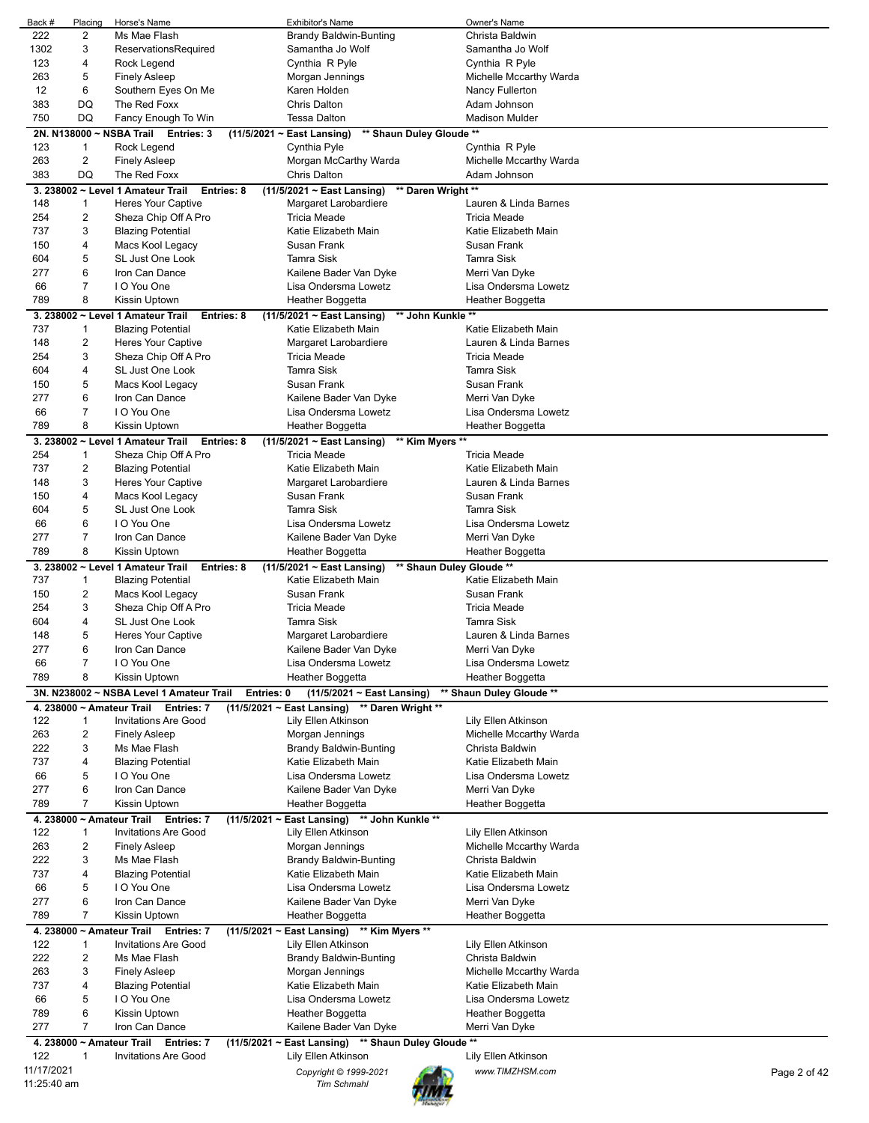| Back #      | Placing        | Horse's Name                                           | <b>Exhibitor's Name</b>                                | Owner's Name                    |
|-------------|----------------|--------------------------------------------------------|--------------------------------------------------------|---------------------------------|
| 222         | 2              | Ms Mae Flash                                           | <b>Brandy Baldwin-Bunting</b>                          | Christa Baldwin                 |
| 1302        | 3              | ReservationsRequired                                   | Samantha Jo Wolf                                       | Samantha Jo Wolf                |
| 123         | 4              | Rock Legend                                            | Cynthia R Pyle                                         | Cynthia R Pyle                  |
| 263         | 5              | <b>Finely Asleep</b>                                   | Morgan Jennings                                        | Michelle Mccarthy Warda         |
| 12          | 6              | Southern Eyes On Me                                    | Karen Holden                                           | Nancy Fullerton                 |
| 383         | DQ             | The Red Foxx                                           | <b>Chris Dalton</b>                                    | Adam Johnson                    |
| 750         | DQ             | Fancy Enough To Win                                    | <b>Tessa Dalton</b>                                    | <b>Madison Mulder</b>           |
|             |                | 2N. N138000 ~ NSBA Trail Entries: 3                    | ** Shaun Duley Gloude **<br>(11/5/2021 ~ East Lansing) |                                 |
| 123         | 1              | Rock Legend                                            | Cynthia Pyle                                           | Cynthia R Pyle                  |
| 263         | 2              | <b>Finely Asleep</b>                                   | Morgan McCarthy Warda                                  | Michelle Mccarthy Warda         |
| 383         | DQ             | The Red Foxx                                           | <b>Chris Dalton</b>                                    | Adam Johnson                    |
|             |                | 3. 238002 ~ Level 1 Amateur Trail<br>Entries: 8        | ** Daren Wright **<br>$(11/5/2021 \sim East$ Lansing)  |                                 |
| 148         | 1              | <b>Heres Your Captive</b>                              | Margaret Larobardiere                                  | Lauren & Linda Barnes           |
| 254         | 2              | Sheza Chip Off A Pro                                   | <b>Tricia Meade</b>                                    | <b>Tricia Meade</b>             |
| 737         | 3              | <b>Blazing Potential</b>                               | Katie Elizabeth Main                                   | Katie Elizabeth Main            |
| 150         | 4              | Macs Kool Legacy                                       | Susan Frank                                            | Susan Frank                     |
| 604         | 5              | SL Just One Look                                       | Tamra Sisk                                             | <b>Tamra Sisk</b>               |
| 277         | 6              | Iron Can Dance                                         | Kailene Bader Van Dyke                                 | Merri Van Dyke                  |
| 66          | $\overline{7}$ | I O You One                                            | Lisa Ondersma Lowetz                                   | Lisa Ondersma Lowetz            |
| 789         | 8              | Kissin Uptown                                          | Heather Boggetta                                       | Heather Boggetta                |
|             |                | 3. 238002 ~ Level 1 Amateur Trail<br>Entries: 8        | (11/5/2021 ~ East Lansing)<br>** John Kunkle **        |                                 |
| 737         | $\mathbf{1}$   | <b>Blazing Potential</b>                               | Katie Elizabeth Main                                   | Katie Elizabeth Main            |
| 148         | 2              | Heres Your Captive                                     | Margaret Larobardiere                                  | Lauren & Linda Barnes           |
| 254         | 3              | Sheza Chip Off A Pro                                   | <b>Tricia Meade</b>                                    | <b>Tricia Meade</b>             |
| 604         | 4              | SL Just One Look                                       | Tamra Sisk                                             | <b>Tamra Sisk</b>               |
| 150         | 5              | Macs Kool Legacy                                       | Susan Frank                                            | Susan Frank                     |
| 277         | 6              | Iron Can Dance                                         | Kailene Bader Van Dyke                                 | Merri Van Dyke                  |
| 66          | $\overline{7}$ | I O You One                                            | Lisa Ondersma Lowetz                                   | Lisa Ondersma Lowetz            |
| 789         | 8              | Kissin Uptown                                          | Heather Boggetta                                       | Heather Boggetta                |
|             |                | 3. 238002 ~ Level 1 Amateur Trail<br>Entries: 8        | $(11/5/2021 \sim$ East Lansing)<br>** Kim Myers **     |                                 |
| 254         | 1              | Sheza Chip Off A Pro                                   | <b>Tricia Meade</b>                                    | <b>Tricia Meade</b>             |
| 737         | 2              | <b>Blazing Potential</b>                               | Katie Elizabeth Main                                   | Katie Elizabeth Main            |
| 148         | 3              | <b>Heres Your Captive</b>                              | Margaret Larobardiere                                  | Lauren & Linda Barnes           |
| 150         | 4              | Macs Kool Legacy                                       | Susan Frank                                            | Susan Frank                     |
| 604         | 5              | SL Just One Look                                       | <b>Tamra Sisk</b>                                      | Tamra Sisk                      |
| 66          | 6              | I O You One                                            | Lisa Ondersma Lowetz                                   | Lisa Ondersma Lowetz            |
| 277         | $\overline{7}$ | Iron Can Dance                                         | Kailene Bader Van Dyke                                 | Merri Van Dyke                  |
| 789         | 8              | Kissin Uptown                                          | Heather Boggetta                                       | Heather Boggetta                |
|             |                | 3. 238002 ~ Level 1 Amateur Trail<br>Entries: 8        | ** Shaun Duley Gloude **<br>(11/5/2021 ~ East Lansing) |                                 |
| 737         | 1              | <b>Blazing Potential</b>                               | Katie Elizabeth Main                                   | Katie Elizabeth Main            |
| 150         | 2              | Macs Kool Legacy                                       | Susan Frank                                            | Susan Frank                     |
| 254         | 3              | Sheza Chip Off A Pro                                   | Tricia Meade                                           | <b>Tricia Meade</b>             |
| 604         | 4              | <b>SL Just One Look</b>                                | Tamra Sisk                                             | Tamra Sisk                      |
| 148         | 5              | <b>Heres Your Captive</b>                              | Margaret Larobardiere                                  | Lauren & Linda Barnes           |
| 277         | 6              | Iron Can Dance                                         | Kailene Bader Van Dyke                                 | Merri Van Dyke                  |
| 66          | 7              | I O You One                                            | Lisa Ondersma Lowetz                                   | Lisa Ondersma Lowetz            |
| 789         | 8              | Kissin Uptown                                          | Heather Boggetta                                       | Heather Boggetta                |
|             |                | 3N. N238002 ~ NSBA Level 1 Amateur Trail<br>Entries: 0 | (11/5/2021 ~ East Lansing)                             | ** Shaun Duley Gloude **        |
|             |                | 4. 238000 ~ Amateur Trail Entries: 7                   | (11/5/2021 ~ East Lansing) ** Daren Wright **          |                                 |
| 122         | 1              | <b>Invitations Are Good</b>                            | Lily Ellen Atkinson                                    | Lily Ellen Atkinson             |
| 263         | 2              | <b>Finely Asleep</b>                                   | Morgan Jennings                                        | Michelle Mccarthy Warda         |
| 222         | 3              | Ms Mae Flash                                           | Brandy Baldwin-Bunting                                 | Christa Baldwin                 |
| 737         | 4              | <b>Blazing Potential</b>                               | Katie Elizabeth Main                                   | Katie Elizabeth Main            |
| 66          | 5              | I O You One                                            | Lisa Ondersma Lowetz                                   | Lisa Ondersma Lowetz            |
| 277         | 6              | Iron Can Dance                                         | Kailene Bader Van Dyke                                 | Merri Van Dyke                  |
| 789         | 7              | Kissin Uptown                                          | Heather Boggetta                                       | Heather Boggetta                |
|             |                | 4. 238000 ~ Amateur Trail Entries: 7                   | (11/5/2021 ~ East Lansing) ** John Kunkle **           |                                 |
| 122         | 1              | <b>Invitations Are Good</b>                            | Lily Ellen Atkinson                                    | Lily Ellen Atkinson             |
| 263         | $\overline{2}$ | Finely Asleep                                          | Morgan Jennings                                        | Michelle Mccarthy Warda         |
| 222         | 3              | Ms Mae Flash                                           | <b>Brandy Baldwin-Bunting</b>                          | Christa Baldwin                 |
| 737         | 4              | <b>Blazing Potential</b>                               | Katie Elizabeth Main                                   | Katie Elizabeth Main            |
| 66          | 5              | I O You One                                            | Lisa Ondersma Lowetz                                   | Lisa Ondersma Lowetz            |
| 277         | 6              | Iron Can Dance                                         | Kailene Bader Van Dyke                                 | Merri Van Dyke                  |
| 789         | 7              | Kissin Uptown                                          | Heather Boggetta                                       | Heather Boggetta                |
|             |                | 4. 238000 ~ Amateur Trail Entries: 7                   | (11/5/2021 ~ East Lansing) ** Kim Myers **             |                                 |
| 122         | 1              | <b>Invitations Are Good</b>                            | Lily Ellen Atkinson                                    | Lily Ellen Atkinson             |
| 222         | 2              | Ms Mae Flash                                           | <b>Brandy Baldwin-Bunting</b>                          | Christa Baldwin                 |
| 263         | 3              | <b>Finely Asleep</b>                                   | Morgan Jennings                                        | Michelle Mccarthy Warda         |
| 737         | 4              | <b>Blazing Potential</b>                               | Katie Elizabeth Main                                   | Katie Elizabeth Main            |
| 66          | 5              | I O You One                                            | Lisa Ondersma Lowetz                                   | Lisa Ondersma Lowetz            |
| 789         | 6              | Kissin Uptown                                          | Heather Boggetta                                       | Heather Boggetta                |
| 277         |                |                                                        | Kailene Bader Van Dyke                                 | Merri Van Dyke                  |
|             |                |                                                        |                                                        |                                 |
|             | $\overline{7}$ | Iron Can Dance                                         |                                                        |                                 |
|             |                | 4. 238000 ~ Amateur Trail Entries: 7                   | (11/5/2021 ~ East Lansing) ** Shaun Duley Gloude **    |                                 |
| 122         | 1              | <b>Invitations Are Good</b>                            | Lily Ellen Atkinson                                    | Lily Ellen Atkinson             |
| 11/17/2021  |                |                                                        | Copyright © 1999-2021                                  | www.TIMZHSM.com<br>Page 2 of 42 |
| 11:25:40 am |                |                                                        | <b>Tim Schmahl</b>                                     |                                 |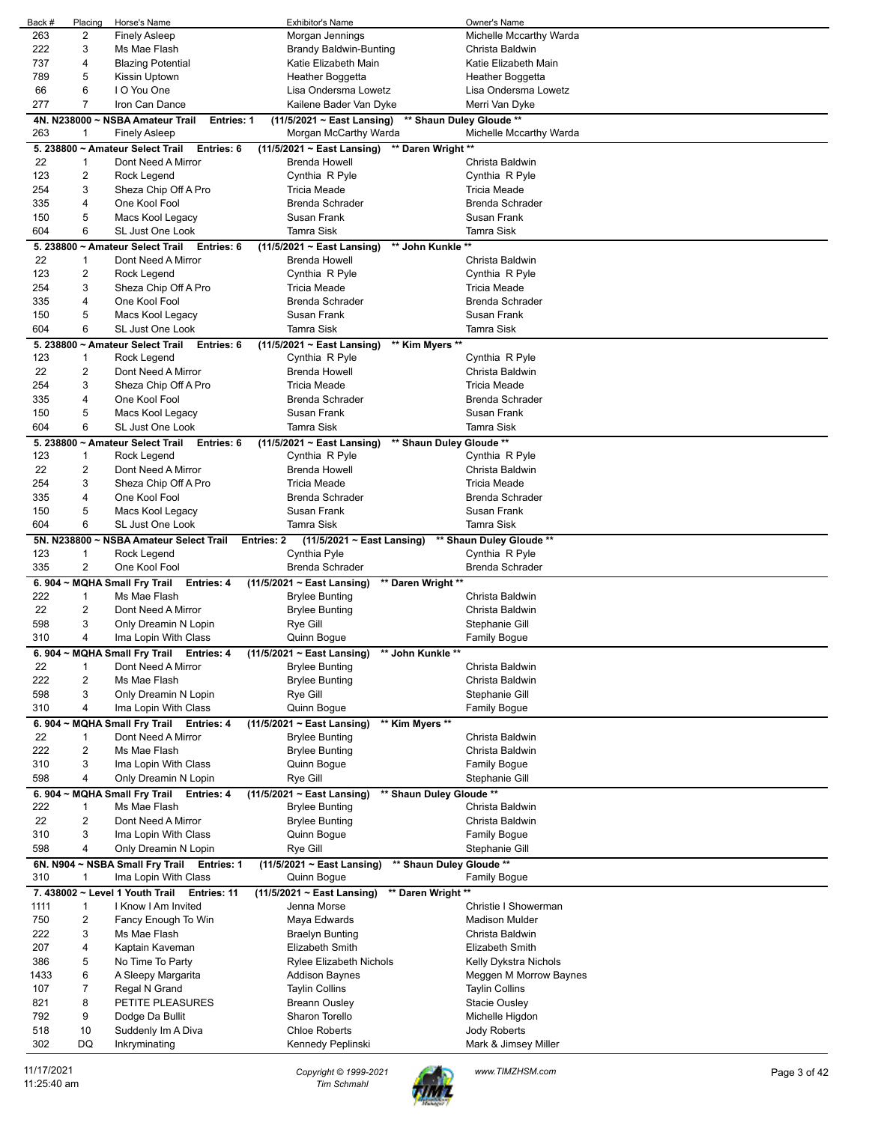| Back #    | Placing        | Horse's Name                                          | <b>Exhibitor's Name</b>                                  | Owner's Name             |
|-----------|----------------|-------------------------------------------------------|----------------------------------------------------------|--------------------------|
| 263       | 2              | <b>Finely Asleep</b>                                  | Morgan Jennings                                          | Michelle Mccarthy Warda  |
| 222       | 3              | Ms Mae Flash                                          | <b>Brandy Baldwin-Bunting</b>                            | Christa Baldwin          |
| 737       | 4              | <b>Blazing Potential</b>                              | Katie Elizabeth Main                                     | Katie Elizabeth Main     |
| 789       | 5              | Kissin Uptown                                         | Heather Boggetta                                         | Heather Boggetta         |
| 66        | 6              | I O You One                                           | Lisa Ondersma Lowetz                                     | Lisa Ondersma Lowetz     |
| 277       | 7              | Iron Can Dance                                        | Kailene Bader Van Dyke                                   | Merri Van Dyke           |
|           |                | 4N. N238000 ~ NSBA Amateur Trail<br><b>Entries: 1</b> | (11/5/2021 ~ East Lansing)                               | ** Shaun Duley Gloude ** |
| 263       | 1              | <b>Finely Asleep</b>                                  | Morgan McCarthy Warda                                    | Michelle Mccarthy Warda  |
|           |                | 5. 238800 ~ Amateur Select Trail<br>Entries: 6        | (11/5/2021 ~ East Lansing) ** Daren Wright **            |                          |
| 22        | 1              | Dont Need A Mirror                                    | <b>Brenda Howell</b>                                     | Christa Baldwin          |
| 123       | 2              | Rock Legend                                           | Cynthia R Pyle                                           | Cynthia R Pyle           |
| 254       | 3              | Sheza Chip Off A Pro                                  | <b>Tricia Meade</b>                                      | <b>Tricia Meade</b>      |
| 335       | 4              | One Kool Fool                                         | <b>Brenda Schrader</b>                                   | <b>Brenda Schrader</b>   |
| 150       | 5              | Macs Kool Legacy                                      | Susan Frank                                              | Susan Frank              |
| 604       | 6              | SL Just One Look                                      | <b>Tamra Sisk</b>                                        | <b>Tamra Sisk</b>        |
|           |                | 5. 238800 ~ Amateur Select Trail<br>Entries: 6        | ** John Kunkle **<br>$(11/5/2021 \sim East$ Lansing)     |                          |
| 22        | $\mathbf{1}$   | Dont Need A Mirror                                    | <b>Brenda Howell</b>                                     | Christa Baldwin          |
| 123       | 2              | Rock Legend                                           | Cynthia R Pyle                                           | Cynthia R Pyle           |
| 254       | 3              | Sheza Chip Off A Pro                                  | <b>Tricia Meade</b>                                      | <b>Tricia Meade</b>      |
| 335       | 4              | One Kool Fool                                         | <b>Brenda Schrader</b>                                   | <b>Brenda Schrader</b>   |
| 150       | 5              | Macs Kool Legacy                                      | Susan Frank                                              | Susan Frank              |
| 604       | 6              | SL Just One Look                                      | <b>Tamra Sisk</b>                                        | <b>Tamra Sisk</b>        |
|           |                | 5. 238800 ~ Amateur Select Trail<br>Entries: 6        | (11/5/2021 ~ East Lansing)<br>** Kim Myers **            |                          |
| 123       | 1              | Rock Legend                                           | Cynthia R Pyle                                           | Cynthia R Pyle           |
| 22        | 2              | Dont Need A Mirror                                    | <b>Brenda Howell</b>                                     | Christa Baldwin          |
| 254       | 3              | Sheza Chip Off A Pro                                  | <b>Tricia Meade</b>                                      | <b>Tricia Meade</b>      |
| 335       | 4              | One Kool Fool                                         | <b>Brenda Schrader</b>                                   | <b>Brenda Schrader</b>   |
| 150       | 5              | Macs Kool Legacy                                      | Susan Frank                                              | Susan Frank              |
| 604       | 6              | <b>SL Just One Look</b>                               | <b>Tamra Sisk</b>                                        | <b>Tamra Sisk</b>        |
|           |                | 5. 238800 ~ Amateur Select Trail<br>Entries: 6        | $(11/5/2021 \sim East$ Lansing)                          | ** Shaun Duley Gloude ** |
| 123       | $\mathbf{1}$   | Rock Legend                                           | Cynthia R Pyle                                           | Cynthia R Pyle           |
| 22        | 2              | Dont Need A Mirror                                    | <b>Brenda Howell</b>                                     | Christa Baldwin          |
| 254       | 3              | Sheza Chip Off A Pro                                  | <b>Tricia Meade</b>                                      | <b>Tricia Meade</b>      |
| 335       | 4              | One Kool Fool                                         | <b>Brenda Schrader</b>                                   | <b>Brenda Schrader</b>   |
| 150       | 5              | Macs Kool Legacy                                      | Susan Frank                                              | Susan Frank              |
| 604       | 6              | <b>SL Just One Look</b>                               | <b>Tamra Sisk</b>                                        | <b>Tamra Sisk</b>        |
|           |                |                                                       |                                                          |                          |
|           |                |                                                       |                                                          |                          |
|           |                | 5N. N238800 ~ NSBA Amateur Select Trail               | (11/5/2021 ~ East Lansing)<br><b>Entries: 2</b>          | ** Shaun Duley Gloude ** |
| 123       | 1              | Rock Legend                                           | Cynthia Pyle                                             | Cynthia R Pyle           |
| 335       | 2              | One Kool Fool                                         | Brenda Schrader                                          | <b>Brenda Schrader</b>   |
| 6.904 $-$ |                | <b>MQHA Small Fry Trail</b><br>Entries: 4             | (11/5/2021 ~ East Lansing)<br>** Daren Wright **         |                          |
| 222       | 1              | Ms Mae Flash                                          | <b>Brylee Bunting</b>                                    | Christa Baldwin          |
| 22        | 2              | Dont Need A Mirror                                    | <b>Brylee Bunting</b>                                    | Christa Baldwin          |
| 598       | 3              | Only Dreamin N Lopin                                  | Rye Gill                                                 | Stephanie Gill           |
| 310       | 4              | Ima Lopin With Class                                  | Quinn Bogue                                              | <b>Family Bogue</b>      |
| 6.904     |                | <b>MQHA Small Fry Trail Entries: 4</b>                | (11/5/2021 ~ East Lansing)<br>John Kunkle                |                          |
| 22        | 1              | Dont Need A Mirror                                    | <b>Brylee Bunting</b>                                    | Christa Baldwin          |
| 222       | 2              | Ms Mae Flash                                          | <b>Brylee Bunting</b>                                    | Christa Baldwin          |
| 598       | 3              | Only Dreamin N Lopin                                  | Rye Gill                                                 | Stephanie Gill           |
| 310       | 4              | Ima Lopin With Class                                  | Quinn Bogue                                              | Family Bogue             |
|           |                | 6. 904 ~ MQHA Small Fry Trail Entries: 4              | (11/5/2021 ~ East Lansing)<br>** Kim Myers **            |                          |
| 22        | $\mathbf{1}$   | Dont Need A Mirror                                    | <b>Brylee Bunting</b>                                    | Christa Baldwin          |
| 222       | 2              | Ms Mae Flash                                          | <b>Brylee Bunting</b>                                    | Christa Baldwin          |
| 310       | 3              | Ima Lopin With Class                                  | Quinn Bogue                                              | <b>Family Bogue</b>      |
| 598       | 4              | Only Dreamin N Lopin                                  | Rye Gill                                                 | Stephanie Gill           |
|           |                | 6.904 ~ MQHA Small Fry Trail<br>Entries: 4            | $(11/5/2021 - East Lensing)$<br>** Shaun Duley Gloude ** |                          |
| 222       | 1              | Ms Mae Flash                                          | <b>Brylee Bunting</b>                                    | Christa Baldwin          |
| 22        | $\overline{c}$ | Dont Need A Mirror                                    | <b>Brylee Bunting</b>                                    | Christa Baldwin          |
| 310       | 3              | Ima Lopin With Class                                  | Quinn Bogue                                              | <b>Family Bogue</b>      |
| 598       | 4              | Only Dreamin N Lopin                                  | Rye Gill                                                 | Stephanie Gill           |
|           |                | 6N. N904 ~ NSBA Small Fry Trail Entries: 1            | (11/5/2021 ~ East Lansing)                               | ** Shaun Duley Gloude ** |
| 310       | 1              | Ima Lopin With Class                                  | Quinn Bogue                                              | <b>Family Bogue</b>      |
|           |                | 7. 438002 ~ Level 1 Youth Trail Entries: 11           | $(11/5/2021 \sim East$ Lansing)<br>** Daren Wright **    |                          |
| 1111      | 1              | I Know I Am Invited                                   | Jenna Morse                                              | Christie I Showerman     |
| 750       | 2              | Fancy Enough To Win                                   | Maya Edwards                                             | <b>Madison Mulder</b>    |
| 222       | 3              | Ms Mae Flash                                          | <b>Braelyn Bunting</b>                                   | Christa Baldwin          |
| 207       | 4              | Kaptain Kaveman                                       | Elizabeth Smith                                          | Elizabeth Smith          |
| 386       | 5              | No Time To Party                                      | <b>Rylee Elizabeth Nichols</b>                           | Kelly Dykstra Nichols    |
| 1433      | 6              | A Sleepy Margarita                                    | <b>Addison Baynes</b>                                    | Meggen M Morrow Baynes   |
| 107       | 7              | Regal N Grand                                         | <b>Taylin Collins</b>                                    | <b>Taylin Collins</b>    |
| 821       | 8              | PETITE PLEASURES                                      | <b>Breann Ousley</b>                                     | Stacie Ousley            |
| 792       | 9              | Dodge Da Bullit                                       | Sharon Torello                                           | Michelle Higdon          |
| 518       | 10             | Suddenly Im A Diva                                    | <b>Chloe Roberts</b>                                     | Jody Roberts             |
| 302       | DQ             | Inkryminating                                         | Kennedy Peplinski                                        | Mark & Jimsey Miller     |

11/17/2021 *Copyright © 1999-2021 Tim Schmahl www.TIMZHSM.com* Page 3 of 42

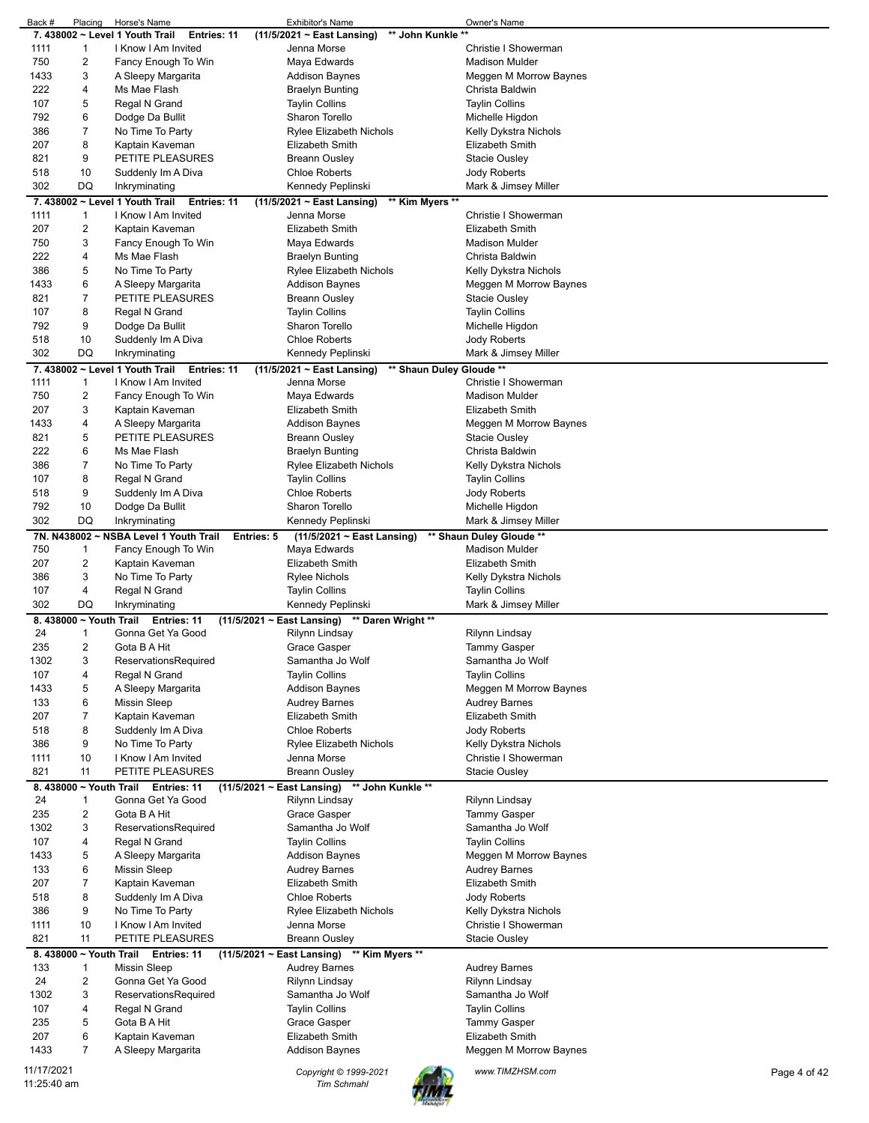| Back #                    | Placing                | Horse's Name                                          | <b>Exhibitor's Name</b>                              | Owner's Name             |              |
|---------------------------|------------------------|-------------------------------------------------------|------------------------------------------------------|--------------------------|--------------|
|                           |                        | 7. 438002 ~ Level 1 Youth Trail<br><b>Entries: 11</b> | $(11/5/2021 \sim$ East Lansing)<br>** John Kunkle ** |                          |              |
| 1111                      | 1                      | I Know I Am Invited                                   | Jenna Morse                                          | Christie I Showerman     |              |
| 750                       | $\overline{c}$         | Fancy Enough To Win                                   | Maya Edwards                                         | <b>Madison Mulder</b>    |              |
| 1433                      | 3                      |                                                       |                                                      |                          |              |
|                           |                        | A Sleepy Margarita                                    | <b>Addison Baynes</b>                                | Meggen M Morrow Baynes   |              |
| 222                       | 4                      | Ms Mae Flash                                          | <b>Braelyn Bunting</b>                               | Christa Baldwin          |              |
| 107                       | 5                      | Regal N Grand                                         | <b>Taylin Collins</b>                                | <b>Taylin Collins</b>    |              |
| 792                       | 6                      | Dodge Da Bullit                                       | Sharon Torello                                       | Michelle Higdon          |              |
| 386                       | 7                      | No Time To Party                                      | <b>Rylee Elizabeth Nichols</b>                       | Kelly Dykstra Nichols    |              |
| 207                       | 8                      | Kaptain Kaveman                                       | Elizabeth Smith                                      | Elizabeth Smith          |              |
| 821                       | 9                      | PETITE PLEASURES                                      | <b>Breann Ousley</b>                                 | <b>Stacie Ousley</b>     |              |
|                           |                        |                                                       |                                                      |                          |              |
| 518                       | 10                     | Suddenly Im A Diva                                    | <b>Chloe Roberts</b>                                 | Jody Roberts             |              |
| 302                       | DQ                     | Inkryminating                                         | Kennedy Peplinski                                    | Mark & Jimsey Miller     |              |
|                           |                        | 7.438002 ~ Level 1 Youth Trail<br>Entries: 11         | $(11/5/2021 \sim East$ Lansing)<br>** Kim Myers **   |                          |              |
| 1111                      | 1                      | I Know I Am Invited                                   | Jenna Morse                                          | Christie I Showerman     |              |
| 207                       | $\overline{c}$         | Kaptain Kaveman                                       | <b>Elizabeth Smith</b>                               | Elizabeth Smith          |              |
|                           |                        |                                                       |                                                      |                          |              |
| 750                       | 3                      | Fancy Enough To Win                                   | Maya Edwards                                         | <b>Madison Mulder</b>    |              |
| 222                       | 4                      | Ms Mae Flash                                          | <b>Braelyn Bunting</b>                               | Christa Baldwin          |              |
| 386                       | 5                      | No Time To Party                                      | Rylee Elizabeth Nichols                              | Kelly Dykstra Nichols    |              |
| 1433                      | 6                      | A Sleepy Margarita                                    | Addison Baynes                                       | Meggen M Morrow Baynes   |              |
| 821                       | $\overline{7}$         | PETITE PLEASURES                                      | <b>Breann Ousley</b>                                 | <b>Stacie Ousley</b>     |              |
| 107                       | 8                      | Regal N Grand                                         | <b>Taylin Collins</b>                                | <b>Taylin Collins</b>    |              |
|                           |                        |                                                       |                                                      |                          |              |
| 792                       | 9                      | Dodge Da Bullit                                       | Sharon Torello                                       | Michelle Higdon          |              |
| 518                       | 10                     | Suddenly Im A Diva                                    | <b>Chloe Roberts</b>                                 | Jody Roberts             |              |
| 302                       | DQ                     | Inkryminating                                         | Kennedy Peplinski                                    | Mark & Jimsey Miller     |              |
|                           |                        | 7. 438002 ~ Level 1 Youth Trail<br>Entries: 11        | (11/5/2021 ~ East Lansing)                           | ** Shaun Duley Gloude ** |              |
| 1111                      | $\mathbf{1}$           | I Know I Am Invited                                   | Jenna Morse                                          | Christie I Showerman     |              |
|                           |                        |                                                       |                                                      |                          |              |
| 750                       | $\overline{c}$         | Fancy Enough To Win                                   | Maya Edwards                                         | <b>Madison Mulder</b>    |              |
| 207                       | 3                      | Kaptain Kaveman                                       | <b>Elizabeth Smith</b>                               | <b>Elizabeth Smith</b>   |              |
| 1433                      | 4                      | A Sleepy Margarita                                    | <b>Addison Baynes</b>                                | Meggen M Morrow Baynes   |              |
| 821                       | 5                      | PETITE PLEASURES                                      | <b>Breann Ousley</b>                                 | <b>Stacie Ousley</b>     |              |
| 222                       | 6                      | Ms Mae Flash                                          | <b>Braelyn Bunting</b>                               | Christa Baldwin          |              |
| 386                       | $\overline{7}$         |                                                       |                                                      |                          |              |
|                           |                        | No Time To Party                                      | <b>Rylee Elizabeth Nichols</b>                       | Kelly Dykstra Nichols    |              |
| 107                       | 8                      | Regal N Grand                                         | <b>Taylin Collins</b>                                | <b>Taylin Collins</b>    |              |
| 518                       | 9                      | Suddenly Im A Diva                                    | <b>Chloe Roberts</b>                                 | Jody Roberts             |              |
| 792                       | 10                     | Dodge Da Bullit                                       | Sharon Torello                                       | Michelle Higdon          |              |
| 302                       | DQ                     | Inkryminating                                         | Kennedy Peplinski                                    | Mark & Jimsey Miller     |              |
|                           |                        | 7N. N438002 ~ NSBA Level 1 Youth Trail                | Entries: 5                                           | ** Shaun Duley Gloude ** |              |
|                           |                        |                                                       | $(11/5/2021 \sim$ East Lansing)                      |                          |              |
| 750                       | 1                      | Fancy Enough To Win                                   | Maya Edwards                                         | <b>Madison Mulder</b>    |              |
| 207                       | $\overline{c}$         | Kaptain Kaveman                                       | <b>Elizabeth Smith</b>                               | <b>Elizabeth Smith</b>   |              |
| 386                       | 3                      | No Time To Party                                      | <b>Rylee Nichols</b>                                 | Kelly Dykstra Nichols    |              |
| 107                       | 4                      | Regal N Grand                                         | Taylin Collins                                       | <b>Taylin Collins</b>    |              |
| 302                       | DQ                     | Inkryminating                                         | Kennedy Peplinski                                    | Mark & Jimsey Miller     |              |
|                           |                        | Entries: 11                                           | ** Daren Wright **                                   |                          |              |
|                           | 8.438000 ~ Youth Trail |                                                       | $(11/5/2021 \sim East$ Lansing)                      |                          |              |
| 24                        | 1                      | Gonna Get Ya Good                                     | Rilynn Lindsay                                       | Rilynn Lindsay           |              |
| 235                       | 2                      | Gota B A Hit                                          | Grace Gasper                                         | <b>Tammy Gasper</b>      |              |
| 1302                      | 3                      | ReservationsRequired                                  | Samantha Jo Wolf                                     | Samantha Jo Wolf         |              |
| 107                       | 4                      | Regal N Grand                                         | <b>Taylin Collins</b>                                | <b>Taylin Collins</b>    |              |
| 1433                      | 5                      | A Sleepy Margarita                                    | <b>Addison Baynes</b>                                | Meggen M Morrow Baynes   |              |
| 133                       | 6                      | <b>Missin Sleep</b>                                   | <b>Audrey Barnes</b>                                 | <b>Audrey Barnes</b>     |              |
|                           |                        |                                                       |                                                      |                          |              |
| 207                       | $\overline{7}$         | Kaptain Kaveman                                       | <b>Elizabeth Smith</b>                               | Elizabeth Smith          |              |
| 518                       | 8                      | Suddenly Im A Diva                                    | <b>Chloe Roberts</b>                                 | Jody Roberts             |              |
| 386                       | 9                      | No Time To Party                                      | <b>Rylee Elizabeth Nichols</b>                       | Kelly Dykstra Nichols    |              |
| 1111                      | 10                     | I Know I Am Invited                                   | Jenna Morse                                          | Christie I Showerman     |              |
| 821                       | 11                     | PETITE PLEASURES                                      | <b>Breann Ousley</b>                                 | <b>Stacie Ousley</b>     |              |
|                           |                        |                                                       |                                                      |                          |              |
|                           | 8.438000 ~ Youth Trail | Entries: 11                                           | (11/5/2021 ~ East Lansing) ** John Kunkle **         |                          |              |
| 24                        | 1                      | Gonna Get Ya Good                                     | Rilynn Lindsay                                       | Rilynn Lindsay           |              |
| 235                       | $\overline{c}$         | Gota B A Hit                                          | Grace Gasper                                         | <b>Tammy Gasper</b>      |              |
| 1302                      | 3                      | ReservationsRequired                                  | Samantha Jo Wolf                                     | Samantha Jo Wolf         |              |
| 107                       | 4                      | Regal N Grand                                         | <b>Taylin Collins</b>                                | <b>Taylin Collins</b>    |              |
| 1433                      | 5                      | A Sleepy Margarita                                    | <b>Addison Baynes</b>                                | Meggen M Morrow Baynes   |              |
|                           | 6                      |                                                       |                                                      |                          |              |
| 133                       |                        | <b>Missin Sleep</b>                                   | <b>Audrey Barnes</b>                                 | <b>Audrey Barnes</b>     |              |
| 207                       | $\overline{7}$         | Kaptain Kaveman                                       | <b>Elizabeth Smith</b>                               | Elizabeth Smith          |              |
| 518                       | 8                      | Suddenly Im A Diva                                    | <b>Chloe Roberts</b>                                 | Jody Roberts             |              |
| 386                       | 9                      | No Time To Party                                      | <b>Rylee Elizabeth Nichols</b>                       | Kelly Dykstra Nichols    |              |
| 1111                      | 10                     | I Know I Am Invited                                   | Jenna Morse                                          | Christie I Showerman     |              |
| 821                       | 11                     | PETITE PLEASURES                                      | <b>Breann Ousley</b>                                 | Stacie Ousley            |              |
|                           |                        |                                                       |                                                      |                          |              |
|                           | 8.438000 ~ Youth Trail | Entries: 11                                           | (11/5/2021 ~ East Lansing) ** Kim Myers **           |                          |              |
| 133                       | $\mathbf{1}$           | <b>Missin Sleep</b>                                   | <b>Audrey Barnes</b>                                 | <b>Audrey Barnes</b>     |              |
| 24                        | $\overline{c}$         | Gonna Get Ya Good                                     | Rilynn Lindsay                                       | Rilynn Lindsay           |              |
| 1302                      | 3                      | ReservationsRequired                                  | Samantha Jo Wolf                                     | Samantha Jo Wolf         |              |
| 107                       | 4                      | Regal N Grand                                         | <b>Taylin Collins</b>                                | <b>Taylin Collins</b>    |              |
| 235                       | 5                      | Gota B A Hit                                          | Grace Gasper                                         | <b>Tammy Gasper</b>      |              |
|                           |                        | Kaptain Kaveman                                       | Elizabeth Smith                                      | Elizabeth Smith          |              |
|                           |                        |                                                       |                                                      |                          |              |
| 207                       | 6                      |                                                       |                                                      |                          |              |
| 1433                      | $\overline{7}$         | A Sleepy Margarita                                    | <b>Addison Baynes</b>                                | Meggen M Morrow Baynes   |              |
|                           |                        |                                                       |                                                      |                          |              |
| 11/17/2021<br>11:25:40 am |                        |                                                       | Copyright © 1999-2021<br><b>Tim Schmahl</b>          | www.TIMZHSM.com          | Page 4 of 42 |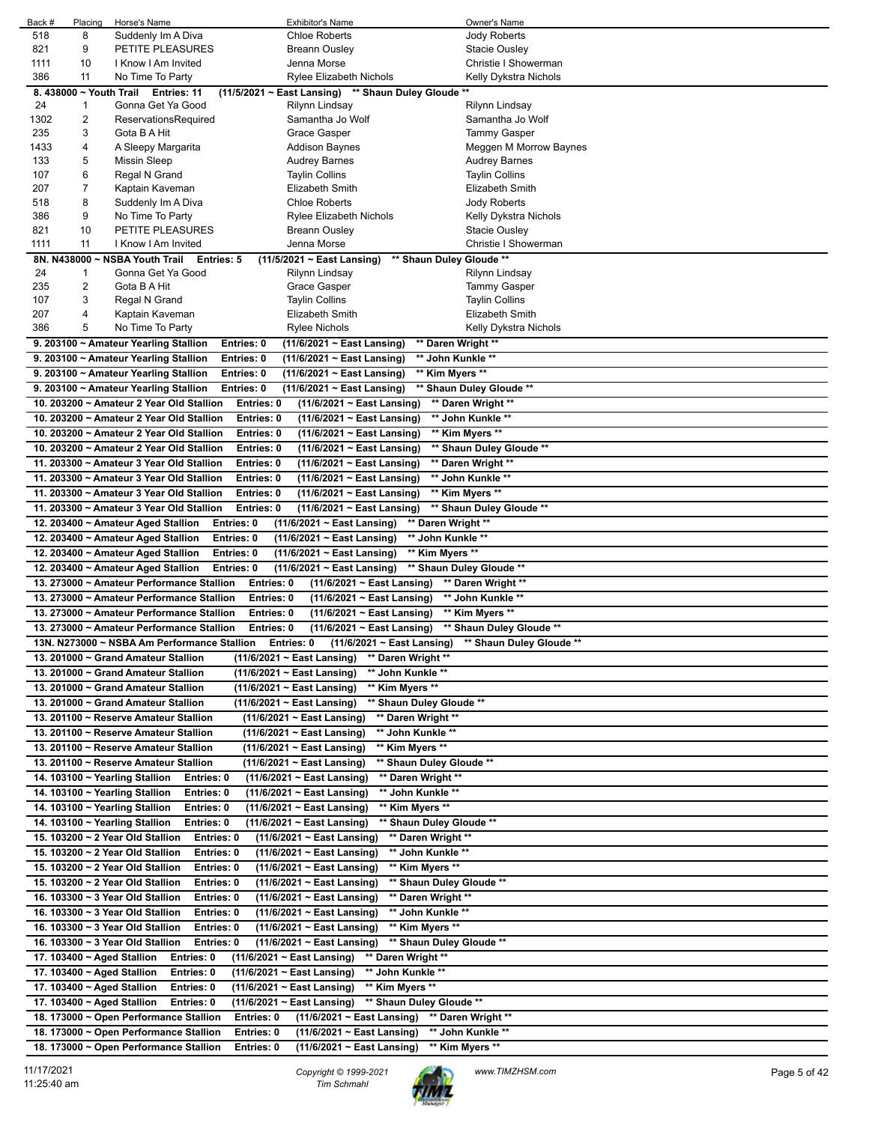| Back #    | Placing | Horse's Name                                      | <b>Exhibitor's Name</b>                                       | Owner's Name                   |
|-----------|---------|---------------------------------------------------|---------------------------------------------------------------|--------------------------------|
| 518       | 8       | Suddenly Im A Diva                                | <b>Chloe Roberts</b>                                          | <b>Jody Roberts</b>            |
| 821       | 9       | PETITE PLEASURES                                  | Breann Ousley                                                 | Stacie Ousley                  |
| 1111      | 10      | I Know I Am Invited                               | Jenna Morse                                                   | Christie I Showerman           |
| 386       | 11      | No Time To Party                                  | Rylee Elizabeth Nichols                                       | Kelly Dykstra Nichols          |
|           |         | 8. 438000 ~ Youth Trail Entries: 11               | (11/5/2021 ~ East Lansing) ** Shaun Duley Gloude **           |                                |
| 24        | 1       | Gonna Get Ya Good                                 | Rilynn Lindsay                                                | Rilynn Lindsay                 |
| 1302      | 2       | ReservationsRequired                              | Samantha Jo Wolf                                              | Samantha Jo Wolf               |
| 235       | 3       | Gota B A Hit                                      | Grace Gasper                                                  | Tammy Gasper                   |
| 1433      | 4       | A Sleepy Margarita                                | Addison Baynes                                                | Meggen M Morrow Baynes         |
| 133       | 5       | <b>Missin Sleep</b>                               | <b>Audrey Barnes</b>                                          | Audrey Barnes                  |
| 107       | 6       | Regal N Grand                                     | Taylin Collins                                                | Taylin Collins                 |
| 207       | 7       | Kaptain Kaveman                                   | <b>Elizabeth Smith</b>                                        | Elizabeth Smith                |
| 518       | 8       | Suddenly Im A Diva                                | <b>Chloe Roberts</b>                                          | Jody Roberts                   |
| 386       | 9       | No Time To Party                                  | <b>Rylee Elizabeth Nichols</b>                                | Kelly Dykstra Nichols          |
| 821       | 10      | PETITE PLEASURES                                  | Breann Ousley                                                 | Stacie Ousley                  |
| 1111      | 11      | I Know I Am Invited                               | Jenna Morse                                                   | Christie I Showerman           |
|           |         | 8N. N438000 ~ NSBA Youth Trail                    | $(11/5/2021 \sim East$ Lansing)<br><b>Entries: 5</b>          | ** Shaun Duley Gloude **       |
| 24<br>235 | 1<br>2  | Gonna Get Ya Good<br>Gota B A Hit                 | Rilynn Lindsay<br>Grace Gasper                                | Rilynn Lindsay                 |
| 107       | 3       | Regal N Grand                                     | <b>Taylin Collins</b>                                         | Tammy Gasper<br>Taylin Collins |
| 207       | 4       | Kaptain Kaveman                                   | Elizabeth Smith                                               | <b>Elizabeth Smith</b>         |
| 386       | 5       | No Time To Party                                  | Rylee Nichols                                                 | Kelly Dykstra Nichols          |
|           |         | 9. 203100 ~ Amateur Yearling Stallion             | Entries: 0<br>(11/6/2021 ~ East Lansing)                      | ** Daren Wright **             |
|           |         | 9. 203100 ~ Amateur Yearling Stallion             | (11/6/2021 ~ East Lansing)<br>Entries: 0                      | ** John Kunkle **              |
|           |         | 9. 203100 ~ Amateur Yearling Stallion             | Entries: 0<br>(11/6/2021 ~ East Lansing)                      | ** Kim Myers **                |
|           |         | 9. 203100 ~ Amateur Yearling Stallion             | Entries: 0<br>(11/6/2021 ~ East Lansing)                      | ** Shaun Duley Gloude **       |
|           |         | 10. 203200 ~ Amateur 2 Year Old Stallion          | Entries: 0<br>$(11/6/2021 \sim East$ Lansing)                 | ** Daren Wright **             |
|           |         | 10. 203200 ~ Amateur 2 Year Old Stallion          | Entries: 0<br>(11/6/2021 ~ East Lansing)                      | ** John Kunkle **              |
|           |         | 10. 203200 ~ Amateur 2 Year Old Stallion          | Entries: 0<br>(11/6/2021 ~ East Lansing)                      | ** Kim Myers **                |
|           |         | 10. 203200 ~ Amateur 2 Year Old Stallion          | Entries: 0<br>(11/6/2021 ~ East Lansing)                      | ** Shaun Duley Gloude **       |
|           |         | 11. 203300 ~ Amateur 3 Year Old Stallion          | Entries: 0                                                    | ** Daren Wright **             |
|           |         | 11. 203300 ~ Amateur 3 Year Old Stallion          | (11/6/2021 ~ East Lansing)<br>Entries: 0                      | ** John Kunkle **              |
|           |         |                                                   | (11/6/2021 ~ East Lansing)                                    |                                |
|           |         | 11. 203300 ~ Amateur 3 Year Old Stallion          | Entries: 0<br>(11/6/2021 ~ East Lansing)                      | ** Kim Myers **                |
|           |         | 11. 203300 ~ Amateur 3 Year Old Stallion          | Entries: 0<br>(11/6/2021 ~ East Lansing)                      | ** Shaun Duley Gloude **       |
|           |         | 12. 203400 ~ Amateur Aged Stallion                | Entries: 0<br>(11/6/2021 ~ East Lansing)                      | ** Daren Wright **             |
|           |         | 12. 203400 ~ Amateur Aged Stallion                | Entries: 0<br>** John Kunkle **<br>(11/6/2021 ~ East Lansing) |                                |
|           |         | 12. 203400 ~ Amateur Aged Stallion                | Entries: 0<br>** Kim Myers **<br>(11/6/2021 ~ East Lansing)   |                                |
|           |         | 12. 203400 ~ Amateur Aged Stallion                | Entries: 0<br>(11/6/2021 ~ East Lansing)                      | ** Shaun Duley Gloude **       |
|           |         | 13. 273000 ~ Amateur Performance Stallion         | Entries: 0<br>$(11/6/2021 \sim$ East Lansing)                 | ** Daren Wright **             |
|           |         | 13. 273000 ~ Amateur Performance Stallion         | Entries: 0<br>$(11/6/2021 \sim East$ Lansing)                 | ** John Kunkle **              |
|           |         | 13. 273000 ~ Amateur Performance Stallion         | Entries: 0<br>$(11/6/2021 \sim East$ Lansing)                 | ** Kim Myers **                |
|           |         | 13. 273000 ~ Amateur Performance Stallion         | Entries: 0<br>$(11/6/2021 \sim East$ Lansing)                 | ** Shaun Duley Gloude **       |
|           |         | 13N. N273000 ~ NSBA Am Performance Stallion       | Entries: 0<br>$(11/6/2021 \sim$ East Lansing)                 | ** Shaun Duley Gloude **       |
|           |         | 13. 201000 ~ Grand Amateur Stallion               | (11/6/2021 ~ East Lansing)<br>** Daren Wright **              |                                |
|           |         | 13. 201000 ~ Grand Amateur Stallion               | ** John Kunkle **<br>(11/6/2021 ~ East Lansing)               |                                |
|           |         | 13. 201000 ~ Grand Amateur Stallion               | $(11/6/2021 \sim$ East Lansing)<br>** Kim Myers **            |                                |
|           |         | 13. 201000 ~ Grand Amateur Stallion               | ** Shaun Duley Gloude **<br>(11/6/2021 ~ East Lansing)        |                                |
|           |         | 13. 201100 ~ Reserve Amateur Stallion             | $(11/6/2021 \sim$ East Lansing)<br>** Daren Wright **         |                                |
|           |         | 13. 201100 ~ Reserve Amateur Stallion             | $(11/6/2021 \sim East$ Lansing)<br>** John Kunkle **          |                                |
|           |         | 13. 201100 ~ Reserve Amateur Stallion             | ** Kim Myers **<br>$(11/6/2021 \sim$ East Lansing)            |                                |
|           |         | 13. 201100 ~ Reserve Amateur Stallion             | ** Shaun Duley Gloude **<br>(11/6/2021 ~ East Lansing)        |                                |
|           |         | 14. 103100 ~ Yearling Stallion<br>Entries: 0      | $(11/6/2021 \sim East$ Lansing)<br>** Daren Wright **         |                                |
|           |         | 14. 103100 $\sim$ Yearling Stallion<br>Entries: 0 | ** John Kunkle **<br>(11/6/2021 ~ East Lansing)               |                                |
|           |         | 14. 103100 ~ Yearling Stallion<br>Entries: 0      | $(11/6/2021 \sim$ East Lansing)<br>** Kim Myers **            |                                |
|           |         | 14. 103100 ~ Yearling Stallion<br>Entries: 0      | (11/6/2021 ~ East Lansing)<br>** Shaun Duley Gloude **        |                                |
|           |         | 15. 103200 ~ 2 Year Old Stallion<br>Entries: 0    | ** Daren Wright **<br>$(11/6/2021 \sim East$ Lansing)         |                                |
|           |         | 15. 103200 ~ 2 Year Old Stallion<br>Entries: 0    | (11/6/2021 ~ East Lansing)<br>** John Kunkle **               |                                |
|           |         | 15. 103200 ~ 2 Year Old Stallion<br>Entries: 0    | ** Kim Myers **<br>$(11/6/2021 \sim East$ Lansing)            |                                |
|           |         | 15. 103200 ~ 2 Year Old Stallion<br>Entries: 0    | ** Shaun Duley Gloude **<br>(11/6/2021 ~ East Lansing)        |                                |
|           |         | 16. 103300 ~ 3 Year Old Stallion<br>Entries: 0    | ** Daren Wright **<br>(11/6/2021 ~ East Lansing)              |                                |
|           |         | 16. 103300 ~ 3 Year Old Stallion<br>Entries: 0    | (11/6/2021 ~ East Lansing)<br>** John Kunkle **               |                                |
|           |         | 16. 103300 ~ 3 Year Old Stallion<br>Entries: 0    | ** Kim Myers **<br>$(11/6/2021 \sim East$ Lansing)            |                                |
|           |         | 16. 103300 ~ 3 Year Old Stallion<br>Entries: 0    | ** Shaun Duley Gloude **<br>$(11/6/2021 \sim East$ Lansing)   |                                |
|           |         | 17. 103400 ~ Aged Stallion<br>Entries: 0          | ** Daren Wright **<br>$(11/6/2021 \sim$ East Lansing)         |                                |
|           |         | 17. 103400 ~ Aged Stallion<br>Entries: 0          | ** John Kunkle **<br>$(11/6/2021 \sim$ East Lansing)          |                                |
|           |         | 17. 103400 ~ Aged Stallion<br>Entries: 0          | ** Kim Myers **<br>$(11/6/2021 \sim East$ Lansing)            |                                |
|           |         | 17. 103400 ~ Aged Stallion<br>Entries: 0          | ** Shaun Duley Gloude **<br>$(11/6/2021 \sim$ East Lansing)   |                                |
|           |         | 18. 173000 ~ Open Performance Stallion            | Entries: 0<br>$(11/6/2021 \sim East$ Lansing)                 | ** Daren Wright **             |
|           |         | 18. 173000 ~ Open Performance Stallion            | Entries: 0<br>(11/6/2021 ~ East Lansing)                      | ** John Kunkle **              |
|           |         | 18. 173000 ~ Open Performance Stallion            | (11/6/2021 ~ East Lansing)<br>Entries: 0                      | ** Kim Myers **                |
|           |         |                                                   |                                                               |                                |

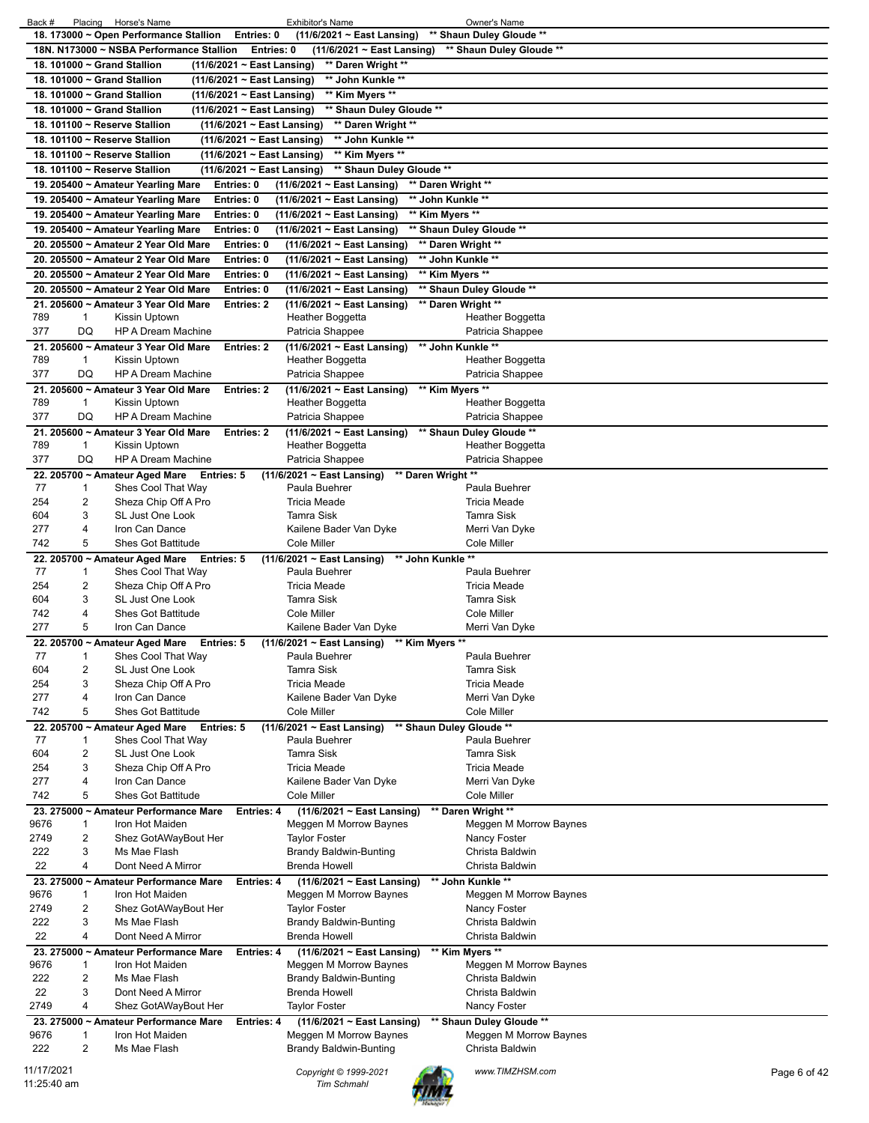| Back #<br>Placing Horse's Name<br><b>Exhibitor's Name</b>                                                          | Owner's Name                           |
|--------------------------------------------------------------------------------------------------------------------|----------------------------------------|
| 18. 173000 ~ Open Performance Stallion<br>Entries: 0<br>(11/6/2021 ~ East Lansing)                                 | ** Shaun Duley Gloude **               |
| 18N. N173000 ~ NSBA Performance Stallion<br>Entries: 0<br>$(11/6/2021 \sim East$ Lansing)                          | ** Shaun Duley Gloude **               |
| 18. 101000 ~ Grand Stallion<br>(11/6/2021 ~ East Lansing)<br>** Daren Wright **                                    |                                        |
| 18. 101000 ~ Grand Stallion<br>(11/6/2021 ~ East Lansing)<br>** John Kunkle **                                     |                                        |
| 18. 101000 ~ Grand Stallion<br>(11/6/2021 ~ East Lansing)<br>** Kim Myers **                                       |                                        |
| 18. 101000 ~ Grand Stallion<br>** Shaun Duley Gloude **<br>(11/6/2021 ~ East Lansing)                              |                                        |
| 18. 101100 ~ Reserve Stallion<br>** Daren Wright **<br>(11/6/2021 ~ East Lansing)                                  |                                        |
| 18. 101100 ~ Reserve Stallion<br>** John Kunkle **<br>(11/6/2021 ~ East Lansing)                                   |                                        |
|                                                                                                                    |                                        |
| 18. 101100 ~ Reserve Stallion<br>** Kim Myers **<br>(11/6/2021 ~ East Lansing)                                     |                                        |
| 18. 101100 ~ Reserve Stallion<br>** Shaun Duley Gloude **<br>(11/6/2021 ~ East Lansing)                            |                                        |
| $(11/6/2021 \sim$ East Lansing)<br>** Daren Wright **<br>19. 205400 ~ Amateur Yearling Mare<br>Entries: 0          |                                        |
| (11/6/2021 ~ East Lansing)<br>** John Kunkle **<br>19. 205400 ~ Amateur Yearling Mare<br>Entries: 0                |                                        |
| Entries: 0<br>(11/6/2021 ~ East Lansing)<br>** Kim Myers **<br>19. 205400 ~ Amateur Yearling Mare                  |                                        |
| 19. 205400 ~ Amateur Yearling Mare<br>Entries: 0<br>(11/6/2021 ~ East Lansing)                                     | ** Shaun Duley Gloude **               |
| 20. 205500 ~ Amateur 2 Year Old Mare<br>Entries: 0<br>(11/6/2021 ~ East Lansing)                                   | ** Daren Wright **                     |
| 20. 205500 ~ Amateur 2 Year Old Mare<br>Entries: 0<br>(11/6/2021 ~ East Lansing)                                   | ** John Kunkle **                      |
| 20. 205500 ~ Amateur 2 Year Old Mare<br>Entries: 0<br>(11/6/2021 ~ East Lansing)                                   | ** Kim Myers **                        |
| 20. 205500 ~ Amateur 2 Year Old Mare<br>Entries: 0<br>(11/6/2021 ~ East Lansing)                                   | ** Shaun Duley Gloude **               |
| (11/6/2021 ~ East Lansing)<br>21. 205600 ~ Amateur 3 Year Old Mare<br><b>Entries: 2</b>                            | ** Daren Wright **                     |
| 789<br>Heather Boggetta<br>1<br>Kissin Uptown                                                                      | Heather Boggetta                       |
| 377<br>DQ<br><b>HP A Dream Machine</b><br>Patricia Shappee                                                         | Patricia Shappee                       |
| 21. 205600 ~ Amateur 3 Year Old Mare<br>Entries: 2                                                                 | ** John Kunkle **                      |
| (11/6/2021 ~ East Lansing)<br>789<br>Kissin Uptown<br>Heather Boggetta<br>1                                        | Heather Boggetta                       |
| 377<br>DQ<br><b>HP A Dream Machine</b><br>Patricia Shappee                                                         |                                        |
|                                                                                                                    | Patricia Shappee                       |
| 21. 205600 ~ Amateur 3 Year Old Mare<br><b>Entries: 2</b><br>(11/6/2021 ~ East Lansing)<br>789<br>Heather Boggetta | ** Kim Myers **<br>Heather Boggetta    |
| Kissin Uptown<br>1                                                                                                 |                                        |
| 377<br>DQ<br><b>HP A Dream Machine</b><br>Patricia Shappee                                                         | Patricia Shappee                       |
| 21. 205600 ~ Amateur 3 Year Old Mare<br><b>Entries: 2</b><br>(11/6/2021 ~ East Lansing)                            | ** Shaun Duley Gloude **               |
| 789<br>Kissin Uptown<br>Heather Boggetta<br>1                                                                      | Heather Boggetta                       |
| 377<br>DQ<br><b>HP A Dream Machine</b><br>Patricia Shappee                                                         | Patricia Shappee                       |
| ** Daren Wright **<br>22. 205700 ~ Amateur Aged Mare<br><b>Entries: 5</b><br>$(11/6/2021 \sim$ East Lansing)       |                                        |
| 77<br>Shes Cool That Way<br>Paula Buehrer<br>1                                                                     | Paula Buehrer                          |
| 254<br>2<br>Sheza Chip Off A Pro<br><b>Tricia Meade</b>                                                            | <b>Tricia Meade</b>                    |
| SL Just One Look<br><b>Tamra Sisk</b><br>604<br>3                                                                  | <b>Tamra Sisk</b>                      |
| 277<br>Iron Can Dance<br>Kailene Bader Van Dyke<br>4                                                               | Merri Van Dyke                         |
| 5<br>742<br><b>Shes Got Battitude</b><br>Cole Miller                                                               | Cole Miller                            |
| ** John Kunkle **<br>22. 205700 ~ Amateur Aged Mare<br>$(11/6/2021 \sim$ East Lansing)<br>Entries: 5               |                                        |
| 77<br>Shes Cool That Way<br>Paula Buehrer<br>1                                                                     | Paula Buehrer                          |
| 254<br>2<br>Sheza Chip Off A Pro<br><b>Tricia Meade</b>                                                            | <b>Tricia Meade</b>                    |
| 604<br>3<br>SL Just One Look<br>Tamra Sisk                                                                         | <b>Tamra Sisk</b>                      |
| 742<br><b>Shes Got Battitude</b><br>Cole Miller<br>4                                                               | Cole Miller                            |
| 5<br>277<br>Iron Can Dance<br>Kailene Bader Van Dyke                                                               | Merri Van Dyke                         |
| 22. 205700 ~ Amateur Aged Mare<br>(11/6/2021 ~ East Lansing) ** Kim Myers **<br>Entries: 5                         |                                        |
| 77<br>1<br>Shes Cool That Way<br>Paula Buehrer                                                                     | Paula Buehrer                          |
| 604<br>2<br>SL Just One Look<br>Tamra Sisk                                                                         | Tamra Sisk                             |
| 254<br>3<br>Sheza Chip Off A Pro<br><b>Tricia Meade</b>                                                            | <b>Tricia Meade</b>                    |
| 277<br>4<br>Iron Can Dance<br>Kailene Bader Van Dyke                                                               | Merri Van Dyke                         |
| 742<br>5<br><b>Shes Got Battitude</b><br>Cole Miller                                                               | Cole Miller                            |
| 22. 205700 ~ Amateur Aged Mare<br>Entries: 5<br>$(11/6/2021 \sim East$ Lansing)                                    | ** Shaun Duley Gloude **               |
| 77<br>Shes Cool That Way<br>Paula Buehrer<br>1                                                                     | Paula Buehrer                          |
| 604<br>2<br>SL Just One Look<br>Tamra Sisk                                                                         | <b>Tamra Sisk</b>                      |
| 254<br>3<br>Sheza Chip Off A Pro<br><b>Tricia Meade</b>                                                            | <b>Tricia Meade</b>                    |
| 277<br>4<br>Iron Can Dance<br>Kailene Bader Van Dyke                                                               | Merri Van Dyke                         |
| 5<br>742<br><b>Shes Got Battitude</b><br>Cole Miller                                                               | Cole Miller                            |
| (11/6/2021 ~ East Lansing)<br>23. 275000 ~ Amateur Performance Mare<br><b>Entries: 4</b>                           | ** Daren Wright **                     |
| 9676<br>Iron Hot Maiden<br>Meggen M Morrow Baynes<br>1                                                             | Meggen M Morrow Baynes                 |
| 2749<br>2<br>Shez GotAWayBout Her<br><b>Taylor Foster</b>                                                          | Nancy Foster                           |
| 222<br>3<br>Ms Mae Flash<br><b>Brandy Baldwin-Bunting</b>                                                          | Christa Baldwin                        |
| 4<br>22<br>Dont Need A Mirror<br><b>Brenda Howell</b>                                                              | Christa Baldwin                        |
|                                                                                                                    | ** John Kunkle **                      |
| $(11/6/2021 \sim East$ Lansing)<br>23. 275000 ~ Amateur Performance Mare<br><b>Entries: 4</b><br>9676              |                                        |
| Meggen M Morrow Baynes<br>Iron Hot Maiden<br>1<br>2                                                                | Meggen M Morrow Baynes<br>Nancy Foster |
| 2749<br>Shez GotAWayBout Her<br><b>Taylor Foster</b>                                                               |                                        |
|                                                                                                                    |                                        |
| 222<br>3<br>Ms Mae Flash<br><b>Brandy Baldwin-Bunting</b>                                                          | Christa Baldwin                        |
| 22<br>4<br>Dont Need A Mirror<br><b>Brenda Howell</b>                                                              | Christa Baldwin                        |
| 23. 275000 ~ Amateur Performance Mare<br>$(11/6/2021 \sim East$ Lansing)<br><b>Entries: 4</b>                      | ** Kim Myers **                        |
| 9676<br>Iron Hot Maiden<br>Meggen M Morrow Baynes<br>1                                                             | Meggen M Morrow Baynes                 |
| 2<br>222<br>Ms Mae Flash<br><b>Brandy Baldwin-Bunting</b>                                                          | Christa Baldwin                        |
| 22<br>3<br>Dont Need A Mirror<br><b>Brenda Howell</b>                                                              | Christa Baldwin                        |
| 2749<br>4<br>Shez GotAWayBout Her<br><b>Taylor Foster</b>                                                          | Nancy Foster                           |
| 23. 275000 ~ Amateur Performance Mare<br>$(11/6/2021 \sim East$ Lansing)<br><b>Entries: 4</b>                      | ** Shaun Duley Gloude **               |
| 9676<br>$\mathbf{1}$<br>Iron Hot Maiden<br>Meggen M Morrow Baynes                                                  | Meggen M Morrow Baynes                 |
| 2<br>222<br>Ms Mae Flash<br><b>Brandy Baldwin-Bunting</b>                                                          | Christa Baldwin                        |
| 11/17/2021<br>Copyright © 1999-2021                                                                                | www.TIMZHSM.com<br>Page 6 of 42        |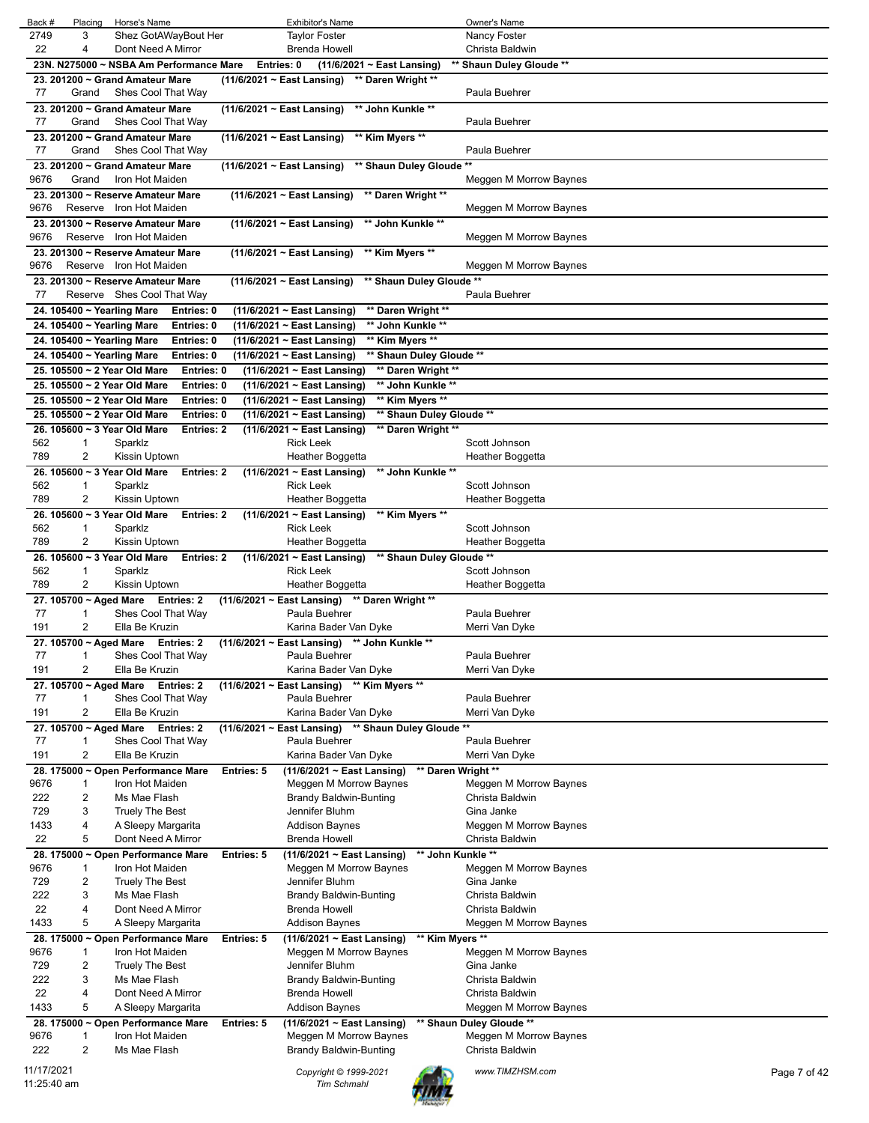| Back #      | Placing             | Horse's Name                                                                           |                                 | <b>Exhibitor's Name</b>                                              |                                                | Owner's Name                         |              |
|-------------|---------------------|----------------------------------------------------------------------------------------|---------------------------------|----------------------------------------------------------------------|------------------------------------------------|--------------------------------------|--------------|
| 2749        | 3                   | Shez GotAWayBout Her                                                                   |                                 | <b>Taylor Foster</b>                                                 |                                                | Nancy Foster                         |              |
| 22          | 4                   | Dont Need A Mirror                                                                     |                                 | <b>Brenda Howell</b>                                                 |                                                | Christa Baldwin                      |              |
|             |                     | 23N. N275000 ~ NSBA Am Performance Mare                                                | Entries: 0                      | (11/6/2021 ~ East Lansing)                                           |                                                | ** Shaun Duley Gloude **             |              |
| 77          | Grand               | 23. 201200 ~ Grand Amateur Mare<br>Shes Cool That Way                                  |                                 | ** Daren Wright **<br>$(11/6/2021 \sim$ East Lansing)                |                                                | Paula Buehrer                        |              |
|             |                     | 23. 201200 ~ Grand Amateur Mare                                                        | $(11/6/2021 \sim$ East Lansing) | ** John Kunkle **                                                    |                                                |                                      |              |
| 77          | Grand               | Shes Cool That Way                                                                     |                                 |                                                                      |                                                | Paula Buehrer                        |              |
|             |                     | 23. 201200 ~ Grand Amateur Mare                                                        | $(11/6/2021 \sim$ East Lansing) | ** Kim Myers **                                                      |                                                |                                      |              |
| 77          | Grand               | Shes Cool That Way                                                                     |                                 |                                                                      |                                                | Paula Buehrer                        |              |
|             |                     | 23. 201200 ~ Grand Amateur Mare                                                        | $(11/6/2021 \sim$ East Lansing) |                                                                      | ** Shaun Duley Gloude **                       |                                      |              |
| 9676        | Grand               | Iron Hot Maiden                                                                        |                                 |                                                                      |                                                | Meggen M Morrow Baynes               |              |
| 9676        | Reserve             | 23. 201300 ~ Reserve Amateur Mare<br>Iron Hot Maiden                                   |                                 | (11/6/2021 ~ East Lansing) ** Daren Wright **                        |                                                | Meggen M Morrow Baynes               |              |
|             |                     | 23. 201300 ~ Reserve Amateur Mare                                                      |                                 | $(11/6/2021 \sim$ East Lansing)                                      | ** John Kunkle **                              |                                      |              |
| 9676        |                     | Reserve Iron Hot Maiden                                                                |                                 |                                                                      |                                                | Meggen M Morrow Baynes               |              |
|             |                     | 23. 201300 ~ Reserve Amateur Mare                                                      |                                 | $(11/6/2021 \sim$ East Lansing)                                      | ** Kim Myers **                                |                                      |              |
| 9676        |                     | Reserve Iron Hot Maiden                                                                |                                 |                                                                      |                                                | Meggen M Morrow Baynes               |              |
|             |                     | 23. 201300 ~ Reserve Amateur Mare                                                      |                                 | $(11/6/2021 \sim$ East Lansing)                                      | ** Shaun Duley Gloude **                       |                                      |              |
| 77          |                     | Reserve Shes Cool That Way                                                             |                                 |                                                                      |                                                | Paula Buehrer                        |              |
|             |                     | 24. 105400 ~ Yearling Mare<br>Entries: 0                                               |                                 | (11/6/2021 ~ East Lansing)                                           | ** Daren Wright **                             |                                      |              |
|             |                     | 24. 105400 ~ Yearling Mare<br>Entries: 0                                               |                                 | $(11/6/2021 \sim$ East Lansing)                                      | ** John Kunkle **                              |                                      |              |
|             |                     | 24. 105400 ~ Yearling Mare<br>Entries: 0                                               |                                 | (11/6/2021 ~ East Lansing)                                           | ** Kim Myers **                                |                                      |              |
|             |                     | 24. 105400 ~ Yearling Mare<br>Entries: 0<br>25. 105500 ~ 2 Year Old Mare<br>Entries: 0 |                                 | (11/6/2021 ~ East Lansing)<br>(11/6/2021 ~ East Lansing)             | ** Shaun Duley Gloude **<br>** Daren Wright ** |                                      |              |
|             |                     | 25. 105500 ~ 2 Year Old Mare<br>Entries: 0                                             |                                 | (11/6/2021 ~ East Lansing)                                           | ** John Kunkle **                              |                                      |              |
|             |                     | 25. 105500 ~ 2 Year Old Mare<br>Entries: 0                                             |                                 | (11/6/2021 ~ East Lansing)                                           | ** Kim Myers **                                |                                      |              |
|             |                     | 25. 105500 ~ 2 Year Old Mare<br>Entries: 0                                             |                                 | (11/6/2021 ~ East Lansing)                                           | ** Shaun Duley Gloude **                       |                                      |              |
|             |                     | 26. 105600 ~ 3 Year Old Mare<br><b>Entries: 2</b>                                      |                                 | (11/6/2021 ~ East Lansing)                                           | ** Daren Wright **                             |                                      |              |
| 562         | 1                   | Sparklz                                                                                |                                 | <b>Rick Leek</b>                                                     |                                                | Scott Johnson                        |              |
| 789         | $\overline{2}$      | Kissin Uptown                                                                          |                                 | Heather Boggetta                                                     |                                                | Heather Boggetta                     |              |
|             |                     | 26. 105600 ~ 3 Year Old Mare<br><b>Entries: 2</b>                                      |                                 | (11/6/2021 ~ East Lansing)                                           | ** John Kunkle **                              |                                      |              |
| 562<br>789  | 1<br>2              | Sparklz<br>Kissin Uptown                                                               |                                 | <b>Rick Leek</b>                                                     |                                                | Scott Johnson                        |              |
|             |                     | 26. 105600 ~ 3 Year Old Mare<br><b>Entries: 2</b>                                      |                                 | Heather Boggetta<br>(11/6/2021 ~ East Lansing)                       | ** Kim Myers **                                | Heather Boggetta                     |              |
| 562         | 1                   | Sparklz                                                                                |                                 | <b>Rick Leek</b>                                                     |                                                | Scott Johnson                        |              |
| 789         | 2                   | Kissin Uptown                                                                          |                                 | Heather Boggetta                                                     |                                                | Heather Boggetta                     |              |
|             |                     | 26. 105600 ~ 3 Year Old Mare<br><b>Entries: 2</b>                                      |                                 | $(11/6/2021 \sim$ East Lansing)                                      | ** Shaun Duley Gloude **                       |                                      |              |
| 562         | 1                   | Sparklz                                                                                |                                 | <b>Rick Leek</b>                                                     |                                                | Scott Johnson                        |              |
| 789         | 2                   | Kissin Uptown                                                                          |                                 | Heather Boggetta                                                     |                                                | Heather Boggetta                     |              |
|             |                     | 27. 105700 ~ Aged Mare Entries: 2                                                      |                                 | (11/6/2021 ~ East Lansing) ** Daren Wright **                        |                                                |                                      |              |
| 77<br>191   | 1<br>$\overline{2}$ | Shes Cool That Way<br>Ella Be Kruzin                                                   |                                 | Paula Buehrer<br>Karina Bader Van Dyke                               |                                                | Paula Buehrer<br>Merri Van Dyke      |              |
|             |                     | 27. 105700 ~ Aged Mare Entries: 2                                                      |                                 | (11/6/2021 ~ East Lansing) ** John Kunkle **                         |                                                |                                      |              |
| 77          | $\mathbf 1$         | Shes Cool That Way                                                                     |                                 | Paula Buehrer                                                        |                                                | Paula Buehrer                        |              |
| 191         | $\overline{2}$      | Ella Be Kruzin                                                                         |                                 | Karina Bader Van Dyke                                                |                                                | Merri Van Dyke                       |              |
|             |                     | 27. 105700 ~ Aged Mare<br>Entries: 2                                                   |                                 | (11/6/2021 ~ East Lansing) ** Kim Myers **                           |                                                |                                      |              |
| 77          | 1                   | Shes Cool That Way                                                                     |                                 | Paula Buehrer                                                        |                                                | Paula Buehrer                        |              |
| 191         | $\overline{2}$      | Ella Be Kruzin                                                                         |                                 | Karina Bader Van Dyke                                                |                                                | Merri Van Dyke                       |              |
| 77          | $\mathbf 1$         | 27. 105700 ~ Aged Mare<br>Entries: 2<br>Shes Cool That Way                             |                                 | (11/6/2021 ~ East Lansing) ** Shaun Duley Gloude **<br>Paula Buehrer |                                                | Paula Buehrer                        |              |
| 191         | $\overline{2}$      | Ella Be Kruzin                                                                         |                                 | Karina Bader Van Dyke                                                |                                                | Merri Van Dyke                       |              |
|             |                     | 28. 175000 ~ Open Performance Mare                                                     | <b>Entries: 5</b>               | $(11/6/2021 \sim$ East Lansing)                                      | ** Daren Wright **                             |                                      |              |
| 9676        | 1                   | Iron Hot Maiden                                                                        |                                 | Meggen M Morrow Baynes                                               |                                                | Meggen M Morrow Baynes               |              |
| 222         | $\overline{c}$      | Ms Mae Flash                                                                           |                                 | <b>Brandy Baldwin-Bunting</b>                                        |                                                | Christa Baldwin                      |              |
| 729         | 3                   | <b>Truely The Best</b>                                                                 |                                 | Jennifer Bluhm                                                       |                                                | Gina Janke                           |              |
| 1433        | 4                   | A Sleepy Margarita                                                                     |                                 | Addison Baynes                                                       |                                                | Meggen M Morrow Baynes               |              |
| 22          | 5                   | Dont Need A Mirror                                                                     |                                 | <b>Brenda Howell</b>                                                 |                                                | Christa Baldwin                      |              |
| 9676        | 1                   | 28. 175000 ~ Open Performance Mare<br>Iron Hot Maiden                                  | <b>Entries: 5</b>               | $(11/6/2021 \sim$ East Lansing)<br>Meggen M Morrow Baynes            | ** John Kunkle **                              | Meggen M Morrow Baynes               |              |
| 729         | $\overline{c}$      | Truely The Best                                                                        |                                 | Jennifer Bluhm                                                       |                                                | Gina Janke                           |              |
| 222         | 3                   | Ms Mae Flash                                                                           |                                 | <b>Brandy Baldwin-Bunting</b>                                        |                                                | Christa Baldwin                      |              |
| 22          | $\overline{4}$      | Dont Need A Mirror                                                                     |                                 | Brenda Howell                                                        |                                                | Christa Baldwin                      |              |
| 1433        | 5                   | A Sleepy Margarita                                                                     |                                 | Addison Baynes                                                       |                                                | Meggen M Morrow Baynes               |              |
|             |                     | 28. 175000 ~ Open Performance Mare                                                     | <b>Entries: 5</b>               | (11/6/2021 ~ East Lansing)                                           | ** Kim Myers **                                |                                      |              |
| 9676<br>729 | 1<br>$\overline{c}$ | Iron Hot Maiden<br>Truely The Best                                                     |                                 | Meggen M Morrow Baynes<br>Jennifer Bluhm                             |                                                | Meggen M Morrow Baynes<br>Gina Janke |              |
| 222         | 3                   | Ms Mae Flash                                                                           |                                 | <b>Brandy Baldwin-Bunting</b>                                        |                                                | Christa Baldwin                      |              |
| 22          | 4                   | Dont Need A Mirror                                                                     |                                 | Brenda Howell                                                        |                                                | Christa Baldwin                      |              |
| 1433        | 5                   | A Sleepy Margarita                                                                     |                                 | Addison Baynes                                                       |                                                | Meggen M Morrow Baynes               |              |
|             |                     | 28. 175000 ~ Open Performance Mare                                                     | <b>Entries: 5</b>               | (11/6/2021 ~ East Lansing)                                           |                                                | ** Shaun Duley Gloude **             |              |
| 9676        | $\mathbf 1$         | Iron Hot Maiden                                                                        |                                 | Meggen M Morrow Baynes                                               |                                                | Meggen M Morrow Baynes               |              |
| 222         | $\overline{c}$      | Ms Mae Flash                                                                           |                                 | Brandy Baldwin-Bunting                                               |                                                | Christa Baldwin                      |              |
| 11/17/2021  |                     |                                                                                        |                                 | Copyright © 1999-2021                                                |                                                | www.TIMZHSM.com                      | Page 7 of 42 |
| 11:25:40 am |                     |                                                                                        |                                 | <b>Tim Schmahl</b>                                                   |                                                |                                      |              |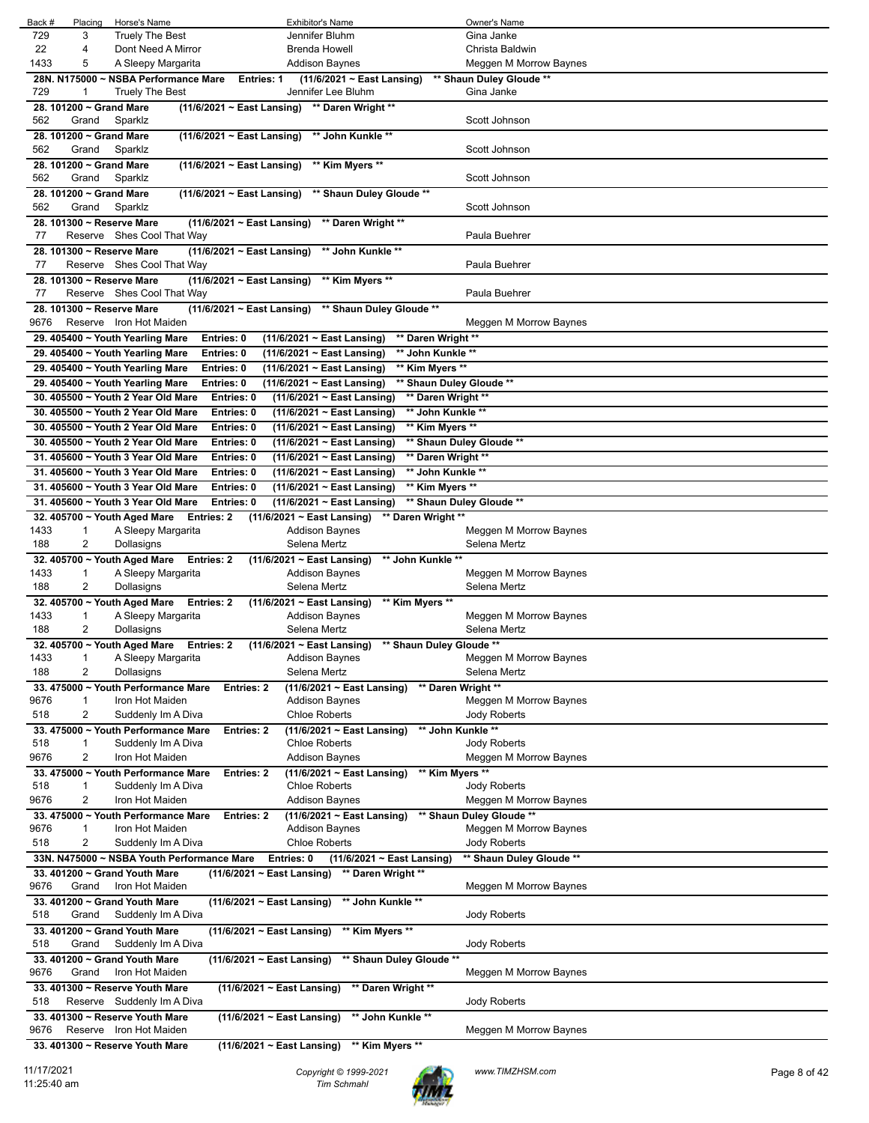| Horse's Name<br>Back #<br>Placing<br><b>Exhibitor's Name</b>                                                             | Owner's Name                           |
|--------------------------------------------------------------------------------------------------------------------------|----------------------------------------|
| 729<br>3<br><b>Truely The Best</b><br>Jennifer Bluhm                                                                     | Gina Janke                             |
| 22<br>Dont Need A Mirror<br>4<br>Brenda Howell                                                                           | Christa Baldwin                        |
| 1433<br>5<br>A Sleepy Margarita<br>Addison Baynes                                                                        | Meggen M Morrow Baynes                 |
| 28N. N175000 ~ NSBA Performance Mare<br>(11/6/2021 ~ East Lansing)<br><b>Entries: 1</b>                                  | ** Shaun Duley Gloude **               |
| 729<br><b>Truely The Best</b><br>Jennifer Lee Bluhm<br>1                                                                 | Gina Janke                             |
| 28. 101200 ~ Grand Mare<br>(11/6/2021 ~ East Lansing) ** Daren Wright **                                                 |                                        |
| 562<br>Grand<br>Sparklz                                                                                                  | Scott Johnson                          |
| 28. 101200 ~ Grand Mare<br>(11/6/2021 ~ East Lansing) ** John Kunkle **                                                  |                                        |
| 562<br>Grand<br>Sparklz                                                                                                  | Scott Johnson                          |
| (11/6/2021 ~ East Lansing) ** Kim Myers **<br>28. 101200 ~ Grand Mare                                                    |                                        |
| 562                                                                                                                      | Scott Johnson                          |
| Sparklz<br>Grand                                                                                                         |                                        |
| 28. 101200 ~ Grand Mare<br>(11/6/2021 ~ East Lansing) ** Shaun Duley Gloude **                                           |                                        |
| 562<br>Grand<br>Sparklz                                                                                                  | Scott Johnson                          |
| 28. 101300 ~ Reserve Mare<br>$(11/6/2021 \sim$ East Lansing)<br>** Daren Wright **                                       |                                        |
| Reserve Shes Cool That Way<br>77                                                                                         | Paula Buehrer                          |
| ** John Kunkle **<br>28. 101300 ~ Reserve Mare<br>$(11/6/2021 \sim$ East Lansing)                                        |                                        |
| Reserve Shes Cool That Way<br>77                                                                                         | Paula Buehrer                          |
| 28. 101300 ~ Reserve Mare<br>$(11/6/2021 \sim$ East Lansing)<br>** Kim Myers **                                          |                                        |
| Reserve Shes Cool That Way<br>77                                                                                         | Paula Buehrer                          |
| 28. 101300 ~ Reserve Mare<br>(11/6/2021 ~ East Lansing) ** Shaun Duley Gloude **                                         |                                        |
| 9676<br>Reserve Iron Hot Maiden                                                                                          | Meggen M Morrow Baynes                 |
| (11/6/2021 ~ East Lansing)<br>29. 405400 ~ Youth Yearling Mare<br>Entries: 0                                             | ** Daren Wright **                     |
| (11/6/2021 ~ East Lansing)<br>29. 405400 ~ Youth Yearling Mare<br>Entries: 0                                             | ** John Kunkle **                      |
| 29. 405400 ~ Youth Yearling Mare<br>(11/6/2021 ~ East Lansing)<br>Entries: 0                                             | ** Kim Myers **                        |
| 29. 405400 ~ Youth Yearling Mare<br>(11/6/2021 ~ East Lansing)<br>Entries: 0                                             | ** Shaun Duley Gloude **               |
| 30. 405500 ~ Youth 2 Year Old Mare<br>Entries: 0<br>(11/6/2021 ~ East Lansing)                                           | ** Daren Wright **                     |
|                                                                                                                          |                                        |
| 30. 405500 ~ Youth 2 Year Old Mare<br>Entries: 0<br>(11/6/2021 ~ East Lansing)                                           | ** John Kunkle **                      |
| 30. 405500 ~ Youth 2 Year Old Mare<br>(11/6/2021 ~ East Lansing)<br>Entries: 0                                           | ** Kim Myers **                        |
| 30. 405500 ~ Youth 2 Year Old Mare<br>Entries: 0<br>(11/6/2021 ~ East Lansing)                                           | ** Shaun Duley Gloude **               |
| 31. 405600 ~ Youth 3 Year Old Mare<br>Entries: 0<br>(11/6/2021 ~ East Lansing)                                           | ** Daren Wright **                     |
| 31. 405600 ~ Youth 3 Year Old Mare<br>Entries: 0<br>(11/6/2021 ~ East Lansing)                                           | ** John Kunkle **                      |
| 31. 405600 ~ Youth 3 Year Old Mare<br>Entries: 0<br>(11/6/2021 ~ East Lansing)                                           | ** Kim Myers **                        |
| 31. 405600 ~ Youth 3 Year Old Mare<br>Entries: 0<br>(11/6/2021 ~ East Lansing)                                           | ** Shaun Duley Gloude **               |
| 32. 405700 ~ Youth Aged Mare<br><b>Entries: 2</b><br>$(11/6/2021 \sim$ East Lansing)                                     | ** Daren Wright **                     |
| 1433<br>A Sleepy Margarita<br><b>Addison Baynes</b><br>$\mathbf{1}$                                                      | Meggen M Morrow Baynes                 |
| 2<br>188<br>Dollasigns<br>Selena Mertz                                                                                   | Selena Mertz                           |
| 32. 405700 ~ Youth Aged Mare<br>$(11/6/2021 \sim$ East Lansing)<br><b>Entries: 2</b>                                     | ** John Kunkle **                      |
| 1433<br>A Sleepy Margarita<br><b>Addison Baynes</b><br>$\mathbf{1}$                                                      | Meggen M Morrow Baynes                 |
| 2<br>188<br>Dollasigns<br>Selena Mertz                                                                                   | Selena Mertz                           |
| 32. 405700 ~ Youth Aged Mare<br><b>Entries: 2</b><br>$(11/6/2021 \sim$ East Lansing)                                     | ** Kim Myers **                        |
| 1433<br>$\mathbf{1}$<br>A Sleepy Margarita<br><b>Addison Baynes</b>                                                      | Meggen M Morrow Baynes                 |
| 188<br>2<br>Dollasigns<br>Selena Mertz                                                                                   | Selena Mertz                           |
| (11/6/2021 ~ East Lansing) ** Shaun Duley Gloude **<br>32. 405700 ~ Youth Aged Mare<br><b>Entries: 2</b>                 |                                        |
| 1433<br>1<br>A Sleepy Margarita<br><b>Addison Baynes</b>                                                                 | Meggen M Morrow Baynes                 |
| 188<br>2<br>Dollasigns<br>Selena Mertz                                                                                   | Selena Mertz                           |
|                                                                                                                          |                                        |
| 33.475000 ~ Youth Performance Mare<br>Entries: 2<br>(11/6/2021 ~ East Lansing)                                           | ** Daren Wright **                     |
| 9676<br>$\mathbf{1}$<br>Iron Hot Maiden<br><b>Addison Baynes</b><br>518<br>2<br><b>Chloe Roberts</b>                     | Meggen M Morrow Baynes<br>Jody Roberts |
| Suddenly Im A Diva                                                                                                       |                                        |
| 33. 475000 ~ Youth Performance Mare<br>(11/6/2021 ~ East Lansing)<br><b>Entries: 2</b>                                   | ** John Kunkle **                      |
| 518<br>$\mathbf{1}$<br>Suddenly Im A Diva<br><b>Chloe Roberts</b>                                                        | Jody Roberts                           |
| 9676<br>2<br>Iron Hot Maiden<br><b>Addison Baynes</b>                                                                    | Meggen M Morrow Baynes                 |
| (11/6/2021 ~ East Lansing)<br>33. 475000 ~ Youth Performance Mare<br>Entries: 2                                          | ** Kim Myers **                        |
| 518<br>$\mathbf{1}$<br>Suddenly Im A Diva<br><b>Chloe Roberts</b>                                                        | <b>Jody Roberts</b>                    |
| 9676<br>2<br>Iron Hot Maiden<br><b>Addison Baynes</b>                                                                    | Meggen M Morrow Baynes                 |
| 33. 475000 ~ Youth Performance Mare<br>(11/6/2021 ~ East Lansing)<br>Entries: 2                                          | ** Shaun Duley Gloude **               |
| 9676<br>$\mathbf{1}$<br>Iron Hot Maiden<br><b>Addison Baynes</b>                                                         | Meggen M Morrow Baynes                 |
| 518<br>2<br><b>Chloe Roberts</b><br>Suddenly Im A Diva                                                                   | Jody Roberts                           |
| 33N. N475000 ~ NSBA Youth Performance Mare<br>Entries: 0<br>(11/6/2021 ~ East Lansing)                                   | ** Shaun Duley Gloude **               |
| 33. 401200 ~ Grand Youth Mare<br>$(11/6/2021 \sim$ East Lansing)<br>** Daren Wright **                                   |                                        |
| 9676<br>Grand<br>Iron Hot Maiden                                                                                         | Meggen M Morrow Baynes                 |
| 33. 401200 ~ Grand Youth Mare<br>** John Kunkle **<br>(11/6/2021 ~ East Lansing)                                         |                                        |
| 518<br>Grand<br>Suddenly Im A Diva                                                                                       | <b>Jody Roberts</b>                    |
| 33. 401200 ~ Grand Youth Mare<br>** Kim Myers **<br>(11/6/2021 ~ East Lansing)                                           |                                        |
| 518<br>Suddenly Im A Diva<br>Grand                                                                                       |                                        |
|                                                                                                                          | Jody Roberts                           |
| 33. 401200 ~ Grand Youth Mare<br>(11/6/2021 ~ East Lansing)<br>** Shaun Duley Gloude **                                  |                                        |
| 9676<br>Grand<br>Iron Hot Maiden                                                                                         | Meggen M Morrow Baynes                 |
|                                                                                                                          |                                        |
| ** Daren Wright **<br>33. 401300 ~ Reserve Youth Mare<br>(11/6/2021 ~ East Lansing)                                      |                                        |
| 518<br>Reserve Suddenly Im A Diva                                                                                        | Jody Roberts                           |
| 33. 401300 ~ Reserve Youth Mare<br>** John Kunkle **<br>$(11/6/2021 \sim$ East Lansing)                                  |                                        |
| 9676<br>Reserve Iron Hot Maiden<br>33. 401300 ~ Reserve Youth Mare<br>$(11/6/2021 \sim$ East Lansing)<br>** Kim Myers ** | Meggen M Morrow Baynes                 |

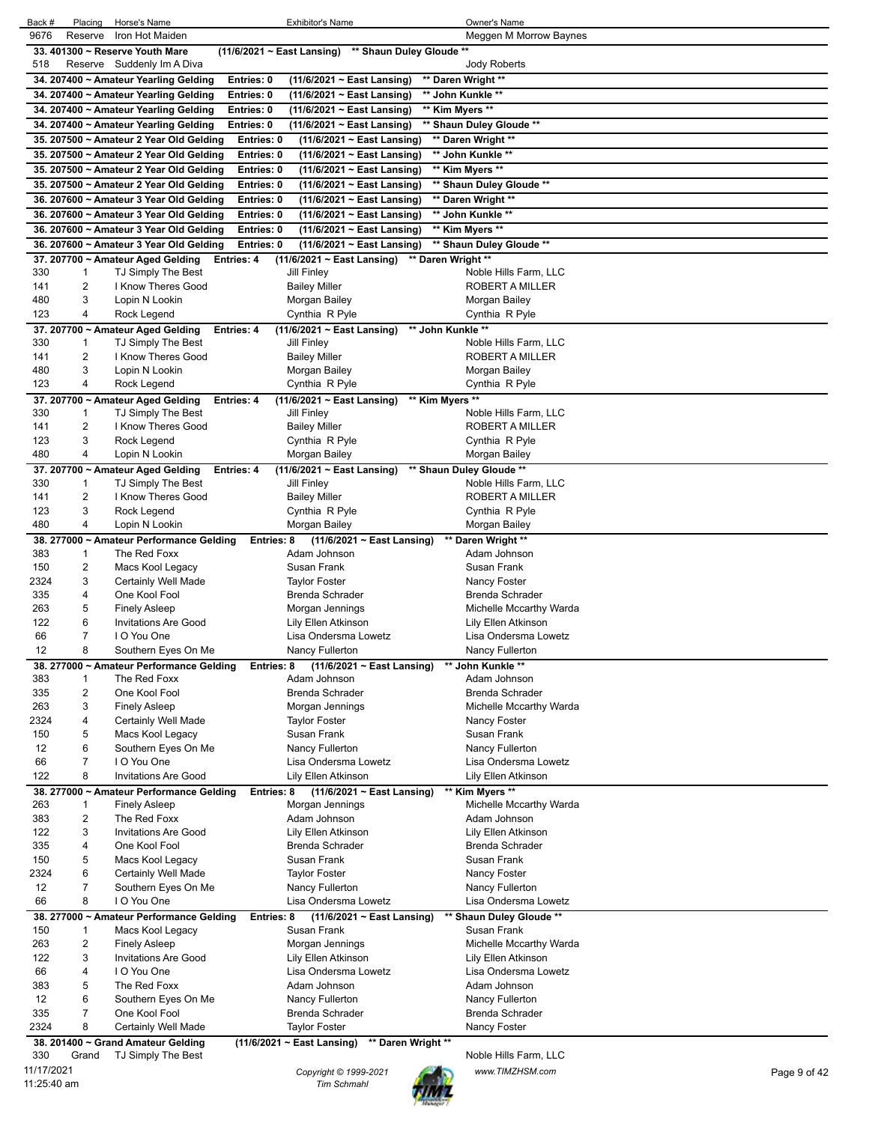| Back #            | Placing        | Horse's Name                                             |                                                     | <b>Exhibitor's Name</b>                         | Owner's Name                                    |              |
|-------------------|----------------|----------------------------------------------------------|-----------------------------------------------------|-------------------------------------------------|-------------------------------------------------|--------------|
| 9676              | Reserve        | Iron Hot Maiden                                          |                                                     |                                                 | Meggen M Morrow Baynes                          |              |
|                   |                | 33, 401300 ~ Reserve Youth Mare                          | (11/6/2021 ~ East Lansing) ** Shaun Duley Gloude ** |                                                 |                                                 |              |
| 518               |                | Reserve Suddenly Im A Diva                               |                                                     |                                                 | <b>Jody Roberts</b>                             |              |
|                   |                | 34. 207400 ~ Amateur Yearling Gelding                    | Entries: 0                                          | (11/6/2021 ~ East Lansing)                      | ** Daren Wright **                              |              |
|                   |                | 34. 207400 ~ Amateur Yearling Gelding                    | Entries: 0                                          | (11/6/2021 ~ East Lansing)                      | ** John Kunkle **                               |              |
|                   |                | 34. 207400 ~ Amateur Yearling Gelding                    | Entries: 0                                          | (11/6/2021 ~ East Lansing)                      | ** Kim Myers **                                 |              |
|                   |                | 34. 207400 ~ Amateur Yearling Gelding                    | Entries: 0                                          | (11/6/2021 ~ East Lansing)                      | ** Shaun Duley Gloude **                        |              |
|                   |                | 35. 207500 ~ Amateur 2 Year Old Gelding                  | Entries: 0                                          | (11/6/2021 ~ East Lansing)                      | ** Daren Wright **                              |              |
|                   |                | 35. 207500 ~ Amateur 2 Year Old Gelding                  | Entries: 0                                          | (11/6/2021 ~ East Lansing)                      | ** John Kunkle **                               |              |
|                   |                | 35. 207500 ~ Amateur 2 Year Old Gelding                  | Entries: 0                                          | (11/6/2021 ~ East Lansing)                      | ** Kim Myers **                                 |              |
|                   |                | 35. 207500 ~ Amateur 2 Year Old Gelding                  | Entries: 0                                          | (11/6/2021 ~ East Lansing)                      | ** Shaun Duley Gloude **                        |              |
|                   |                | 36. 207600 ~ Amateur 3 Year Old Gelding                  | Entries: 0                                          | (11/6/2021 ~ East Lansing)                      | ** Daren Wright **                              |              |
|                   |                | 36. 207600 ~ Amateur 3 Year Old Gelding                  | Entries: 0                                          | (11/6/2021 ~ East Lansing)                      | ** John Kunkle **                               |              |
|                   |                | 36. 207600 ~ Amateur 3 Year Old Gelding                  | Entries: 0                                          | (11/6/2021 ~ East Lansing)                      | ** Kim Myers **                                 |              |
|                   |                | 36. 207600 ~ Amateur 3 Year Old Gelding                  | Entries: 0                                          | (11/6/2021 ~ East Lansing)                      | ** Shaun Duley Gloude **                        |              |
| 330               |                | 37. 207700 ~ Amateur Aged Gelding                        | Entries: 4                                          | (11/6/2021 ~ East Lansing) ** Daren Wright **   |                                                 |              |
| 141               | 1<br>2         | TJ Simply The Best<br>I Know Theres Good                 | Jill Finley<br><b>Bailey Miller</b>                 |                                                 | Noble Hills Farm, LLC<br><b>ROBERT A MILLER</b> |              |
| 480               | 3              | Lopin N Lookin                                           | Morgan Bailey                                       |                                                 | Morgan Bailey                                   |              |
| 123               | 4              | Rock Legend                                              |                                                     | Cynthia R Pyle                                  | Cynthia R Pyle                                  |              |
|                   |                | 37. 207700 ~ Amateur Aged Gelding                        | Entries: 4                                          | $(11/6/2021 \sim$ East Lansing)                 | ** John Kunkle **                               |              |
| 330               | 1              | TJ Simply The Best                                       | Jill Finley                                         |                                                 | Noble Hills Farm, LLC                           |              |
| 141               | 2              | I Know Theres Good                                       | <b>Bailey Miller</b>                                |                                                 | ROBERT A MILLER                                 |              |
| 480               | 3              | Lopin N Lookin                                           | Morgan Bailey                                       |                                                 | Morgan Bailey                                   |              |
| 123               | 4              | Rock Legend                                              |                                                     | Cynthia R Pyle                                  | Cynthia R Pyle                                  |              |
|                   |                | 37. 207700 ~ Amateur Aged Gelding                        | Entries: 4                                          | $(11/6/2021 \sim$ East Lansing)                 | ** Kim Myers **                                 |              |
| 330               | 1              | TJ Simply The Best                                       | Jill Finley                                         |                                                 | Noble Hills Farm, LLC                           |              |
| 141               | 2              | I Know Theres Good                                       | <b>Bailey Miller</b>                                |                                                 | <b>ROBERT A MILLER</b>                          |              |
| 123               | 3              | Rock Legend                                              |                                                     | Cynthia R Pyle                                  | Cynthia R Pyle                                  |              |
| 480               | 4              | Lopin N Lookin                                           | Morgan Bailey                                       |                                                 | Morgan Bailey                                   |              |
|                   |                | 37. 207700 ~ Amateur Aged Gelding                        | Entries: 4                                          | $(11/6/2021 \sim$ East Lansing)                 | ** Shaun Duley Gloude **                        |              |
| 330               | 1              | TJ Simply The Best                                       | Jill Finley                                         |                                                 | Noble Hills Farm, LLC                           |              |
| 141               | 2              | I Know Theres Good                                       | <b>Bailey Miller</b>                                |                                                 | ROBERT A MILLER                                 |              |
| 123               | 3              | Rock Legend                                              |                                                     | Cynthia R Pyle                                  | Cynthia R Pyle                                  |              |
| 480               | 4              | Lopin N Lookin                                           | Morgan Bailey                                       |                                                 | Morgan Bailey                                   |              |
| 383               |                | 38. 277000 ~ Amateur Performance Gelding<br>The Red Foxx | Entries: 8                                          | $(11/6/2021 \sim$ East Lansing)<br>Adam Johnson | ** Daren Wright **<br>Adam Johnson              |              |
| 150               | 1<br>2         | Macs Kool Legacy                                         | Susan Frank                                         |                                                 | Susan Frank                                     |              |
| 2324              | 3              | Certainly Well Made                                      | <b>Taylor Foster</b>                                |                                                 | Nancy Foster                                    |              |
| 335               | 4              | One Kool Fool                                            |                                                     | <b>Brenda Schrader</b>                          | <b>Brenda Schrader</b>                          |              |
| 263               | 5              | <b>Finely Asleep</b>                                     |                                                     | Morgan Jennings                                 | Michelle Mccarthy Warda                         |              |
| 122               | 6              | <b>Invitations Are Good</b>                              |                                                     | Lily Ellen Atkinson                             | Lily Ellen Atkinson                             |              |
| 66                | 7              | I O You One                                              |                                                     | Lisa Ondersma Lowetz                            | Lisa Ondersma Lowetz                            |              |
| 12                | 8              | Southern Eyes On Me                                      |                                                     | Nancy Fullerton                                 | Nancy Fullerton                                 |              |
|                   |                | 38. 277000 ~ Amateur Performance Gelding                 | Entries: 8                                          | (11/6/2021 ~ East Lansing)                      | ** John Kunkle **                               |              |
| 383               | 1              | The Red Foxx                                             |                                                     | Adam Johnson                                    | Adam Johnson                                    |              |
| 335               | 2              | One Kool Fool                                            |                                                     | <b>Brenda Schrader</b>                          | <b>Brenda Schrader</b>                          |              |
| 263               | 3              | <b>Finely Asleep</b>                                     |                                                     | Morgan Jennings                                 | Michelle Mccarthy Warda                         |              |
| 2324              | 4              | Certainly Well Made                                      | <b>Taylor Foster</b>                                |                                                 | Nancy Foster                                    |              |
| 150               | 5              | Macs Kool Legacy                                         | Susan Frank                                         |                                                 | Susan Frank                                     |              |
| 12                | 6              | Southern Eyes On Me                                      |                                                     | Nancy Fullerton                                 | Nancy Fullerton                                 |              |
| 66                | $\overline{7}$ | I O You One                                              |                                                     | Lisa Ondersma Lowetz                            | Lisa Ondersma Lowetz                            |              |
| 122               | 8              | <b>Invitations Are Good</b>                              |                                                     | Lily Ellen Atkinson                             | Lily Ellen Atkinson                             |              |
|                   |                | 38. 277000 ~ Amateur Performance Gelding                 | Entries: 8                                          | (11/6/2021 ~ East Lansing)                      | ** Kim Myers **                                 |              |
| 263<br>383        | 1<br>2         | Finely Asleep<br>The Red Foxx                            |                                                     | Morgan Jennings<br>Adam Johnson                 | Michelle Mccarthy Warda<br>Adam Johnson         |              |
| 122               |                | <b>Invitations Are Good</b>                              |                                                     | Lily Ellen Atkinson                             |                                                 |              |
|                   |                |                                                          |                                                     |                                                 |                                                 |              |
|                   | 3              |                                                          |                                                     |                                                 | Lily Ellen Atkinson                             |              |
| 335               | 4              | One Kool Fool                                            | Susan Frank                                         | Brenda Schrader                                 | Brenda Schrader<br>Susan Frank                  |              |
| 150<br>2324       | 5<br>6         | Macs Kool Legacy<br>Certainly Well Made                  | <b>Taylor Foster</b>                                |                                                 |                                                 |              |
| 12                | $\overline{7}$ | Southern Eyes On Me                                      |                                                     | Nancy Fullerton                                 | Nancy Foster<br>Nancy Fullerton                 |              |
| 66                | 8              | I O You One                                              |                                                     | Lisa Ondersma Lowetz                            | Lisa Ondersma Lowetz                            |              |
|                   |                | 38. 277000 ~ Amateur Performance Gelding                 | Entries: 8                                          | $(11/6/2021 \sim$ East Lansing)                 | ** Shaun Duley Gloude **                        |              |
| 150               | 1              | Macs Kool Legacy                                         | Susan Frank                                         |                                                 | Susan Frank                                     |              |
| 263               | 2              | <b>Finely Asleep</b>                                     |                                                     | Morgan Jennings                                 | Michelle Mccarthy Warda                         |              |
| 122               | 3              | <b>Invitations Are Good</b>                              |                                                     | Lily Ellen Atkinson                             | Lily Ellen Atkinson                             |              |
| 66                | 4              | I O You One                                              |                                                     | Lisa Ondersma Lowetz                            | Lisa Ondersma Lowetz                            |              |
| 383               | 5              | The Red Foxx                                             |                                                     | Adam Johnson                                    | Adam Johnson                                    |              |
| 12                | 6              | Southern Eyes On Me                                      |                                                     | Nancy Fullerton                                 | Nancy Fullerton                                 |              |
| 335               | 7              | One Kool Fool                                            |                                                     | <b>Brenda Schrader</b>                          | <b>Brenda Schrader</b>                          |              |
| 2324              | 8              | Certainly Well Made                                      | <b>Taylor Foster</b>                                |                                                 | Nancy Foster                                    |              |
|                   |                | 38. 201400 ~ Grand Amateur Gelding                       | $(11/6/2021 \sim$ East Lansing)                     | ** Daren Wright **                              |                                                 |              |
| 330<br>11/17/2021 | Grand          | TJ Simply The Best                                       |                                                     | Copyright © 1999-2021                           | Noble Hills Farm, LLC<br>www.TIMZHSM.com        | Page 9 of 42 |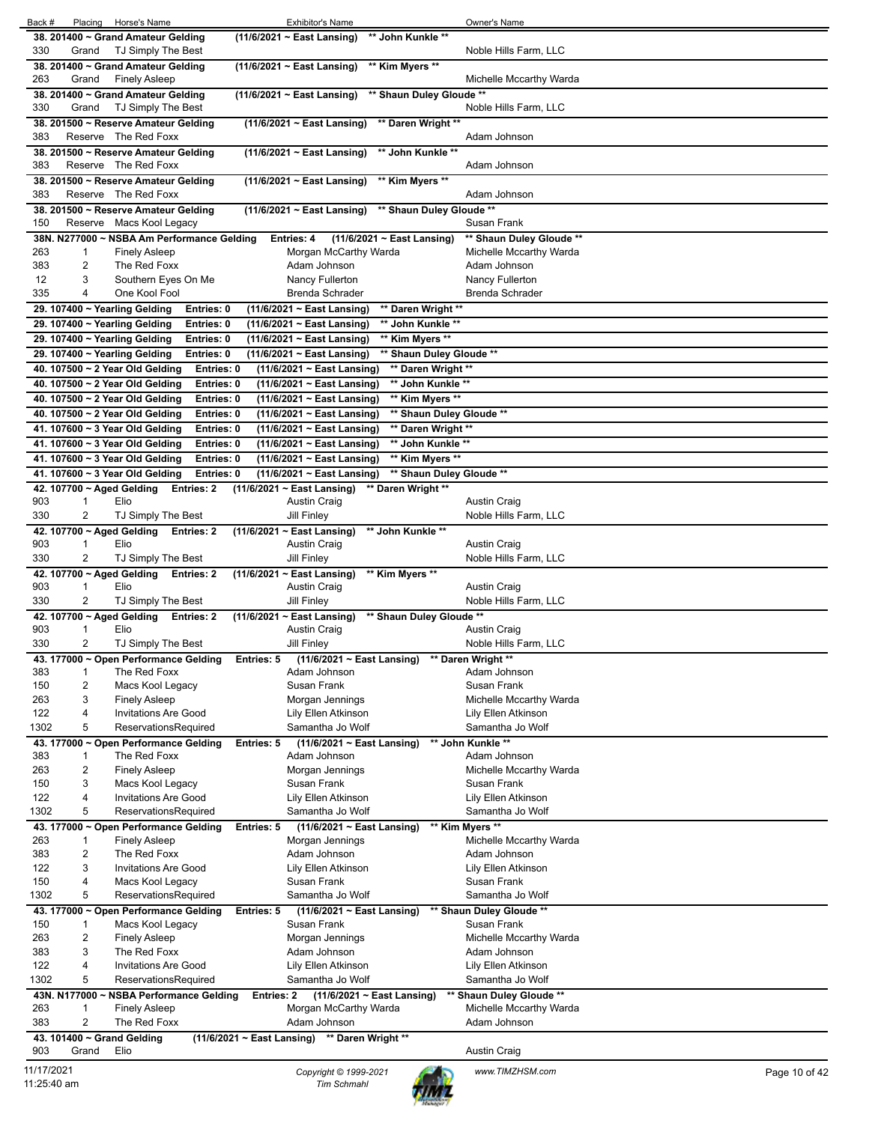| Back #<br>Placing Horse's Name<br><b>Exhibitor's Name</b>                                                                                                                     | Owner's Name                       |
|-------------------------------------------------------------------------------------------------------------------------------------------------------------------------------|------------------------------------|
| 38. 201400 ~ Grand Amateur Gelding<br>** John Kunkle **<br>(11/6/2021 ~ East Lansing)                                                                                         |                                    |
| 330<br>Grand<br>TJ Simply The Best                                                                                                                                            | Noble Hills Farm, LLC              |
| ** Kim Myers **<br>38. 201400 ~ Grand Amateur Gelding<br>$(11/6/2021 \sim$ East Lansing)                                                                                      |                                    |
| 263<br><b>Finely Asleep</b><br>Grand                                                                                                                                          | Michelle Mccarthy Warda            |
| ** Shaun Duley Gloude **<br>38. 201400 ~ Grand Amateur Gelding<br>(11/6/2021 ~ East Lansing)                                                                                  |                                    |
| 330<br>TJ Simply The Best<br>Grand                                                                                                                                            | Noble Hills Farm, LLC              |
| 38. 201500 ~ Reserve Amateur Gelding<br>$(11/6/2021 \sim East$ Lansing)<br>** Daren Wright **                                                                                 |                                    |
| 383<br>Reserve The Red Foxx                                                                                                                                                   | Adam Johnson                       |
| ** John Kunkle **<br>38. 201500 ~ Reserve Amateur Gelding<br>$(11/6/2021 \sim East$ Lansing)                                                                                  |                                    |
| 383<br>Reserve The Red Foxx                                                                                                                                                   | Adam Johnson                       |
| 38. 201500 ~ Reserve Amateur Gelding<br>$(11/6/2021 \sim$ East Lansing)<br>** Kim Myers **                                                                                    |                                    |
| 383<br>Reserve The Red Foxx                                                                                                                                                   | Adam Johnson                       |
| ** Shaun Duley Gloude **<br>38. 201500 ~ Reserve Amateur Gelding<br>$(11/6/2021 \sim$ East Lansing)                                                                           |                                    |
| Reserve Macs Kool Legacy<br>150                                                                                                                                               | Susan Frank                        |
| 38N. N277000 ~ NSBA Am Performance Gelding<br>(11/6/2021 ~ East Lansing)<br>Entries: 4                                                                                        | ** Shaun Duley Gloude **           |
| 263<br>Morgan McCarthy Warda<br>1<br><b>Finely Asleep</b>                                                                                                                     | Michelle Mccarthy Warda            |
| 383<br>2<br>The Red Foxx<br>Adam Johnson<br>12<br>3<br>Southern Eyes On Me<br>Nancy Fullerton                                                                                 | Adam Johnson<br>Nancy Fullerton    |
| 335<br>4<br>One Kool Fool<br><b>Brenda Schrader</b>                                                                                                                           | <b>Brenda Schrader</b>             |
| 29. 107400 ~ Yearling Gelding<br>Entries: 0<br>(11/6/2021 ~ East Lansing)<br>** Daren Wright **                                                                               |                                    |
| 29. 107400 ~ Yearling Gelding<br>** John Kunkle **<br>Entries: 0<br>(11/6/2021 ~ East Lansing)                                                                                |                                    |
| ** Kim Myers **<br>Entries: 0                                                                                                                                                 |                                    |
| 29. 107400 ~ Yearling Gelding<br>(11/6/2021 ~ East Lansing)<br>29. 107400 ~ Yearling Gelding<br>Entries: 0<br>(11/6/2021 ~ East Lansing)<br>** Shaun Duley Gloude **          |                                    |
| 40. 107500 ~ 2 Year Old Gelding<br>Entries: 0<br>(11/6/2021 ~ East Lansing)<br>** Daren Wright **                                                                             |                                    |
| ** John Kunkle **                                                                                                                                                             |                                    |
| 40. 107500 ~ 2 Year Old Gelding<br>Entries: 0<br>(11/6/2021 ~ East Lansing)<br>** Kim Myers **<br>40. 107500 ~ 2 Year Old Gelding<br>Entries: 0<br>(11/6/2021 ~ East Lansing) |                                    |
| Entries: 0                                                                                                                                                                    |                                    |
| 40. 107500 ~ 2 Year Old Gelding<br>(11/6/2021 ~ East Lansing)<br>** Shaun Duley Gloude **                                                                                     |                                    |
| 41. 107600 ~ 3 Year Old Gelding<br>Entries: 0<br>** Daren Wright **<br>(11/6/2021 ~ East Lansing)                                                                             |                                    |
| ** John Kunkle **<br>41. 107600 ~ 3 Year Old Gelding<br>Entries: 0<br>(11/6/2021 ~ East Lansing)                                                                              |                                    |
| (11/6/2021 ~ East Lansing)<br>** Kim Myers **<br>41. 107600 ~ 3 Year Old Gelding<br>Entries: 0                                                                                |                                    |
| 41. 107600 ~ 3 Year Old Gelding<br>Entries: 0<br>(11/6/2021 ~ East Lansing)<br>** Shaun Duley Gloude **                                                                       |                                    |
| 42. 107700 ~ Aged Gelding<br>Entries: 2<br>$(11/6/2021 \sim$ East Lansing)<br>** Daren Wright **<br>903<br>Elio<br><b>Austin Craig</b><br>1                                   | <b>Austin Craig</b>                |
| 330<br>2<br>TJ Simply The Best<br><b>Jill Finley</b>                                                                                                                          | Noble Hills Farm, LLC              |
| 42. 107700 ~ Aged Gelding<br>(11/6/2021 ~ East Lansing)<br>** John Kunkle **<br>Entries: 2                                                                                    |                                    |
| 903<br>Elio<br><b>Austin Craig</b><br>1                                                                                                                                       | <b>Austin Craig</b>                |
| 330<br>2<br>TJ Simply The Best<br><b>Jill Finley</b>                                                                                                                          | Noble Hills Farm, LLC              |
| 42. 107700 ~ Aged Gelding<br>Entries: 2<br>(11/6/2021 ~ East Lansing)<br>** Kim Myers **                                                                                      |                                    |
| 903<br>$\mathbf{1}$<br>Elio<br><b>Austin Craig</b>                                                                                                                            | <b>Austin Craig</b>                |
| 330<br>2<br>TJ Simply The Best<br>Jill Finley                                                                                                                                 | Noble Hills Farm, LLC              |
| 42. 107700 ~ Aged Gelding<br>(11/6/2021 ~ East Lansing)<br>** Shaun Duley Gloude **<br>Entries: 2                                                                             |                                    |
| 903<br>Elio<br><b>Austin Craig</b><br>1                                                                                                                                       | <b>Austin Craig</b>                |
| 330<br>2<br>TJ Simply The Best<br><b>Jill Finley</b>                                                                                                                          | Noble Hills Farm, LLC              |
| 43. 177000 ~ Open Performance Gelding<br>(11/6/2021 ~ East Lansing)<br>Entries: 5                                                                                             | ** Daren Wright **                 |
| 383<br>The Red Foxx<br>Adam Johnson<br>1                                                                                                                                      | Adam Johnson                       |
| 2<br>150<br>Susan Frank<br>Macs Kool Legacy                                                                                                                                   | Susan Frank                        |
| 263<br>3<br>Morgan Jennings<br><b>Finely Asleep</b>                                                                                                                           | Michelle Mccarthy Warda            |
| 122<br>4<br><b>Invitations Are Good</b><br>Lily Ellen Atkinson                                                                                                                | Lily Ellen Atkinson                |
| 1302<br>5<br>ReservationsRequired<br>Samantha Jo Wolf                                                                                                                         | Samantha Jo Wolf                   |
| $(11/6/2021 \sim East$ Lansing)<br>43. 177000 ~ Open Performance Gelding<br>Entries: 5                                                                                        | ** John Kunkle **                  |
| 383<br>The Red Foxx<br>Adam Johnson<br>1                                                                                                                                      | Adam Johnson                       |
| 2<br>263<br><b>Finely Asleep</b><br>Morgan Jennings                                                                                                                           | Michelle Mccarthy Warda            |
| 150<br>3<br>Susan Frank<br>Macs Kool Legacy<br>122<br>4<br><b>Invitations Are Good</b><br>Lily Ellen Atkinson                                                                 | Susan Frank<br>Lily Ellen Atkinson |
| 1302<br>5<br>Samantha Jo Wolf<br>ReservationsRequired                                                                                                                         | Samantha Jo Wolf                   |
| 43. 177000 ~ Open Performance Gelding<br>Entries: 5<br>(11/6/2021 ~ East Lansing)                                                                                             | ** Kim Myers **                    |
| 263<br>1<br><b>Finely Asleep</b><br>Morgan Jennings                                                                                                                           | Michelle Mccarthy Warda            |
| 383<br>2<br>The Red Foxx<br>Adam Johnson                                                                                                                                      | Adam Johnson                       |
| 122<br>3<br><b>Invitations Are Good</b><br>Lily Ellen Atkinson                                                                                                                | Lily Ellen Atkinson                |
| 150<br>4<br>Susan Frank<br>Macs Kool Legacy                                                                                                                                   | Susan Frank                        |
| 1302<br>5<br>ReservationsRequired<br>Samantha Jo Wolf                                                                                                                         | Samantha Jo Wolf                   |
| 43. 177000 ~ Open Performance Gelding<br>(11/6/2021 ~ East Lansing)<br>Entries: 5                                                                                             | ** Shaun Duley Gloude **           |
| 150<br>1<br>Macs Kool Legacy<br>Susan Frank                                                                                                                                   | Susan Frank                        |
| 263<br>2<br><b>Finely Asleep</b><br>Morgan Jennings                                                                                                                           | Michelle Mccarthy Warda            |
| 3<br>383<br>The Red Foxx<br>Adam Johnson                                                                                                                                      | Adam Johnson                       |
| 122<br>4<br><b>Invitations Are Good</b><br>Lily Ellen Atkinson                                                                                                                | Lily Ellen Atkinson                |
| 1302<br>5<br>ReservationsRequired<br>Samantha Jo Wolf                                                                                                                         | Samantha Jo Wolf                   |
| 43N. N177000~<br><b>NSBA Performance Gelding</b><br>Entries: 2<br>$(11/6/2021 \sim$ East Lansing)                                                                             |                                    |
| 263<br>1<br><b>Finely Asleep</b><br>Morgan McCarthy Warda                                                                                                                     | ** Shaun Duley Gloude **           |
|                                                                                                                                                                               | Michelle Mccarthy Warda            |
| 2<br>383<br>The Red Foxx<br>Adam Johnson                                                                                                                                      | Adam Johnson                       |
| 43. 101400 ~ Grand Gelding<br>$(11/6/2021 \sim$ East Lansing) ** Daren Wright **                                                                                              |                                    |
| 903<br>Elio<br>Grand                                                                                                                                                          | <b>Austin Craig</b>                |

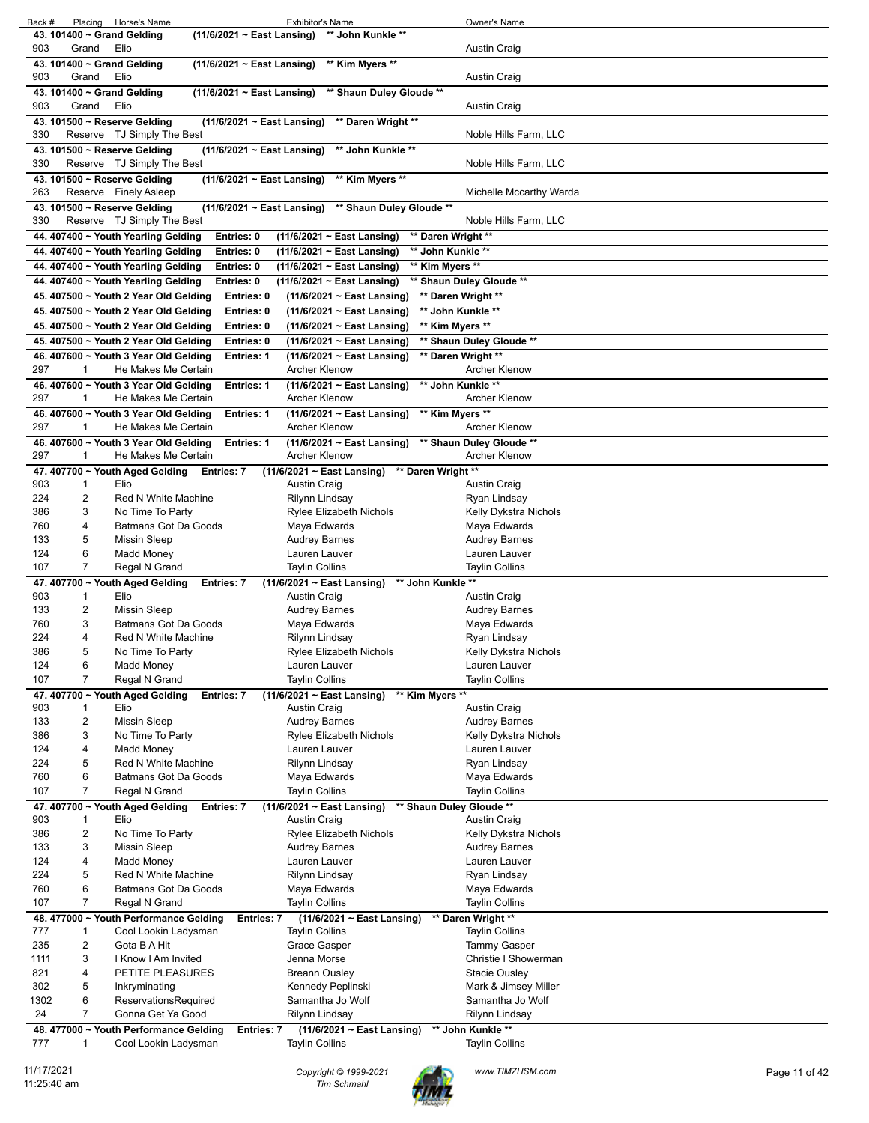| Back #<br>Placing Horse's Name                                                                             | <b>Exhibitor's Name</b>                                                            | Owner's Name                                |               |
|------------------------------------------------------------------------------------------------------------|------------------------------------------------------------------------------------|---------------------------------------------|---------------|
| 43. 101400 ~ Grand Gelding                                                                                 | (11/6/2021 ~ East Lansing) ** John Kunkle **                                       |                                             |               |
| 903<br>Grand<br>Elio                                                                                       | (11/6/2021 ~ East Lansing) ** Kim Myers **                                         | <b>Austin Craig</b>                         |               |
| 43. 101400 ~ Grand Gelding<br>Elio<br>903<br>Grand                                                         |                                                                                    | Austin Craig                                |               |
| 43. 101400 ~ Grand Gelding                                                                                 | (11/6/2021 ~ East Lansing) ** Shaun Duley Gloude **                                |                                             |               |
| Elio<br>903<br>Grand                                                                                       |                                                                                    | <b>Austin Craig</b>                         |               |
| 43. 101500 ~ Reserve Gelding<br>$(11/6/2021 \sim$ East Lansing)                                            | ** Daren Wright **                                                                 |                                             |               |
| 330<br>Reserve TJ Simply The Best                                                                          |                                                                                    | Noble Hills Farm, LLC                       |               |
| 43. 101500 ~ Reserve Gelding<br>$(11/6/2021 \sim$ East Lansing)                                            | ** John Kunkle **                                                                  |                                             |               |
| Reserve TJ Simply The Best<br>330                                                                          |                                                                                    | Noble Hills Farm, LLC                       |               |
| 43. 101500 ~ Reserve Gelding<br>$(11/6/2021 \sim$ East Lansing)<br>263<br>Reserve Finely Asleep            | ** Kim Myers **                                                                    | Michelle Mccarthy Warda                     |               |
| 43. 101500 ~ Reserve Gelding                                                                               | (11/6/2021 ~ East Lansing) ** Shaun Duley Gloude **                                |                                             |               |
| Reserve TJ Simply The Best<br>330                                                                          |                                                                                    | Noble Hills Farm, LLC                       |               |
| 44. 407400 ~ Youth Yearling Gelding<br>Entries: 0                                                          | ** Daren Wright **<br>(11/6/2021 ~ East Lansing)                                   |                                             |               |
| 44. 407400 ~ Youth Yearling Gelding<br>Entries: 0                                                          | ** John Kunkle **<br>(11/6/2021 ~ East Lansing)                                    |                                             |               |
| 44. 407400 ~ Youth Yearling Gelding<br>Entries: 0                                                          | (11/6/2021 ~ East Lansing)<br>** Kim Myers **                                      |                                             |               |
| 44. 407400 ~ Youth Yearling Gelding<br>Entries: 0                                                          | (11/6/2021 ~ East Lansing)                                                         | ** Shaun Duley Gloude **                    |               |
| 45. 407500 ~ Youth 2 Year Old Gelding<br>Entries: 0<br>45. 407500 ~ Youth 2 Year Old Gelding<br>Entries: 0 | (11/6/2021 ~ East Lansing)<br>(11/6/2021 ~ East Lansing)                           | ** Daren Wright **<br>** John Kunkle **     |               |
| 45. 407500 ~ Youth 2 Year Old Gelding<br>Entries: 0                                                        | ** Kim Myers **<br>(11/6/2021 ~ East Lansing)                                      |                                             |               |
| 45. 407500 ~ Youth 2 Year Old Gelding<br>Entries: 0                                                        | (11/6/2021 ~ East Lansing)                                                         | ** Shaun Duley Gloude **                    |               |
| 46. 407600 ~ Youth 3 Year Old Gelding<br>Entries: 1                                                        | (11/6/2021 ~ East Lansing)                                                         | ** Daren Wright **                          |               |
| 297<br>1<br>He Makes Me Certain                                                                            | <b>Archer Klenow</b>                                                               | <b>Archer Klenow</b>                        |               |
| 46. 407600 ~ Youth 3 Year Old Gelding<br>Entries: 1                                                        | $(11/6/2021 \sim East$ Lansing)                                                    | ** John Kunkle **                           |               |
| 297<br>He Makes Me Certain<br>1                                                                            | <b>Archer Klenow</b>                                                               | Archer Klenow                               |               |
| 46. 407600 ~ Youth 3 Year Old Gelding<br>Entries: 1<br>297<br>He Makes Me Certain<br>1                     | $(11/6/2021 \sim$ East Lansing)<br>** Kim Myers **<br><b>Archer Klenow</b>         | <b>Archer Klenow</b>                        |               |
| 46. 407600 ~ Youth 3 Year Old Gelding<br><b>Entries: 1</b>                                                 | $(11/6/2021 \sim$ East Lansing)                                                    | ** Shaun Duley Gloude **                    |               |
| 297<br>He Makes Me Certain<br>1                                                                            | <b>Archer Klenow</b>                                                               | <b>Archer Klenow</b>                        |               |
| 47. 407700 ~ Youth Aged Gelding<br>Entries: 7                                                              | ** Daren Wright **<br>$(11/6/2021 \sim$ East Lansing)                              |                                             |               |
| 903<br>1<br>Elio                                                                                           | Austin Craig                                                                       | Austin Craig                                |               |
| 2<br>Red N White Machine<br>224                                                                            | Rilynn Lindsay                                                                     | Ryan Lindsay                                |               |
| 386<br>3<br>No Time To Party<br><b>Batmans Got Da Goods</b><br>760<br>4                                    | <b>Rylee Elizabeth Nichols</b>                                                     | Kelly Dykstra Nichols<br>Maya Edwards       |               |
| 5<br>133<br><b>Missin Sleep</b>                                                                            | Maya Edwards<br><b>Audrey Barnes</b>                                               | <b>Audrey Barnes</b>                        |               |
| 6<br>124<br>Madd Money                                                                                     | Lauren Lauver                                                                      | Lauren Lauver                               |               |
| 107<br>$\overline{7}$<br>Regal N Grand                                                                     | <b>Taylin Collins</b>                                                              | <b>Taylin Collins</b>                       |               |
| 47. 407700 ~ Youth Aged Gelding<br>Entries: 7                                                              | ** John Kunkle **<br>(11/6/2021 ~ East Lansing)                                    |                                             |               |
| 903<br>Elio<br>1                                                                                           | <b>Austin Craig</b>                                                                | Austin Craig                                |               |
| 133<br>2<br>Missin Sleep<br>760<br>3<br>Batmans Got Da Goods                                               | <b>Audrey Barnes</b>                                                               | Audrey Barnes                               |               |
| 224<br>4<br>Red N White Machine                                                                            | Maya Edwards<br>Rilynn Lindsay                                                     | Maya Edwards<br>Ryan Lindsay                |               |
| 386<br>No Time To Party                                                                                    | Rylee Elizabeth Nichols                                                            | Kelly Dykstra Nichols                       |               |
| 6<br>124<br>Madd Money                                                                                     | Lauren Lauver                                                                      | Lauren Lauver                               |               |
| 107<br>$\overline{7}$<br>Regal N Grand                                                                     | <b>Taylin Collins</b>                                                              | <b>Taylin Collins</b>                       |               |
| 47. 407700 ~ Youth Aged Gelding<br>Entries: 7                                                              | ** Kim Myers **<br>(11/6/2021 ~ East Lansing)                                      |                                             |               |
| 903<br>Elio<br>1<br>2<br>133<br>Missin Sleep                                                               | Austin Craig<br><b>Audrey Barnes</b>                                               | Austin Craig<br><b>Audrey Barnes</b>        |               |
| 3<br>386<br>No Time To Party                                                                               | Rylee Elizabeth Nichols                                                            | Kelly Dykstra Nichols                       |               |
| 124<br>4<br>Madd Money                                                                                     | Lauren Lauver                                                                      | Lauren Lauver                               |               |
| 5<br>224<br>Red N White Machine                                                                            | Rilynn Lindsay                                                                     | Ryan Lindsay                                |               |
| 6<br>760<br><b>Batmans Got Da Goods</b>                                                                    | Maya Edwards                                                                       | Maya Edwards                                |               |
| 7<br>107<br>Regal N Grand                                                                                  | <b>Taylin Collins</b>                                                              | <b>Taylin Collins</b>                       |               |
| 47. 407700 ~ Youth Aged Gelding<br>Entries: 7<br>903<br>1<br>Elio                                          | $(11/6/2021 \sim$ East Lansing)<br>** Shaun Duley Gloude **<br><b>Austin Craig</b> | <b>Austin Craig</b>                         |               |
| 2<br>386<br>No Time To Party                                                                               | Rylee Elizabeth Nichols                                                            | Kelly Dykstra Nichols                       |               |
| 133<br>3<br>Missin Sleep                                                                                   | Audrey Barnes                                                                      | Audrey Barnes                               |               |
| 124<br>4<br><b>Madd Money</b>                                                                              | Lauren Lauver                                                                      | Lauren Lauver                               |               |
| 224<br>5<br>Red N White Machine                                                                            | Rilynn Lindsay                                                                     | Ryan Lindsay                                |               |
| 760<br>6<br>Batmans Got Da Goods                                                                           | Maya Edwards                                                                       | Maya Edwards                                |               |
| 107<br>7<br>Regal N Grand                                                                                  | <b>Taylin Collins</b>                                                              | <b>Taylin Collins</b><br>** Daren Wright ** |               |
| 48. 477000 ~ Youth Performance Gelding<br>Entries: 7<br>777<br>$\mathbf{1}$<br>Cool Lookin Ladysman        | $(11/6/2021 \sim$ East Lansing)<br><b>Taylin Collins</b>                           | <b>Taylin Collins</b>                       |               |
| 2<br>Gota B A Hit<br>235                                                                                   | <b>Grace Gasper</b>                                                                | <b>Tammy Gasper</b>                         |               |
| 3<br>1111<br>I Know I Am Invited                                                                           | Jenna Morse                                                                        | Christie I Showerman                        |               |
| PETITE PLEASURES<br>821<br>4                                                                               | <b>Breann Ousley</b>                                                               | Stacie Ousley                               |               |
| 302<br>5<br>Inkryminating                                                                                  | Kennedy Peplinski                                                                  | Mark & Jimsey Miller                        |               |
| 1302<br>6<br>ReservationsRequired<br>24<br>7<br>Gonna Get Ya Good                                          | Samantha Jo Wolf<br>Rilynn Lindsay                                                 | Samantha Jo Wolf<br>Rilynn Lindsay          |               |
| 48. 477000 ~ Youth Performance Gelding<br>Entries: 7                                                       | (11/6/2021 ~ East Lansing)                                                         | ** John Kunkle **                           |               |
| 777<br>1<br>Cool Lookin Ladysman                                                                           | <b>Taylin Collins</b>                                                              | <b>Taylin Collins</b>                       |               |
|                                                                                                            |                                                                                    |                                             |               |
| 11/17/2021                                                                                                 | Copyright © 1999-2021                                                              | www.TIMZHSM.com                             | Page 11 of 42 |
| 11:25:40 am                                                                                                | <b>Tim Schmahl</b>                                                                 |                                             |               |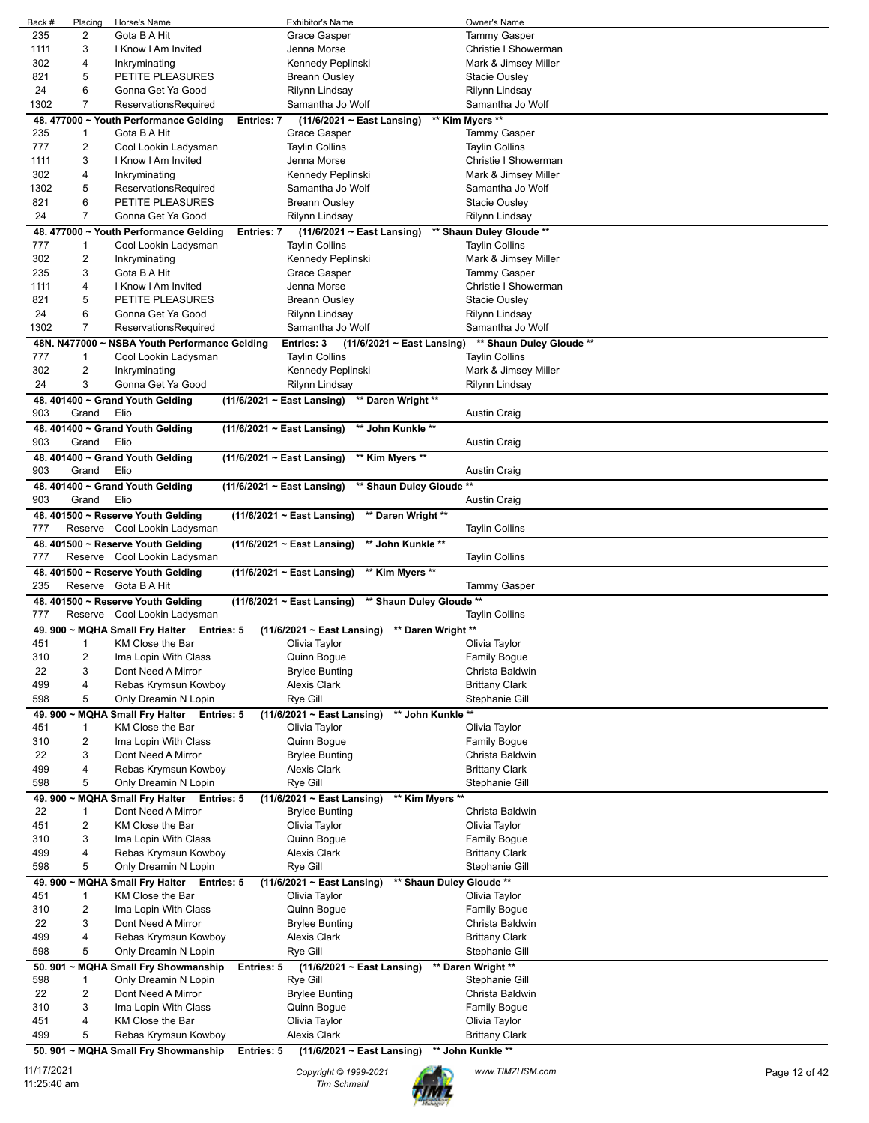| Back #     | Placing                 | Horse's Name                                                               | <b>Exhibitor's Name</b>                                     | Owner's Name                        |
|------------|-------------------------|----------------------------------------------------------------------------|-------------------------------------------------------------|-------------------------------------|
| 235        | 2                       | Gota B A Hit                                                               | <b>Grace Gasper</b>                                         | <b>Tammy Gasper</b>                 |
| 1111       | 3                       | I Know I Am Invited                                                        | Jenna Morse                                                 | Christie I Showerman                |
| 302        | 4                       | Inkryminating                                                              | Kennedy Peplinski                                           | Mark & Jimsey Miller                |
|            | 5                       |                                                                            |                                                             |                                     |
| 821        |                         | PETITE PLEASURES                                                           | <b>Breann Ousley</b>                                        | Stacie Ousley                       |
| 24         | 6                       | Gonna Get Ya Good                                                          | Rilynn Lindsay                                              | Rilynn Lindsay                      |
| 1302       | $\overline{7}$          | ReservationsRequired                                                       | Samantha Jo Wolf                                            | Samantha Jo Wolf                    |
|            |                         | 48. 477000 ~ Youth Performance Gelding<br><b>Entries: 7</b>                | $(11/6/2021 \sim East$ Lansing)                             | ** Kim Myers **                     |
| 235        | $\mathbf{1}$            | Gota B A Hit                                                               | Grace Gasper                                                | <b>Tammy Gasper</b>                 |
|            | 2                       |                                                                            |                                                             |                                     |
| 777        |                         | Cool Lookin Ladysman                                                       | <b>Taylin Collins</b>                                       | <b>Taylin Collins</b>               |
| 1111       | 3                       | I Know I Am Invited                                                        | Jenna Morse                                                 | Christie I Showerman                |
| 302        | 4                       | Inkryminating                                                              | Kennedy Peplinski                                           | Mark & Jimsey Miller                |
| 1302       | 5                       | ReservationsRequired                                                       | Samantha Jo Wolf                                            | Samantha Jo Wolf                    |
| 821        | 6                       | PETITE PLEASURES                                                           | <b>Breann Ousley</b>                                        | Stacie Ousley                       |
|            |                         |                                                                            |                                                             |                                     |
| 24         | $\overline{7}$          | Gonna Get Ya Good                                                          | Rilynn Lindsay                                              | Rilynn Lindsay                      |
|            |                         | 48. 477000 ~ Youth Performance Gelding<br>Entries: 7                       | $(11/6/2021 \sim East$ Lansing)                             | ** Shaun Duley Gloude **            |
| 777        | $\mathbf{1}$            | Cool Lookin Ladysman                                                       | <b>Taylin Collins</b>                                       | <b>Taylin Collins</b>               |
| 302        | 2                       | Inkryminating                                                              | Kennedy Peplinski                                           | Mark & Jimsey Miller                |
|            | 3                       |                                                                            |                                                             |                                     |
| 235        |                         | Gota B A Hit                                                               | Grace Gasper                                                | <b>Tammy Gasper</b>                 |
| 1111       | 4                       | I Know I Am Invited                                                        | Jenna Morse                                                 | Christie I Showerman                |
| 821        | 5                       | PETITE PLEASURES                                                           | <b>Breann Ousley</b>                                        | <b>Stacie Ousley</b>                |
| 24         | 6                       | Gonna Get Ya Good                                                          | Rilynn Lindsay                                              | Rilynn Lindsay                      |
| 1302       | 7                       | ReservationsRequired                                                       | Samantha Jo Wolf                                            | Samantha Jo Wolf                    |
|            |                         |                                                                            |                                                             |                                     |
|            |                         | 48N. N477000 ~ NSBA Youth Performance Gelding                              | Entries: $3$ (11/6/2021 ~ East Lansing)                     | ** Shaun Duley Gloude **            |
| 777        | $\mathbf{1}$            | Cool Lookin Ladysman                                                       | <b>Taylin Collins</b>                                       | <b>Taylin Collins</b>               |
| 302        | 2                       | Inkryminating                                                              | Kennedy Peplinski                                           | Mark & Jimsey Miller                |
| 24         | 3                       | Gonna Get Ya Good                                                          | Rilynn Lindsay                                              | Rilynn Lindsay                      |
|            |                         |                                                                            |                                                             |                                     |
|            |                         | 48. 401400 ~ Grand Youth Gelding                                           | $(11/6/2021 \sim$ East Lansing)<br>** Daren Wright **       |                                     |
| 903        | Grand                   | Elio                                                                       |                                                             | <b>Austin Craig</b>                 |
|            |                         | 48. 401400 ~ Grand Youth Gelding                                           | $(11/6/2021 \sim$ East Lansing)<br>** John Kunkle **        |                                     |
| 903        | Grand                   | Elio                                                                       |                                                             | <b>Austin Craig</b>                 |
|            |                         | 48. 401400 ~ Grand Youth Gelding                                           |                                                             |                                     |
|            |                         |                                                                            | $(11/6/2021 \sim$ East Lansing)<br>** Kim Myers **          |                                     |
| 903        | Grand                   | Elio                                                                       |                                                             | <b>Austin Craig</b>                 |
|            |                         | 48. 401400 ~ Grand Youth Gelding                                           | ** Shaun Duley Gloude **<br>$(11/6/2021 \sim$ East Lansing) |                                     |
| 903        | Grand                   | Elio                                                                       |                                                             | <b>Austin Craig</b>                 |
|            |                         | 48. 401500 ~ Reserve Youth Gelding                                         | $(11/6/2021 \sim$ East Lansing)<br>** Daren Wright **       |                                     |
|            |                         |                                                                            |                                                             |                                     |
|            |                         |                                                                            |                                                             |                                     |
| 777        |                         | Reserve Cool Lookin Ladysman                                               |                                                             | <b>Taylin Collins</b>               |
|            |                         | 48. 401500 ~ Reserve Youth Gelding                                         | $(11/6/2021 \sim$ East Lansing)<br>** John Kunkle **        |                                     |
| 777        |                         | Reserve Cool Lookin Ladysman                                               |                                                             | <b>Taylin Collins</b>               |
|            |                         |                                                                            |                                                             |                                     |
|            |                         | 48. 401500 ~ Reserve Youth Gelding                                         | $(11/6/2021 \sim$ East Lansing)<br>** Kim Myers **          |                                     |
| 235        |                         | Reserve Gota B A Hit                                                       |                                                             | <b>Tammy Gasper</b>                 |
|            |                         | 48. 401500 ~ Reserve Youth Gelding                                         | ** Shaun Duley Gloude **<br>$(11/6/2021 \sim$ East Lansing) |                                     |
| 777        |                         | Reserve Cool Lookin Ladysman                                               |                                                             | <b>Taylin Collins</b>               |
|            |                         |                                                                            |                                                             |                                     |
|            |                         | 49. 900 ~ MQHA Small Fry Halter<br>Entries: 5                              | $(11/6/2021 \sim East$ Lansing)<br>** Daren Wright **       |                                     |
| 451        | 1                       | KM Close the Bar                                                           | Olivia Taylor                                               | Olivia Taylor                       |
| 310        | $\overline{\mathbf{c}}$ | Ima Lopin With Class                                                       | Quinn Bogue                                                 | Family Bogue                        |
| 22         | 3                       | Dont Need A Mirror                                                         | <b>Brylee Bunting</b>                                       | Christa Baldwin                     |
| 499        | 4                       | Rebas Krymsun Kowboy                                                       | Alexis Clark                                                | <b>Brittany Clark</b>               |
| 598        | 5                       | Only Dreamin N Lopin                                                       | Rye Gill                                                    | Stephanie Gill                      |
|            |                         |                                                                            |                                                             |                                     |
| 49.900 -   | <b>MQHA</b>             | <b>Small Fry Halter</b><br><b>Entries: 5</b>                               | ** John Kunkle **<br>$(11/6/2021 \sim$ East Lansing)        |                                     |
| 451        | 1                       | KM Close the Bar                                                           | Olivia Taylor                                               | Olivia Taylor                       |
| 310        | 2                       | Ima Lopin With Class                                                       | Quinn Bogue                                                 | <b>Family Bogue</b>                 |
| 22         | 3                       | Dont Need A Mirror                                                         | <b>Brylee Bunting</b>                                       | Christa Baldwin                     |
| 499        | 4                       | Rebas Krymsun Kowboy                                                       | Alexis Clark                                                | <b>Brittany Clark</b>               |
|            |                         |                                                                            |                                                             |                                     |
| 598        | 5                       | Only Dreamin N Lopin                                                       | Rye Gill                                                    | Stephanie Gill                      |
| 49.900     | <b>MQHA</b>             | <b>Small Fry Halter</b><br>Entries: 5                                      | $(11/6/2021 \sim East$ Lansing)<br>** Kim Myers **          |                                     |
| 22         | 1                       | Dont Need A Mirror                                                         | <b>Brylee Bunting</b>                                       | Christa Baldwin                     |
| 451        | $\overline{2}$          | KM Close the Bar                                                           | Olivia Taylor                                               | Olivia Taylor                       |
|            |                         | Ima Lopin With Class                                                       |                                                             |                                     |
| 310        | 3                       |                                                                            | Quinn Bogue                                                 | <b>Family Bogue</b>                 |
| 499        | 4                       | Rebas Krymsun Kowboy                                                       | Alexis Clark                                                | <b>Brittany Clark</b>               |
| 598        | 5                       | Only Dreamin N Lopin                                                       | Rye Gill                                                    | Stephanie Gill                      |
| 49.900~    | <b>MQHA</b>             | <b>Small Fry Halter</b><br>Entries: 5                                      | ** Shaun Duley Gloude **<br>(11/6/2021 ~ East Lansing)      |                                     |
| 451        | 1                       | KM Close the Bar                                                           | Olivia Taylor                                               | Olivia Taylor                       |
|            |                         |                                                                            |                                                             |                                     |
| 310        | 2                       | Ima Lopin With Class                                                       | Quinn Bogue                                                 | <b>Family Bogue</b>                 |
| 22         | 3                       | Dont Need A Mirror                                                         | <b>Brylee Bunting</b>                                       | Christa Baldwin                     |
| 499        | 4                       | Rebas Krymsun Kowboy                                                       | Alexis Clark                                                | Brittany Clark                      |
| 598        | 5                       | Only Dreamin N Lopin                                                       | Rye Gill                                                    | Stephanie Gill                      |
| 50.901 $-$ | <b>MQHA</b>             | <b>Small Fry Showmanship</b><br>Entries: 5                                 | $(11/6/2021 \sim$ East Lansing)                             | ** Daren Wright **                  |
|            |                         |                                                                            |                                                             |                                     |
| 598        | $\mathbf{1}$            | Only Dreamin N Lopin                                                       | Rye Gill                                                    | Stephanie Gill                      |
| 22         | 2                       | Dont Need A Mirror                                                         | <b>Brylee Bunting</b>                                       | Christa Baldwin                     |
| 310        | 3                       | Ima Lopin With Class                                                       | Quinn Bogue                                                 | <b>Family Bogue</b>                 |
| 451        | 4                       | KM Close the Bar                                                           | Olivia Taylor                                               | Olivia Taylor                       |
| 499        | 5                       |                                                                            | <b>Alexis Clark</b>                                         |                                     |
|            |                         | Rebas Krymsun Kowboy<br>50. 901 ~ MQHA Small Fry Showmanship<br>Entries: 5 | (11/6/2021 ~ East Lansing)                                  | Brittany Clark<br>** John Kunkle ** |

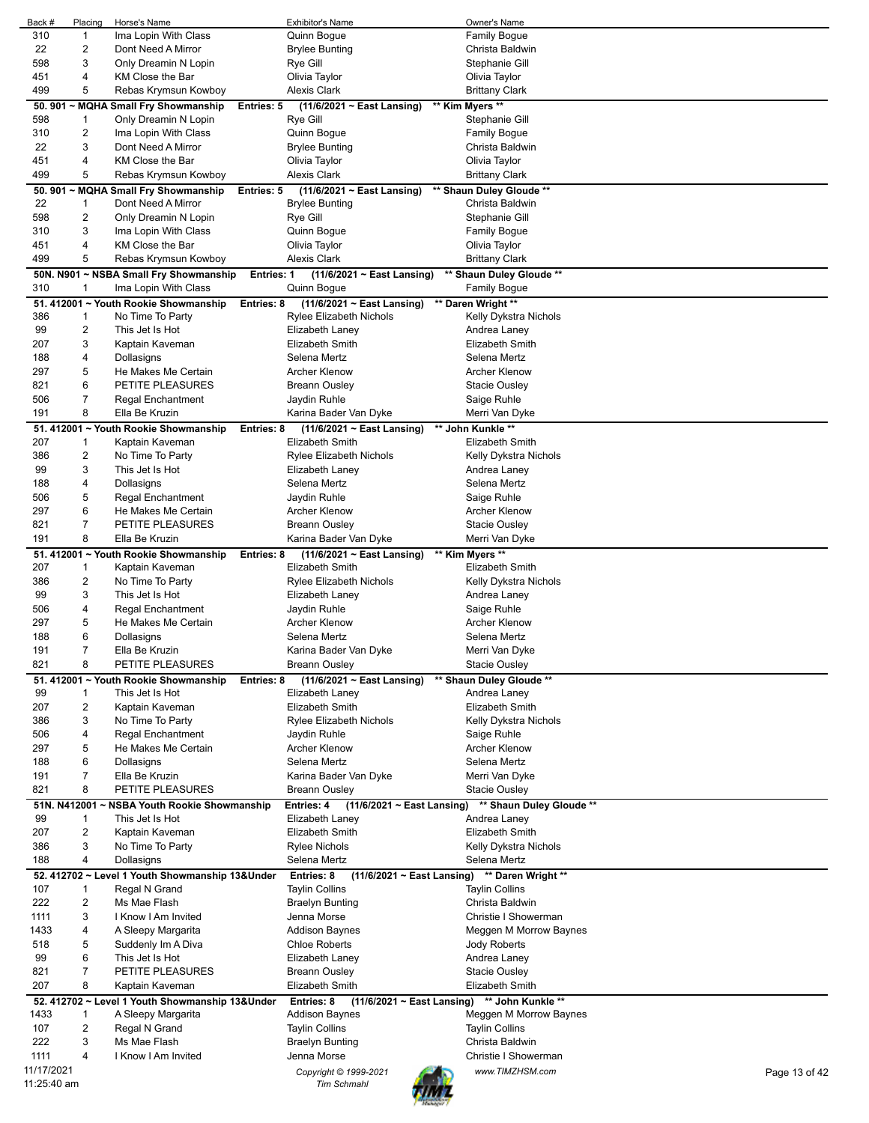| Back #       | Placing                 | Horse's Name                                    |                   | <b>Exhibitor's Name</b>                       | Owner's Name             |               |
|--------------|-------------------------|-------------------------------------------------|-------------------|-----------------------------------------------|--------------------------|---------------|
| 310          | $\mathbf{1}$            | Ima Lopin With Class                            |                   | Quinn Bogue                                   | <b>Family Bogue</b>      |               |
| 22           | $\overline{2}$          | Dont Need A Mirror                              |                   | <b>Brylee Bunting</b>                         | Christa Baldwin          |               |
| 598          | 3                       | Only Dreamin N Lopin                            |                   | Rye Gill                                      | Stephanie Gill           |               |
|              |                         |                                                 |                   |                                               |                          |               |
| 451          | 4                       | KM Close the Bar                                |                   | Olivia Taylor                                 | Olivia Taylor            |               |
| 499          | 5                       | Rebas Krymsun Kowboy                            |                   | <b>Alexis Clark</b>                           | <b>Brittany Clark</b>    |               |
| 50.901       |                         | ~ MQHA Small Fry Showmanship                    | Entries: 5        | $(11/6/2021 \sim$ East Lansing)               | ** Kim Myers **          |               |
| 598          | 1                       | Only Dreamin N Lopin                            |                   | Rye Gill                                      | Stephanie Gill           |               |
| 310          | $\overline{2}$          | Ima Lopin With Class                            |                   | Quinn Bogue                                   | <b>Family Bogue</b>      |               |
| 22           | 3                       | Dont Need A Mirror                              |                   | <b>Brylee Bunting</b>                         | Christa Baldwin          |               |
|              |                         |                                                 |                   |                                               |                          |               |
| 451          | 4                       | KM Close the Bar                                |                   | Olivia Taylor                                 | Olivia Taylor            |               |
| 499          | 5                       | Rebas Krymsun Kowboy                            |                   | <b>Alexis Clark</b>                           | <b>Brittany Clark</b>    |               |
|              |                         | 50. 901 ~ MQHA Small Fry Showmanship            | <b>Entries: 5</b> | (11/6/2021 ~ East Lansing)                    | ** Shaun Duley Gloude ** |               |
| 22           | 1                       | Dont Need A Mirror                              |                   | <b>Brylee Bunting</b>                         | Christa Baldwin          |               |
| 598          | 2                       | Only Dreamin N Lopin                            |                   | Rye Gill                                      | Stephanie Gill           |               |
| 310          | 3                       | Ima Lopin With Class                            |                   | Quinn Bogue                                   | <b>Family Bogue</b>      |               |
|              |                         |                                                 |                   |                                               |                          |               |
| 451          | 4                       | KM Close the Bar                                |                   | Olivia Taylor                                 | Olivia Taylor            |               |
| 499          | 5                       | Rebas Krymsun Kowboy                            |                   | <b>Alexis Clark</b>                           | <b>Brittany Clark</b>    |               |
|              |                         | 50N. N901 ~ NSBA Small Fry Showmanship          | <b>Entries: 1</b> | $(11/6/2021 \sim East$ Lansing)               | ** Shaun Duley Gloude ** |               |
| 310          | -1                      | Ima Lopin With Class                            |                   | Quinn Bogue                                   | <b>Family Bogue</b>      |               |
|              |                         | 51. 412001 ~ Youth Rookie Showmanship           |                   | (11/6/2021 ~ East Lansing)                    | ** Daren Wright **       |               |
|              |                         |                                                 | Entries: 8        |                                               |                          |               |
| 386          | 1                       | No Time To Party                                |                   | Rylee Elizabeth Nichols                       | Kelly Dykstra Nichols    |               |
| 99           | $\overline{2}$          | This Jet Is Hot                                 |                   | Elizabeth Laney                               | Andrea Laney             |               |
| 207          | 3                       | Kaptain Kaveman                                 |                   | <b>Elizabeth Smith</b>                        | <b>Elizabeth Smith</b>   |               |
| 188          | 4                       | Dollasigns                                      |                   | Selena Mertz                                  | Selena Mertz             |               |
| 297          | 5                       | He Makes Me Certain                             |                   | <b>Archer Klenow</b>                          | <b>Archer Klenow</b>     |               |
| 821          | 6                       | PETITE PLEASURES                                |                   | <b>Breann Ousley</b>                          |                          |               |
|              |                         |                                                 |                   |                                               | Stacie Ousley            |               |
| 506          | 7                       | Regal Enchantment                               |                   | Jaydin Ruhle                                  | Saige Ruhle              |               |
| 191          | 8                       | Ella Be Kruzin                                  |                   | Karina Bader Van Dyke                         | Merri Van Dyke           |               |
|              |                         | 51. 412001 ~ Youth Rookie Showmanship           | Entries: 8        | (11/6/2021 ~ East Lansing)                    | ** John Kunkle **        |               |
| 207          | 1                       | Kaptain Kaveman                                 |                   | <b>Elizabeth Smith</b>                        | Elizabeth Smith          |               |
| 386          | 2                       | No Time To Party                                |                   | Rylee Elizabeth Nichols                       | Kelly Dykstra Nichols    |               |
| 99           | 3                       | This Jet Is Hot                                 |                   |                                               |                          |               |
|              |                         |                                                 |                   | Elizabeth Laney                               | Andrea Laney             |               |
| 188          | 4                       | Dollasigns                                      |                   | Selena Mertz                                  | Selena Mertz             |               |
| 506          | 5                       | Regal Enchantment                               |                   | Jaydin Ruhle                                  | Saige Ruhle              |               |
| 297          | 6                       | He Makes Me Certain                             |                   | <b>Archer Klenow</b>                          | <b>Archer Klenow</b>     |               |
| 821          | $\overline{7}$          | PETITE PLEASURES                                |                   | Breann Ousley                                 | Stacie Ousley            |               |
| 191          | 8                       | Ella Be Kruzin                                  |                   | Karina Bader Van Dyke                         | Merri Van Dyke           |               |
|              |                         |                                                 |                   |                                               |                          |               |
|              |                         | 51. 412001 ~ Youth Rookie Showmanship           | Entries: 8        | $(11/6/2021 \sim East$ Lansing)               | ** Kim Myers **          |               |
| 207          | $\mathbf{1}$            | Kaptain Kaveman                                 |                   | <b>Elizabeth Smith</b>                        | Elizabeth Smith          |               |
| 386          | $\overline{c}$          | No Time To Party                                |                   | <b>Rylee Elizabeth Nichols</b>                | Kelly Dykstra Nichols    |               |
| 99           | 3                       | This Jet Is Hot                                 |                   | Elizabeth Laney                               | Andrea Laney             |               |
| 506          | 4                       | Regal Enchantment                               |                   | Jaydin Ruhle                                  | Saige Ruhle              |               |
| 297          | 5                       | He Makes Me Certain                             |                   | <b>Archer Klenow</b>                          | <b>Archer Klenow</b>     |               |
|              |                         |                                                 |                   |                                               |                          |               |
| 188          | 6                       | Dollasigns                                      |                   | Selena Mertz                                  | Selena Mertz             |               |
| 191          | 7                       | Ella Be Kruzin                                  |                   | Karina Bader Van Dyke                         | Merri Van Dyke           |               |
| 821          | 8                       | PETITE PLEASURES                                |                   | <b>Breann Ousley</b>                          | <b>Stacie Ousley</b>     |               |
|              |                         | 51. 412001 ~ Youth Rookie Showmanship           | Entries: 8        | $(11/6/2021 \sim East$ Lansing)               | ** Shaun Duley Gloude ** |               |
| 99           | 1                       | This Jet Is Hot                                 |                   | Elizabeth Laney                               | Andrea Laney             |               |
|              |                         |                                                 |                   |                                               |                          |               |
| 207          | $\overline{c}$          | Kaptain Kaveman                                 |                   | <b>Elizabeth Smith</b>                        | Elizabeth Smith          |               |
| 386          | 3                       | No Time To Party                                |                   | Rylee Elizabeth Nichols                       | Kelly Dykstra Nichols    |               |
| 506          | 4                       | Regal Enchantment                               |                   | Jaydin Ruhle                                  | Saige Ruhle              |               |
| 297          | 5                       | He Makes Me Certain                             |                   | <b>Archer Klenow</b>                          | <b>Archer Klenow</b>     |               |
| 188          | 6                       | Dollasigns                                      |                   | Selena Mertz                                  | Selena Mertz             |               |
| 191          | 7                       | Ella Be Kruzin                                  |                   | Karina Bader Van Dyke                         | Merri Van Dyke           |               |
| 821          | 8                       | PETITE PLEASURES                                |                   | <b>Breann Ousley</b>                          |                          |               |
|              |                         |                                                 |                   |                                               | <b>Stacie Ousley</b>     |               |
| 51N. N412001 |                         | ~ NSBA Youth Rookie Showmanship                 |                   | Entries: 4<br>$(11/6/2021 \sim$ East Lansing) | ** Shaun Duley Gloude ** |               |
| 99           | $\mathbf 1$             | This Jet Is Hot                                 |                   | Elizabeth Laney                               | Andrea Laney             |               |
| 207          | $\overline{2}$          | Kaptain Kaveman                                 |                   | Elizabeth Smith                               | Elizabeth Smith          |               |
| 386          | 3                       | No Time To Party                                |                   | Rylee Nichols                                 | Kelly Dykstra Nichols    |               |
| 188          | 4                       | Dollasigns                                      |                   | Selena Mertz                                  | Selena Mertz             |               |
|              |                         |                                                 |                   |                                               |                          |               |
|              |                         | 52. 412702 ~ Level 1 Youth Showmanship 13&Under |                   | Entries: 8<br>$(11/6/2021 \sim$ East Lansing) | ** Daren Wright **       |               |
| 107          | $\mathbf{1}$            | Regal N Grand                                   |                   | Taylin Collins                                | <b>Taylin Collins</b>    |               |
| 222          | $\overline{c}$          | Ms Mae Flash                                    |                   | <b>Braelyn Bunting</b>                        | Christa Baldwin          |               |
| 1111         | 3                       | I Know I Am Invited                             |                   | Jenna Morse                                   | Christie I Showerman     |               |
| 1433         | 4                       | A Sleepy Margarita                              |                   | <b>Addison Baynes</b>                         | Meggen M Morrow Baynes   |               |
| 518          | 5                       | Suddenly Im A Diva                              |                   | <b>Chloe Roberts</b>                          | Jody Roberts             |               |
| 99           | 6                       | This Jet Is Hot                                 |                   | Elizabeth Laney                               | Andrea Laney             |               |
|              |                         |                                                 |                   |                                               |                          |               |
| 821          | 7                       | PETITE PLEASURES                                |                   | Breann Ousley                                 | <b>Stacie Ousley</b>     |               |
| 207          | 8                       | Kaptain Kaveman                                 |                   | Elizabeth Smith                               | Elizabeth Smith          |               |
|              |                         | 52. 412702 ~ Level 1 Youth Showmanship 13&Under |                   | $(11/6/2021 \sim$ East Lansing)<br>Entries: 8 | ** John Kunkle **        |               |
| 1433         | 1                       | A Sleepy Margarita                              |                   | Addison Baynes                                | Meggen M Morrow Baynes   |               |
| 107          | $\overline{\mathbf{c}}$ | Regal N Grand                                   |                   | <b>Taylin Collins</b>                         | <b>Taylin Collins</b>    |               |
| 222          | 3                       | Ms Mae Flash                                    |                   | <b>Braelyn Bunting</b>                        | Christa Baldwin          |               |
|              |                         |                                                 |                   |                                               |                          |               |
| 1111         | 4                       | I Know I Am Invited                             |                   | Jenna Morse                                   | Christie I Showerman     |               |
| 11/17/2021   |                         |                                                 |                   | Copyright © 1999-2021                         | www.TIMZHSM.com          | Page 13 of 42 |
| 11:25:40 am  |                         |                                                 |                   | <b>Tim Schmahl</b>                            |                          |               |
|              |                         |                                                 |                   |                                               |                          |               |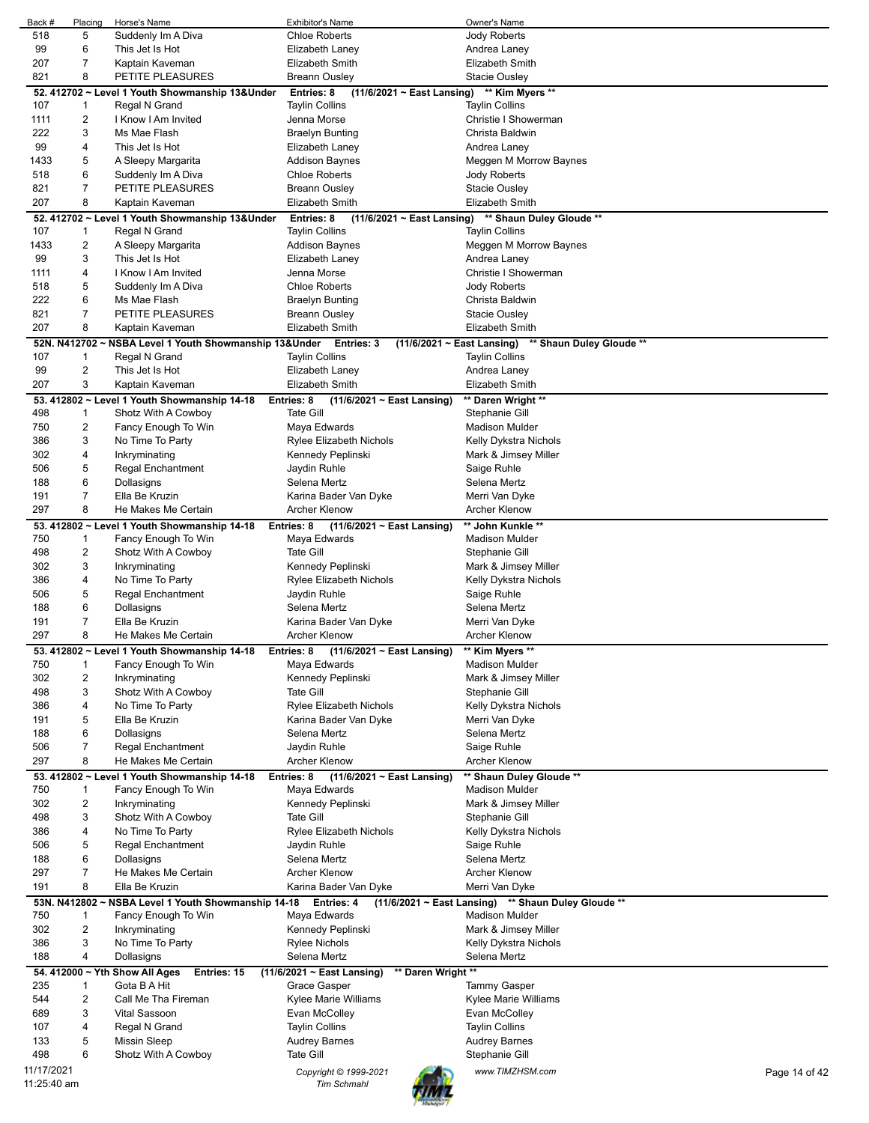| Back #      | Placing                 | Horse's Name                                           | Exhibitor's Name                                         | Owner's Name                                        |               |
|-------------|-------------------------|--------------------------------------------------------|----------------------------------------------------------|-----------------------------------------------------|---------------|
| 518         | 5                       | Suddenly Im A Diva                                     | <b>Chloe Roberts</b>                                     | Jody Roberts                                        |               |
| 99<br>207   | 6<br>7                  | This Jet Is Hot<br>Kaptain Kaveman                     | Elizabeth Laney<br>Elizabeth Smith                       | Andrea Laney<br>Elizabeth Smith                     |               |
| 821         | 8                       | PETITE PLEASURES                                       | <b>Breann Ousley</b>                                     | <b>Stacie Ousley</b>                                |               |
|             |                         | 52. 412702 ~ Level 1 Youth Showmanship 13&Under        | <b>Entries: 8</b><br>$(11/6/2021 \sim$ East Lansing)     | ** Kim Myers **                                     |               |
| 107         | 1                       | Regal N Grand                                          | <b>Taylin Collins</b>                                    | <b>Taylin Collins</b>                               |               |
| 1111        | 2                       | I Know I Am Invited                                    | Jenna Morse                                              | Christie I Showerman                                |               |
| 222         | 3                       | Ms Mae Flash                                           | <b>Braelyn Bunting</b>                                   | Christa Baldwin                                     |               |
| 99          | 4                       | This Jet Is Hot                                        | Elizabeth Laney                                          | Andrea Laney                                        |               |
| 1433        | 5                       | A Sleepy Margarita                                     | Addison Baynes                                           | Meggen M Morrow Baynes                              |               |
| 518         | 6                       | Suddenly Im A Diva                                     | <b>Chloe Roberts</b>                                     | Jody Roberts                                        |               |
| 821         | $\overline{7}$          | PETITE PLEASURES                                       | <b>Breann Ousley</b>                                     | Stacie Ousley                                       |               |
| 207         | 8                       | Kaptain Kaveman                                        | Elizabeth Smith                                          | Elizabeth Smith                                     |               |
|             |                         | 52. 412702 ~ Level 1 Youth Showmanship 13&Under        | Entries: 8<br>$(11/6/2021 \sim East$ Lansing)            | ** Shaun Duley Gloude **                            |               |
| 107         | 1                       | Regal N Grand                                          | <b>Taylin Collins</b>                                    | <b>Taylin Collins</b>                               |               |
| 1433        | 2                       | A Sleepy Margarita                                     | Addison Baynes                                           | Meggen M Morrow Baynes                              |               |
| 99          | 3                       | This Jet Is Hot                                        | Elizabeth Laney                                          | Andrea Laney                                        |               |
| 1111<br>518 | 4<br>5                  | I Know I Am Invited<br>Suddenly Im A Diva              | Jenna Morse<br><b>Chloe Roberts</b>                      | Christie I Showerman<br>Jody Roberts                |               |
| 222         | 6                       | Ms Mae Flash                                           | <b>Braelyn Bunting</b>                                   | Christa Baldwin                                     |               |
| 821         | 7                       | PETITE PLEASURES                                       | <b>Breann Ousley</b>                                     | Stacie Ousley                                       |               |
| 207         | 8                       | Kaptain Kaveman                                        | <b>Elizabeth Smith</b>                                   | <b>Elizabeth Smith</b>                              |               |
|             |                         | 52N. N412702 ~ NSBA Level 1 Youth Showmanship 13&Under | Entries: 3<br>$(11/6/2021 \sim$ East Lansing)            | ** Shaun Duley Gloude **                            |               |
| 107         | 1                       | Regal N Grand                                          | <b>Taylin Collins</b>                                    | <b>Taylin Collins</b>                               |               |
| 99          | $\overline{2}$          | This Jet Is Hot                                        | Elizabeth Laney                                          | Andrea Laney                                        |               |
| 207         | 3                       | Kaptain Kaveman                                        | Elizabeth Smith                                          | Elizabeth Smith                                     |               |
|             |                         | 53. 412802 ~ Level 1 Youth Showmanship 14-18           | Entries: 8<br>(11/6/2021 ~ East Lansing)                 | ** Daren Wright **                                  |               |
| 498         | 1                       | Shotz With A Cowboy                                    | <b>Tate Gill</b>                                         | Stephanie Gill                                      |               |
| 750         | 2                       | Fancy Enough To Win                                    | Maya Edwards                                             | <b>Madison Mulder</b>                               |               |
| 386         | 3                       | No Time To Party                                       | Rylee Elizabeth Nichols                                  | Kelly Dykstra Nichols                               |               |
| 302         | 4                       | Inkryminating                                          | Kennedy Peplinski                                        | Mark & Jimsey Miller                                |               |
| 506         | 5                       | Regal Enchantment                                      | Jaydin Ruhle                                             | Saige Ruhle                                         |               |
| 188         | 6                       | Dollasigns                                             | Selena Mertz                                             | Selena Mertz                                        |               |
| 191         | $\overline{7}$          | Ella Be Kruzin                                         | Karina Bader Van Dyke                                    | Merri Van Dyke                                      |               |
| 297         | 8                       | He Makes Me Certain                                    | <b>Archer Klenow</b>                                     | <b>Archer Klenow</b>                                |               |
| 750         | 1                       | 53. 412802 ~ Level 1 Youth Showmanship 14-18           | Entries: 8<br>(11/6/2021 ~ East Lansing)<br>Maya Edwards | ** John Kunkle **<br><b>Madison Mulder</b>          |               |
| 498         | $\overline{\mathbf{c}}$ | Fancy Enough To Win<br>Shotz With A Cowboy             | <b>Tate Gill</b>                                         | Stephanie Gill                                      |               |
| 302         | 3                       | Inkryminating                                          | Kennedy Peplinski                                        | Mark & Jimsey Miller                                |               |
| 386         | 4                       | No Time To Party                                       | Rylee Elizabeth Nichols                                  | Kelly Dykstra Nichols                               |               |
| 506         | 5                       | Regal Enchantment                                      | Jaydin Ruhle                                             | Saige Ruhle                                         |               |
| 188         | 6                       | Dollasigns                                             | Selena Mertz                                             | Selena Mertz                                        |               |
| 191         | 7                       | Ella Be Kruzin                                         | Karina Bader Van Dyke                                    | Merri Van Dyke                                      |               |
| 297         | 8                       | He Makes Me Certain                                    | Archer Klenow                                            | Archer Klenow                                       |               |
|             |                         | 53. 412802 ~ Level 1 Youth Showmanship 14-18           | $(11/6/2021 \sim$ East Lansing)<br>Entries: 8            | ** Kim Myers **                                     |               |
| 750         | 1                       | Fancy Enough To Win                                    | Maya Edwards                                             | <b>Madison Mulder</b>                               |               |
| 302         | 2                       | Inkryminating                                          | Kennedy Peplinski                                        | Mark & Jimsey Miller                                |               |
| 498         | 3                       | Shotz With A Cowboy                                    | <b>Tate Gill</b>                                         | Stephanie Gill                                      |               |
| 386         | 4                       | No Time To Party                                       | Rylee Elizabeth Nichols                                  | Kelly Dykstra Nichols                               |               |
| 191         | 5                       | Ella Be Kruzin                                         | Karina Bader Van Dyke                                    | Merri Van Dyke                                      |               |
| 188<br>506  | 6<br>7                  | Dollasigns                                             | Selena Mertz<br>Jaydin Ruhle                             | Selena Mertz                                        |               |
| 297         | 8                       | Regal Enchantment<br>He Makes Me Certain               | <b>Archer Klenow</b>                                     | Saige Ruhle<br><b>Archer Klenow</b>                 |               |
|             |                         | 53. 412802 ~ Level 1 Youth Showmanship 14-18           | Entries: 8<br>$(11/6/2021 \sim$ East Lansing)            | ** Shaun Duley Gloude **                            |               |
| 750         | 1                       | Fancy Enough To Win                                    | Maya Edwards                                             | <b>Madison Mulder</b>                               |               |
| 302         | 2                       | Inkryminating                                          | Kennedy Peplinski                                        | Mark & Jimsey Miller                                |               |
| 498         | 3                       | Shotz With A Cowboy                                    | <b>Tate Gill</b>                                         | Stephanie Gill                                      |               |
| 386         | 4                       | No Time To Party                                       | Rylee Elizabeth Nichols                                  | Kelly Dykstra Nichols                               |               |
| 506         | 5                       | <b>Regal Enchantment</b>                               | Jaydin Ruhle                                             | Saige Ruhle                                         |               |
| 188         | 6                       | Dollasigns                                             | Selena Mertz                                             | Selena Mertz                                        |               |
| 297         | 7                       | He Makes Me Certain                                    | <b>Archer Klenow</b>                                     | Archer Klenow                                       |               |
| 191         | 8                       | Ella Be Kruzin                                         | Karina Bader Van Dyke                                    | Merri Van Dyke                                      |               |
|             |                         | 53N. N412802 ~ NSBA Level 1 Youth Showmanship 14-18    | Entries: 4                                               | (11/6/2021 ~ East Lansing) ** Shaun Duley Gloude ** |               |
| 750         | 1                       | Fancy Enough To Win                                    | Maya Edwards                                             | <b>Madison Mulder</b>                               |               |
| 302         | 2                       | Inkryminating                                          | Kennedy Peplinski                                        | Mark & Jimsey Miller                                |               |
| 386         | 3                       | No Time To Party                                       | <b>Rylee Nichols</b>                                     | Kelly Dykstra Nichols                               |               |
| 188         | 4                       | Dollasigns                                             | Selena Mertz                                             | Selena Mertz                                        |               |
|             |                         | 54. 412000 ~ Yth Show All Ages<br>Entries: 15          | ** Daren Wright **<br>(11/6/2021 ~ East Lansing)         |                                                     |               |
| 235         | 1                       | Gota B A Hit                                           | Grace Gasper                                             | <b>Tammy Gasper</b>                                 |               |
| 544<br>689  | 2<br>3                  | Call Me Tha Fireman<br>Vital Sassoon                   | Kylee Marie Williams                                     | Kylee Marie Williams<br>Evan McColley               |               |
| 107         | 4                       | Regal N Grand                                          | Evan McColley<br><b>Taylin Collins</b>                   | <b>Taylin Collins</b>                               |               |
| 133         | 5                       | <b>Missin Sleep</b>                                    | <b>Audrey Barnes</b>                                     | Audrey Barnes                                       |               |
| 498         | 6                       | Shotz With A Cowboy                                    | <b>Tate Gill</b>                                         | Stephanie Gill                                      |               |
| 11/17/2021  |                         |                                                        | Copyright © 1999-2021                                    | www.TIMZHSM.com                                     | Page 14 of 42 |
|             | 11:25:40 am             |                                                        | <b>Tim Schmahl</b>                                       |                                                     |               |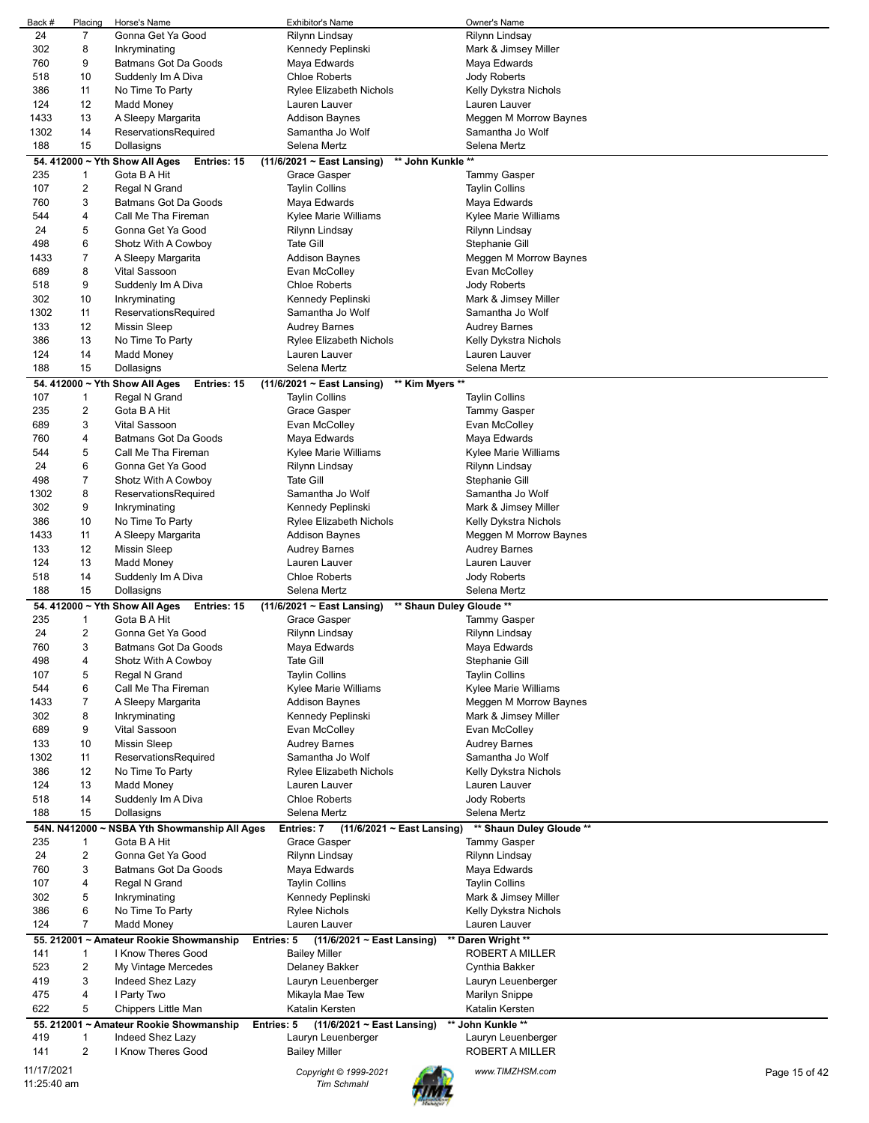| Back #                    | Placing        | Horse's Name                                                   | Exhibitor's Name                                                       | Owner's Name             |               |
|---------------------------|----------------|----------------------------------------------------------------|------------------------------------------------------------------------|--------------------------|---------------|
| 24                        | 7              | Gonna Get Ya Good                                              | Rilynn Lindsay                                                         | Rilynn Lindsay           |               |
| 302                       | 8              | Inkryminating                                                  | Kennedy Peplinski                                                      | Mark & Jimsey Miller     |               |
| 760                       | 9              | <b>Batmans Got Da Goods</b>                                    | Maya Edwards                                                           | Maya Edwards             |               |
| 518                       | 10             | Suddenly Im A Diva                                             | <b>Chloe Roberts</b>                                                   | <b>Jody Roberts</b>      |               |
| 386                       | 11             | No Time To Party                                               | <b>Rylee Elizabeth Nichols</b>                                         | Kelly Dykstra Nichols    |               |
| 124                       | 12             | Madd Money                                                     | Lauren Lauver                                                          | Lauren Lauver            |               |
| 1433                      | 13             | A Sleepy Margarita                                             | <b>Addison Baynes</b>                                                  | Meggen M Morrow Baynes   |               |
| 1302                      | 14             | ReservationsRequired                                           | Samantha Jo Wolf                                                       | Samantha Jo Wolf         |               |
| 188                       | 15             | Dollasigns                                                     | Selena Mertz                                                           | Selena Mertz             |               |
|                           |                | 54. 412000 ~ Yth Show All Ages<br>Entries: 15                  | ** John Kunkle **<br>(11/6/2021 ~ East Lansing)                        |                          |               |
| 235                       | 1              | Gota B A Hit                                                   | <b>Grace Gasper</b>                                                    | <b>Tammy Gasper</b>      |               |
| 107                       | 2              | Regal N Grand                                                  | <b>Taylin Collins</b>                                                  | <b>Taylin Collins</b>    |               |
| 760                       | 3              | Batmans Got Da Goods                                           | Maya Edwards                                                           | Maya Edwards             |               |
| 544                       | 4              | Call Me Tha Fireman                                            | Kylee Marie Williams                                                   | Kylee Marie Williams     |               |
| 24                        | 5              | Gonna Get Ya Good                                              | Rilynn Lindsay                                                         | Rilynn Lindsay           |               |
| 498                       | 6              | Shotz With A Cowboy                                            | <b>Tate Gill</b>                                                       | Stephanie Gill           |               |
| 1433                      | 7              | A Sleepy Margarita                                             | <b>Addison Baynes</b>                                                  | Meggen M Morrow Baynes   |               |
| 689                       | 8              | Vital Sassoon                                                  | Evan McColley                                                          | Evan McColley            |               |
| 518                       | 9              | Suddenly Im A Diva                                             | <b>Chloe Roberts</b>                                                   | Jody Roberts             |               |
| 302                       | 10             | Inkryminating                                                  | Kennedy Peplinski                                                      | Mark & Jimsey Miller     |               |
| 1302                      | 11             | ReservationsRequired                                           | Samantha Jo Wolf                                                       | Samantha Jo Wolf         |               |
| 133                       | 12             | Missin Sleep                                                   | <b>Audrey Barnes</b>                                                   | <b>Audrey Barnes</b>     |               |
| 386                       | 13             | No Time To Party                                               | <b>Rylee Elizabeth Nichols</b>                                         | Kelly Dykstra Nichols    |               |
| 124                       | 14             | Madd Money                                                     | Lauren Lauver                                                          | Lauren Lauver            |               |
| 188                       | 15             | Dollasigns                                                     | Selena Mertz                                                           | Selena Mertz             |               |
|                           |                |                                                                |                                                                        |                          |               |
| 107                       | 1              | 54. 412000 ~ Yth Show All Ages<br>Entries: 15<br>Regal N Grand | (11/6/2021 ~ East Lansing)<br>** Kim Myers **<br><b>Taylin Collins</b> | <b>Taylin Collins</b>    |               |
| 235                       | 2              | Gota B A Hit                                                   | Grace Gasper                                                           | <b>Tammy Gasper</b>      |               |
| 689                       | 3              | <b>Vital Sassoon</b>                                           | Evan McColley                                                          | Evan McColley            |               |
| 760                       | 4              | <b>Batmans Got Da Goods</b>                                    | Maya Edwards                                                           | Maya Edwards             |               |
| 544                       | 5              | Call Me Tha Fireman                                            | Kylee Marie Williams                                                   | Kylee Marie Williams     |               |
| 24                        | 6              | Gonna Get Ya Good                                              | Rilynn Lindsay                                                         | Rilynn Lindsay           |               |
| 498                       | 7              | Shotz With A Cowboy                                            | <b>Tate Gill</b>                                                       | Stephanie Gill           |               |
| 1302                      | 8              | ReservationsRequired                                           | Samantha Jo Wolf                                                       | Samantha Jo Wolf         |               |
| 302                       | 9              | Inkryminating                                                  | Kennedy Peplinski                                                      | Mark & Jimsey Miller     |               |
| 386                       | 10             | No Time To Party                                               | <b>Rylee Elizabeth Nichols</b>                                         | Kelly Dykstra Nichols    |               |
| 1433                      | 11             | A Sleepy Margarita                                             | <b>Addison Baynes</b>                                                  | Meggen M Morrow Baynes   |               |
| 133                       | 12             | Missin Sleep                                                   | <b>Audrey Barnes</b>                                                   | <b>Audrey Barnes</b>     |               |
| 124                       | 13             | Madd Money                                                     | Lauren Lauver                                                          | Lauren Lauver            |               |
| 518                       | 14             | Suddenly Im A Diva                                             | <b>Chloe Roberts</b>                                                   | Jody Roberts             |               |
| 188                       | 15             | Dollasigns                                                     | Selena Mertz                                                           | Selena Mertz             |               |
|                           |                | 54. 412000 ~ Yth Show All Ages<br>Entries: 15                  | (11/6/2021 ~ East Lansing)                                             | ** Shaun Duley Gloude ** |               |
| 235                       | 1              | Gota B A Hit                                                   | Grace Gasper                                                           | <b>Tammy Gasper</b>      |               |
| 24                        | $\overline{c}$ | Gonna Get Ya Good                                              | Rilynn Lindsay                                                         | Rilynn Lindsay           |               |
| 760                       | 3              | Batmans Got Da Goods                                           | Maya Edwards                                                           | Maya Edwards             |               |
| 498                       | 4              | Shotz With A Cowboy                                            | <b>Tate Gill</b>                                                       | Stephanie Gill           |               |
| 107                       | 5              | Regal N Grand                                                  | <b>Taylin Collins</b>                                                  | <b>Taylin Collins</b>    |               |
| 544                       | 6              | Call Me Tha Fireman                                            | Kylee Marie Williams                                                   | Kylee Marie Williams     |               |
| 1433                      | 7              | A Sleepy Margarita                                             | <b>Addison Baynes</b>                                                  | Meggen M Morrow Baynes   |               |
| 302                       | 8              | Inkryminating                                                  | Kennedy Peplinski                                                      | Mark & Jimsey Miller     |               |
| 689                       | 9              | Vital Sassoon                                                  | Evan McColley                                                          | Evan McColley            |               |
| 133                       | 10             | Missin Sleep                                                   | <b>Audrey Barnes</b>                                                   | Audrey Barnes            |               |
| 1302                      | 11             | ReservationsRequired                                           | Samantha Jo Wolf                                                       | Samantha Jo Wolf         |               |
| 386                       | 12             | No Time To Party                                               | Rylee Elizabeth Nichols                                                | Kelly Dykstra Nichols    |               |
| 124                       | 13             | Madd Money                                                     | Lauren Lauver                                                          | Lauren Lauver            |               |
| 518                       | 14             | Suddenly Im A Diva                                             | <b>Chloe Roberts</b>                                                   | <b>Jody Roberts</b>      |               |
| 188                       | 15             | Dollasigns                                                     | Selena Mertz                                                           | Selena Mertz             |               |
|                           |                | 54N. N412000 ~ NSBA Yth Showmanship All Ages                   | Entries: 7<br>(11/6/2021 ~ East Lansing)                               | ** Shaun Duley Gloude ** |               |
| 235                       | 1              | Gota B A Hit                                                   | Grace Gasper                                                           | <b>Tammy Gasper</b>      |               |
| 24                        | 2              | Gonna Get Ya Good                                              | Rilynn Lindsay                                                         | Rilynn Lindsay           |               |
| 760                       | 3              | Batmans Got Da Goods                                           | Maya Edwards                                                           | Maya Edwards             |               |
| 107                       | 4              | Regal N Grand                                                  | <b>Taylin Collins</b>                                                  | <b>Taylin Collins</b>    |               |
| 302                       | 5              | Inkryminating                                                  | Kennedy Peplinski                                                      | Mark & Jimsey Miller     |               |
| 386                       | 6              | No Time To Party                                               | <b>Rylee Nichols</b>                                                   | Kelly Dykstra Nichols    |               |
| 124                       | $\overline{7}$ | Madd Money                                                     | Lauren Lauver                                                          | Lauren Lauver            |               |
|                           |                | 55. 212001 ~ Amateur Rookie Showmanship                        | $(11/6/2021 \sim$ East Lansing)<br>Entries: 5                          | ** Daren Wright **       |               |
| 141                       | 1              | I Know Theres Good                                             | <b>Bailey Miller</b>                                                   | ROBERT A MILLER          |               |
| 523                       | 2              | My Vintage Mercedes                                            | Delaney Bakker                                                         | Cynthia Bakker           |               |
| 419                       | 3              | Indeed Shez Lazy                                               | Lauryn Leuenberger                                                     | Lauryn Leuenberger       |               |
| 475                       | 4              | I Party Two                                                    | Mikayla Mae Tew                                                        | Marilyn Snippe           |               |
| 622                       |                | Chippers Little Man                                            | Katalin Kersten                                                        | Katalin Kersten          |               |
|                           | 5              |                                                                |                                                                        |                          |               |
|                           |                | 55. 212001 ~ Amateur Rookie Showmanship                        | Entries: 5<br>$(11/6/2021 \sim$ East Lansing)                          | ** John Kunkle **        |               |
| 419                       | 1              | Indeed Shez Lazy                                               | Lauryn Leuenberger                                                     | Lauryn Leuenberger       |               |
| 141                       | $\overline{2}$ | I Know Theres Good                                             | <b>Bailey Miller</b>                                                   | ROBERT A MILLER          |               |
| 11/17/2021<br>11:25:40 am |                |                                                                | Copyright © 1999-2021                                                  | www.TIMZHSM.com          | Page 15 of 42 |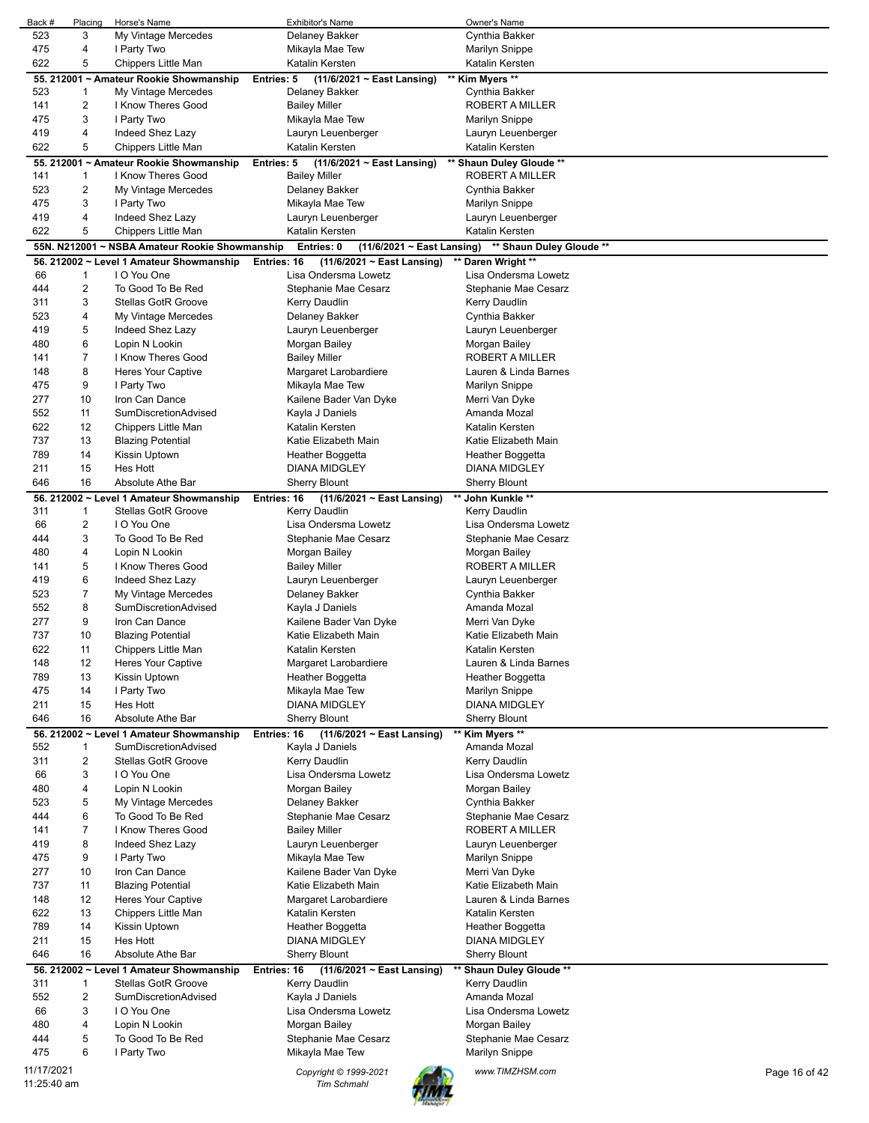| Back #      | Placing        | Horse's Name                                   | <b>Exhibitor's Name</b>                        | Owner's Name                     |               |
|-------------|----------------|------------------------------------------------|------------------------------------------------|----------------------------------|---------------|
| 523         | 3              | My Vintage Mercedes                            | Delaney Bakker                                 | Cynthia Bakker                   |               |
| 475         | 4              | I Party Two                                    | Mikayla Mae Tew                                | <b>Marilyn Snippe</b>            |               |
| 622         | 5              | Chippers Little Man                            | Katalin Kersten                                | Katalin Kersten                  |               |
|             |                | 55. 212001 ~ Amateur Rookie Showmanship        | $(11/6/2021 \sim$ East Lansing)<br>Entries: 5  | ** Kim Myers **                  |               |
| 523         | 1              | My Vintage Mercedes                            | Delaney Bakker                                 | Cynthia Bakker                   |               |
| 141         | 2              | I Know Theres Good                             | <b>Bailey Miller</b>                           | ROBERT A MILLER                  |               |
| 475         | 3              | I Party Two                                    | Mikayla Mae Tew                                | Marilyn Snippe                   |               |
| 419         | 4              | Indeed Shez Lazy                               | Lauryn Leuenberger                             | Lauryn Leuenberger               |               |
| 622         | 5              | Chippers Little Man                            | Katalin Kersten                                | Katalin Kersten                  |               |
|             |                | 55. 212001 ~ Amateur Rookie Showmanship        | Entries: 5<br>$(11/6/2021 \sim$ East Lansing)  | ** Shaun Duley Gloude **         |               |
| 141         | 1              | I Know Theres Good                             | <b>Bailey Miller</b>                           | <b>ROBERT A MILLER</b>           |               |
| 523         | 2              | My Vintage Mercedes                            |                                                | Cynthia Bakker                   |               |
|             |                |                                                | Delaney Bakker                                 |                                  |               |
| 475         | 3              | I Party Two                                    | Mikayla Mae Tew                                | <b>Marilyn Snippe</b>            |               |
| 419         | 4              | Indeed Shez Lazy                               | Lauryn Leuenberger                             | Lauryn Leuenberger               |               |
| 622         | 5              | Chippers Little Man                            | Katalin Kersten                                | Katalin Kersten                  |               |
|             |                | 55N. N212001 ~ NSBA Amateur Rookie Showmanship | Entries: 0<br>$(11/6/2021 \sim$ East Lansing)  | ** Shaun Duley Gloude **         |               |
|             |                | 56. 212002 ~ Level 1 Amateur Showmanship       | Entries: 16<br>$(11/6/2021 \sim East$ Lansing) | ** Daren Wright **               |               |
| 66          | $\mathbf{1}$   | I O You One                                    | Lisa Ondersma Lowetz                           | Lisa Ondersma Lowetz             |               |
| 444         | 2              | To Good To Be Red                              | Stephanie Mae Cesarz                           | Stephanie Mae Cesarz             |               |
| 311         | 3              | <b>Stellas GotR Groove</b>                     | Kerry Daudlin                                  | Kerry Daudlin                    |               |
| 523         | 4              | My Vintage Mercedes                            | Delaney Bakker                                 | Cynthia Bakker                   |               |
| 419         | 5              | Indeed Shez Lazy                               | Lauryn Leuenberger                             | Lauryn Leuenberger               |               |
| 480         | 6              | Lopin N Lookin                                 | Morgan Bailey                                  | Morgan Bailey                    |               |
| 141         | 7              | I Know Theres Good                             | <b>Bailey Miller</b>                           | ROBERT A MILLER                  |               |
| 148         | 8              | <b>Heres Your Captive</b>                      | Margaret Larobardiere                          | Lauren & Linda Barnes            |               |
| 475         | 9              | I Party Two                                    | Mikayla Mae Tew                                | Marilyn Snippe                   |               |
| 277         | 10             | Iron Can Dance                                 | Kailene Bader Van Dyke                         | Merri Van Dyke                   |               |
| 552         | 11             | SumDiscretionAdvised                           | Kayla J Daniels                                | Amanda Mozal                     |               |
| 622         | 12             | Chippers Little Man                            | Katalin Kersten                                | Katalin Kersten                  |               |
| 737         | 13             | <b>Blazing Potential</b>                       | Katie Elizabeth Main                           | Katie Elizabeth Main             |               |
| 789         | 14             | Kissin Uptown                                  | Heather Boggetta                               | Heather Boggetta                 |               |
| 211         | 15             | Hes Hott                                       | <b>DIANA MIDGLEY</b>                           | DIANA MIDGLEY                    |               |
| 646         | 16             | Absolute Athe Bar                              | <b>Sherry Blount</b>                           | <b>Sherry Blount</b>             |               |
|             |                |                                                |                                                |                                  |               |
|             |                | 56. 212002 ~ Level 1 Amateur Showmanship       | Entries: 16<br>$(11/6/2021 \sim$ East Lansing) | ** John Kunkle **                |               |
| 311         | -1             | <b>Stellas GotR Groove</b>                     | Kerry Daudlin                                  | Kerry Daudlin                    |               |
| 66          | 2              | I O You One                                    | Lisa Ondersma Lowetz                           | Lisa Ondersma Lowetz             |               |
| 444         | 3              | To Good To Be Red                              | Stephanie Mae Cesarz                           | Stephanie Mae Cesarz             |               |
| 480         | 4              | Lopin N Lookin                                 | Morgan Bailey                                  | Morgan Bailey                    |               |
| 141         | 5              | I Know Theres Good                             | <b>Bailey Miller</b>                           | ROBERT A MILLER                  |               |
| 419         | 6              | Indeed Shez Lazy                               | Lauryn Leuenberger                             | Lauryn Leuenberger               |               |
| 523         | $\overline{7}$ | My Vintage Mercedes                            | Delaney Bakker                                 | Cynthia Bakker                   |               |
| 552         | 8              | SumDiscretionAdvised                           | Kayla J Daniels                                | Amanda Mozal                     |               |
| 277         | 9              | Iron Can Dance                                 | Kailene Bader Van Dyke                         | Merri Van Dyke                   |               |
| 737         | 10             | <b>Blazing Potential</b>                       | Katie Elizabeth Main                           | Katie Elizabeth Main             |               |
| 622         | 11             | Chippers Little Man                            | Katalin Kersten                                | Katalin Kersten                  |               |
| 148         | 12             | <b>Heres Your Captive</b>                      | Margaret Larobardiere                          | Lauren & Linda Barnes            |               |
| 789         | 13             | Kissin Uptown                                  | Heather Boggetta                               | Heather Boggetta                 |               |
| 475         | 14             | I Party Two                                    | Mikayla Mae Tew                                | Marilyn Snippe                   |               |
| 211         | 15             | Hes Hott                                       | <b>DIANA MIDGLEY</b>                           | DIANA MIDGLEY                    |               |
| 646         | 16             | Absolute Athe Bar                              | <b>Sherry Blount</b>                           | <b>Sherry Blount</b>             |               |
|             |                | 56. 212002 ~ Level 1 Amateur Showmanship       | Entries: 16<br>$(11/6/2021 \sim$ East Lansing) | ** Kim Myers **                  |               |
| 552         | 1              | SumDiscretionAdvised                           | Kayla J Daniels                                | Amanda Mozal                     |               |
| 311         | 2              | <b>Stellas GotR Groove</b>                     | Kerry Daudlin                                  | Kerry Daudlin                    |               |
| 66          | 3              | I O You One                                    | Lisa Ondersma Lowetz                           | Lisa Ondersma Lowetz             |               |
| 480         | 4              | Lopin N Lookin                                 | Morgan Bailey                                  | Morgan Bailey                    |               |
| 523         | 5              | My Vintage Mercedes                            | Delaney Bakker                                 | Cynthia Bakker                   |               |
| 444         | 6              | To Good To Be Red                              | Stephanie Mae Cesarz                           | Stephanie Mae Cesarz             |               |
| 141         | $\overline{7}$ | I Know Theres Good                             | <b>Bailey Miller</b>                           | ROBERT A MILLER                  |               |
| 419         | 8              | Indeed Shez Lazy                               | Lauryn Leuenberger                             | Lauryn Leuenberger               |               |
| 475         | 9              |                                                | Mikayla Mae Tew                                |                                  |               |
| 277         | 10             | I Party Two<br>Iron Can Dance                  | Kailene Bader Van Dyke                         | Marilyn Snippe<br>Merri Van Dyke |               |
|             |                |                                                |                                                |                                  |               |
| 737         | 11             | <b>Blazing Potential</b>                       | Katie Elizabeth Main                           | Katie Elizabeth Main             |               |
| 148         | 12             | Heres Your Captive                             | Margaret Larobardiere                          | Lauren & Linda Barnes            |               |
| 622         | 13             | Chippers Little Man                            | Katalin Kersten                                | Katalin Kersten                  |               |
| 789         | 14             | Kissin Uptown                                  | Heather Boggetta                               | Heather Boggetta                 |               |
| 211         | 15             | Hes Hott                                       | <b>DIANA MIDGLEY</b>                           | DIANA MIDGLEY                    |               |
| 646         | 16             | Absolute Athe Bar                              | <b>Sherry Blount</b>                           | <b>Sherry Blount</b>             |               |
|             |                | 56. 212002 ~ Level 1 Amateur Showmanship       | Entries: 16<br>$(11/6/2021 \sim East$ Lansing) | ** Shaun Duley Gloude **         |               |
| 311         | 1              | Stellas GotR Groove                            | Kerry Daudlin                                  | Kerry Daudlin                    |               |
| 552         | 2              | SumDiscretionAdvised                           | Kayla J Daniels                                | Amanda Mozal                     |               |
| 66          | 3              | I O You One                                    | Lisa Ondersma Lowetz                           | Lisa Ondersma Lowetz             |               |
| 480         | 4              | Lopin N Lookin                                 | Morgan Bailey                                  | Morgan Bailey                    |               |
| 444         | 5              | To Good To Be Red                              | Stephanie Mae Cesarz                           | Stephanie Mae Cesarz             |               |
| 475         | 6              | I Party Two                                    | Mikayla Mae Tew                                | <b>Marilyn Snippe</b>            |               |
| 11/17/2021  |                |                                                | Copyright © 1999-2021                          | www.TIMZHSM.com                  | Page 16 of 42 |
| 11:25:40 am |                |                                                | <b>Tim Schmahl</b>                             |                                  |               |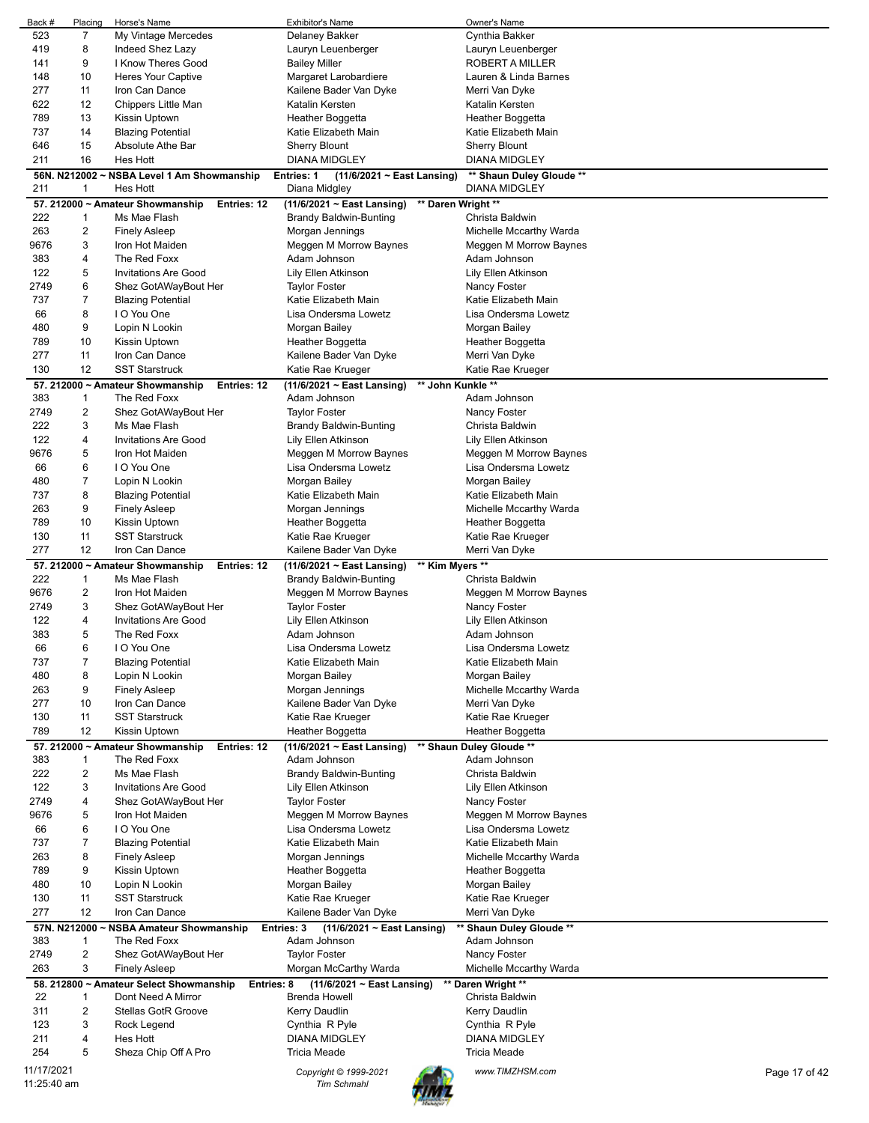| 523<br>7<br>My Vintage Mercedes<br>Cynthia Bakker<br>419<br>8<br>Indeed Shez Lazy<br>Lauryn Leuenberger<br>Lauryn Leuenberger<br>9<br>I Know Theres Good<br>141<br><b>Bailey Miller</b><br>ROBERT A MILLER<br>10<br>148<br><b>Heres Your Captive</b><br>Margaret Larobardiere<br>Lauren & Linda Barnes<br>277<br>11<br>Iron Can Dance<br>Kailene Bader Van Dyke<br>Merri Van Dyke<br>622<br>12<br>Chippers Little Man<br>Katalin Kersten<br>Katalin Kersten<br>13<br>789<br>Kissin Uptown<br>Heather Boggetta<br>Heather Boggetta<br>737<br>14<br><b>Blazing Potential</b><br>Katie Elizabeth Main<br>Katie Elizabeth Main<br>15<br>646<br>Absolute Athe Bar<br><b>Sherry Blount</b><br><b>Sherry Blount</b><br>211<br>16<br><b>Hes Hott</b><br><b>DIANA MIDGLEY</b><br><b>DIANA MIDGLEY</b><br>56N. N212002 ~ NSBA Level 1 Am Showmanship<br>Entries: 1<br>$(11/6/2021 \sim$ East Lansing)<br>** Shaun Duley Gloude **<br>211<br>1<br>Hes Hott<br><b>DIANA MIDGLEY</b><br>Diana Midgley<br>57. 212000 ~ Amateur Showmanship<br>$(11/6/2021 \sim East$ Lansing)<br>** Daren Wright **<br><b>Entries: 12</b><br>222<br>$\mathbf{1}$<br>Ms Mae Flash<br><b>Brandy Baldwin-Bunting</b><br>Christa Baldwin<br>263<br>$\overline{\mathbf{c}}$<br><b>Finely Asleep</b><br>Morgan Jennings<br>Michelle Mccarthy Warda<br>3<br>9676<br>Iron Hot Maiden<br>Meggen M Morrow Baynes<br>Meggen M Morrow Baynes<br>383<br>4<br>The Red Foxx<br>Adam Johnson<br>Adam Johnson<br>122<br>5<br><b>Invitations Are Good</b><br>Lily Ellen Atkinson<br>Lily Ellen Atkinson<br>6<br>2749<br>Shez GotAWayBout Her<br><b>Taylor Foster</b><br>Nancy Foster<br>$\overline{7}$<br>737<br><b>Blazing Potential</b><br>Katie Elizabeth Main<br>Katie Elizabeth Main<br>8<br>I O You One<br>66<br>Lisa Ondersma Lowetz<br>Lisa Ondersma Lowetz<br>9<br>480<br>Lopin N Lookin<br>Morgan Bailey<br>Morgan Bailey<br>789<br>10<br>Kissin Uptown<br>Heather Boggetta<br>Heather Boggetta<br>277<br>11<br>Iron Can Dance<br>Kailene Bader Van Dyke<br>Merri Van Dyke<br>130<br>12<br><b>SST Starstruck</b><br>Katie Rae Krueger<br>Katie Rae Krueger<br>** John Kunkle **<br>$(11/6/2021 \sim East$ Lansing)<br>57. 212000 ~ Amateur Showmanship<br>Entries: 12<br>383<br>$\mathbf{1}$<br>The Red Foxx<br>Adam Johnson<br>Adam Johnson<br>2<br>2749<br>Shez GotAWayBout Her<br><b>Taylor Foster</b><br>Nancy Foster<br>3<br>222<br>Ms Mae Flash<br><b>Brandy Baldwin-Bunting</b><br>Christa Baldwin<br>122<br>4<br><b>Invitations Are Good</b><br>Lily Ellen Atkinson<br>Lily Ellen Atkinson<br>5<br>9676<br>Iron Hot Maiden<br>Meggen M Morrow Baynes<br>Meggen M Morrow Baynes<br>6<br>I O You One<br>66<br>Lisa Ondersma Lowetz<br>Lisa Ondersma Lowetz<br>$\overline{7}$<br>480<br>Lopin N Lookin<br>Morgan Bailey<br>Morgan Bailey<br>8<br>737<br><b>Blazing Potential</b><br>Katie Elizabeth Main<br>Katie Elizabeth Main<br>263<br>9<br><b>Finely Asleep</b><br>Michelle Mccarthy Warda<br>Morgan Jennings<br>789<br>10<br>Kissin Uptown<br>Heather Boggetta<br>Heather Boggetta<br>11<br>130<br><b>SST Starstruck</b><br>Katie Rae Krueger<br>Katie Rae Krueger<br>277<br>12<br>Iron Can Dance<br>Kailene Bader Van Dyke<br>Merri Van Dyke<br>** Kim Myers **<br>57. 212000 ~ Amateur Showmanship<br>Entries: 12<br>$(11/6/2021 \sim$ East Lansing)<br>222<br>$\mathbf{1}$<br>Ms Mae Flash<br><b>Brandy Baldwin-Bunting</b><br>Christa Baldwin<br>$\overline{\mathbf{c}}$<br>9676<br>Meggen M Morrow Baynes<br>Meggen M Morrow Baynes<br>Iron Hot Maiden<br>3<br>2749<br>Shez GotAWayBout Her<br><b>Taylor Foster</b><br>Nancy Foster<br>122<br>4<br><b>Invitations Are Good</b><br>Lily Ellen Atkinson<br>Lily Ellen Atkinson<br>5<br>383<br>The Red Foxx<br>Adam Johnson<br>Adam Johnson<br>66<br>6<br>I O You One<br>Lisa Ondersma Lowetz<br>Lisa Ondersma Lowetz<br>$\overline{7}$<br><b>Blazing Potential</b><br>Katie Elizabeth Main<br>737<br>Katie Elizabeth Main<br>480<br>8<br>Lopin N Lookin<br>Morgan Bailey<br>Morgan Bailey<br>9<br>263<br><b>Finely Asleep</b><br>Morgan Jennings<br>Michelle Mccarthy Warda<br>277<br>10<br>Kailene Bader Van Dyke<br>Iron Can Dance<br>Merri Van Dyke<br>130<br>11<br><b>SST Starstruck</b><br>Katie Rae Krueger<br>Katie Rae Krueger<br>12<br>789<br>Kissin Uptown<br>Heather Boggetta<br>Heather Boggetta<br>57. 212000 ~ Amateur Showmanship<br>(11/6/2021 ~ East Lansing)<br>** Shaun Duley Gloude **<br>Entries: 12<br>383<br>$\mathbf{1}$<br>The Red Foxx<br>Adam Johnson<br>Adam Johnson<br>222<br>$\overline{2}$<br>Ms Mae Flash<br><b>Brandy Baldwin-Bunting</b><br>Christa Baldwin<br>3<br>122<br><b>Invitations Are Good</b><br>Lily Ellen Atkinson<br>Lily Ellen Atkinson<br>2749<br>4<br>Shez GotAWayBout Her<br><b>Taylor Foster</b><br>Nancy Foster<br>5<br>9676<br>Iron Hot Maiden<br>Meggen M Morrow Baynes<br>Meggen M Morrow Baynes<br>6<br>I O You One<br>66<br>Lisa Ondersma Lowetz<br>Lisa Ondersma Lowetz<br>$\overline{7}$<br>737<br><b>Blazing Potential</b><br>Katie Elizabeth Main<br>Katie Elizabeth Main<br>263<br>8<br><b>Finely Asleep</b><br>Michelle Mccarthy Warda<br>Morgan Jennings<br>9<br>789<br>Kissin Uptown<br>Heather Boggetta<br>Heather Boggetta<br>10<br>480<br>Lopin N Lookin<br>Morgan Bailey<br>Morgan Bailey<br>11<br>130<br><b>SST Starstruck</b><br>Katie Rae Krueger<br>Katie Rae Krueger<br>277<br>12<br>Kailene Bader Van Dyke<br>Iron Can Dance<br>Merri Van Dyke<br>** Shaun Duley Gloude **<br>57N. N212000 ~ NSBA Amateur Showmanship<br>Entries: 3<br>(11/6/2021 ~ East Lansing)<br>383<br>$\mathbf{1}$<br>The Red Foxx<br>Adam Johnson<br>Adam Johnson<br>$\overline{2}$<br>2749<br><b>Taylor Foster</b><br>Shez GotAWayBout Her<br>Nancy Foster<br>3<br>263<br><b>Finely Asleep</b><br>Morgan McCarthy Warda<br>Michelle Mccarthy Warda<br>** Daren Wright **<br>58. 212800 ~ Amateur Select Showmanship<br>$(11/6/2021 \sim East$ Lansing)<br>Entries: 8<br>22<br>$\mathbf{1}$<br>Dont Need A Mirror<br><b>Brenda Howell</b><br>Christa Baldwin<br>2<br>311<br><b>Stellas GotR Groove</b><br>Kerry Daudlin<br>Kerry Daudlin<br>123<br>3<br>Rock Legend<br>Cynthia R Pyle<br>Cynthia R Pyle<br>4<br>Hes Hott<br>211<br><b>DIANA MIDGLEY</b><br>DIANA MIDGLEY<br>254<br>5<br>Sheza Chip Off A Pro<br><b>Tricia Meade</b><br><b>Tricia Meade</b><br>11/17/2021<br>Copyright © 1999-2021<br>www.TIMZHSM.com<br>Page 17 of 42<br>11:25:40 am<br><b>Tim Schmahl</b> | Back # | Placing | Horse's Name | Exhibitor's Name | Owner's Name |  |
|------------------------------------------------------------------------------------------------------------------------------------------------------------------------------------------------------------------------------------------------------------------------------------------------------------------------------------------------------------------------------------------------------------------------------------------------------------------------------------------------------------------------------------------------------------------------------------------------------------------------------------------------------------------------------------------------------------------------------------------------------------------------------------------------------------------------------------------------------------------------------------------------------------------------------------------------------------------------------------------------------------------------------------------------------------------------------------------------------------------------------------------------------------------------------------------------------------------------------------------------------------------------------------------------------------------------------------------------------------------------------------------------------------------------------------------------------------------------------------------------------------------------------------------------------------------------------------------------------------------------------------------------------------------------------------------------------------------------------------------------------------------------------------------------------------------------------------------------------------------------------------------------------------------------------------------------------------------------------------------------------------------------------------------------------------------------------------------------------------------------------------------------------------------------------------------------------------------------------------------------------------------------------------------------------------------------------------------------------------------------------------------------------------------------------------------------------------------------------------------------------------------------------------------------------------------------------------------------------------------------------------------------------------------------------------------------------------------------------------------------------------------------------------------------------------------------------------------------------------------------------------------------------------------------------------------------------------------------------------------------------------------------------------------------------------------------------------------------------------------------------------------------------------------------------------------------------------------------------------------------------------------------------------------------------------------------------------------------------------------------------------------------------------------------------------------------------------------------------------------------------------------------------------------------------------------------------------------------------------------------------------------------------------------------------------------------------------------------------------------------------------------------------------------------------------------------------------------------------------------------------------------------------------------------------------------------------------------------------------------------------------------------------------------------------------------------------------------------------------------------------------------------------------------------------------------------------------------------------------------------------------------------------------------------------------------------------------------------------------------------------------------------------------------------------------------------------------------------------------------------------------------------------------------------------------------------------------------------------------------------------------------------------------------------------------------------------------------------------------------------------------------------------------------------------------------------------------------------------------------------------------------------------------------------------------------------------------------------------------------------------------------------------------------------------------------------------------------------------------------------------------------------------------------------------------------------------------------------------------------------------------------------------------------------------------------------------------------------------------------------------------------------------------------------------------------------------------------------------------------------------------------------------------------------------------------------------------------------------------------------------------------------------------------------------------------------------------------------------------------------------------------------------------------------------------------------------------------------------------------------------------------------------------------------------------------------------------------------------------------------------------------------------------------------------------------------------------------------------------------------------------------------------------------------------------------------------------------------------------------------------------------------------------------------------------------------------------------------------------------------------------------------------------------------------------------------------|--------|---------|--------------|------------------|--------------|--|
|                                                                                                                                                                                                                                                                                                                                                                                                                                                                                                                                                                                                                                                                                                                                                                                                                                                                                                                                                                                                                                                                                                                                                                                                                                                                                                                                                                                                                                                                                                                                                                                                                                                                                                                                                                                                                                                                                                                                                                                                                                                                                                                                                                                                                                                                                                                                                                                                                                                                                                                                                                                                                                                                                                                                                                                                                                                                                                                                                                                                                                                                                                                                                                                                                                                                                                                                                                                                                                                                                                                                                                                                                                                                                                                                                                                                                                                                                                                                                                                                                                                                                                                                                                                                                                                                                                                                                                                                                                                                                                                                                                                                                                                                                                                                                                                                                                                                                                                                                                                                                                                                                                                                                                                                                                                                                                                                                                                                                                                                                                                                                                                                                                                                                                                                                                                                                                                                                                                                                                                                                                                                                                                                                                                                                                                                                                                                                                                                                                                      |        |         |              | Delaney Bakker   |              |  |
|                                                                                                                                                                                                                                                                                                                                                                                                                                                                                                                                                                                                                                                                                                                                                                                                                                                                                                                                                                                                                                                                                                                                                                                                                                                                                                                                                                                                                                                                                                                                                                                                                                                                                                                                                                                                                                                                                                                                                                                                                                                                                                                                                                                                                                                                                                                                                                                                                                                                                                                                                                                                                                                                                                                                                                                                                                                                                                                                                                                                                                                                                                                                                                                                                                                                                                                                                                                                                                                                                                                                                                                                                                                                                                                                                                                                                                                                                                                                                                                                                                                                                                                                                                                                                                                                                                                                                                                                                                                                                                                                                                                                                                                                                                                                                                                                                                                                                                                                                                                                                                                                                                                                                                                                                                                                                                                                                                                                                                                                                                                                                                                                                                                                                                                                                                                                                                                                                                                                                                                                                                                                                                                                                                                                                                                                                                                                                                                                                                                      |        |         |              |                  |              |  |
|                                                                                                                                                                                                                                                                                                                                                                                                                                                                                                                                                                                                                                                                                                                                                                                                                                                                                                                                                                                                                                                                                                                                                                                                                                                                                                                                                                                                                                                                                                                                                                                                                                                                                                                                                                                                                                                                                                                                                                                                                                                                                                                                                                                                                                                                                                                                                                                                                                                                                                                                                                                                                                                                                                                                                                                                                                                                                                                                                                                                                                                                                                                                                                                                                                                                                                                                                                                                                                                                                                                                                                                                                                                                                                                                                                                                                                                                                                                                                                                                                                                                                                                                                                                                                                                                                                                                                                                                                                                                                                                                                                                                                                                                                                                                                                                                                                                                                                                                                                                                                                                                                                                                                                                                                                                                                                                                                                                                                                                                                                                                                                                                                                                                                                                                                                                                                                                                                                                                                                                                                                                                                                                                                                                                                                                                                                                                                                                                                                                      |        |         |              |                  |              |  |
|                                                                                                                                                                                                                                                                                                                                                                                                                                                                                                                                                                                                                                                                                                                                                                                                                                                                                                                                                                                                                                                                                                                                                                                                                                                                                                                                                                                                                                                                                                                                                                                                                                                                                                                                                                                                                                                                                                                                                                                                                                                                                                                                                                                                                                                                                                                                                                                                                                                                                                                                                                                                                                                                                                                                                                                                                                                                                                                                                                                                                                                                                                                                                                                                                                                                                                                                                                                                                                                                                                                                                                                                                                                                                                                                                                                                                                                                                                                                                                                                                                                                                                                                                                                                                                                                                                                                                                                                                                                                                                                                                                                                                                                                                                                                                                                                                                                                                                                                                                                                                                                                                                                                                                                                                                                                                                                                                                                                                                                                                                                                                                                                                                                                                                                                                                                                                                                                                                                                                                                                                                                                                                                                                                                                                                                                                                                                                                                                                                                      |        |         |              |                  |              |  |
|                                                                                                                                                                                                                                                                                                                                                                                                                                                                                                                                                                                                                                                                                                                                                                                                                                                                                                                                                                                                                                                                                                                                                                                                                                                                                                                                                                                                                                                                                                                                                                                                                                                                                                                                                                                                                                                                                                                                                                                                                                                                                                                                                                                                                                                                                                                                                                                                                                                                                                                                                                                                                                                                                                                                                                                                                                                                                                                                                                                                                                                                                                                                                                                                                                                                                                                                                                                                                                                                                                                                                                                                                                                                                                                                                                                                                                                                                                                                                                                                                                                                                                                                                                                                                                                                                                                                                                                                                                                                                                                                                                                                                                                                                                                                                                                                                                                                                                                                                                                                                                                                                                                                                                                                                                                                                                                                                                                                                                                                                                                                                                                                                                                                                                                                                                                                                                                                                                                                                                                                                                                                                                                                                                                                                                                                                                                                                                                                                                                      |        |         |              |                  |              |  |
|                                                                                                                                                                                                                                                                                                                                                                                                                                                                                                                                                                                                                                                                                                                                                                                                                                                                                                                                                                                                                                                                                                                                                                                                                                                                                                                                                                                                                                                                                                                                                                                                                                                                                                                                                                                                                                                                                                                                                                                                                                                                                                                                                                                                                                                                                                                                                                                                                                                                                                                                                                                                                                                                                                                                                                                                                                                                                                                                                                                                                                                                                                                                                                                                                                                                                                                                                                                                                                                                                                                                                                                                                                                                                                                                                                                                                                                                                                                                                                                                                                                                                                                                                                                                                                                                                                                                                                                                                                                                                                                                                                                                                                                                                                                                                                                                                                                                                                                                                                                                                                                                                                                                                                                                                                                                                                                                                                                                                                                                                                                                                                                                                                                                                                                                                                                                                                                                                                                                                                                                                                                                                                                                                                                                                                                                                                                                                                                                                                                      |        |         |              |                  |              |  |
|                                                                                                                                                                                                                                                                                                                                                                                                                                                                                                                                                                                                                                                                                                                                                                                                                                                                                                                                                                                                                                                                                                                                                                                                                                                                                                                                                                                                                                                                                                                                                                                                                                                                                                                                                                                                                                                                                                                                                                                                                                                                                                                                                                                                                                                                                                                                                                                                                                                                                                                                                                                                                                                                                                                                                                                                                                                                                                                                                                                                                                                                                                                                                                                                                                                                                                                                                                                                                                                                                                                                                                                                                                                                                                                                                                                                                                                                                                                                                                                                                                                                                                                                                                                                                                                                                                                                                                                                                                                                                                                                                                                                                                                                                                                                                                                                                                                                                                                                                                                                                                                                                                                                                                                                                                                                                                                                                                                                                                                                                                                                                                                                                                                                                                                                                                                                                                                                                                                                                                                                                                                                                                                                                                                                                                                                                                                                                                                                                                                      |        |         |              |                  |              |  |
|                                                                                                                                                                                                                                                                                                                                                                                                                                                                                                                                                                                                                                                                                                                                                                                                                                                                                                                                                                                                                                                                                                                                                                                                                                                                                                                                                                                                                                                                                                                                                                                                                                                                                                                                                                                                                                                                                                                                                                                                                                                                                                                                                                                                                                                                                                                                                                                                                                                                                                                                                                                                                                                                                                                                                                                                                                                                                                                                                                                                                                                                                                                                                                                                                                                                                                                                                                                                                                                                                                                                                                                                                                                                                                                                                                                                                                                                                                                                                                                                                                                                                                                                                                                                                                                                                                                                                                                                                                                                                                                                                                                                                                                                                                                                                                                                                                                                                                                                                                                                                                                                                                                                                                                                                                                                                                                                                                                                                                                                                                                                                                                                                                                                                                                                                                                                                                                                                                                                                                                                                                                                                                                                                                                                                                                                                                                                                                                                                                                      |        |         |              |                  |              |  |
|                                                                                                                                                                                                                                                                                                                                                                                                                                                                                                                                                                                                                                                                                                                                                                                                                                                                                                                                                                                                                                                                                                                                                                                                                                                                                                                                                                                                                                                                                                                                                                                                                                                                                                                                                                                                                                                                                                                                                                                                                                                                                                                                                                                                                                                                                                                                                                                                                                                                                                                                                                                                                                                                                                                                                                                                                                                                                                                                                                                                                                                                                                                                                                                                                                                                                                                                                                                                                                                                                                                                                                                                                                                                                                                                                                                                                                                                                                                                                                                                                                                                                                                                                                                                                                                                                                                                                                                                                                                                                                                                                                                                                                                                                                                                                                                                                                                                                                                                                                                                                                                                                                                                                                                                                                                                                                                                                                                                                                                                                                                                                                                                                                                                                                                                                                                                                                                                                                                                                                                                                                                                                                                                                                                                                                                                                                                                                                                                                                                      |        |         |              |                  |              |  |
|                                                                                                                                                                                                                                                                                                                                                                                                                                                                                                                                                                                                                                                                                                                                                                                                                                                                                                                                                                                                                                                                                                                                                                                                                                                                                                                                                                                                                                                                                                                                                                                                                                                                                                                                                                                                                                                                                                                                                                                                                                                                                                                                                                                                                                                                                                                                                                                                                                                                                                                                                                                                                                                                                                                                                                                                                                                                                                                                                                                                                                                                                                                                                                                                                                                                                                                                                                                                                                                                                                                                                                                                                                                                                                                                                                                                                                                                                                                                                                                                                                                                                                                                                                                                                                                                                                                                                                                                                                                                                                                                                                                                                                                                                                                                                                                                                                                                                                                                                                                                                                                                                                                                                                                                                                                                                                                                                                                                                                                                                                                                                                                                                                                                                                                                                                                                                                                                                                                                                                                                                                                                                                                                                                                                                                                                                                                                                                                                                                                      |        |         |              |                  |              |  |
|                                                                                                                                                                                                                                                                                                                                                                                                                                                                                                                                                                                                                                                                                                                                                                                                                                                                                                                                                                                                                                                                                                                                                                                                                                                                                                                                                                                                                                                                                                                                                                                                                                                                                                                                                                                                                                                                                                                                                                                                                                                                                                                                                                                                                                                                                                                                                                                                                                                                                                                                                                                                                                                                                                                                                                                                                                                                                                                                                                                                                                                                                                                                                                                                                                                                                                                                                                                                                                                                                                                                                                                                                                                                                                                                                                                                                                                                                                                                                                                                                                                                                                                                                                                                                                                                                                                                                                                                                                                                                                                                                                                                                                                                                                                                                                                                                                                                                                                                                                                                                                                                                                                                                                                                                                                                                                                                                                                                                                                                                                                                                                                                                                                                                                                                                                                                                                                                                                                                                                                                                                                                                                                                                                                                                                                                                                                                                                                                                                                      |        |         |              |                  |              |  |
|                                                                                                                                                                                                                                                                                                                                                                                                                                                                                                                                                                                                                                                                                                                                                                                                                                                                                                                                                                                                                                                                                                                                                                                                                                                                                                                                                                                                                                                                                                                                                                                                                                                                                                                                                                                                                                                                                                                                                                                                                                                                                                                                                                                                                                                                                                                                                                                                                                                                                                                                                                                                                                                                                                                                                                                                                                                                                                                                                                                                                                                                                                                                                                                                                                                                                                                                                                                                                                                                                                                                                                                                                                                                                                                                                                                                                                                                                                                                                                                                                                                                                                                                                                                                                                                                                                                                                                                                                                                                                                                                                                                                                                                                                                                                                                                                                                                                                                                                                                                                                                                                                                                                                                                                                                                                                                                                                                                                                                                                                                                                                                                                                                                                                                                                                                                                                                                                                                                                                                                                                                                                                                                                                                                                                                                                                                                                                                                                                                                      |        |         |              |                  |              |  |
|                                                                                                                                                                                                                                                                                                                                                                                                                                                                                                                                                                                                                                                                                                                                                                                                                                                                                                                                                                                                                                                                                                                                                                                                                                                                                                                                                                                                                                                                                                                                                                                                                                                                                                                                                                                                                                                                                                                                                                                                                                                                                                                                                                                                                                                                                                                                                                                                                                                                                                                                                                                                                                                                                                                                                                                                                                                                                                                                                                                                                                                                                                                                                                                                                                                                                                                                                                                                                                                                                                                                                                                                                                                                                                                                                                                                                                                                                                                                                                                                                                                                                                                                                                                                                                                                                                                                                                                                                                                                                                                                                                                                                                                                                                                                                                                                                                                                                                                                                                                                                                                                                                                                                                                                                                                                                                                                                                                                                                                                                                                                                                                                                                                                                                                                                                                                                                                                                                                                                                                                                                                                                                                                                                                                                                                                                                                                                                                                                                                      |        |         |              |                  |              |  |
|                                                                                                                                                                                                                                                                                                                                                                                                                                                                                                                                                                                                                                                                                                                                                                                                                                                                                                                                                                                                                                                                                                                                                                                                                                                                                                                                                                                                                                                                                                                                                                                                                                                                                                                                                                                                                                                                                                                                                                                                                                                                                                                                                                                                                                                                                                                                                                                                                                                                                                                                                                                                                                                                                                                                                                                                                                                                                                                                                                                                                                                                                                                                                                                                                                                                                                                                                                                                                                                                                                                                                                                                                                                                                                                                                                                                                                                                                                                                                                                                                                                                                                                                                                                                                                                                                                                                                                                                                                                                                                                                                                                                                                                                                                                                                                                                                                                                                                                                                                                                                                                                                                                                                                                                                                                                                                                                                                                                                                                                                                                                                                                                                                                                                                                                                                                                                                                                                                                                                                                                                                                                                                                                                                                                                                                                                                                                                                                                                                                      |        |         |              |                  |              |  |
|                                                                                                                                                                                                                                                                                                                                                                                                                                                                                                                                                                                                                                                                                                                                                                                                                                                                                                                                                                                                                                                                                                                                                                                                                                                                                                                                                                                                                                                                                                                                                                                                                                                                                                                                                                                                                                                                                                                                                                                                                                                                                                                                                                                                                                                                                                                                                                                                                                                                                                                                                                                                                                                                                                                                                                                                                                                                                                                                                                                                                                                                                                                                                                                                                                                                                                                                                                                                                                                                                                                                                                                                                                                                                                                                                                                                                                                                                                                                                                                                                                                                                                                                                                                                                                                                                                                                                                                                                                                                                                                                                                                                                                                                                                                                                                                                                                                                                                                                                                                                                                                                                                                                                                                                                                                                                                                                                                                                                                                                                                                                                                                                                                                                                                                                                                                                                                                                                                                                                                                                                                                                                                                                                                                                                                                                                                                                                                                                                                                      |        |         |              |                  |              |  |
|                                                                                                                                                                                                                                                                                                                                                                                                                                                                                                                                                                                                                                                                                                                                                                                                                                                                                                                                                                                                                                                                                                                                                                                                                                                                                                                                                                                                                                                                                                                                                                                                                                                                                                                                                                                                                                                                                                                                                                                                                                                                                                                                                                                                                                                                                                                                                                                                                                                                                                                                                                                                                                                                                                                                                                                                                                                                                                                                                                                                                                                                                                                                                                                                                                                                                                                                                                                                                                                                                                                                                                                                                                                                                                                                                                                                                                                                                                                                                                                                                                                                                                                                                                                                                                                                                                                                                                                                                                                                                                                                                                                                                                                                                                                                                                                                                                                                                                                                                                                                                                                                                                                                                                                                                                                                                                                                                                                                                                                                                                                                                                                                                                                                                                                                                                                                                                                                                                                                                                                                                                                                                                                                                                                                                                                                                                                                                                                                                                                      |        |         |              |                  |              |  |
|                                                                                                                                                                                                                                                                                                                                                                                                                                                                                                                                                                                                                                                                                                                                                                                                                                                                                                                                                                                                                                                                                                                                                                                                                                                                                                                                                                                                                                                                                                                                                                                                                                                                                                                                                                                                                                                                                                                                                                                                                                                                                                                                                                                                                                                                                                                                                                                                                                                                                                                                                                                                                                                                                                                                                                                                                                                                                                                                                                                                                                                                                                                                                                                                                                                                                                                                                                                                                                                                                                                                                                                                                                                                                                                                                                                                                                                                                                                                                                                                                                                                                                                                                                                                                                                                                                                                                                                                                                                                                                                                                                                                                                                                                                                                                                                                                                                                                                                                                                                                                                                                                                                                                                                                                                                                                                                                                                                                                                                                                                                                                                                                                                                                                                                                                                                                                                                                                                                                                                                                                                                                                                                                                                                                                                                                                                                                                                                                                                                      |        |         |              |                  |              |  |
|                                                                                                                                                                                                                                                                                                                                                                                                                                                                                                                                                                                                                                                                                                                                                                                                                                                                                                                                                                                                                                                                                                                                                                                                                                                                                                                                                                                                                                                                                                                                                                                                                                                                                                                                                                                                                                                                                                                                                                                                                                                                                                                                                                                                                                                                                                                                                                                                                                                                                                                                                                                                                                                                                                                                                                                                                                                                                                                                                                                                                                                                                                                                                                                                                                                                                                                                                                                                                                                                                                                                                                                                                                                                                                                                                                                                                                                                                                                                                                                                                                                                                                                                                                                                                                                                                                                                                                                                                                                                                                                                                                                                                                                                                                                                                                                                                                                                                                                                                                                                                                                                                                                                                                                                                                                                                                                                                                                                                                                                                                                                                                                                                                                                                                                                                                                                                                                                                                                                                                                                                                                                                                                                                                                                                                                                                                                                                                                                                                                      |        |         |              |                  |              |  |
|                                                                                                                                                                                                                                                                                                                                                                                                                                                                                                                                                                                                                                                                                                                                                                                                                                                                                                                                                                                                                                                                                                                                                                                                                                                                                                                                                                                                                                                                                                                                                                                                                                                                                                                                                                                                                                                                                                                                                                                                                                                                                                                                                                                                                                                                                                                                                                                                                                                                                                                                                                                                                                                                                                                                                                                                                                                                                                                                                                                                                                                                                                                                                                                                                                                                                                                                                                                                                                                                                                                                                                                                                                                                                                                                                                                                                                                                                                                                                                                                                                                                                                                                                                                                                                                                                                                                                                                                                                                                                                                                                                                                                                                                                                                                                                                                                                                                                                                                                                                                                                                                                                                                                                                                                                                                                                                                                                                                                                                                                                                                                                                                                                                                                                                                                                                                                                                                                                                                                                                                                                                                                                                                                                                                                                                                                                                                                                                                                                                      |        |         |              |                  |              |  |
|                                                                                                                                                                                                                                                                                                                                                                                                                                                                                                                                                                                                                                                                                                                                                                                                                                                                                                                                                                                                                                                                                                                                                                                                                                                                                                                                                                                                                                                                                                                                                                                                                                                                                                                                                                                                                                                                                                                                                                                                                                                                                                                                                                                                                                                                                                                                                                                                                                                                                                                                                                                                                                                                                                                                                                                                                                                                                                                                                                                                                                                                                                                                                                                                                                                                                                                                                                                                                                                                                                                                                                                                                                                                                                                                                                                                                                                                                                                                                                                                                                                                                                                                                                                                                                                                                                                                                                                                                                                                                                                                                                                                                                                                                                                                                                                                                                                                                                                                                                                                                                                                                                                                                                                                                                                                                                                                                                                                                                                                                                                                                                                                                                                                                                                                                                                                                                                                                                                                                                                                                                                                                                                                                                                                                                                                                                                                                                                                                                                      |        |         |              |                  |              |  |
|                                                                                                                                                                                                                                                                                                                                                                                                                                                                                                                                                                                                                                                                                                                                                                                                                                                                                                                                                                                                                                                                                                                                                                                                                                                                                                                                                                                                                                                                                                                                                                                                                                                                                                                                                                                                                                                                                                                                                                                                                                                                                                                                                                                                                                                                                                                                                                                                                                                                                                                                                                                                                                                                                                                                                                                                                                                                                                                                                                                                                                                                                                                                                                                                                                                                                                                                                                                                                                                                                                                                                                                                                                                                                                                                                                                                                                                                                                                                                                                                                                                                                                                                                                                                                                                                                                                                                                                                                                                                                                                                                                                                                                                                                                                                                                                                                                                                                                                                                                                                                                                                                                                                                                                                                                                                                                                                                                                                                                                                                                                                                                                                                                                                                                                                                                                                                                                                                                                                                                                                                                                                                                                                                                                                                                                                                                                                                                                                                                                      |        |         |              |                  |              |  |
|                                                                                                                                                                                                                                                                                                                                                                                                                                                                                                                                                                                                                                                                                                                                                                                                                                                                                                                                                                                                                                                                                                                                                                                                                                                                                                                                                                                                                                                                                                                                                                                                                                                                                                                                                                                                                                                                                                                                                                                                                                                                                                                                                                                                                                                                                                                                                                                                                                                                                                                                                                                                                                                                                                                                                                                                                                                                                                                                                                                                                                                                                                                                                                                                                                                                                                                                                                                                                                                                                                                                                                                                                                                                                                                                                                                                                                                                                                                                                                                                                                                                                                                                                                                                                                                                                                                                                                                                                                                                                                                                                                                                                                                                                                                                                                                                                                                                                                                                                                                                                                                                                                                                                                                                                                                                                                                                                                                                                                                                                                                                                                                                                                                                                                                                                                                                                                                                                                                                                                                                                                                                                                                                                                                                                                                                                                                                                                                                                                                      |        |         |              |                  |              |  |
|                                                                                                                                                                                                                                                                                                                                                                                                                                                                                                                                                                                                                                                                                                                                                                                                                                                                                                                                                                                                                                                                                                                                                                                                                                                                                                                                                                                                                                                                                                                                                                                                                                                                                                                                                                                                                                                                                                                                                                                                                                                                                                                                                                                                                                                                                                                                                                                                                                                                                                                                                                                                                                                                                                                                                                                                                                                                                                                                                                                                                                                                                                                                                                                                                                                                                                                                                                                                                                                                                                                                                                                                                                                                                                                                                                                                                                                                                                                                                                                                                                                                                                                                                                                                                                                                                                                                                                                                                                                                                                                                                                                                                                                                                                                                                                                                                                                                                                                                                                                                                                                                                                                                                                                                                                                                                                                                                                                                                                                                                                                                                                                                                                                                                                                                                                                                                                                                                                                                                                                                                                                                                                                                                                                                                                                                                                                                                                                                                                                      |        |         |              |                  |              |  |
|                                                                                                                                                                                                                                                                                                                                                                                                                                                                                                                                                                                                                                                                                                                                                                                                                                                                                                                                                                                                                                                                                                                                                                                                                                                                                                                                                                                                                                                                                                                                                                                                                                                                                                                                                                                                                                                                                                                                                                                                                                                                                                                                                                                                                                                                                                                                                                                                                                                                                                                                                                                                                                                                                                                                                                                                                                                                                                                                                                                                                                                                                                                                                                                                                                                                                                                                                                                                                                                                                                                                                                                                                                                                                                                                                                                                                                                                                                                                                                                                                                                                                                                                                                                                                                                                                                                                                                                                                                                                                                                                                                                                                                                                                                                                                                                                                                                                                                                                                                                                                                                                                                                                                                                                                                                                                                                                                                                                                                                                                                                                                                                                                                                                                                                                                                                                                                                                                                                                                                                                                                                                                                                                                                                                                                                                                                                                                                                                                                                      |        |         |              |                  |              |  |
|                                                                                                                                                                                                                                                                                                                                                                                                                                                                                                                                                                                                                                                                                                                                                                                                                                                                                                                                                                                                                                                                                                                                                                                                                                                                                                                                                                                                                                                                                                                                                                                                                                                                                                                                                                                                                                                                                                                                                                                                                                                                                                                                                                                                                                                                                                                                                                                                                                                                                                                                                                                                                                                                                                                                                                                                                                                                                                                                                                                                                                                                                                                                                                                                                                                                                                                                                                                                                                                                                                                                                                                                                                                                                                                                                                                                                                                                                                                                                                                                                                                                                                                                                                                                                                                                                                                                                                                                                                                                                                                                                                                                                                                                                                                                                                                                                                                                                                                                                                                                                                                                                                                                                                                                                                                                                                                                                                                                                                                                                                                                                                                                                                                                                                                                                                                                                                                                                                                                                                                                                                                                                                                                                                                                                                                                                                                                                                                                                                                      |        |         |              |                  |              |  |
|                                                                                                                                                                                                                                                                                                                                                                                                                                                                                                                                                                                                                                                                                                                                                                                                                                                                                                                                                                                                                                                                                                                                                                                                                                                                                                                                                                                                                                                                                                                                                                                                                                                                                                                                                                                                                                                                                                                                                                                                                                                                                                                                                                                                                                                                                                                                                                                                                                                                                                                                                                                                                                                                                                                                                                                                                                                                                                                                                                                                                                                                                                                                                                                                                                                                                                                                                                                                                                                                                                                                                                                                                                                                                                                                                                                                                                                                                                                                                                                                                                                                                                                                                                                                                                                                                                                                                                                                                                                                                                                                                                                                                                                                                                                                                                                                                                                                                                                                                                                                                                                                                                                                                                                                                                                                                                                                                                                                                                                                                                                                                                                                                                                                                                                                                                                                                                                                                                                                                                                                                                                                                                                                                                                                                                                                                                                                                                                                                                                      |        |         |              |                  |              |  |
|                                                                                                                                                                                                                                                                                                                                                                                                                                                                                                                                                                                                                                                                                                                                                                                                                                                                                                                                                                                                                                                                                                                                                                                                                                                                                                                                                                                                                                                                                                                                                                                                                                                                                                                                                                                                                                                                                                                                                                                                                                                                                                                                                                                                                                                                                                                                                                                                                                                                                                                                                                                                                                                                                                                                                                                                                                                                                                                                                                                                                                                                                                                                                                                                                                                                                                                                                                                                                                                                                                                                                                                                                                                                                                                                                                                                                                                                                                                                                                                                                                                                                                                                                                                                                                                                                                                                                                                                                                                                                                                                                                                                                                                                                                                                                                                                                                                                                                                                                                                                                                                                                                                                                                                                                                                                                                                                                                                                                                                                                                                                                                                                                                                                                                                                                                                                                                                                                                                                                                                                                                                                                                                                                                                                                                                                                                                                                                                                                                                      |        |         |              |                  |              |  |
|                                                                                                                                                                                                                                                                                                                                                                                                                                                                                                                                                                                                                                                                                                                                                                                                                                                                                                                                                                                                                                                                                                                                                                                                                                                                                                                                                                                                                                                                                                                                                                                                                                                                                                                                                                                                                                                                                                                                                                                                                                                                                                                                                                                                                                                                                                                                                                                                                                                                                                                                                                                                                                                                                                                                                                                                                                                                                                                                                                                                                                                                                                                                                                                                                                                                                                                                                                                                                                                                                                                                                                                                                                                                                                                                                                                                                                                                                                                                                                                                                                                                                                                                                                                                                                                                                                                                                                                                                                                                                                                                                                                                                                                                                                                                                                                                                                                                                                                                                                                                                                                                                                                                                                                                                                                                                                                                                                                                                                                                                                                                                                                                                                                                                                                                                                                                                                                                                                                                                                                                                                                                                                                                                                                                                                                                                                                                                                                                                                                      |        |         |              |                  |              |  |
|                                                                                                                                                                                                                                                                                                                                                                                                                                                                                                                                                                                                                                                                                                                                                                                                                                                                                                                                                                                                                                                                                                                                                                                                                                                                                                                                                                                                                                                                                                                                                                                                                                                                                                                                                                                                                                                                                                                                                                                                                                                                                                                                                                                                                                                                                                                                                                                                                                                                                                                                                                                                                                                                                                                                                                                                                                                                                                                                                                                                                                                                                                                                                                                                                                                                                                                                                                                                                                                                                                                                                                                                                                                                                                                                                                                                                                                                                                                                                                                                                                                                                                                                                                                                                                                                                                                                                                                                                                                                                                                                                                                                                                                                                                                                                                                                                                                                                                                                                                                                                                                                                                                                                                                                                                                                                                                                                                                                                                                                                                                                                                                                                                                                                                                                                                                                                                                                                                                                                                                                                                                                                                                                                                                                                                                                                                                                                                                                                                                      |        |         |              |                  |              |  |
|                                                                                                                                                                                                                                                                                                                                                                                                                                                                                                                                                                                                                                                                                                                                                                                                                                                                                                                                                                                                                                                                                                                                                                                                                                                                                                                                                                                                                                                                                                                                                                                                                                                                                                                                                                                                                                                                                                                                                                                                                                                                                                                                                                                                                                                                                                                                                                                                                                                                                                                                                                                                                                                                                                                                                                                                                                                                                                                                                                                                                                                                                                                                                                                                                                                                                                                                                                                                                                                                                                                                                                                                                                                                                                                                                                                                                                                                                                                                                                                                                                                                                                                                                                                                                                                                                                                                                                                                                                                                                                                                                                                                                                                                                                                                                                                                                                                                                                                                                                                                                                                                                                                                                                                                                                                                                                                                                                                                                                                                                                                                                                                                                                                                                                                                                                                                                                                                                                                                                                                                                                                                                                                                                                                                                                                                                                                                                                                                                                                      |        |         |              |                  |              |  |
|                                                                                                                                                                                                                                                                                                                                                                                                                                                                                                                                                                                                                                                                                                                                                                                                                                                                                                                                                                                                                                                                                                                                                                                                                                                                                                                                                                                                                                                                                                                                                                                                                                                                                                                                                                                                                                                                                                                                                                                                                                                                                                                                                                                                                                                                                                                                                                                                                                                                                                                                                                                                                                                                                                                                                                                                                                                                                                                                                                                                                                                                                                                                                                                                                                                                                                                                                                                                                                                                                                                                                                                                                                                                                                                                                                                                                                                                                                                                                                                                                                                                                                                                                                                                                                                                                                                                                                                                                                                                                                                                                                                                                                                                                                                                                                                                                                                                                                                                                                                                                                                                                                                                                                                                                                                                                                                                                                                                                                                                                                                                                                                                                                                                                                                                                                                                                                                                                                                                                                                                                                                                                                                                                                                                                                                                                                                                                                                                                                                      |        |         |              |                  |              |  |
|                                                                                                                                                                                                                                                                                                                                                                                                                                                                                                                                                                                                                                                                                                                                                                                                                                                                                                                                                                                                                                                                                                                                                                                                                                                                                                                                                                                                                                                                                                                                                                                                                                                                                                                                                                                                                                                                                                                                                                                                                                                                                                                                                                                                                                                                                                                                                                                                                                                                                                                                                                                                                                                                                                                                                                                                                                                                                                                                                                                                                                                                                                                                                                                                                                                                                                                                                                                                                                                                                                                                                                                                                                                                                                                                                                                                                                                                                                                                                                                                                                                                                                                                                                                                                                                                                                                                                                                                                                                                                                                                                                                                                                                                                                                                                                                                                                                                                                                                                                                                                                                                                                                                                                                                                                                                                                                                                                                                                                                                                                                                                                                                                                                                                                                                                                                                                                                                                                                                                                                                                                                                                                                                                                                                                                                                                                                                                                                                                                                      |        |         |              |                  |              |  |
|                                                                                                                                                                                                                                                                                                                                                                                                                                                                                                                                                                                                                                                                                                                                                                                                                                                                                                                                                                                                                                                                                                                                                                                                                                                                                                                                                                                                                                                                                                                                                                                                                                                                                                                                                                                                                                                                                                                                                                                                                                                                                                                                                                                                                                                                                                                                                                                                                                                                                                                                                                                                                                                                                                                                                                                                                                                                                                                                                                                                                                                                                                                                                                                                                                                                                                                                                                                                                                                                                                                                                                                                                                                                                                                                                                                                                                                                                                                                                                                                                                                                                                                                                                                                                                                                                                                                                                                                                                                                                                                                                                                                                                                                                                                                                                                                                                                                                                                                                                                                                                                                                                                                                                                                                                                                                                                                                                                                                                                                                                                                                                                                                                                                                                                                                                                                                                                                                                                                                                                                                                                                                                                                                                                                                                                                                                                                                                                                                                                      |        |         |              |                  |              |  |
|                                                                                                                                                                                                                                                                                                                                                                                                                                                                                                                                                                                                                                                                                                                                                                                                                                                                                                                                                                                                                                                                                                                                                                                                                                                                                                                                                                                                                                                                                                                                                                                                                                                                                                                                                                                                                                                                                                                                                                                                                                                                                                                                                                                                                                                                                                                                                                                                                                                                                                                                                                                                                                                                                                                                                                                                                                                                                                                                                                                                                                                                                                                                                                                                                                                                                                                                                                                                                                                                                                                                                                                                                                                                                                                                                                                                                                                                                                                                                                                                                                                                                                                                                                                                                                                                                                                                                                                                                                                                                                                                                                                                                                                                                                                                                                                                                                                                                                                                                                                                                                                                                                                                                                                                                                                                                                                                                                                                                                                                                                                                                                                                                                                                                                                                                                                                                                                                                                                                                                                                                                                                                                                                                                                                                                                                                                                                                                                                                                                      |        |         |              |                  |              |  |
|                                                                                                                                                                                                                                                                                                                                                                                                                                                                                                                                                                                                                                                                                                                                                                                                                                                                                                                                                                                                                                                                                                                                                                                                                                                                                                                                                                                                                                                                                                                                                                                                                                                                                                                                                                                                                                                                                                                                                                                                                                                                                                                                                                                                                                                                                                                                                                                                                                                                                                                                                                                                                                                                                                                                                                                                                                                                                                                                                                                                                                                                                                                                                                                                                                                                                                                                                                                                                                                                                                                                                                                                                                                                                                                                                                                                                                                                                                                                                                                                                                                                                                                                                                                                                                                                                                                                                                                                                                                                                                                                                                                                                                                                                                                                                                                                                                                                                                                                                                                                                                                                                                                                                                                                                                                                                                                                                                                                                                                                                                                                                                                                                                                                                                                                                                                                                                                                                                                                                                                                                                                                                                                                                                                                                                                                                                                                                                                                                                                      |        |         |              |                  |              |  |
|                                                                                                                                                                                                                                                                                                                                                                                                                                                                                                                                                                                                                                                                                                                                                                                                                                                                                                                                                                                                                                                                                                                                                                                                                                                                                                                                                                                                                                                                                                                                                                                                                                                                                                                                                                                                                                                                                                                                                                                                                                                                                                                                                                                                                                                                                                                                                                                                                                                                                                                                                                                                                                                                                                                                                                                                                                                                                                                                                                                                                                                                                                                                                                                                                                                                                                                                                                                                                                                                                                                                                                                                                                                                                                                                                                                                                                                                                                                                                                                                                                                                                                                                                                                                                                                                                                                                                                                                                                                                                                                                                                                                                                                                                                                                                                                                                                                                                                                                                                                                                                                                                                                                                                                                                                                                                                                                                                                                                                                                                                                                                                                                                                                                                                                                                                                                                                                                                                                                                                                                                                                                                                                                                                                                                                                                                                                                                                                                                                                      |        |         |              |                  |              |  |
|                                                                                                                                                                                                                                                                                                                                                                                                                                                                                                                                                                                                                                                                                                                                                                                                                                                                                                                                                                                                                                                                                                                                                                                                                                                                                                                                                                                                                                                                                                                                                                                                                                                                                                                                                                                                                                                                                                                                                                                                                                                                                                                                                                                                                                                                                                                                                                                                                                                                                                                                                                                                                                                                                                                                                                                                                                                                                                                                                                                                                                                                                                                                                                                                                                                                                                                                                                                                                                                                                                                                                                                                                                                                                                                                                                                                                                                                                                                                                                                                                                                                                                                                                                                                                                                                                                                                                                                                                                                                                                                                                                                                                                                                                                                                                                                                                                                                                                                                                                                                                                                                                                                                                                                                                                                                                                                                                                                                                                                                                                                                                                                                                                                                                                                                                                                                                                                                                                                                                                                                                                                                                                                                                                                                                                                                                                                                                                                                                                                      |        |         |              |                  |              |  |
|                                                                                                                                                                                                                                                                                                                                                                                                                                                                                                                                                                                                                                                                                                                                                                                                                                                                                                                                                                                                                                                                                                                                                                                                                                                                                                                                                                                                                                                                                                                                                                                                                                                                                                                                                                                                                                                                                                                                                                                                                                                                                                                                                                                                                                                                                                                                                                                                                                                                                                                                                                                                                                                                                                                                                                                                                                                                                                                                                                                                                                                                                                                                                                                                                                                                                                                                                                                                                                                                                                                                                                                                                                                                                                                                                                                                                                                                                                                                                                                                                                                                                                                                                                                                                                                                                                                                                                                                                                                                                                                                                                                                                                                                                                                                                                                                                                                                                                                                                                                                                                                                                                                                                                                                                                                                                                                                                                                                                                                                                                                                                                                                                                                                                                                                                                                                                                                                                                                                                                                                                                                                                                                                                                                                                                                                                                                                                                                                                                                      |        |         |              |                  |              |  |
|                                                                                                                                                                                                                                                                                                                                                                                                                                                                                                                                                                                                                                                                                                                                                                                                                                                                                                                                                                                                                                                                                                                                                                                                                                                                                                                                                                                                                                                                                                                                                                                                                                                                                                                                                                                                                                                                                                                                                                                                                                                                                                                                                                                                                                                                                                                                                                                                                                                                                                                                                                                                                                                                                                                                                                                                                                                                                                                                                                                                                                                                                                                                                                                                                                                                                                                                                                                                                                                                                                                                                                                                                                                                                                                                                                                                                                                                                                                                                                                                                                                                                                                                                                                                                                                                                                                                                                                                                                                                                                                                                                                                                                                                                                                                                                                                                                                                                                                                                                                                                                                                                                                                                                                                                                                                                                                                                                                                                                                                                                                                                                                                                                                                                                                                                                                                                                                                                                                                                                                                                                                                                                                                                                                                                                                                                                                                                                                                                                                      |        |         |              |                  |              |  |
|                                                                                                                                                                                                                                                                                                                                                                                                                                                                                                                                                                                                                                                                                                                                                                                                                                                                                                                                                                                                                                                                                                                                                                                                                                                                                                                                                                                                                                                                                                                                                                                                                                                                                                                                                                                                                                                                                                                                                                                                                                                                                                                                                                                                                                                                                                                                                                                                                                                                                                                                                                                                                                                                                                                                                                                                                                                                                                                                                                                                                                                                                                                                                                                                                                                                                                                                                                                                                                                                                                                                                                                                                                                                                                                                                                                                                                                                                                                                                                                                                                                                                                                                                                                                                                                                                                                                                                                                                                                                                                                                                                                                                                                                                                                                                                                                                                                                                                                                                                                                                                                                                                                                                                                                                                                                                                                                                                                                                                                                                                                                                                                                                                                                                                                                                                                                                                                                                                                                                                                                                                                                                                                                                                                                                                                                                                                                                                                                                                                      |        |         |              |                  |              |  |
|                                                                                                                                                                                                                                                                                                                                                                                                                                                                                                                                                                                                                                                                                                                                                                                                                                                                                                                                                                                                                                                                                                                                                                                                                                                                                                                                                                                                                                                                                                                                                                                                                                                                                                                                                                                                                                                                                                                                                                                                                                                                                                                                                                                                                                                                                                                                                                                                                                                                                                                                                                                                                                                                                                                                                                                                                                                                                                                                                                                                                                                                                                                                                                                                                                                                                                                                                                                                                                                                                                                                                                                                                                                                                                                                                                                                                                                                                                                                                                                                                                                                                                                                                                                                                                                                                                                                                                                                                                                                                                                                                                                                                                                                                                                                                                                                                                                                                                                                                                                                                                                                                                                                                                                                                                                                                                                                                                                                                                                                                                                                                                                                                                                                                                                                                                                                                                                                                                                                                                                                                                                                                                                                                                                                                                                                                                                                                                                                                                                      |        |         |              |                  |              |  |
|                                                                                                                                                                                                                                                                                                                                                                                                                                                                                                                                                                                                                                                                                                                                                                                                                                                                                                                                                                                                                                                                                                                                                                                                                                                                                                                                                                                                                                                                                                                                                                                                                                                                                                                                                                                                                                                                                                                                                                                                                                                                                                                                                                                                                                                                                                                                                                                                                                                                                                                                                                                                                                                                                                                                                                                                                                                                                                                                                                                                                                                                                                                                                                                                                                                                                                                                                                                                                                                                                                                                                                                                                                                                                                                                                                                                                                                                                                                                                                                                                                                                                                                                                                                                                                                                                                                                                                                                                                                                                                                                                                                                                                                                                                                                                                                                                                                                                                                                                                                                                                                                                                                                                                                                                                                                                                                                                                                                                                                                                                                                                                                                                                                                                                                                                                                                                                                                                                                                                                                                                                                                                                                                                                                                                                                                                                                                                                                                                                                      |        |         |              |                  |              |  |
|                                                                                                                                                                                                                                                                                                                                                                                                                                                                                                                                                                                                                                                                                                                                                                                                                                                                                                                                                                                                                                                                                                                                                                                                                                                                                                                                                                                                                                                                                                                                                                                                                                                                                                                                                                                                                                                                                                                                                                                                                                                                                                                                                                                                                                                                                                                                                                                                                                                                                                                                                                                                                                                                                                                                                                                                                                                                                                                                                                                                                                                                                                                                                                                                                                                                                                                                                                                                                                                                                                                                                                                                                                                                                                                                                                                                                                                                                                                                                                                                                                                                                                                                                                                                                                                                                                                                                                                                                                                                                                                                                                                                                                                                                                                                                                                                                                                                                                                                                                                                                                                                                                                                                                                                                                                                                                                                                                                                                                                                                                                                                                                                                                                                                                                                                                                                                                                                                                                                                                                                                                                                                                                                                                                                                                                                                                                                                                                                                                                      |        |         |              |                  |              |  |
|                                                                                                                                                                                                                                                                                                                                                                                                                                                                                                                                                                                                                                                                                                                                                                                                                                                                                                                                                                                                                                                                                                                                                                                                                                                                                                                                                                                                                                                                                                                                                                                                                                                                                                                                                                                                                                                                                                                                                                                                                                                                                                                                                                                                                                                                                                                                                                                                                                                                                                                                                                                                                                                                                                                                                                                                                                                                                                                                                                                                                                                                                                                                                                                                                                                                                                                                                                                                                                                                                                                                                                                                                                                                                                                                                                                                                                                                                                                                                                                                                                                                                                                                                                                                                                                                                                                                                                                                                                                                                                                                                                                                                                                                                                                                                                                                                                                                                                                                                                                                                                                                                                                                                                                                                                                                                                                                                                                                                                                                                                                                                                                                                                                                                                                                                                                                                                                                                                                                                                                                                                                                                                                                                                                                                                                                                                                                                                                                                                                      |        |         |              |                  |              |  |
|                                                                                                                                                                                                                                                                                                                                                                                                                                                                                                                                                                                                                                                                                                                                                                                                                                                                                                                                                                                                                                                                                                                                                                                                                                                                                                                                                                                                                                                                                                                                                                                                                                                                                                                                                                                                                                                                                                                                                                                                                                                                                                                                                                                                                                                                                                                                                                                                                                                                                                                                                                                                                                                                                                                                                                                                                                                                                                                                                                                                                                                                                                                                                                                                                                                                                                                                                                                                                                                                                                                                                                                                                                                                                                                                                                                                                                                                                                                                                                                                                                                                                                                                                                                                                                                                                                                                                                                                                                                                                                                                                                                                                                                                                                                                                                                                                                                                                                                                                                                                                                                                                                                                                                                                                                                                                                                                                                                                                                                                                                                                                                                                                                                                                                                                                                                                                                                                                                                                                                                                                                                                                                                                                                                                                                                                                                                                                                                                                                                      |        |         |              |                  |              |  |
|                                                                                                                                                                                                                                                                                                                                                                                                                                                                                                                                                                                                                                                                                                                                                                                                                                                                                                                                                                                                                                                                                                                                                                                                                                                                                                                                                                                                                                                                                                                                                                                                                                                                                                                                                                                                                                                                                                                                                                                                                                                                                                                                                                                                                                                                                                                                                                                                                                                                                                                                                                                                                                                                                                                                                                                                                                                                                                                                                                                                                                                                                                                                                                                                                                                                                                                                                                                                                                                                                                                                                                                                                                                                                                                                                                                                                                                                                                                                                                                                                                                                                                                                                                                                                                                                                                                                                                                                                                                                                                                                                                                                                                                                                                                                                                                                                                                                                                                                                                                                                                                                                                                                                                                                                                                                                                                                                                                                                                                                                                                                                                                                                                                                                                                                                                                                                                                                                                                                                                                                                                                                                                                                                                                                                                                                                                                                                                                                                                                      |        |         |              |                  |              |  |
|                                                                                                                                                                                                                                                                                                                                                                                                                                                                                                                                                                                                                                                                                                                                                                                                                                                                                                                                                                                                                                                                                                                                                                                                                                                                                                                                                                                                                                                                                                                                                                                                                                                                                                                                                                                                                                                                                                                                                                                                                                                                                                                                                                                                                                                                                                                                                                                                                                                                                                                                                                                                                                                                                                                                                                                                                                                                                                                                                                                                                                                                                                                                                                                                                                                                                                                                                                                                                                                                                                                                                                                                                                                                                                                                                                                                                                                                                                                                                                                                                                                                                                                                                                                                                                                                                                                                                                                                                                                                                                                                                                                                                                                                                                                                                                                                                                                                                                                                                                                                                                                                                                                                                                                                                                                                                                                                                                                                                                                                                                                                                                                                                                                                                                                                                                                                                                                                                                                                                                                                                                                                                                                                                                                                                                                                                                                                                                                                                                                      |        |         |              |                  |              |  |
|                                                                                                                                                                                                                                                                                                                                                                                                                                                                                                                                                                                                                                                                                                                                                                                                                                                                                                                                                                                                                                                                                                                                                                                                                                                                                                                                                                                                                                                                                                                                                                                                                                                                                                                                                                                                                                                                                                                                                                                                                                                                                                                                                                                                                                                                                                                                                                                                                                                                                                                                                                                                                                                                                                                                                                                                                                                                                                                                                                                                                                                                                                                                                                                                                                                                                                                                                                                                                                                                                                                                                                                                                                                                                                                                                                                                                                                                                                                                                                                                                                                                                                                                                                                                                                                                                                                                                                                                                                                                                                                                                                                                                                                                                                                                                                                                                                                                                                                                                                                                                                                                                                                                                                                                                                                                                                                                                                                                                                                                                                                                                                                                                                                                                                                                                                                                                                                                                                                                                                                                                                                                                                                                                                                                                                                                                                                                                                                                                                                      |        |         |              |                  |              |  |
|                                                                                                                                                                                                                                                                                                                                                                                                                                                                                                                                                                                                                                                                                                                                                                                                                                                                                                                                                                                                                                                                                                                                                                                                                                                                                                                                                                                                                                                                                                                                                                                                                                                                                                                                                                                                                                                                                                                                                                                                                                                                                                                                                                                                                                                                                                                                                                                                                                                                                                                                                                                                                                                                                                                                                                                                                                                                                                                                                                                                                                                                                                                                                                                                                                                                                                                                                                                                                                                                                                                                                                                                                                                                                                                                                                                                                                                                                                                                                                                                                                                                                                                                                                                                                                                                                                                                                                                                                                                                                                                                                                                                                                                                                                                                                                                                                                                                                                                                                                                                                                                                                                                                                                                                                                                                                                                                                                                                                                                                                                                                                                                                                                                                                                                                                                                                                                                                                                                                                                                                                                                                                                                                                                                                                                                                                                                                                                                                                                                      |        |         |              |                  |              |  |
|                                                                                                                                                                                                                                                                                                                                                                                                                                                                                                                                                                                                                                                                                                                                                                                                                                                                                                                                                                                                                                                                                                                                                                                                                                                                                                                                                                                                                                                                                                                                                                                                                                                                                                                                                                                                                                                                                                                                                                                                                                                                                                                                                                                                                                                                                                                                                                                                                                                                                                                                                                                                                                                                                                                                                                                                                                                                                                                                                                                                                                                                                                                                                                                                                                                                                                                                                                                                                                                                                                                                                                                                                                                                                                                                                                                                                                                                                                                                                                                                                                                                                                                                                                                                                                                                                                                                                                                                                                                                                                                                                                                                                                                                                                                                                                                                                                                                                                                                                                                                                                                                                                                                                                                                                                                                                                                                                                                                                                                                                                                                                                                                                                                                                                                                                                                                                                                                                                                                                                                                                                                                                                                                                                                                                                                                                                                                                                                                                                                      |        |         |              |                  |              |  |
|                                                                                                                                                                                                                                                                                                                                                                                                                                                                                                                                                                                                                                                                                                                                                                                                                                                                                                                                                                                                                                                                                                                                                                                                                                                                                                                                                                                                                                                                                                                                                                                                                                                                                                                                                                                                                                                                                                                                                                                                                                                                                                                                                                                                                                                                                                                                                                                                                                                                                                                                                                                                                                                                                                                                                                                                                                                                                                                                                                                                                                                                                                                                                                                                                                                                                                                                                                                                                                                                                                                                                                                                                                                                                                                                                                                                                                                                                                                                                                                                                                                                                                                                                                                                                                                                                                                                                                                                                                                                                                                                                                                                                                                                                                                                                                                                                                                                                                                                                                                                                                                                                                                                                                                                                                                                                                                                                                                                                                                                                                                                                                                                                                                                                                                                                                                                                                                                                                                                                                                                                                                                                                                                                                                                                                                                                                                                                                                                                                                      |        |         |              |                  |              |  |
|                                                                                                                                                                                                                                                                                                                                                                                                                                                                                                                                                                                                                                                                                                                                                                                                                                                                                                                                                                                                                                                                                                                                                                                                                                                                                                                                                                                                                                                                                                                                                                                                                                                                                                                                                                                                                                                                                                                                                                                                                                                                                                                                                                                                                                                                                                                                                                                                                                                                                                                                                                                                                                                                                                                                                                                                                                                                                                                                                                                                                                                                                                                                                                                                                                                                                                                                                                                                                                                                                                                                                                                                                                                                                                                                                                                                                                                                                                                                                                                                                                                                                                                                                                                                                                                                                                                                                                                                                                                                                                                                                                                                                                                                                                                                                                                                                                                                                                                                                                                                                                                                                                                                                                                                                                                                                                                                                                                                                                                                                                                                                                                                                                                                                                                                                                                                                                                                                                                                                                                                                                                                                                                                                                                                                                                                                                                                                                                                                                                      |        |         |              |                  |              |  |
|                                                                                                                                                                                                                                                                                                                                                                                                                                                                                                                                                                                                                                                                                                                                                                                                                                                                                                                                                                                                                                                                                                                                                                                                                                                                                                                                                                                                                                                                                                                                                                                                                                                                                                                                                                                                                                                                                                                                                                                                                                                                                                                                                                                                                                                                                                                                                                                                                                                                                                                                                                                                                                                                                                                                                                                                                                                                                                                                                                                                                                                                                                                                                                                                                                                                                                                                                                                                                                                                                                                                                                                                                                                                                                                                                                                                                                                                                                                                                                                                                                                                                                                                                                                                                                                                                                                                                                                                                                                                                                                                                                                                                                                                                                                                                                                                                                                                                                                                                                                                                                                                                                                                                                                                                                                                                                                                                                                                                                                                                                                                                                                                                                                                                                                                                                                                                                                                                                                                                                                                                                                                                                                                                                                                                                                                                                                                                                                                                                                      |        |         |              |                  |              |  |
|                                                                                                                                                                                                                                                                                                                                                                                                                                                                                                                                                                                                                                                                                                                                                                                                                                                                                                                                                                                                                                                                                                                                                                                                                                                                                                                                                                                                                                                                                                                                                                                                                                                                                                                                                                                                                                                                                                                                                                                                                                                                                                                                                                                                                                                                                                                                                                                                                                                                                                                                                                                                                                                                                                                                                                                                                                                                                                                                                                                                                                                                                                                                                                                                                                                                                                                                                                                                                                                                                                                                                                                                                                                                                                                                                                                                                                                                                                                                                                                                                                                                                                                                                                                                                                                                                                                                                                                                                                                                                                                                                                                                                                                                                                                                                                                                                                                                                                                                                                                                                                                                                                                                                                                                                                                                                                                                                                                                                                                                                                                                                                                                                                                                                                                                                                                                                                                                                                                                                                                                                                                                                                                                                                                                                                                                                                                                                                                                                                                      |        |         |              |                  |              |  |
|                                                                                                                                                                                                                                                                                                                                                                                                                                                                                                                                                                                                                                                                                                                                                                                                                                                                                                                                                                                                                                                                                                                                                                                                                                                                                                                                                                                                                                                                                                                                                                                                                                                                                                                                                                                                                                                                                                                                                                                                                                                                                                                                                                                                                                                                                                                                                                                                                                                                                                                                                                                                                                                                                                                                                                                                                                                                                                                                                                                                                                                                                                                                                                                                                                                                                                                                                                                                                                                                                                                                                                                                                                                                                                                                                                                                                                                                                                                                                                                                                                                                                                                                                                                                                                                                                                                                                                                                                                                                                                                                                                                                                                                                                                                                                                                                                                                                                                                                                                                                                                                                                                                                                                                                                                                                                                                                                                                                                                                                                                                                                                                                                                                                                                                                                                                                                                                                                                                                                                                                                                                                                                                                                                                                                                                                                                                                                                                                                                                      |        |         |              |                  |              |  |
|                                                                                                                                                                                                                                                                                                                                                                                                                                                                                                                                                                                                                                                                                                                                                                                                                                                                                                                                                                                                                                                                                                                                                                                                                                                                                                                                                                                                                                                                                                                                                                                                                                                                                                                                                                                                                                                                                                                                                                                                                                                                                                                                                                                                                                                                                                                                                                                                                                                                                                                                                                                                                                                                                                                                                                                                                                                                                                                                                                                                                                                                                                                                                                                                                                                                                                                                                                                                                                                                                                                                                                                                                                                                                                                                                                                                                                                                                                                                                                                                                                                                                                                                                                                                                                                                                                                                                                                                                                                                                                                                                                                                                                                                                                                                                                                                                                                                                                                                                                                                                                                                                                                                                                                                                                                                                                                                                                                                                                                                                                                                                                                                                                                                                                                                                                                                                                                                                                                                                                                                                                                                                                                                                                                                                                                                                                                                                                                                                                                      |        |         |              |                  |              |  |
|                                                                                                                                                                                                                                                                                                                                                                                                                                                                                                                                                                                                                                                                                                                                                                                                                                                                                                                                                                                                                                                                                                                                                                                                                                                                                                                                                                                                                                                                                                                                                                                                                                                                                                                                                                                                                                                                                                                                                                                                                                                                                                                                                                                                                                                                                                                                                                                                                                                                                                                                                                                                                                                                                                                                                                                                                                                                                                                                                                                                                                                                                                                                                                                                                                                                                                                                                                                                                                                                                                                                                                                                                                                                                                                                                                                                                                                                                                                                                                                                                                                                                                                                                                                                                                                                                                                                                                                                                                                                                                                                                                                                                                                                                                                                                                                                                                                                                                                                                                                                                                                                                                                                                                                                                                                                                                                                                                                                                                                                                                                                                                                                                                                                                                                                                                                                                                                                                                                                                                                                                                                                                                                                                                                                                                                                                                                                                                                                                                                      |        |         |              |                  |              |  |
|                                                                                                                                                                                                                                                                                                                                                                                                                                                                                                                                                                                                                                                                                                                                                                                                                                                                                                                                                                                                                                                                                                                                                                                                                                                                                                                                                                                                                                                                                                                                                                                                                                                                                                                                                                                                                                                                                                                                                                                                                                                                                                                                                                                                                                                                                                                                                                                                                                                                                                                                                                                                                                                                                                                                                                                                                                                                                                                                                                                                                                                                                                                                                                                                                                                                                                                                                                                                                                                                                                                                                                                                                                                                                                                                                                                                                                                                                                                                                                                                                                                                                                                                                                                                                                                                                                                                                                                                                                                                                                                                                                                                                                                                                                                                                                                                                                                                                                                                                                                                                                                                                                                                                                                                                                                                                                                                                                                                                                                                                                                                                                                                                                                                                                                                                                                                                                                                                                                                                                                                                                                                                                                                                                                                                                                                                                                                                                                                                                                      |        |         |              |                  |              |  |
|                                                                                                                                                                                                                                                                                                                                                                                                                                                                                                                                                                                                                                                                                                                                                                                                                                                                                                                                                                                                                                                                                                                                                                                                                                                                                                                                                                                                                                                                                                                                                                                                                                                                                                                                                                                                                                                                                                                                                                                                                                                                                                                                                                                                                                                                                                                                                                                                                                                                                                                                                                                                                                                                                                                                                                                                                                                                                                                                                                                                                                                                                                                                                                                                                                                                                                                                                                                                                                                                                                                                                                                                                                                                                                                                                                                                                                                                                                                                                                                                                                                                                                                                                                                                                                                                                                                                                                                                                                                                                                                                                                                                                                                                                                                                                                                                                                                                                                                                                                                                                                                                                                                                                                                                                                                                                                                                                                                                                                                                                                                                                                                                                                                                                                                                                                                                                                                                                                                                                                                                                                                                                                                                                                                                                                                                                                                                                                                                                                                      |        |         |              |                  |              |  |
|                                                                                                                                                                                                                                                                                                                                                                                                                                                                                                                                                                                                                                                                                                                                                                                                                                                                                                                                                                                                                                                                                                                                                                                                                                                                                                                                                                                                                                                                                                                                                                                                                                                                                                                                                                                                                                                                                                                                                                                                                                                                                                                                                                                                                                                                                                                                                                                                                                                                                                                                                                                                                                                                                                                                                                                                                                                                                                                                                                                                                                                                                                                                                                                                                                                                                                                                                                                                                                                                                                                                                                                                                                                                                                                                                                                                                                                                                                                                                                                                                                                                                                                                                                                                                                                                                                                                                                                                                                                                                                                                                                                                                                                                                                                                                                                                                                                                                                                                                                                                                                                                                                                                                                                                                                                                                                                                                                                                                                                                                                                                                                                                                                                                                                                                                                                                                                                                                                                                                                                                                                                                                                                                                                                                                                                                                                                                                                                                                                                      |        |         |              |                  |              |  |
|                                                                                                                                                                                                                                                                                                                                                                                                                                                                                                                                                                                                                                                                                                                                                                                                                                                                                                                                                                                                                                                                                                                                                                                                                                                                                                                                                                                                                                                                                                                                                                                                                                                                                                                                                                                                                                                                                                                                                                                                                                                                                                                                                                                                                                                                                                                                                                                                                                                                                                                                                                                                                                                                                                                                                                                                                                                                                                                                                                                                                                                                                                                                                                                                                                                                                                                                                                                                                                                                                                                                                                                                                                                                                                                                                                                                                                                                                                                                                                                                                                                                                                                                                                                                                                                                                                                                                                                                                                                                                                                                                                                                                                                                                                                                                                                                                                                                                                                                                                                                                                                                                                                                                                                                                                                                                                                                                                                                                                                                                                                                                                                                                                                                                                                                                                                                                                                                                                                                                                                                                                                                                                                                                                                                                                                                                                                                                                                                                                                      |        |         |              |                  |              |  |
|                                                                                                                                                                                                                                                                                                                                                                                                                                                                                                                                                                                                                                                                                                                                                                                                                                                                                                                                                                                                                                                                                                                                                                                                                                                                                                                                                                                                                                                                                                                                                                                                                                                                                                                                                                                                                                                                                                                                                                                                                                                                                                                                                                                                                                                                                                                                                                                                                                                                                                                                                                                                                                                                                                                                                                                                                                                                                                                                                                                                                                                                                                                                                                                                                                                                                                                                                                                                                                                                                                                                                                                                                                                                                                                                                                                                                                                                                                                                                                                                                                                                                                                                                                                                                                                                                                                                                                                                                                                                                                                                                                                                                                                                                                                                                                                                                                                                                                                                                                                                                                                                                                                                                                                                                                                                                                                                                                                                                                                                                                                                                                                                                                                                                                                                                                                                                                                                                                                                                                                                                                                                                                                                                                                                                                                                                                                                                                                                                                                      |        |         |              |                  |              |  |
|                                                                                                                                                                                                                                                                                                                                                                                                                                                                                                                                                                                                                                                                                                                                                                                                                                                                                                                                                                                                                                                                                                                                                                                                                                                                                                                                                                                                                                                                                                                                                                                                                                                                                                                                                                                                                                                                                                                                                                                                                                                                                                                                                                                                                                                                                                                                                                                                                                                                                                                                                                                                                                                                                                                                                                                                                                                                                                                                                                                                                                                                                                                                                                                                                                                                                                                                                                                                                                                                                                                                                                                                                                                                                                                                                                                                                                                                                                                                                                                                                                                                                                                                                                                                                                                                                                                                                                                                                                                                                                                                                                                                                                                                                                                                                                                                                                                                                                                                                                                                                                                                                                                                                                                                                                                                                                                                                                                                                                                                                                                                                                                                                                                                                                                                                                                                                                                                                                                                                                                                                                                                                                                                                                                                                                                                                                                                                                                                                                                      |        |         |              |                  |              |  |
|                                                                                                                                                                                                                                                                                                                                                                                                                                                                                                                                                                                                                                                                                                                                                                                                                                                                                                                                                                                                                                                                                                                                                                                                                                                                                                                                                                                                                                                                                                                                                                                                                                                                                                                                                                                                                                                                                                                                                                                                                                                                                                                                                                                                                                                                                                                                                                                                                                                                                                                                                                                                                                                                                                                                                                                                                                                                                                                                                                                                                                                                                                                                                                                                                                                                                                                                                                                                                                                                                                                                                                                                                                                                                                                                                                                                                                                                                                                                                                                                                                                                                                                                                                                                                                                                                                                                                                                                                                                                                                                                                                                                                                                                                                                                                                                                                                                                                                                                                                                                                                                                                                                                                                                                                                                                                                                                                                                                                                                                                                                                                                                                                                                                                                                                                                                                                                                                                                                                                                                                                                                                                                                                                                                                                                                                                                                                                                                                                                                      |        |         |              |                  |              |  |
|                                                                                                                                                                                                                                                                                                                                                                                                                                                                                                                                                                                                                                                                                                                                                                                                                                                                                                                                                                                                                                                                                                                                                                                                                                                                                                                                                                                                                                                                                                                                                                                                                                                                                                                                                                                                                                                                                                                                                                                                                                                                                                                                                                                                                                                                                                                                                                                                                                                                                                                                                                                                                                                                                                                                                                                                                                                                                                                                                                                                                                                                                                                                                                                                                                                                                                                                                                                                                                                                                                                                                                                                                                                                                                                                                                                                                                                                                                                                                                                                                                                                                                                                                                                                                                                                                                                                                                                                                                                                                                                                                                                                                                                                                                                                                                                                                                                                                                                                                                                                                                                                                                                                                                                                                                                                                                                                                                                                                                                                                                                                                                                                                                                                                                                                                                                                                                                                                                                                                                                                                                                                                                                                                                                                                                                                                                                                                                                                                                                      |        |         |              |                  |              |  |
|                                                                                                                                                                                                                                                                                                                                                                                                                                                                                                                                                                                                                                                                                                                                                                                                                                                                                                                                                                                                                                                                                                                                                                                                                                                                                                                                                                                                                                                                                                                                                                                                                                                                                                                                                                                                                                                                                                                                                                                                                                                                                                                                                                                                                                                                                                                                                                                                                                                                                                                                                                                                                                                                                                                                                                                                                                                                                                                                                                                                                                                                                                                                                                                                                                                                                                                                                                                                                                                                                                                                                                                                                                                                                                                                                                                                                                                                                                                                                                                                                                                                                                                                                                                                                                                                                                                                                                                                                                                                                                                                                                                                                                                                                                                                                                                                                                                                                                                                                                                                                                                                                                                                                                                                                                                                                                                                                                                                                                                                                                                                                                                                                                                                                                                                                                                                                                                                                                                                                                                                                                                                                                                                                                                                                                                                                                                                                                                                                                                      |        |         |              |                  |              |  |
|                                                                                                                                                                                                                                                                                                                                                                                                                                                                                                                                                                                                                                                                                                                                                                                                                                                                                                                                                                                                                                                                                                                                                                                                                                                                                                                                                                                                                                                                                                                                                                                                                                                                                                                                                                                                                                                                                                                                                                                                                                                                                                                                                                                                                                                                                                                                                                                                                                                                                                                                                                                                                                                                                                                                                                                                                                                                                                                                                                                                                                                                                                                                                                                                                                                                                                                                                                                                                                                                                                                                                                                                                                                                                                                                                                                                                                                                                                                                                                                                                                                                                                                                                                                                                                                                                                                                                                                                                                                                                                                                                                                                                                                                                                                                                                                                                                                                                                                                                                                                                                                                                                                                                                                                                                                                                                                                                                                                                                                                                                                                                                                                                                                                                                                                                                                                                                                                                                                                                                                                                                                                                                                                                                                                                                                                                                                                                                                                                                                      |        |         |              |                  |              |  |
|                                                                                                                                                                                                                                                                                                                                                                                                                                                                                                                                                                                                                                                                                                                                                                                                                                                                                                                                                                                                                                                                                                                                                                                                                                                                                                                                                                                                                                                                                                                                                                                                                                                                                                                                                                                                                                                                                                                                                                                                                                                                                                                                                                                                                                                                                                                                                                                                                                                                                                                                                                                                                                                                                                                                                                                                                                                                                                                                                                                                                                                                                                                                                                                                                                                                                                                                                                                                                                                                                                                                                                                                                                                                                                                                                                                                                                                                                                                                                                                                                                                                                                                                                                                                                                                                                                                                                                                                                                                                                                                                                                                                                                                                                                                                                                                                                                                                                                                                                                                                                                                                                                                                                                                                                                                                                                                                                                                                                                                                                                                                                                                                                                                                                                                                                                                                                                                                                                                                                                                                                                                                                                                                                                                                                                                                                                                                                                                                                                                      |        |         |              |                  |              |  |
|                                                                                                                                                                                                                                                                                                                                                                                                                                                                                                                                                                                                                                                                                                                                                                                                                                                                                                                                                                                                                                                                                                                                                                                                                                                                                                                                                                                                                                                                                                                                                                                                                                                                                                                                                                                                                                                                                                                                                                                                                                                                                                                                                                                                                                                                                                                                                                                                                                                                                                                                                                                                                                                                                                                                                                                                                                                                                                                                                                                                                                                                                                                                                                                                                                                                                                                                                                                                                                                                                                                                                                                                                                                                                                                                                                                                                                                                                                                                                                                                                                                                                                                                                                                                                                                                                                                                                                                                                                                                                                                                                                                                                                                                                                                                                                                                                                                                                                                                                                                                                                                                                                                                                                                                                                                                                                                                                                                                                                                                                                                                                                                                                                                                                                                                                                                                                                                                                                                                                                                                                                                                                                                                                                                                                                                                                                                                                                                                                                                      |        |         |              |                  |              |  |
|                                                                                                                                                                                                                                                                                                                                                                                                                                                                                                                                                                                                                                                                                                                                                                                                                                                                                                                                                                                                                                                                                                                                                                                                                                                                                                                                                                                                                                                                                                                                                                                                                                                                                                                                                                                                                                                                                                                                                                                                                                                                                                                                                                                                                                                                                                                                                                                                                                                                                                                                                                                                                                                                                                                                                                                                                                                                                                                                                                                                                                                                                                                                                                                                                                                                                                                                                                                                                                                                                                                                                                                                                                                                                                                                                                                                                                                                                                                                                                                                                                                                                                                                                                                                                                                                                                                                                                                                                                                                                                                                                                                                                                                                                                                                                                                                                                                                                                                                                                                                                                                                                                                                                                                                                                                                                                                                                                                                                                                                                                                                                                                                                                                                                                                                                                                                                                                                                                                                                                                                                                                                                                                                                                                                                                                                                                                                                                                                                                                      |        |         |              |                  |              |  |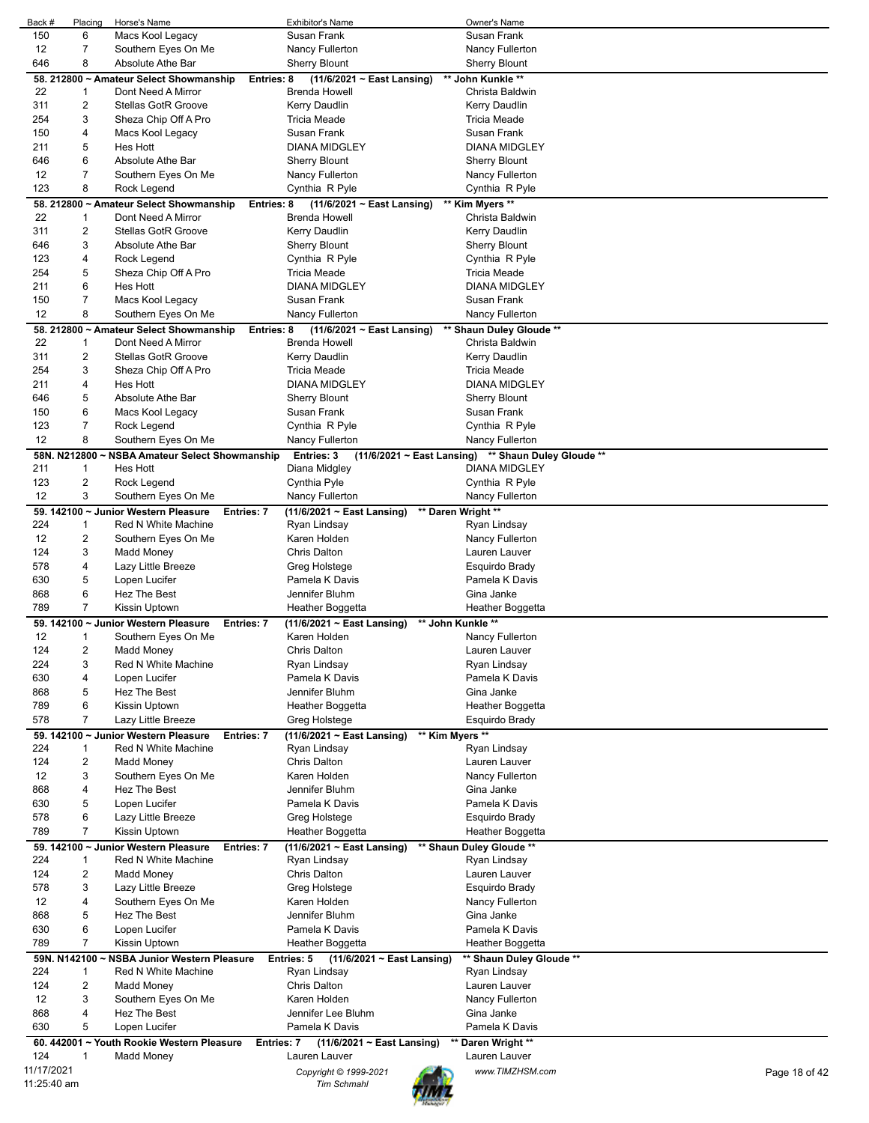| Back #      | Placing | Horse's Name                                   | <b>Exhibitor's Name</b>                              | Owner's Name                                        |               |
|-------------|---------|------------------------------------------------|------------------------------------------------------|-----------------------------------------------------|---------------|
| 150         | 6       | Macs Kool Legacy                               | Susan Frank                                          | Susan Frank                                         |               |
| 12          | 7       | Southern Eyes On Me                            | Nancy Fullerton                                      | Nancy Fullerton                                     |               |
| 646         | 8       | Absolute Athe Bar                              | <b>Sherry Blount</b>                                 | <b>Sherry Blount</b>                                |               |
|             |         | 58. 212800 ~ Amateur Select Showmanship        | $(11/6/2021 \sim East$ Lansing)<br>Entries: 8        | ** John Kunkle **                                   |               |
| 22          | 1       | Dont Need A Mirror                             | <b>Brenda Howell</b>                                 | Christa Baldwin                                     |               |
| 311         | 2       | <b>Stellas GotR Groove</b>                     | Kerry Daudlin                                        | Kerry Daudlin                                       |               |
| 254         | 3       | Sheza Chip Off A Pro                           | <b>Tricia Meade</b>                                  | <b>Tricia Meade</b>                                 |               |
| 150         | 4       | Macs Kool Legacy                               | Susan Frank                                          | Susan Frank                                         |               |
| 211         | 5       | Hes Hott                                       | <b>DIANA MIDGLEY</b>                                 | <b>DIANA MIDGLEY</b>                                |               |
| 646         | 6       | Absolute Athe Bar                              | <b>Sherry Blount</b>                                 | <b>Sherry Blount</b>                                |               |
| 12          | 7       | Southern Eyes On Me                            | Nancy Fullerton                                      | Nancy Fullerton                                     |               |
| 123         | 8       | Rock Legend                                    | Cynthia R Pyle                                       | Cynthia R Pyle                                      |               |
|             |         |                                                |                                                      |                                                     |               |
|             |         | 58. 212800 ~ Amateur Select Showmanship        | Entries: 8<br>$(11/6/2021 \sim East$ Lansing)        | ** Kim Myers **                                     |               |
| 22          | 1       | Dont Need A Mirror                             | Brenda Howell                                        | Christa Baldwin                                     |               |
| 311         | 2       | <b>Stellas GotR Groove</b>                     | Kerry Daudlin                                        | Kerry Daudlin                                       |               |
| 646         | 3       | Absolute Athe Bar                              | <b>Sherry Blount</b>                                 | <b>Sherry Blount</b>                                |               |
| 123         | 4       | Rock Legend                                    | Cynthia R Pyle                                       | Cynthia R Pyle                                      |               |
| 254         | 5       | Sheza Chip Off A Pro                           | Tricia Meade                                         | <b>Tricia Meade</b>                                 |               |
| 211         | 6       | Hes Hott                                       | <b>DIANA MIDGLEY</b>                                 | <b>DIANA MIDGLEY</b>                                |               |
| 150         | 7       | Macs Kool Legacy                               | Susan Frank                                          | Susan Frank                                         |               |
| 12          | 8       | Southern Eyes On Me                            | Nancy Fullerton                                      | <b>Nancy Fullerton</b>                              |               |
|             |         | 58. 212800 ~ Amateur Select Showmanship        | $(11/6/2021 \sim$ East Lansing)<br>Entries: 8        | ** Shaun Duley Gloude **                            |               |
| 22          | 1       | Dont Need A Mirror                             | <b>Brenda Howell</b>                                 | Christa Baldwin                                     |               |
| 311         | 2       | <b>Stellas GotR Groove</b>                     | Kerry Daudlin                                        | Kerry Daudlin                                       |               |
| 254         | 3       | Sheza Chip Off A Pro                           | <b>Tricia Meade</b>                                  | <b>Tricia Meade</b>                                 |               |
| 211         | 4       | Hes Hott                                       | <b>DIANA MIDGLEY</b>                                 | <b>DIANA MIDGLEY</b>                                |               |
| 646         | 5       | Absolute Athe Bar                              | <b>Sherry Blount</b>                                 | Sherry Blount                                       |               |
| 150         | 6       |                                                | Susan Frank                                          | Susan Frank                                         |               |
|             |         | Macs Kool Legacy                               |                                                      |                                                     |               |
| 123         | 7       | Rock Legend                                    | Cynthia R Pyle                                       | Cynthia R Pyle                                      |               |
| 12          | 8       | Southern Eyes On Me                            | Nancy Fullerton                                      | Nancy Fullerton                                     |               |
|             |         | 58N. N212800 ~ NSBA Amateur Select Showmanship | Entries: 3                                           | (11/6/2021 ~ East Lansing) ** Shaun Duley Gloude ** |               |
| 211         | 1       | Hes Hott                                       | Diana Midgley                                        | <b>DIANA MIDGLEY</b>                                |               |
| 123         | 2       | Rock Legend                                    | Cynthia Pyle                                         | Cynthia R Pyle                                      |               |
| 12          | 3       | Southern Eyes On Me                            | Nancy Fullerton                                      | Nancy Fullerton                                     |               |
|             |         | 59. 142100 ~ Junior Western Pleasure           | <b>Entries: 7</b><br>$(11/6/2021 \sim$ East Lansing) | ** Daren Wright **                                  |               |
| 224         | 1       | Red N White Machine                            | Ryan Lindsay                                         | Ryan Lindsay                                        |               |
| 12          | 2       | Southern Eyes On Me                            | Karen Holden                                         | Nancy Fullerton                                     |               |
| 124         | 3       | Madd Money                                     | Chris Dalton                                         | Lauren Lauver                                       |               |
| 578         | 4       | Lazy Little Breeze                             | Greg Holstege                                        | Esquirdo Brady                                      |               |
| 630         | 5       | Lopen Lucifer                                  | Pamela K Davis                                       | Pamela K Davis                                      |               |
| 868         | 6       | Hez The Best                                   | Jennifer Bluhm                                       | Gina Janke                                          |               |
| 789         | 7       | Kissin Uptown                                  | Heather Boggetta                                     | Heather Boggetta                                    |               |
|             |         | 59. 142100 ~ Junior Western Pleasure           | $(11/6/2021 \sim East$ Lansing)<br><b>Entries: 7</b> | ** John Kunkle **                                   |               |
| 12          | 1       | Southern Eyes On Me                            | Karen Holden                                         | Nancy Fullerton                                     |               |
| 124         | 2       | Madd Money                                     | Chris Dalton                                         | Lauren Lauver                                       |               |
| 224         | 3       |                                                |                                                      |                                                     |               |
|             |         | Red N White Machine                            | Ryan Lindsay                                         | Ryan Lindsay                                        |               |
| 630         | 4       | Lopen Lucifer                                  | Pamela K Davis                                       | Pamela K Davis                                      |               |
| 868         | 5       | <b>Hez The Best</b>                            | Jennifer Bluhm                                       | Gina Janke                                          |               |
| 789         | 6       | Kissin Uptown                                  | Heather Boggetta                                     | Heather Boggetta                                    |               |
| 578         | 7       | Lazy Little Breeze                             | Greg Holstege                                        | Esquirdo Brady                                      |               |
|             |         | 59. 142100 ~ Junior Western Pleasure           | Entries: 7<br>$(11/6/2021 \sim East$ Lansing)        | ** Kim Myers **                                     |               |
| 224         | 1       | <b>Red N White Machine</b>                     | Ryan Lindsay                                         | Ryan Lindsay                                        |               |
| 124         | 2       | Madd Money                                     | Chris Dalton                                         | Lauren Lauver                                       |               |
| 12          | 3       | Southern Eyes On Me                            | Karen Holden                                         | Nancy Fullerton                                     |               |
| 868         | 4       | Hez The Best                                   | Jennifer Bluhm                                       | Gina Janke                                          |               |
| 630         | 5       | Lopen Lucifer                                  | Pamela K Davis                                       | Pamela K Davis                                      |               |
| 578         | 6       | Lazy Little Breeze                             | Greg Holstege                                        | Esquirdo Brady                                      |               |
| 789         | 7       | Kissin Uptown                                  | Heather Boggetta                                     | Heather Boggetta                                    |               |
|             |         | 59. 142100 ~ Junior Western Pleasure           | Entries: 7<br>$(11/6/2021 \sim East$ Lansing)        | ** Shaun Duley Gloude **                            |               |
| 224         | 1       | Red N White Machine                            | Ryan Lindsay                                         | Ryan Lindsay                                        |               |
| 124         | 2       | Madd Money                                     | Chris Dalton                                         | Lauren Lauver                                       |               |
| 578         | 3       |                                                |                                                      |                                                     |               |
|             |         | Lazy Little Breeze                             | Greg Holstege                                        | Esquirdo Brady                                      |               |
| 12          | 4       | Southern Eyes On Me                            | Karen Holden                                         | Nancy Fullerton                                     |               |
| 868         | 5       | Hez The Best                                   | Jennifer Bluhm                                       | Gina Janke                                          |               |
| 630         | 6       | Lopen Lucifer                                  | Pamela K Davis                                       | Pamela K Davis                                      |               |
| 789         | 7       | Kissin Uptown                                  | Heather Boggetta                                     | Heather Boggetta                                    |               |
|             |         | 59N. N142100 ~ NSBA Junior Western Pleasure    | Entries: 5<br>(11/6/2021 ~ East Lansing)             | ** Shaun Duley Gloude **                            |               |
| 224         | 1       | Red N White Machine                            | Ryan Lindsay                                         | Ryan Lindsay                                        |               |
| 124         | 2       | Madd Money                                     | Chris Dalton                                         | Lauren Lauver                                       |               |
| 12          | 3       | Southern Eyes On Me                            | Karen Holden                                         | Nancy Fullerton                                     |               |
| 868         | 4       | Hez The Best                                   | Jennifer Lee Bluhm                                   | Gina Janke                                          |               |
| 630         | 5       | Lopen Lucifer                                  | Pamela K Davis                                       | Pamela K Davis                                      |               |
|             |         | 60. 442001 ~ Youth Rookie Western Pleasure     | (11/6/2021 ~ East Lansing)<br>Entries: 7             | ** Daren Wright **                                  |               |
| 124         | 1       | Madd Money                                     | Lauren Lauver                                        | Lauren Lauver                                       |               |
| 11/17/2021  |         |                                                |                                                      |                                                     |               |
| 11:25:40 am |         |                                                | Copyright © 1999-2021                                | www.TIMZHSM.com                                     | Page 18 of 42 |
|             |         |                                                | <b>Tim Schmahl</b>                                   |                                                     |               |
|             |         |                                                |                                                      |                                                     |               |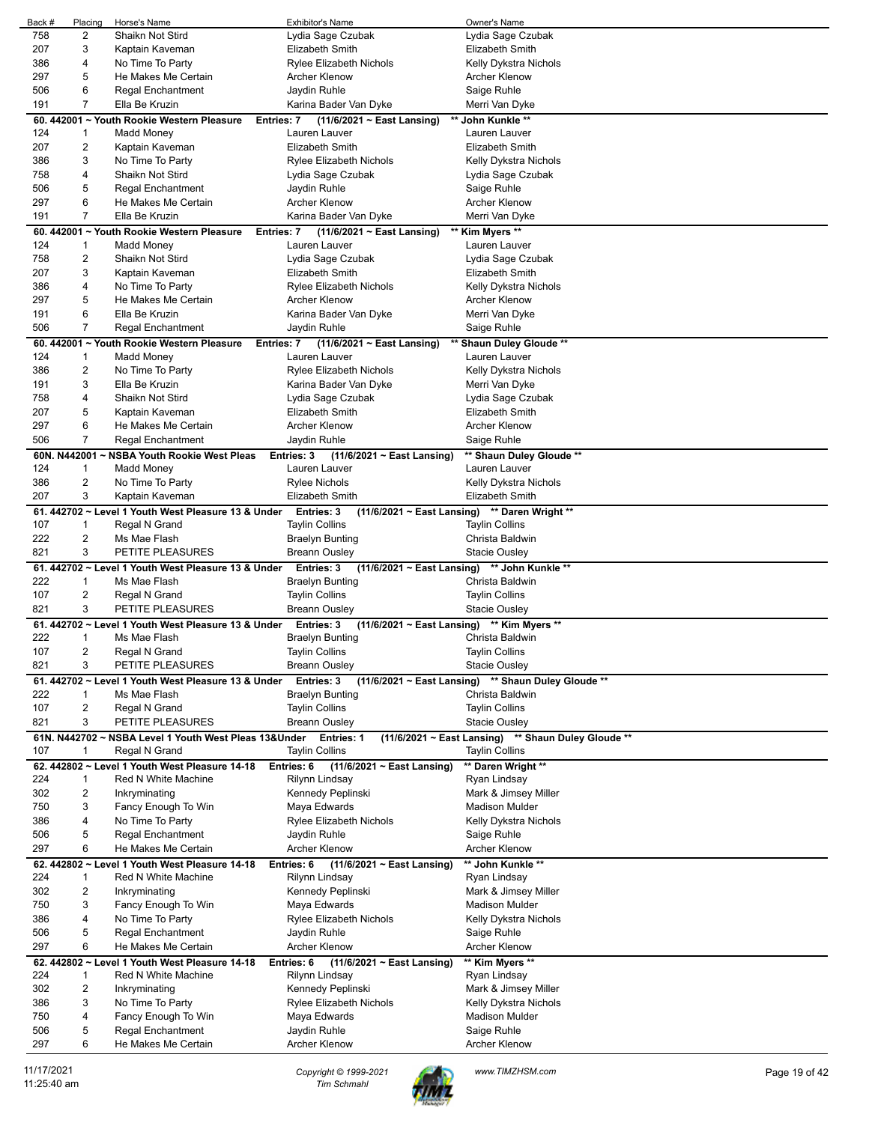|     | Placing                 | Horse's Name                                          | <b>Exhibitor's Name</b>                                  | Owner's Name                                        |
|-----|-------------------------|-------------------------------------------------------|----------------------------------------------------------|-----------------------------------------------------|
| 758 | 2                       | Shaikn Not Stird                                      | Lydia Sage Czubak                                        | Lydia Sage Czubak                                   |
| 207 | 3                       | Kaptain Kaveman                                       | Elizabeth Smith                                          | Elizabeth Smith                                     |
| 386 | 4                       | No Time To Party                                      | <b>Rylee Elizabeth Nichols</b>                           | Kelly Dykstra Nichols                               |
|     |                         |                                                       |                                                          |                                                     |
| 297 | 5                       | He Makes Me Certain                                   | Archer Klenow                                            | Archer Klenow                                       |
| 506 | 6                       | <b>Regal Enchantment</b>                              | Jaydin Ruhle                                             | Saige Ruhle                                         |
| 191 | 7                       | Ella Be Kruzin                                        | Karina Bader Van Dyke                                    | Merri Van Dyke                                      |
|     |                         | 60. 442001 ~ Youth Rookie Western Pleasure            | $(11/6/2021 \sim$ East Lansing)<br>Entries: 7            | ** John Kunkle **                                   |
| 124 | 1                       | Madd Money                                            | Lauren Lauver                                            | Lauren Lauver                                       |
|     |                         |                                                       |                                                          |                                                     |
| 207 | 2                       | Kaptain Kaveman                                       | <b>Elizabeth Smith</b>                                   | Elizabeth Smith                                     |
| 386 | 3                       | No Time To Party                                      | Rylee Elizabeth Nichols                                  | Kelly Dykstra Nichols                               |
| 758 | 4                       | Shaikn Not Stird                                      | Lydia Sage Czubak                                        | Lydia Sage Czubak                                   |
| 506 | 5                       | <b>Regal Enchantment</b>                              | Jaydin Ruhle                                             | Saige Ruhle                                         |
| 297 | 6                       | He Makes Me Certain                                   | <b>Archer Klenow</b>                                     | Archer Klenow                                       |
| 191 | 7                       | Ella Be Kruzin                                        | Karina Bader Van Dyke                                    | Merri Van Dyke                                      |
|     |                         |                                                       |                                                          |                                                     |
|     |                         | 60. 442001 ~ Youth Rookie Western Pleasure            | $(11/6/2021 \sim$ East Lansing)<br>Entries: 7            | Kim Myers **                                        |
| 124 | $\mathbf{1}$            | Madd Money                                            | Lauren Lauver                                            | Lauren Lauver                                       |
| 758 | 2                       | Shaikn Not Stird                                      | Lydia Sage Czubak                                        | Lydia Sage Czubak                                   |
| 207 | 3                       | Kaptain Kaveman                                       | Elizabeth Smith                                          | Elizabeth Smith                                     |
| 386 | 4                       | No Time To Party                                      | <b>Rylee Elizabeth Nichols</b>                           | Kelly Dykstra Nichols                               |
| 297 | 5                       | He Makes Me Certain                                   |                                                          |                                                     |
|     |                         |                                                       | Archer Klenow                                            | Archer Klenow                                       |
| 191 | 6                       | Ella Be Kruzin                                        | Karina Bader Van Dyke                                    | Merri Van Dyke                                      |
| 506 | 7                       | <b>Regal Enchantment</b>                              | Jaydin Ruhle                                             | Saige Ruhle                                         |
|     |                         | 60. 442001 ~ Youth Rookie Western Pleasure            | Entries: 7<br>$(11/6/2021 \sim East$ Lansing)            | ** Shaun Duley Gloude **                            |
| 124 | $\mathbf{1}$            | Madd Money                                            | Lauren Lauver                                            | Lauren Lauver                                       |
| 386 | 2                       | No Time To Party                                      | <b>Rylee Elizabeth Nichols</b>                           | Kelly Dykstra Nichols                               |
|     |                         |                                                       |                                                          |                                                     |
| 191 | 3                       | Ella Be Kruzin                                        | Karina Bader Van Dyke                                    | Merri Van Dyke                                      |
| 758 | 4                       | Shaikn Not Stird                                      | Lydia Sage Czubak                                        | Lydia Sage Czubak                                   |
| 207 | 5                       | Kaptain Kaveman                                       | Elizabeth Smith                                          | <b>Elizabeth Smith</b>                              |
| 297 | 6                       | He Makes Me Certain                                   | <b>Archer Klenow</b>                                     | <b>Archer Klenow</b>                                |
| 506 | $\overline{7}$          | <b>Regal Enchantment</b>                              | Jaydin Ruhle                                             | Saige Ruhle                                         |
|     |                         |                                                       |                                                          |                                                     |
|     | 60N. N442001~           | <b>NSBA Youth Rookie West Pleas</b>                   | Entries: 3<br>$(11/6/2021 \sim$ East Lansing)            | ** Shaun Duley Gloude **                            |
| 124 | 1                       | <b>Madd Money</b>                                     | Lauren Lauver                                            | Lauren Lauver                                       |
| 386 | $\overline{\mathbf{c}}$ | No Time To Party                                      | <b>Rylee Nichols</b>                                     | Kelly Dykstra Nichols                               |
| 207 | 3                       | Kaptain Kaveman                                       | <b>Elizabeth Smith</b>                                   | Elizabeth Smith                                     |
|     |                         | 61. 442702 ~ Level 1 Youth West Pleasure 13 & Under   | Entries: 3                                               | (11/6/2021 ~ East Lansing) ** Daren Wright **       |
| 107 | $\mathbf{1}$            | Regal N Grand                                         | <b>Taylin Collins</b>                                    | <b>Taylin Collins</b>                               |
| 222 | 2                       | Ms Mae Flash                                          |                                                          | Christa Baldwin                                     |
|     |                         |                                                       | <b>Braelyn Bunting</b>                                   |                                                     |
| 821 | 3                       | PETITE PLEASURES                                      | <b>Breann Ousley</b>                                     | <b>Stacie Ousley</b>                                |
|     |                         | 61. 442702 ~ Level 1 Youth West Pleasure 13 & Under   | <b>Entries: 3</b>                                        | (11/6/2021 ~ East Lansing) ** John Kunkle **        |
| 222 | 1                       | Ms Mae Flash                                          | Braelyn Bunting                                          | Christa Baldwin                                     |
| 107 | 2                       | Regal N Grand                                         | <b>Taylin Collins</b>                                    | <b>Taylin Collins</b>                               |
| 821 |                         | PETITE PLEASURES                                      | <b>Breann Ousley</b>                                     | Stacie Ousley                                       |
|     |                         |                                                       |                                                          |                                                     |
|     | 3                       |                                                       |                                                          |                                                     |
|     |                         | 61. 442702 ~ Level 1 Youth West Pleasure 13 & Under   | (11/6/2021 ~ East Lansing) ** Kim Myers **<br>Entries: 3 |                                                     |
| 222 | 1                       | Ms Mae Flash                                          | <b>Braelyn Bunting</b>                                   | Christa Baldwin                                     |
| 107 | 2                       | Regal N Grand                                         | <b>Taylin Collins</b>                                    | <b>Taylin Collins</b>                               |
| 821 | 3                       | PETITE PLEASURES                                      | <b>Breann Ousley</b>                                     | <b>Stacie Ousley</b>                                |
|     |                         |                                                       |                                                          |                                                     |
|     |                         | 61. 442702 ~ Level 1 Youth West Pleasure 13 & Under   | <b>Entries: 3</b>                                        | (11/6/2021 ~ East Lansing) ** Shaun Duley Gloude ** |
| 222 | 1                       | Ms Mae Flash                                          | <b>Braelyn Bunting</b>                                   | Christa Baldwin                                     |
| 107 | 2                       | Regal N Grand                                         | <b>Taylin Collins</b>                                    | <b>Taylin Collins</b>                               |
| 821 | 3                       | PETITE PLEASURES                                      | <b>Breann Ousley</b>                                     | <b>Stacie Ousley</b>                                |
|     |                         | 61N. N442702 ~ NSBA Level 1 Youth West Pleas 13&Under | <b>Entries: 1</b>                                        | (11/6/2021 ~ East Lansing) ** Shaun Duley Gloude ** |
| 107 | 1                       | Regal N Grand                                         | <b>Taylin Collins</b>                                    | <b>Taylin Collins</b>                               |
|     |                         |                                                       |                                                          |                                                     |
|     |                         | 62. 442802 ~ Level 1 Youth West Pleasure 14-18        | Entries: 6<br>(11/6/2021 ~ East Lansing)                 | ** Daren Wright **                                  |
| 224 | 1                       | Red N White Machine                                   | Rilynn Lindsay                                           | Ryan Lindsay                                        |
| 302 | 2                       | Inkryminating                                         | Kennedy Peplinski                                        | Mark & Jimsey Miller                                |
| 750 | 3                       | Fancy Enough To Win                                   | Maya Edwards                                             | <b>Madison Mulder</b>                               |
| 386 | 4                       | No Time To Party                                      | Rylee Elizabeth Nichols                                  | Kelly Dykstra Nichols                               |
| 506 | 5                       | <b>Regal Enchantment</b>                              | Jaydin Ruhle                                             | Saige Ruhle                                         |
| 297 | 6                       | He Makes Me Certain                                   | <b>Archer Klenow</b>                                     | Archer Klenow                                       |
|     |                         |                                                       |                                                          |                                                     |
|     |                         | 62. 442802 ~ Level 1 Youth West Pleasure 14-18        | Entries: 6<br>$(11/6/2021 \sim$ East Lansing)            | ** John Kunkle **                                   |
| 224 | 1                       | Red N White Machine                                   | Rilynn Lindsay                                           | Ryan Lindsay                                        |
| 302 | $\overline{a}$          | Inkryminating                                         | Kennedy Peplinski                                        | Mark & Jimsey Miller                                |
| 750 | 3                       | Fancy Enough To Win                                   | Maya Edwards                                             | <b>Madison Mulder</b>                               |
| 386 | 4                       | No Time To Party                                      | <b>Rylee Elizabeth Nichols</b>                           | Kelly Dykstra Nichols                               |
| 506 | 5                       | <b>Regal Enchantment</b>                              | Jaydin Ruhle                                             |                                                     |
|     |                         |                                                       |                                                          | Saige Ruhle                                         |
| 297 | 6                       | He Makes Me Certain                                   | Archer Klenow                                            | Archer Klenow                                       |
|     |                         | 62. 442802 ~ Level 1 Youth West Pleasure 14-18        | Entries: 6<br>$(11/6/2021 \sim$ East Lansing)            | ** Kim Myers **                                     |
| 224 | $\mathbf{1}$            | Red N White Machine                                   | Rilynn Lindsay                                           | Ryan Lindsay                                        |
| 302 | 2                       | Inkryminating                                         | Kennedy Peplinski                                        | Mark & Jimsey Miller                                |
| 386 | 3                       | No Time To Party                                      | Rylee Elizabeth Nichols                                  | Kelly Dykstra Nichols                               |
| 750 | 4                       |                                                       | Maya Edwards                                             | <b>Madison Mulder</b>                               |
|     |                         | Fancy Enough To Win                                   |                                                          |                                                     |
| 506 | 5                       | Regal Enchantment                                     | Jaydin Ruhle                                             | Saige Ruhle                                         |
| 297 | 6                       | He Makes Me Certain                                   | Archer Klenow                                            | Archer Klenow                                       |

11/17/2021 *Copyright © 1999-2021 Tim Schmahl www.TIMZHSM.com* Page 19 of 42

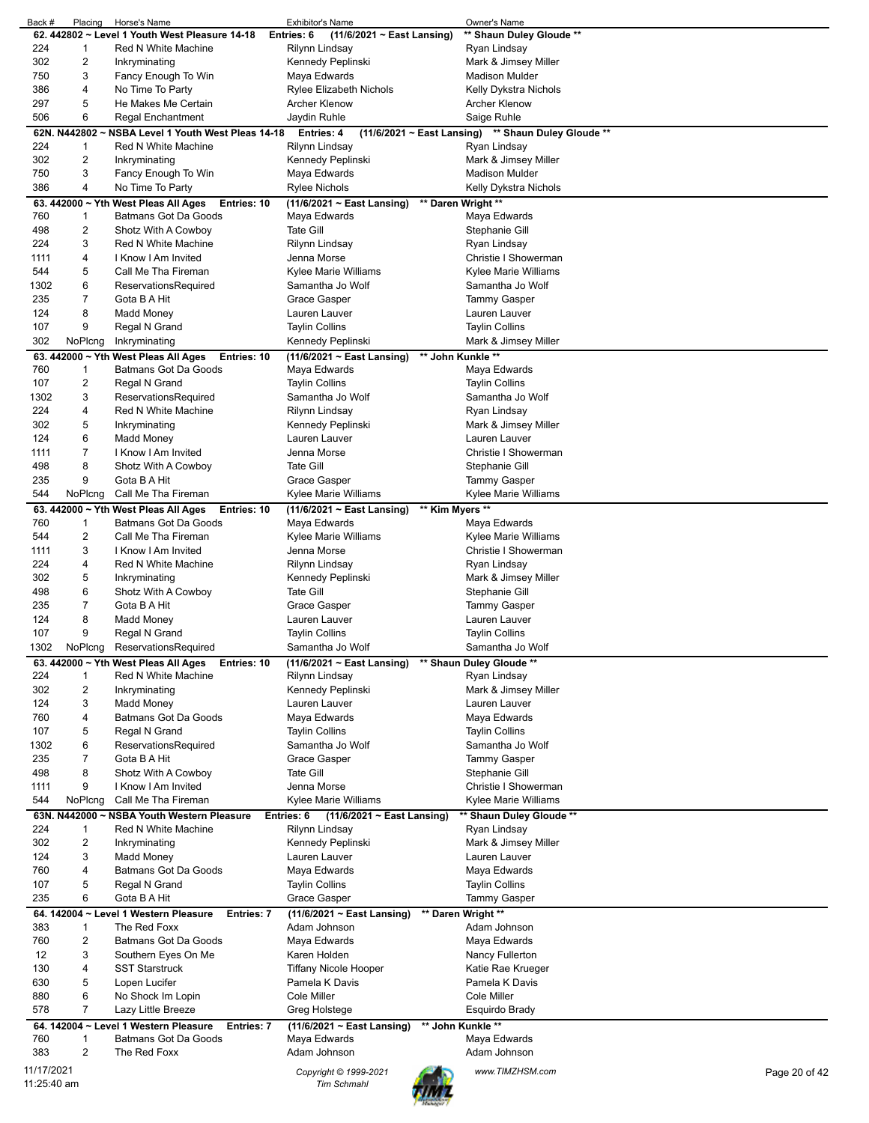| Back #      | Placing        | Horse's Name                                             | Exhibitor's Name                                    | Owner's Name                                        |               |
|-------------|----------------|----------------------------------------------------------|-----------------------------------------------------|-----------------------------------------------------|---------------|
|             |                | 62. 442802 ~ Level 1 Youth West Pleasure 14-18           | Entries: 6<br>$(11/6/2021 \sim$ East Lansing)       | ** Shaun Duley Gloude **                            |               |
| 224         | 1              | Red N White Machine                                      | Rilynn Lindsay                                      | Ryan Lindsay                                        |               |
| 302         | 2              | Inkryminating                                            | Kennedy Peplinski                                   | Mark & Jimsey Miller                                |               |
| 750         | 3              | Fancy Enough To Win                                      | Maya Edwards                                        | Madison Mulder                                      |               |
| 386         | 4              |                                                          |                                                     |                                                     |               |
|             |                | No Time To Party                                         | <b>Rylee Elizabeth Nichols</b>                      | Kelly Dykstra Nichols                               |               |
| 297         | 5              | He Makes Me Certain                                      | <b>Archer Klenow</b>                                | <b>Archer Klenow</b>                                |               |
| 506         | 6              | <b>Regal Enchantment</b>                                 | Jaydin Ruhle                                        | Saige Ruhle                                         |               |
|             |                | 62N. N442802 ~ NSBA Level 1 Youth West Pleas 14-18       | Entries: 4                                          | (11/6/2021 ~ East Lansing) ** Shaun Duley Gloude ** |               |
| 224         | 1              | Red N White Machine                                      | Rilynn Lindsay                                      | Ryan Lindsay                                        |               |
|             |                |                                                          |                                                     |                                                     |               |
| 302         | 2              | Inkryminating                                            | Kennedy Peplinski                                   | Mark & Jimsey Miller                                |               |
| 750         | 3              | Fancy Enough To Win                                      | Maya Edwards                                        | <b>Madison Mulder</b>                               |               |
| 386         | 4              | No Time To Party                                         | Rylee Nichols                                       | Kelly Dykstra Nichols                               |               |
|             |                | 63. 442000 ~ Yth West Pleas All Ages<br>Entries: 10      | $(11/6/2021 \sim East$ Lansing)                     | ** Daren Wright **                                  |               |
| 760         | 1              | Batmans Got Da Goods                                     | Maya Edwards                                        | Maya Edwards                                        |               |
| 498         | 2              | Shotz With A Cowboy                                      | <b>Tate Gill</b>                                    | Stephanie Gill                                      |               |
|             |                |                                                          |                                                     |                                                     |               |
| 224         | 3              | Red N White Machine                                      | Rilynn Lindsay                                      | Ryan Lindsay                                        |               |
| 1111        | 4              | I Know I Am Invited                                      | Jenna Morse                                         | Christie I Showerman                                |               |
| 544         | 5              | Call Me Tha Fireman                                      | Kylee Marie Williams                                | Kylee Marie Williams                                |               |
| 1302        | 6              | ReservationsRequired                                     | Samantha Jo Wolf                                    | Samantha Jo Wolf                                    |               |
| 235         | 7              | Gota B A Hit                                             | Grace Gasper                                        | <b>Tammy Gasper</b>                                 |               |
|             |                |                                                          |                                                     |                                                     |               |
| 124         | 8              | <b>Madd Money</b>                                        | Lauren Lauver                                       | Lauren Lauver                                       |               |
| 107         | 9              | Regal N Grand                                            | <b>Taylin Collins</b>                               | <b>Taylin Collins</b>                               |               |
| 302         | NoPlcng        | Inkryminating                                            | Kennedy Peplinski                                   | Mark & Jimsey Miller                                |               |
|             |                | 63. 442000 ~ Yth West Pleas All Ages<br>Entries: 10      | $(11/6/2021 \sim East$ Lansing)                     | ** John Kunkle **                                   |               |
| 760         | 1              | Batmans Got Da Goods                                     | Maya Edwards                                        | Maya Edwards                                        |               |
|             |                |                                                          |                                                     |                                                     |               |
| 107         | 2              | Regal N Grand                                            | <b>Taylin Collins</b>                               | <b>Taylin Collins</b>                               |               |
| 1302        | 3              | ReservationsRequired                                     | Samantha Jo Wolf                                    | Samantha Jo Wolf                                    |               |
| 224         | 4              | Red N White Machine                                      | Rilynn Lindsay                                      | Ryan Lindsay                                        |               |
| 302         | 5              | Inkryminating                                            | Kennedy Peplinski                                   | Mark & Jimsey Miller                                |               |
| 124         | 6              | <b>Madd Money</b>                                        | Lauren Lauver                                       | Lauren Lauver                                       |               |
| 1111        | 7              | I Know I Am Invited                                      | Jenna Morse                                         | Christie I Showerman                                |               |
|             |                |                                                          |                                                     |                                                     |               |
| 498         | 8              | Shotz With A Cowboy                                      | <b>Tate Gill</b>                                    | Stephanie Gill                                      |               |
| 235         | 9              | Gota B A Hit                                             | Grace Gasper                                        | Tammy Gasper                                        |               |
| 544         | NoPlcng        | Call Me Tha Fireman                                      | Kylee Marie Williams                                | Kylee Marie Williams                                |               |
|             |                | 63. 442000 $\sim$ Yth West Pleas All Ages<br>Entries: 10 | ** Kim Myers **<br>$(11/6/2021 \sim East$ Lansing)  |                                                     |               |
| 760         | 1              | Batmans Got Da Goods                                     | Maya Edwards                                        | Maya Edwards                                        |               |
|             |                |                                                          |                                                     |                                                     |               |
| 544         | 2              | Call Me Tha Fireman                                      | Kylee Marie Williams                                | Kylee Marie Williams                                |               |
| 1111        | 3              | I Know I Am Invited                                      | Jenna Morse                                         | Christie I Showerman                                |               |
| 224         | 4              | Red N White Machine                                      | Rilynn Lindsay                                      | Ryan Lindsay                                        |               |
| 302         | 5              | Inkryminating                                            | Kennedy Peplinski                                   | Mark & Jimsey Miller                                |               |
| 498         | 6              | Shotz With A Cowboy                                      | Tate Gill                                           | Stephanie Gill                                      |               |
|             |                |                                                          |                                                     |                                                     |               |
| 235         | 7              | Gota B A Hit                                             | Grace Gasper                                        | <b>Tammy Gasper</b>                                 |               |
| 124         | 8              | <b>Madd Money</b>                                        | Lauren Lauver                                       | Lauren Lauver                                       |               |
| 107         | 9              | Regal N Grand                                            | <b>Taylin Collins</b>                               | <b>Taylin Collins</b>                               |               |
| 1302        | NoPlcng        | ReservationsRequired                                     | Samantha Jo Wolf                                    | Samantha Jo Wolf                                    |               |
|             |                | 63. 442000 ~ Yth West Pleas All Ages<br>Entries: 10      | (11/6/2021 ~ East Lansing) ** Shaun Duley Gloude ** |                                                     |               |
| 224         | 1              | <b>Red N White Machine</b>                               | Rilynn Lindsay                                      | Ryan Lindsay                                        |               |
|             |                |                                                          |                                                     |                                                     |               |
| 302         | 2              | Inkryminating                                            | Kennedy Peplinski                                   | Mark & Jimsey Miller                                |               |
| 124         | 3              | Madd Money                                               | Lauren Lauver                                       | Lauren Lauver                                       |               |
| 760         | 4              | Batmans Got Da Goods                                     | Maya Edwards                                        | Maya Edwards                                        |               |
| 107         | 5              | Regal N Grand                                            | <b>Taylin Collins</b>                               | <b>Taylin Collins</b>                               |               |
| 1302        | 6              | ReservationsRequired                                     | Samantha Jo Wolf                                    | Samantha Jo Wolf                                    |               |
|             | 7              |                                                          |                                                     |                                                     |               |
| 235         |                | Gota B A Hit                                             | Grace Gasper                                        | <b>Tammy Gasper</b>                                 |               |
| 498         | 8              | Shotz With A Cowboy                                      | <b>Tate Gill</b>                                    | Stephanie Gill                                      |               |
| 1111        | 9              | I Know I Am Invited                                      | Jenna Morse                                         | Christie I Showerman                                |               |
| 544         | NoPlcng        | Call Me Tha Fireman                                      | Kylee Marie Williams                                | Kylee Marie Williams                                |               |
|             |                | 63N. N442000 ~ NSBA Youth Western Pleasure               | Entries: 6<br>(11/6/2021 ~ East Lansing)            | ** Shaun Duley Gloude **                            |               |
|             |                |                                                          |                                                     |                                                     |               |
| 224         | 1              | Red N White Machine                                      | Rilynn Lindsay                                      | Ryan Lindsay                                        |               |
| 302         | 2              | Inkryminating                                            | Kennedy Peplinski                                   | Mark & Jimsey Miller                                |               |
| 124         | 3              | Madd Money                                               | Lauren Lauver                                       | Lauren Lauver                                       |               |
| 760         | 4              | Batmans Got Da Goods                                     | Maya Edwards                                        | Maya Edwards                                        |               |
| 107         | 5              | Regal N Grand                                            | <b>Taylin Collins</b>                               | <b>Taylin Collins</b>                               |               |
|             |                |                                                          |                                                     |                                                     |               |
| 235         | 6              | Gota B A Hit                                             | Grace Gasper                                        | <b>Tammy Gasper</b>                                 |               |
|             |                | 64. 142004 ~ Level 1 Western Pleasure<br>Entries: 7      | $(11/6/2021 \sim East$ Lansing)                     | ** Daren Wright **                                  |               |
| 383         | 1              | The Red Foxx                                             | Adam Johnson                                        | Adam Johnson                                        |               |
| 760         | 2              | Batmans Got Da Goods                                     | Maya Edwards                                        | Maya Edwards                                        |               |
| 12          | 3              | Southern Eyes On Me                                      | Karen Holden                                        | Nancy Fullerton                                     |               |
|             |                |                                                          |                                                     |                                                     |               |
| 130         | 4              | <b>SST Starstruck</b>                                    | <b>Tiffany Nicole Hooper</b>                        | Katie Rae Krueger                                   |               |
| 630         | 5              | Lopen Lucifer                                            | Pamela K Davis                                      | Pamela K Davis                                      |               |
|             |                | No Shock Im Lopin                                        | Cole Miller                                         | Cole Miller                                         |               |
| 880         | 6              |                                                          |                                                     | Esquirdo Brady                                      |               |
|             |                |                                                          |                                                     |                                                     |               |
| 578         | 7              | Lazy Little Breeze                                       | Greg Holstege                                       |                                                     |               |
|             |                | 64. 142004 ~ Level 1 Western Pleasure<br>Entries: 7      | $(11/6/2021 \sim$ East Lansing)                     | ** John Kunkle **                                   |               |
| 760         | 1              | Batmans Got Da Goods                                     | Maya Edwards                                        | Maya Edwards                                        |               |
| 383         | $\overline{2}$ | The Red Foxx                                             | Adam Johnson                                        | Adam Johnson                                        |               |
|             |                |                                                          |                                                     |                                                     |               |
| 11/17/2021  |                |                                                          | Copyright © 1999-2021                               | www.TIMZHSM.com                                     | Page 20 of 42 |
| 11:25:40 am |                |                                                          | <b>Tim Schmahl</b>                                  |                                                     |               |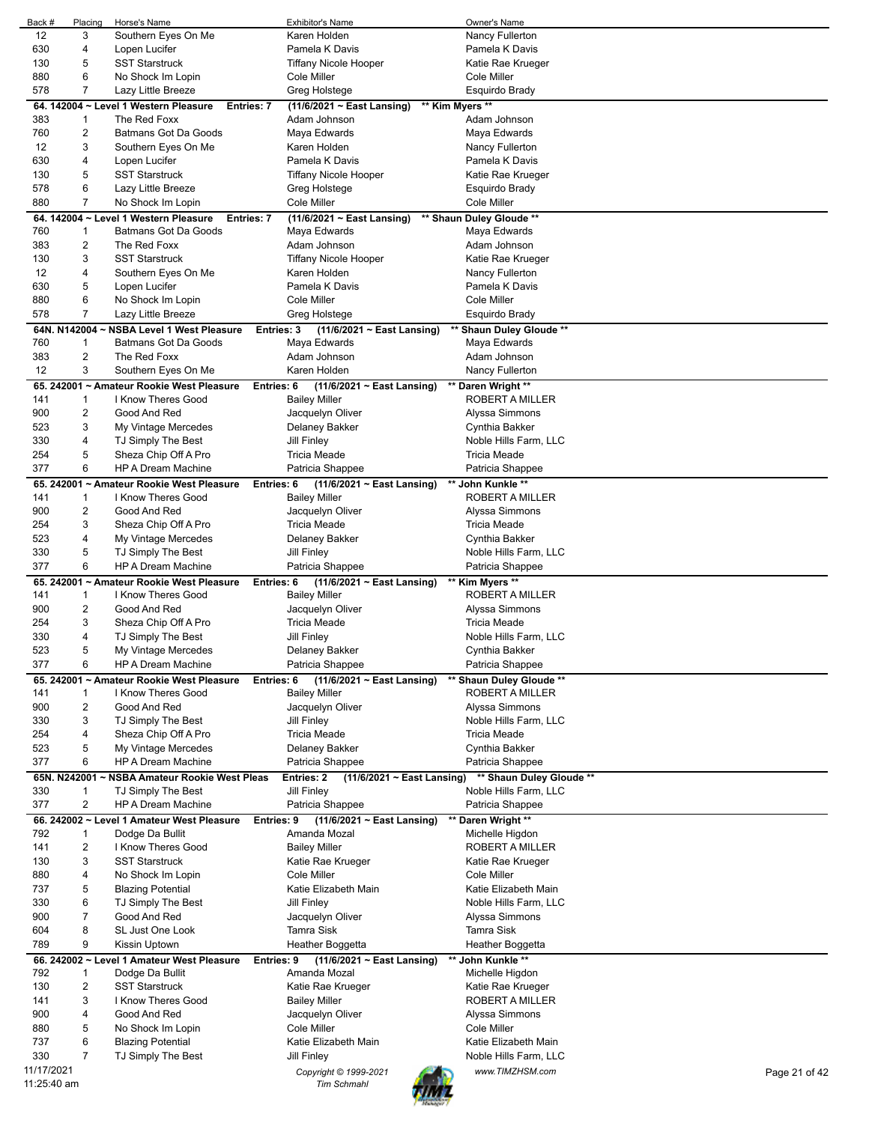| Back #                    | Placing                 | Horse's Name                                               | <b>Exhibitor's Name</b>                       | Owner's Name             |               |
|---------------------------|-------------------------|------------------------------------------------------------|-----------------------------------------------|--------------------------|---------------|
| 12                        | 3                       | Southern Eyes On Me                                        | Karen Holden                                  | Nancy Fullerton          |               |
|                           |                         |                                                            |                                               |                          |               |
| 630                       | 4                       | Lopen Lucifer                                              | Pamela K Davis                                | Pamela K Davis           |               |
| 130                       | 5                       | <b>SST Starstruck</b>                                      | Tiffany Nicole Hooper                         | Katie Rae Krueger        |               |
| 880                       | 6                       | No Shock Im Lopin                                          | Cole Miller                                   | Cole Miller              |               |
| 578                       | $\overline{7}$          | Lazy Little Breeze                                         | Greg Holstege                                 | Esquirdo Brady           |               |
|                           |                         |                                                            |                                               |                          |               |
|                           |                         | 64. 142004 ~ Level 1 Western Pleasure<br><b>Entries: 7</b> | ** Kim Myers **<br>(11/6/2021 ~ East Lansing) |                          |               |
| 383                       | 1                       | The Red Foxx                                               | Adam Johnson                                  | Adam Johnson             |               |
| 760                       | 2                       | Batmans Got Da Goods                                       | Maya Edwards                                  | Maya Edwards             |               |
|                           |                         |                                                            |                                               |                          |               |
| 12                        | 3                       | Southern Eyes On Me                                        | Karen Holden                                  | Nancy Fullerton          |               |
| 630                       | 4                       | Lopen Lucifer                                              | Pamela K Davis                                | Pamela K Davis           |               |
| 130                       | 5                       | <b>SST Starstruck</b>                                      | <b>Tiffany Nicole Hooper</b>                  | Katie Rae Krueger        |               |
| 578                       | 6                       | Lazy Little Breeze                                         | Greg Holstege                                 | Esquirdo Brady           |               |
|                           |                         |                                                            |                                               |                          |               |
| 880                       | $\overline{7}$          | No Shock Im Lopin                                          | Cole Miller                                   | Cole Miller              |               |
|                           |                         | 64. 142004 ~ Level 1 Western Pleasure<br><b>Entries: 7</b> | (11/6/2021 ~ East Lansing)                    | ** Shaun Duley Gloude ** |               |
| 760                       | 1                       | Batmans Got Da Goods                                       | Maya Edwards                                  | Maya Edwards             |               |
|                           |                         |                                                            |                                               |                          |               |
| 383                       | 2                       | The Red Foxx                                               | Adam Johnson                                  | Adam Johnson             |               |
| 130                       | 3                       | <b>SST Starstruck</b>                                      | <b>Tiffany Nicole Hooper</b>                  | Katie Rae Krueger        |               |
| 12                        | $\overline{4}$          | Southern Eyes On Me                                        | Karen Holden                                  | Nancy Fullerton          |               |
| 630                       | 5                       | Lopen Lucifer                                              | Pamela K Davis                                | Pamela K Davis           |               |
|                           |                         |                                                            |                                               |                          |               |
| 880                       | 6                       | No Shock Im Lopin                                          | Cole Miller                                   | Cole Miller              |               |
| 578                       | $\overline{7}$          | Lazy Little Breeze                                         | Greg Holstege                                 | Esquirdo Brady           |               |
| 64N. N142004              |                         | <b>NSBA Level 1 West Pleasure</b><br><b>Entries: 3</b>     | $(11/6/2021 \sim East$ Lansing)               | ** Shaun Duley Gloude ** |               |
| 760                       | 1                       | Batmans Got Da Goods                                       | Maya Edwards                                  | Maya Edwards             |               |
|                           |                         |                                                            |                                               |                          |               |
| 383                       | $\overline{2}$          | The Red Foxx                                               | Adam Johnson                                  | Adam Johnson             |               |
| 12                        | 3                       | Southern Eyes On Me                                        | Karen Holden                                  | Nancy Fullerton          |               |
|                           |                         | 65. 242001 ~ Amateur Rookie West Pleasure<br>Entries: 6    | (11/6/2021 ~ East Lansing)                    | ** Daren Wright **       |               |
|                           |                         |                                                            |                                               |                          |               |
| 141                       | 1                       | I Know Theres Good                                         | <b>Bailey Miller</b>                          | ROBERT A MILLER          |               |
| 900                       | $\overline{\mathbf{c}}$ | Good And Red                                               | Jacquelyn Oliver                              | Alyssa Simmons           |               |
| 523                       | 3                       | My Vintage Mercedes                                        | Delaney Bakker                                | Cynthia Bakker           |               |
| 330                       | $\overline{4}$          | TJ Simply The Best                                         | Jill Finley                                   | Noble Hills Farm, LLC    |               |
|                           |                         |                                                            |                                               |                          |               |
| 254                       | 5                       | Sheza Chip Off A Pro                                       | Tricia Meade                                  | Tricia Meade             |               |
| 377                       | 6                       | <b>HP A Dream Machine</b>                                  | Patricia Shappee                              | Patricia Shappee         |               |
|                           |                         | 65. 242001 ~ Amateur Rookie West Pleasure<br>Entries: 6    | $(11/6/2021 \sim$ East Lansing)               | ** John Kunkle **        |               |
| 141                       | 1                       | I Know Theres Good                                         | <b>Bailey Miller</b>                          | ROBERT A MILLER          |               |
|                           |                         |                                                            |                                               |                          |               |
| 900                       | $\overline{2}$          | Good And Red                                               | Jacquelyn Oliver                              | Alyssa Simmons           |               |
| 254                       | 3                       | Sheza Chip Off A Pro                                       | <b>Tricia Meade</b>                           | Tricia Meade             |               |
| 523                       | 4                       | My Vintage Mercedes                                        | Delaney Bakker                                | Cynthia Bakker           |               |
| 330                       | 5                       | TJ Simply The Best                                         |                                               |                          |               |
|                           |                         |                                                            | Jill Finley                                   | Noble Hills Farm, LLC    |               |
| 377                       | 6                       | <b>HP A Dream Machine</b>                                  | Patricia Shappee                              | Patricia Shappee         |               |
|                           |                         | 65. 242001 ~ Amateur Rookie West Pleasure<br>Entries: 6    | (11/6/2021 ~ East Lansing)                    | ** Kim Myers **          |               |
| 141                       | 1                       | I Know Theres Good                                         | <b>Bailey Miller</b>                          | ROBERT A MILLER          |               |
|                           |                         |                                                            |                                               |                          |               |
| 900                       | $\overline{2}$          | Good And Red                                               | Jacquelyn Oliver                              | Alyssa Simmons           |               |
| 254                       | 3                       | Sheza Chip Off A Pro                                       | <b>Tricia Meade</b>                           | Tricia Meade             |               |
| 330                       | 4                       | TJ Simply The Best                                         | <b>Jill Finley</b>                            | Noble Hills Farm, LLC    |               |
| 523                       | 5                       | My Vintage Mercedes                                        | Delaney Bakker                                | Cynthia Bakker           |               |
|                           |                         |                                                            |                                               |                          |               |
| 377                       | 6                       | <b>HP A Dream Machine</b>                                  | Patricia Shappee                              | Patricia Shappee         |               |
|                           |                         | 65. 242001 ~ Amateur Rookie West Pleasure<br>Entries: 6    | (11/6/2021 ~ East Lansing)                    | ** Shaun Duley Gloude ** |               |
| 141                       | 1                       | I Know Theres Good                                         | <b>Bailey Miller</b>                          | ROBERT A MILLER          |               |
|                           |                         | Good And Red                                               |                                               |                          |               |
| 900                       | $\overline{2}$          |                                                            | Jacquelyn Oliver                              | Alyssa Simmons           |               |
| 330                       | 3                       | TJ Simply The Best                                         | Jill Finley                                   | Noble Hills Farm, LLC    |               |
| 254                       | 4                       | Sheza Chip Off A Pro                                       | <b>Tricia Meade</b>                           | <b>Tricia Meade</b>      |               |
| 523                       | 5                       | My Vintage Mercedes                                        | Delaney Bakker                                | Cynthia Bakker           |               |
| 377                       | 6                       | <b>HP A Dream Machine</b>                                  | Patricia Shappee                              | Patricia Shappee         |               |
|                           |                         |                                                            |                                               |                          |               |
|                           |                         | 65N. N242001 ~ NSBA Amateur Rookie West Pleas              | Entries: 2<br>(11/6/2021 ~ East Lansing)      | ** Shaun Duley Gloude ** |               |
| 330                       | 1                       | TJ Simply The Best                                         | Jill Finley                                   | Noble Hills Farm, LLC    |               |
| 377                       | $\overline{c}$          | <b>HP A Dream Machine</b>                                  | Patricia Shappee                              | Patricia Shappee         |               |
|                           |                         |                                                            |                                               |                          |               |
|                           |                         | 66. 242002 ~ Level 1 Amateur West Pleasure<br>Entries: 9   | (11/6/2021 ~ East Lansing)                    | ** Daren Wright **       |               |
| 792                       | 1                       | Dodge Da Bullit                                            | Amanda Mozal                                  | Michelle Higdon          |               |
| 141                       | $\overline{\mathbf{c}}$ | I Know Theres Good                                         | <b>Bailey Miller</b>                          | ROBERT A MILLER          |               |
| 130                       | 3                       | <b>SST Starstruck</b>                                      | Katie Rae Krueger                             | Katie Rae Krueger        |               |
|                           |                         |                                                            |                                               |                          |               |
| 880                       | 4                       | No Shock Im Lopin                                          | Cole Miller                                   | Cole Miller              |               |
| 737                       | 5                       | <b>Blazing Potential</b>                                   | Katie Elizabeth Main                          | Katie Elizabeth Main     |               |
| 330                       | 6                       | TJ Simply The Best                                         | Jill Finley                                   | Noble Hills Farm, LLC    |               |
| 900                       | 7                       | Good And Red                                               | Jacquelyn Oliver                              | Alyssa Simmons           |               |
|                           |                         |                                                            |                                               |                          |               |
| 604                       | 8                       | SL Just One Look                                           | Tamra Sisk                                    | Tamra Sisk               |               |
| 789                       | 9                       | Kissin Uptown                                              | Heather Boggetta                              | Heather Boggetta         |               |
|                           |                         | 66. 242002 ~ Level 1 Amateur West Pleasure<br>Entries: 9   | $(11/6/2021 \sim$ East Lansing)               | ** John Kunkle **        |               |
| 792                       |                         |                                                            | Amanda Mozal                                  |                          |               |
|                           | 1                       | Dodge Da Bullit                                            |                                               | Michelle Higdon          |               |
| 130                       | $\overline{\mathbf{c}}$ | <b>SST Starstruck</b>                                      | Katie Rae Krueger                             | Katie Rae Krueger        |               |
|                           |                         | I Know Theres Good                                         | <b>Bailey Miller</b>                          | ROBERT A MILLER          |               |
| 141                       | 3                       |                                                            |                                               | Alyssa Simmons           |               |
|                           |                         |                                                            |                                               |                          |               |
| 900                       | 4                       | Good And Red                                               | Jacquelyn Oliver                              |                          |               |
| 880                       | 5                       | No Shock Im Lopin                                          | Cole Miller                                   | Cole Miller              |               |
| 737                       | 6                       | <b>Blazing Potential</b>                                   | Katie Elizabeth Main                          | Katie Elizabeth Main     |               |
| 330                       | 7                       | TJ Simply The Best                                         | Jill Finley                                   | Noble Hills Farm, LLC    |               |
|                           |                         |                                                            |                                               |                          |               |
| 11/17/2021<br>11:25:40 am |                         |                                                            | Copyright © 1999-2021<br><b>Tim Schmahl</b>   | www.TIMZHSM.com          | Page 21 of 42 |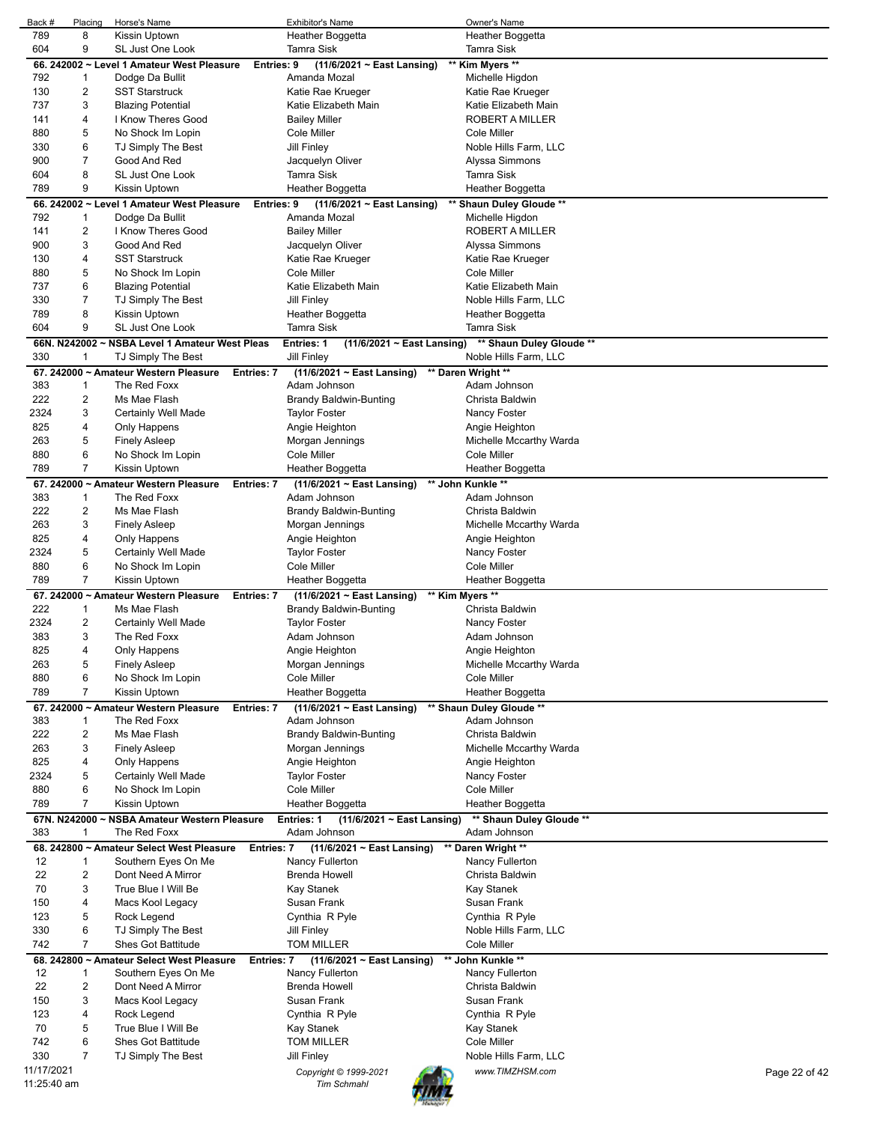| Back #      | Placing                 | Horse's Name                                                   | <b>Exhibitor's Name</b>                              | Owner's Name             |               |
|-------------|-------------------------|----------------------------------------------------------------|------------------------------------------------------|--------------------------|---------------|
| 789         | 8                       | Kissin Uptown                                                  | Heather Boggetta                                     | Heather Boggetta         |               |
| 604         | 9                       | SL Just One Look                                               | <b>Tamra Sisk</b>                                    | Tamra Sisk               |               |
|             |                         |                                                                |                                                      |                          |               |
|             |                         | 66. 242002 ~ Level 1 Amateur West Pleasure<br>Entries: 9       | $(11/6/2021 \sim East$ Lansing)                      | ** Kim Myers **          |               |
| 792         | -1                      | Dodge Da Bullit                                                | Amanda Mozal                                         | Michelle Higdon          |               |
| 130         | $\overline{\mathbf{c}}$ | <b>SST Starstruck</b>                                          | Katie Rae Krueger                                    | Katie Rae Krueger        |               |
| 737         | 3                       | <b>Blazing Potential</b>                                       | Katie Elizabeth Main                                 | Katie Elizabeth Main     |               |
| 141         | 4                       | I Know Theres Good                                             | <b>Bailey Miller</b>                                 | ROBERT A MILLER          |               |
| 880         | 5                       | No Shock Im Lopin                                              | Cole Miller                                          | Cole Miller              |               |
| 330         | 6                       | TJ Simply The Best                                             | Jill Finley                                          | Noble Hills Farm, LLC    |               |
|             |                         |                                                                |                                                      |                          |               |
| 900         | $\overline{7}$          | Good And Red                                                   | Jacquelyn Oliver                                     | Alyssa Simmons           |               |
| 604         | 8                       | SL Just One Look                                               | Tamra Sisk                                           | <b>Tamra Sisk</b>        |               |
| 789         | 9                       | Kissin Uptown                                                  | Heather Boggetta                                     | Heather Boggetta         |               |
|             |                         | 66. 242002 ~ Level 1 Amateur West Pleasure<br>Entries: 9       | $(11/6/2021 \sim$ East Lansing)                      | ** Shaun Duley Gloude ** |               |
| 792         | 1                       | Dodge Da Bullit                                                | Amanda Mozal                                         | Michelle Higdon          |               |
| 141         | 2                       | I Know Theres Good                                             | <b>Bailey Miller</b>                                 | ROBERT A MILLER          |               |
| 900         | 3                       | Good And Red                                                   |                                                      | Alyssa Simmons           |               |
|             |                         |                                                                | Jacquelyn Oliver                                     |                          |               |
| 130         | 4                       | <b>SST Starstruck</b>                                          | Katie Rae Krueger                                    | Katie Rae Krueger        |               |
| 880         | 5                       | No Shock Im Lopin                                              | Cole Miller                                          | Cole Miller              |               |
| 737         | 6                       | <b>Blazing Potential</b>                                       | Katie Elizabeth Main                                 | Katie Elizabeth Main     |               |
| 330         | 7                       | TJ Simply The Best                                             | Jill Finley                                          | Noble Hills Farm, LLC    |               |
| 789         | 8                       | Kissin Uptown                                                  | Heather Boggetta                                     | Heather Boggetta         |               |
| 604         | 9                       | SL Just One Look                                               | <b>Tamra Sisk</b>                                    | <b>Tamra Sisk</b>        |               |
|             |                         | 66N. N242002 ~ NSBA Level 1 Amateur West Pleas                 | <b>Entries: 1</b><br>$(11/6/2021 \sim$ East Lansing) | ** Shaun Duley Gloude ** |               |
|             | 1                       |                                                                |                                                      |                          |               |
| 330         |                         | TJ Simply The Best                                             | <b>Jill Finley</b>                                   | Noble Hills Farm, LLC    |               |
|             |                         | 67. 242000 ~ Amateur Western Pleasure<br><b>Entries: 7</b>     | $(11/6/2021 \sim$ East Lansing)                      | ** Daren Wright **       |               |
| 383         | $\mathbf{1}$            | The Red Foxx                                                   | Adam Johnson                                         | Adam Johnson             |               |
| 222         | $\overline{2}$          | Ms Mae Flash                                                   | Brandy Baldwin-Bunting                               | Christa Baldwin          |               |
| 2324        | 3                       | Certainly Well Made                                            | Taylor Foster                                        | Nancy Foster             |               |
| 825         | 4                       | Only Happens                                                   | Angie Heighton                                       | Angie Heighton           |               |
| 263         | 5                       | <b>Finely Asleep</b>                                           | Morgan Jennings                                      | Michelle Mccarthy Warda  |               |
| 880         | 6                       | No Shock Im Lopin                                              | Cole Miller                                          | Cole Miller              |               |
|             |                         |                                                                |                                                      |                          |               |
| 789         | $\overline{7}$          | Kissin Uptown                                                  | Heather Boggetta                                     | Heather Boggetta         |               |
|             |                         | 67. 242000 ~ Amateur Western Pleasure<br><b>Entries: 7</b>     | $(11/6/2021 \sim$ East Lansing)                      | ** John Kunkle **        |               |
| 383         | 1                       | The Red Foxx                                                   | Adam Johnson                                         | Adam Johnson             |               |
| 222         | 2                       | Ms Mae Flash                                                   | Brandy Baldwin-Bunting                               | Christa Baldwin          |               |
| 263         | 3                       | <b>Finely Asleep</b>                                           | Morgan Jennings                                      | Michelle Mccarthy Warda  |               |
| 825         | 4                       | Only Happens                                                   | Angie Heighton                                       | Angie Heighton           |               |
| 2324        | 5                       | Certainly Well Made                                            | Taylor Foster                                        | Nancy Foster             |               |
| 880         | 6                       | No Shock Im Lopin                                              | Cole Miller                                          | Cole Miller              |               |
|             |                         |                                                                |                                                      |                          |               |
| 789         | $\overline{7}$          | Kissin Uptown                                                  | Heather Boggetta                                     | Heather Boggetta         |               |
|             |                         | 67. 242000 ~ Amateur Western Pleasure<br><b>Entries: 7</b>     | $(11/6/2021 \sim$ East Lansing)                      | ** Kim Myers **          |               |
| 222         | 1                       | Ms Mae Flash                                                   | <b>Brandy Baldwin-Bunting</b>                        | Christa Baldwin          |               |
| 2324        | 2                       | Certainly Well Made                                            | <b>Taylor Foster</b>                                 | Nancy Foster             |               |
| 383         | 3                       | The Red Foxx                                                   | Adam Johnson                                         | Adam Johnson             |               |
| 825         | 4                       | Only Happens                                                   | Angie Heighton                                       | Angie Heighton           |               |
| 263         | 5                       | <b>Finely Asleep</b>                                           | Morgan Jennings                                      | Michelle Mccarthy Warda  |               |
| 880         | 6                       | No Shock Im Lopin                                              | Cole Miller                                          | Cole Miller              |               |
|             |                         |                                                                |                                                      |                          |               |
| 789         | 7                       | Kissin Uptown                                                  | Heather Boggetta                                     | Heather Boggetta         |               |
|             |                         | 67. 242000 ~ Amateur Western Pleasure<br><b>Entries: 7</b>     | $(11/6/2021 \sim$ East Lansing)                      | ** Shaun Duley Gloude ** |               |
| 383         | $\mathbf{1}$            | The Red Foxx                                                   | Adam Johnson                                         | Adam Johnson             |               |
| 222         | $\overline{c}$          | Ms Mae Flash                                                   | Brandy Baldwin-Bunting                               | Christa Baldwin          |               |
| 263         | 3                       | <b>Finely Asleep</b>                                           | Morgan Jennings                                      | Michelle Mccarthy Warda  |               |
| 825         | 4                       | Only Happens                                                   | Angie Heighton                                       | Angie Heighton           |               |
| 2324        | 5                       | Certainly Well Made                                            | <b>Taylor Foster</b>                                 | Nancy Foster             |               |
| 880         | 6                       | No Shock Im Lopin                                              | Cole Miller                                          | Cole Miller              |               |
| 789         | 7                       | Kissin Uptown                                                  |                                                      |                          |               |
|             |                         |                                                                | Heather Boggetta                                     | Heather Boggetta         |               |
|             |                         | 67N. N242000 ~ NSBA Amateur Western Pleasure                   | <b>Entries: 1</b><br>$(11/6/2021 - East Lensing)$    | ** Shaun Duley Gloude ** |               |
| 383         | 1                       | The Red Foxx                                                   | Adam Johnson                                         | Adam Johnson             |               |
|             |                         | 68. 242800 ~ Amateur Select West Pleasure<br>Entries: 7        | $(11/6/2021 \sim$ East Lansing)                      | ** Daren Wright **       |               |
| 12          | 1                       | Southern Eyes On Me                                            | Nancy Fullerton                                      | Nancy Fullerton          |               |
| 22          | $\overline{2}$          | Dont Need A Mirror                                             | <b>Brenda Howell</b>                                 | Christa Baldwin          |               |
| 70          | 3                       | True Blue I Will Be                                            | Kay Stanek                                           | Kay Stanek               |               |
|             | 4                       |                                                                |                                                      |                          |               |
| 150         |                         | Macs Kool Legacy                                               | Susan Frank                                          | Susan Frank              |               |
| 123         | 5                       | Rock Legend                                                    | Cynthia R Pyle                                       | Cynthia R Pyle           |               |
| 330         | 6                       | TJ Simply The Best                                             | Jill Finley                                          | Noble Hills Farm, LLC    |               |
| 742         | $\overline{7}$          | <b>Shes Got Battitude</b>                                      | <b>TOM MILLER</b>                                    | Cole Miller              |               |
|             |                         | 68. 242800 ~ Amateur Select West Pleasure<br><b>Entries: 7</b> | (11/6/2021 ~ East Lansing)                           | ** John Kunkle **        |               |
| 12          | $\mathbf{1}$            | Southern Eyes On Me                                            | Nancy Fullerton                                      | Nancy Fullerton          |               |
| 22          | 2                       | Dont Need A Mirror                                             | <b>Brenda Howell</b>                                 | Christa Baldwin          |               |
| 150         | 3                       | Macs Kool Legacy                                               | Susan Frank                                          | Susan Frank              |               |
| 123         |                         |                                                                |                                                      |                          |               |
|             | 4                       | Rock Legend                                                    | Cynthia R Pyle                                       | Cynthia R Pyle           |               |
| 70          | 5                       | True Blue I Will Be                                            | Kay Stanek                                           | Kay Stanek               |               |
| 742         | 6                       | Shes Got Battitude                                             | <b>TOM MILLER</b>                                    | Cole Miller              |               |
| 330         | 7                       | TJ Simply The Best                                             | Jill Finley                                          | Noble Hills Farm, LLC    |               |
| 11/17/2021  |                         |                                                                | Copyright © 1999-2021                                | www.TIMZHSM.com          | Page 22 of 42 |
| 11:25:40 am |                         |                                                                | <b>Tim Schmahl</b>                                   |                          |               |
|             |                         |                                                                |                                                      |                          |               |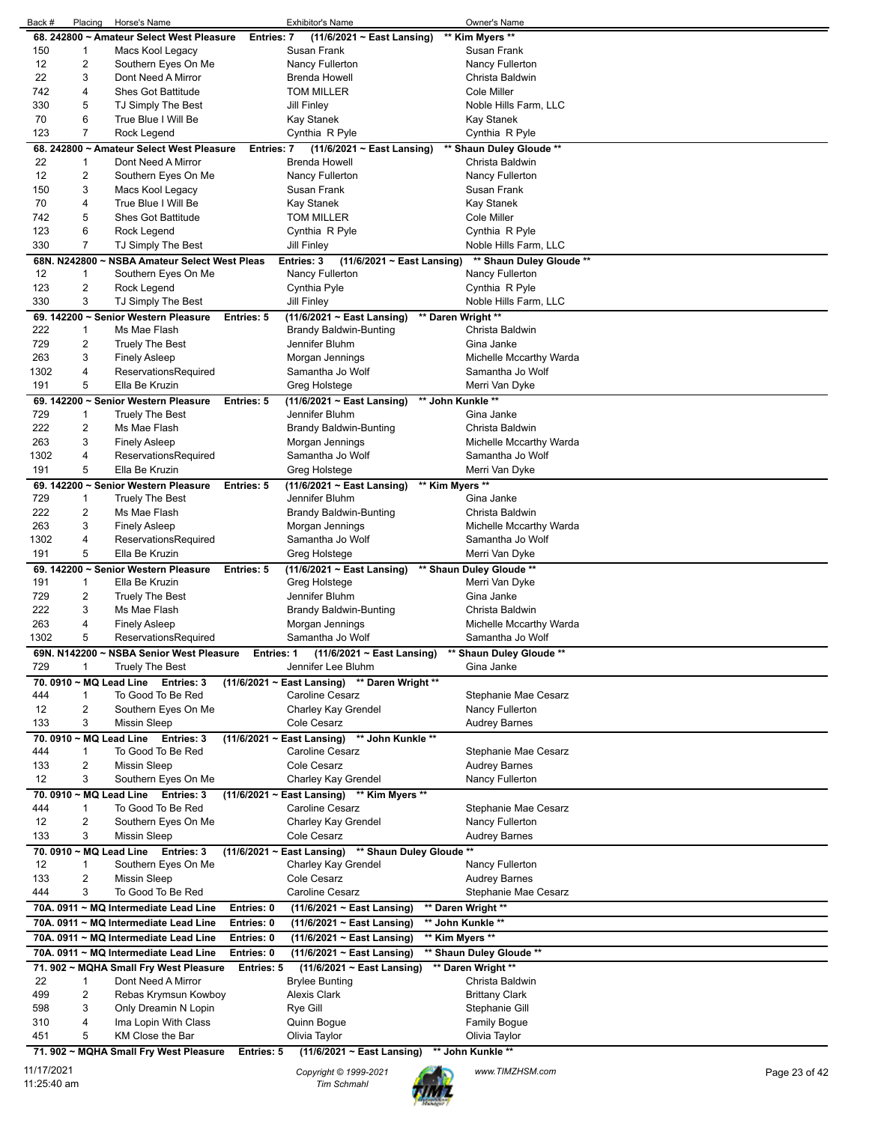|            | Placing        | Horse's Name                                  |                   | <b>Exhibitor's Name</b>                                     | Owner's Name             |               |
|------------|----------------|-----------------------------------------------|-------------------|-------------------------------------------------------------|--------------------------|---------------|
|            |                | 68. 242800 ~ Amateur Select West Pleasure     | <b>Entries: 7</b> | (11/6/2021 ~ East Lansing)                                  | ** Kim Myers **          |               |
| 150        | $\mathbf{1}$   | Macs Kool Legacy                              |                   | Susan Frank                                                 | Susan Frank              |               |
|            |                |                                               |                   |                                                             |                          |               |
| 12         | 2              | Southern Eyes On Me                           |                   | Nancy Fullerton                                             | Nancy Fullerton          |               |
| 22         | 3              | Dont Need A Mirror                            |                   | Brenda Howell                                               | Christa Baldwin          |               |
| 742        | 4              | <b>Shes Got Battitude</b>                     |                   | <b>TOM MILLER</b>                                           | <b>Cole Miller</b>       |               |
| 330        | 5              | TJ Simply The Best                            |                   | Jill Finley                                                 | Noble Hills Farm, LLC    |               |
|            |                |                                               |                   |                                                             |                          |               |
| 70         | 6              | True Blue I Will Be                           |                   | Kay Stanek                                                  | Kay Stanek               |               |
| 123        | $\overline{7}$ | Rock Legend                                   |                   | Cynthia R Pyle                                              | Cynthia R Pyle           |               |
|            |                | 68. 242800 ~ Amateur Select West Pleasure     |                   |                                                             |                          |               |
|            |                |                                               | Entries: 7        | (11/6/2021 ~ East Lansing)                                  | ** Shaun Duley Gloude ** |               |
| 22         | $\mathbf{1}$   | Dont Need A Mirror                            |                   | <b>Brenda Howell</b>                                        | Christa Baldwin          |               |
| 12         | $\overline{2}$ | Southern Eyes On Me                           |                   | Nancy Fullerton                                             | Nancy Fullerton          |               |
| 150        | 3              | Macs Kool Legacy                              |                   | Susan Frank                                                 | Susan Frank              |               |
|            |                |                                               |                   |                                                             |                          |               |
| 70         | 4              | True Blue I Will Be                           |                   | Kay Stanek                                                  | Kay Stanek               |               |
| 742        | 5              | <b>Shes Got Battitude</b>                     |                   | <b>TOM MILLER</b>                                           | Cole Miller              |               |
| 123        | 6              | Rock Legend                                   |                   | Cynthia R Pyle                                              | Cynthia R Pyle           |               |
|            |                |                                               |                   |                                                             |                          |               |
| 330        | $\overline{7}$ | TJ Simply The Best                            |                   | <b>Jill Finley</b>                                          | Noble Hills Farm, LLC    |               |
|            |                | 68N. N242800 ~ NSBA Amateur Select West Pleas |                   | Entries: 3<br>$(11/6/2021 \sim$ East Lansing)               | ** Shaun Duley Gloude ** |               |
| 12         | $\mathbf{1}$   | Southern Eyes On Me                           |                   | Nancy Fullerton                                             | Nancy Fullerton          |               |
| 123        | $\overline{2}$ |                                               |                   |                                                             |                          |               |
|            |                | Rock Legend                                   |                   | Cynthia Pyle                                                | Cynthia R Pyle           |               |
| 330        | 3              | TJ Simply The Best                            |                   | Jill Finley                                                 | Noble Hills Farm, LLC    |               |
|            |                | 69. 142200 ~ Senior Western Pleasure          | Entries: 5        | $(11/6/2021 \sim$ East Lansing)                             | ** Daren Wright **       |               |
| 222        |                | Ms Mae Flash                                  |                   | <b>Brandy Baldwin-Bunting</b>                               | Christa Baldwin          |               |
|            | $\mathbf 1$    |                                               |                   |                                                             |                          |               |
| 729        | $\overline{2}$ | <b>Truely The Best</b>                        |                   | Jennifer Bluhm                                              | Gina Janke               |               |
| 263        | 3              | <b>Finely Asleep</b>                          |                   | Morgan Jennings                                             | Michelle Mccarthy Warda  |               |
| 1302       | 4              | ReservationsRequired                          |                   | Samantha Jo Wolf                                            | Samantha Jo Wolf         |               |
|            |                |                                               |                   |                                                             |                          |               |
| 191        | 5              | Ella Be Kruzin                                |                   | Greg Holstege                                               | Merri Van Dyke           |               |
|            |                | 69. 142200 ~ Senior Western Pleasure          | Entries: 5        | (11/6/2021 ~ East Lansing)                                  | ** John Kunkle **        |               |
| 729        | $\mathbf 1$    |                                               |                   | Jennifer Bluhm                                              | Gina Janke               |               |
|            |                | Truely The Best                               |                   |                                                             |                          |               |
| 222        | 2              | Ms Mae Flash                                  |                   | <b>Brandy Baldwin-Bunting</b>                               | Christa Baldwin          |               |
| 263        | 3              | <b>Finely Asleep</b>                          |                   | Morgan Jennings                                             | Michelle Mccarthy Warda  |               |
| 1302       | 4              | ReservationsRequired                          |                   | Samantha Jo Wolf                                            | Samantha Jo Wolf         |               |
|            |                |                                               |                   |                                                             |                          |               |
| 191        | 5              | Ella Be Kruzin                                |                   | Greg Holstege                                               | Merri Van Dyke           |               |
|            |                | 69. 142200 ~ Senior Western Pleasure          | Entries: 5        | (11/6/2021 ~ East Lansing)                                  | ** Kim Myers **          |               |
| 729        | $\mathbf 1$    | <b>Truely The Best</b>                        |                   | Jennifer Bluhm                                              | Gina Janke               |               |
|            |                |                                               |                   |                                                             |                          |               |
| 222        | 2              | Ms Mae Flash                                  |                   | <b>Brandy Baldwin-Bunting</b>                               | Christa Baldwin          |               |
| 263        | 3              | <b>Finely Asleep</b>                          |                   | Morgan Jennings                                             | Michelle Mccarthy Warda  |               |
| 1302       | 4              | ReservationsRequired                          |                   | Samantha Jo Wolf                                            | Samantha Jo Wolf         |               |
|            |                |                                               |                   |                                                             |                          |               |
| 191        | 5              | Ella Be Kruzin                                |                   | Greg Holstege                                               | Merri Van Dyke           |               |
|            |                | 69. 142200 ~ Senior Western Pleasure          | Entries: 5        | $(11/6/2021 \sim$ East Lansing)                             | ** Shaun Duley Gloude ** |               |
| 191        | $\mathbf 1$    | Ella Be Kruzin                                |                   | Greg Holstege                                               | Merri Van Dyke           |               |
|            |                |                                               |                   |                                                             |                          |               |
|            |                |                                               |                   |                                                             |                          |               |
| 729        | 2              | <b>Truely The Best</b>                        |                   | Jennifer Bluhm                                              | Gina Janke               |               |
| 222        | 3              | Ms Mae Flash                                  |                   |                                                             |                          |               |
|            |                |                                               |                   | <b>Brandy Baldwin-Bunting</b>                               | Christa Baldwin          |               |
| 263        | 4              | <b>Finely Asleep</b>                          |                   | Morgan Jennings                                             | Michelle Mccarthy Warda  |               |
| 1302       | 5              | ReservationsRequired                          |                   | Samantha Jo Wolf                                            | Samantha Jo Wolf         |               |
|            |                |                                               | <b>Entries: 1</b> |                                                             |                          |               |
|            |                | 69N. N142200 ~ NSBA Senior West Pleasure      |                   | $(11/6/2021 \sim$ East Lansing)                             | ** Shaun Duley Gloude ** |               |
| 729        | $\mathbf{1}$   | <b>Truely The Best</b>                        |                   | Jennifer Lee Bluhm                                          | Gina Janke               |               |
|            |                | 70. 0910 ~ MQ Lead Line Entries: 3            |                   | (11/6/2021 ~ East Lansing) ** Daren Wright **               |                          |               |
|            |                |                                               |                   | <b>Caroline Cesarz</b>                                      |                          |               |
| 444        | $\mathbf 1$    | To Good To Be Red                             |                   |                                                             | Stephanie Mae Cesarz     |               |
| 12         | 2              | Southern Eyes On Me                           |                   | Charley Kay Grendel                                         | Nancy Fullerton          |               |
| 133        | 3              | Missin Sleep                                  |                   | Cole Cesarz                                                 | Audrey Barnes            |               |
|            |                | 70. 0910 ~ MQ Lead Line Entries: 3            |                   | $(11/6/2021 \sim$ East Lansing)                             |                          |               |
|            |                |                                               |                   | ** John Kunkle **                                           |                          |               |
| 444        | 1              | To Good To Be Red                             |                   | Caroline Cesarz                                             | Stephanie Mae Cesarz     |               |
| 133        | 2              | Missin Sleep                                  |                   | <b>Cole Cesarz</b>                                          | <b>Audrey Barnes</b>     |               |
| 12         | 3              | Southern Eyes On Me                           |                   | Charley Kay Grendel                                         | Nancy Fullerton          |               |
|            |                |                                               |                   |                                                             |                          |               |
|            |                | 70.0910 ~ MQ Lead Line<br>Entries: 3          |                   | $(11/6/2021 \sim$ East Lansing)<br>** Kim Myers **          |                          |               |
| 444        | $\mathbf{1}$   | To Good To Be Red                             |                   | Caroline Cesarz                                             | Stephanie Mae Cesarz     |               |
| 12         | $\overline{2}$ | Southern Eyes On Me                           |                   | Charley Kay Grendel                                         | Nancy Fullerton          |               |
| 133        | 3              |                                               |                   | Cole Cesarz                                                 |                          |               |
|            |                | <b>Missin Sleep</b>                           |                   |                                                             | Audrey Barnes            |               |
|            |                | 70.0910 ~ MQ Lead Line<br>Entries: 3          |                   | ** Shaun Duley Gloude **<br>$(11/6/2021 \sim$ East Lansing) |                          |               |
| 12         | $\mathbf 1$    | Southern Eyes On Me                           |                   | Charley Kay Grendel                                         | Nancy Fullerton          |               |
| 133        | $\overline{2}$ | <b>Missin Sleep</b>                           |                   | Cole Cesarz                                                 |                          |               |
|            |                |                                               |                   |                                                             | <b>Audrey Barnes</b>     |               |
| 444        | 3              | To Good To Be Red                             |                   | Caroline Cesarz                                             | Stephanie Mae Cesarz     |               |
|            |                | 70A. 0911 ~ MQ Intermediate Lead Line         | Entries: 0        | (11/6/2021 ~ East Lansing)                                  | ** Daren Wright **       |               |
|            |                |                                               |                   |                                                             |                          |               |
|            |                | 70A. 0911 ~ MQ Intermediate Lead Line         | Entries: 0        | (11/6/2021 ~ East Lansing)                                  | ** John Kunkle **        |               |
|            |                | 70A. 0911 ~ MQ Intermediate Lead Line         | Entries: 0        | (11/6/2021 ~ East Lansing)                                  | ** Kim Myers **          |               |
|            |                | 70A. 0911 ~ MQ Intermediate Lead Line         | Entries: 0        | (11/6/2021 ~ East Lansing)                                  | ** Shaun Duley Gloude ** |               |
|            |                |                                               |                   |                                                             |                          |               |
|            |                | 71. 902 ~ MQHA Small Fry West Pleasure        | Entries: 5        | $(11/6/2021 \sim$ East Lansing)                             | ** Daren Wright **       |               |
| 22         | -1             | Dont Need A Mirror                            |                   | <b>Brylee Bunting</b>                                       | Christa Baldwin          |               |
| 499        | 2              | Rebas Krymsun Kowboy                          |                   | <b>Alexis Clark</b>                                         | <b>Brittany Clark</b>    |               |
|            |                |                                               |                   |                                                             |                          |               |
| 598        | 3              | Only Dreamin N Lopin                          |                   | Rye Gill                                                    | Stephanie Gill           |               |
| 310        | 4              | Ima Lopin With Class                          |                   | Quinn Bogue                                                 | <b>Family Bogue</b>      |               |
| 451        | 5              | KM Close the Bar                              |                   | Olivia Taylor                                               | Olivia Taylor            |               |
|            |                |                                               |                   |                                                             |                          |               |
|            |                | 71.902 ~ MQHA Small Fry West Pleasure         | <b>Entries: 5</b> | $(11/6/2021 \sim$ East Lansing)                             | ** John Kunkle **        |               |
| 11/17/2021 |                |                                               |                   | Copyright © 1999-2021                                       | www.TIMZHSM.com          | Page 23 of 42 |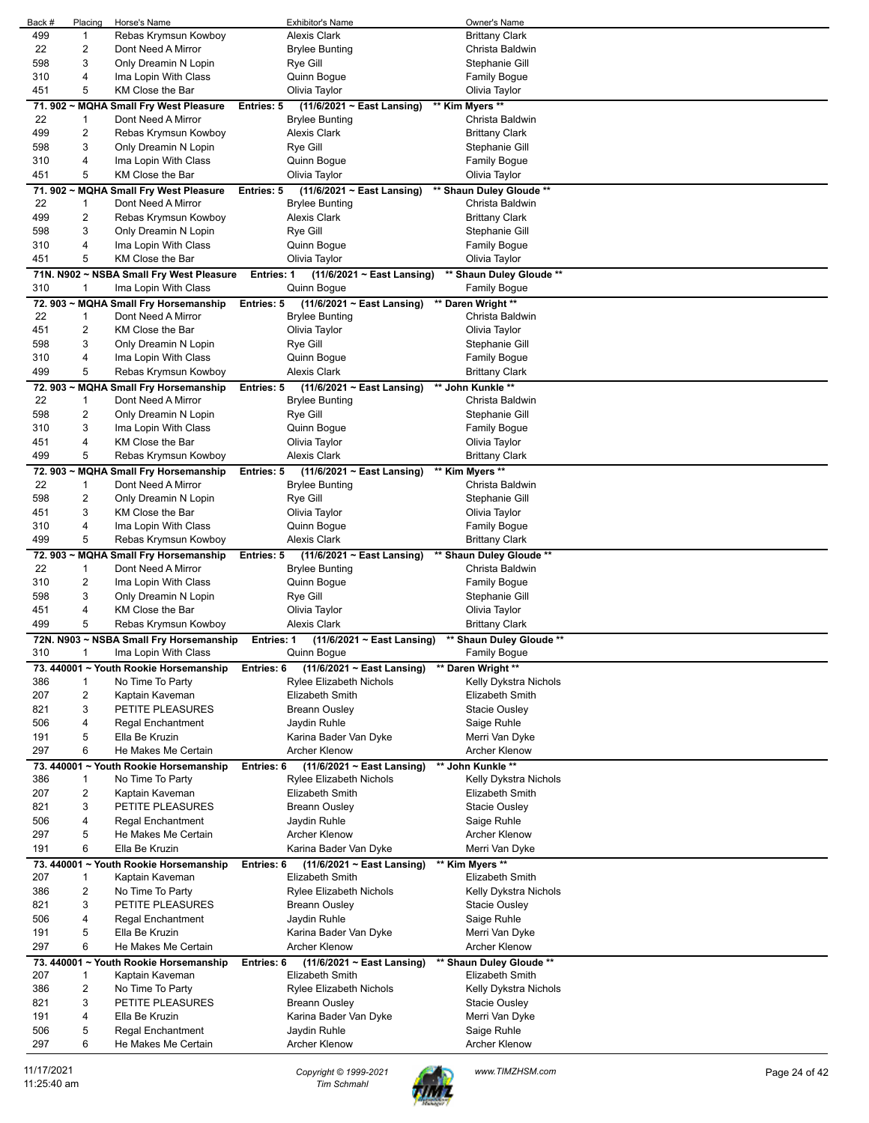| Back # | Placing                 | Horse's Name                             | Exhibitor's Name                                | Owner's Name             |  |
|--------|-------------------------|------------------------------------------|-------------------------------------------------|--------------------------|--|
| 499    | 1                       | Rebas Krymsun Kowboy                     | <b>Alexis Clark</b>                             | <b>Brittany Clark</b>    |  |
| 22     | $\overline{2}$          | Dont Need A Mirror                       | <b>Brylee Bunting</b>                           | Christa Baldwin          |  |
| 598    | 3                       | Only Dreamin N Lopin                     | Rye Gill                                        | Stephanie Gill           |  |
| 310    | 4                       | Ima Lopin With Class                     | Quinn Bogue                                     | <b>Family Bogue</b>      |  |
| 451    | 5                       | KM Close the Bar                         | Olivia Taylor                                   | Olivia Taylor            |  |
|        | 71.902~MQHA             | <b>Small Fry West Pleasure</b>           | Entries: 5<br>$(11/6/2021 \sim East$ Lansing)   | ** Kim Myers **          |  |
| 22     | 1                       | Dont Need A Mirror                       | <b>Brylee Bunting</b>                           | Christa Baldwin          |  |
| 499    | $\overline{2}$          | Rebas Krymsun Kowboy                     | <b>Alexis Clark</b>                             | <b>Brittany Clark</b>    |  |
|        |                         |                                          |                                                 |                          |  |
| 598    | 3                       | Only Dreamin N Lopin                     | Rye Gill                                        | Stephanie Gill           |  |
| 310    | 4                       | Ima Lopin With Class                     | Quinn Bogue                                     | <b>Family Bogue</b>      |  |
| 451    | 5                       | KM Close the Bar                         | Olivia Taylor                                   | Olivia Taylor            |  |
|        | 71.902~MQHA             | <b>Small Fry West Pleasure</b>           | (11/6/2021 ~ East Lansing)<br>Entries: 5        | ** Shaun Duley Gloude ** |  |
| 22     | 1                       | Dont Need A Mirror                       | <b>Brylee Bunting</b>                           | Christa Baldwin          |  |
| 499    | 2                       | Rebas Krymsun Kowboy                     | <b>Alexis Clark</b>                             | <b>Brittany Clark</b>    |  |
| 598    | 3                       | Only Dreamin N Lopin                     | Rye Gill                                        | Stephanie Gill           |  |
| 310    | 4                       | Ima Lopin With Class                     | Quinn Bogue                                     | <b>Family Bogue</b>      |  |
| 451    | 5                       | KM Close the Bar                         | Olivia Taylor                                   | Olivia Taylor            |  |
|        |                         | 71N. N902 ~ NSBA Small Fry West Pleasure | <b>Entries: 1</b><br>(11/6/2021 ~ East Lansing) | ** Shaun Duley Gloude ** |  |
| 310    | $\mathbf{1}$            | Ima Lopin With Class                     | Quinn Bogue                                     | <b>Family Bogue</b>      |  |
|        |                         | 72. 903 ~ MQHA Small Fry Horsemanship    | $(11/6/2021 \sim East$ Lansing)<br>Entries: 5   | ** Daren Wright **       |  |
| 22     | 1                       | Dont Need A Mirror                       | <b>Brylee Bunting</b>                           | Christa Baldwin          |  |
| 451    | $\overline{2}$          | KM Close the Bar                         | Olivia Taylor                                   | Olivia Taylor            |  |
| 598    | 3                       | Only Dreamin N Lopin                     | Rye Gill                                        | Stephanie Gill           |  |
| 310    | 4                       | Ima Lopin With Class                     | Quinn Bogue                                     | <b>Family Bogue</b>      |  |
| 499    | 5                       | Rebas Krymsun Kowboy                     | <b>Alexis Clark</b>                             | <b>Brittany Clark</b>    |  |
|        |                         | 72. 903 ~ MQHA Small Fry Horsemanship    | (11/6/2021 ~ East Lansing)<br>Entries: 5        | ** John Kunkle **        |  |
| 22     | 1                       | Dont Need A Mirror                       | <b>Brylee Bunting</b>                           | Christa Baldwin          |  |
| 598    | $\overline{2}$          | Only Dreamin N Lopin                     | Rye Gill                                        | Stephanie Gill           |  |
|        |                         |                                          |                                                 |                          |  |
| 310    | 3                       | Ima Lopin With Class                     | Quinn Bogue                                     | <b>Family Bogue</b>      |  |
| 451    | 4                       | KM Close the Bar                         | Olivia Taylor                                   | Olivia Taylor            |  |
| 499    | 5                       | Rebas Krymsun Kowboy                     | <b>Alexis Clark</b>                             | <b>Brittany Clark</b>    |  |
|        | 72.903~MQHA             | <b>Small Fry Horsemanship</b>            | (11/6/2021 ~ East Lansing)<br>Entries: 5        | ** Kim Myers **          |  |
| 22     | 1                       | Dont Need A Mirror                       | <b>Brylee Bunting</b>                           | Christa Baldwin          |  |
| 598    | 2                       | Only Dreamin N Lopin                     | Rye Gill                                        | Stephanie Gill           |  |
| 451    | 3                       | KM Close the Bar                         | Olivia Taylor                                   | Olivia Taylor            |  |
| 310    | 4                       | Ima Lopin With Class                     | Quinn Bogue                                     | <b>Family Bogue</b>      |  |
|        |                         |                                          |                                                 |                          |  |
| 499    | 5                       | Rebas Krymsun Kowboy                     | <b>Alexis Clark</b>                             | <b>Brittany Clark</b>    |  |
|        |                         | 72. 903 ~ MQHA Small Fry Horsemanship    | (11/6/2021 ~ East Lansing)<br>Entries: 5        | ** Shaun Duley Gloude ** |  |
| 22     | $\mathbf{1}$            | Dont Need A Mirror                       | <b>Brylee Bunting</b>                           | Christa Baldwin          |  |
| 310    | $\overline{c}$          | Ima Lopin With Class                     | Quinn Bogue                                     | <b>Family Bogue</b>      |  |
| 598    | 3                       | Only Dreamin N Lopin                     | Rye Gill                                        | Stephanie Gill           |  |
| 451    | 4                       | KM Close the Bar                         | Olivia Taylor                                   | Olivia Taylor            |  |
| 499    | 5                       | Rebas Krymsun Kowboy                     | <b>Alexis Clark</b>                             | <b>Brittany Clark</b>    |  |
|        |                         | 72N. N903 ~ NSBA Small Fry Horsemanship  | $(11/6/2021 \sim$ East Lansing)<br>Entries: 1   | ** Shaun Duley Gloude ** |  |
|        |                         | 1 Ima Lopin With Class                   | Quinn Bogue                                     | Family Bogue             |  |
|        |                         | 73. 440001 ~ Youth Rookie Horsemanship   | (11/6/2021 ~ East Lansing)<br>Entries: 6        | ** Daren Wright **       |  |
| 386    | 1                       | No Time To Party                         | Rylee Elizabeth Nichols                         | Kelly Dykstra Nichols    |  |
| 207    | $\overline{2}$          | Kaptain Kaveman                          | Elizabeth Smith                                 | Elizabeth Smith          |  |
| 821    | 3                       | PETITE PLEASURES                         | <b>Breann Ousley</b>                            | <b>Stacie Ousley</b>     |  |
| 506    | 4                       | Regal Enchantment                        | Jaydin Ruhle                                    | Saige Ruhle              |  |
| 191    | 5                       | Ella Be Kruzin                           | Karina Bader Van Dyke                           | Merri Van Dyke           |  |
| 297    | 6                       |                                          |                                                 |                          |  |
|        |                         | He Makes Me Certain                      | Archer Klenow                                   | <b>Archer Klenow</b>     |  |
|        |                         | 73. 440001 ~ Youth Rookie Horsemanship   | Entries: 6<br>$(11/6/2021 \sim East$ Lansing)   | ** John Kunkle **        |  |
| 386    | $\mathbf{1}$            | No Time To Party                         | <b>Rylee Elizabeth Nichols</b>                  | Kelly Dykstra Nichols    |  |
| 207    | 2                       | Kaptain Kaveman                          | Elizabeth Smith                                 | Elizabeth Smith          |  |
| 821    | 3                       | PETITE PLEASURES                         | <b>Breann Ousley</b>                            | <b>Stacie Ousley</b>     |  |
| 506    | 4                       | Regal Enchantment                        | Jaydin Ruhle                                    | Saige Ruhle              |  |
| 297    | 5                       | He Makes Me Certain                      | Archer Klenow                                   | <b>Archer Klenow</b>     |  |
| 191    | 6                       | Ella Be Kruzin                           | Karina Bader Van Dyke                           | Merri Van Dyke           |  |
|        |                         | 73. 440001 ~ Youth Rookie Horsemanship   | Entries: 6<br>$(11/6/2021 \sim East$ Lansing)   | ** Kim Myers **          |  |
| 207    | 1                       | Kaptain Kaveman                          | Elizabeth Smith                                 | <b>Elizabeth Smith</b>   |  |
| 386    | $\overline{2}$          | No Time To Party                         | Rylee Elizabeth Nichols                         | Kelly Dykstra Nichols    |  |
| 821    | 3                       | PETITE PLEASURES                         | <b>Breann Ousley</b>                            | Stacie Ousley            |  |
| 506    | 4                       | <b>Regal Enchantment</b>                 | Jaydin Ruhle                                    | Saige Ruhle              |  |
| 191    | 5                       | Ella Be Kruzin                           | Karina Bader Van Dyke                           | Merri Van Dyke           |  |
| 297    | 6                       | He Makes Me Certain                      | <b>Archer Klenow</b>                            | <b>Archer Klenow</b>     |  |
|        |                         | 73. 440001 ~ Youth Rookie Horsemanship   | $(11/6/2021 \sim East$ Lansing)<br>Entries: 6   | ** Shaun Duley Gloude ** |  |
| 207    | $\mathbf{1}$            | Kaptain Kaveman                          | Elizabeth Smith                                 | Elizabeth Smith          |  |
| 386    | $\overline{\mathbf{c}}$ | No Time To Party                         | Rylee Elizabeth Nichols                         | Kelly Dykstra Nichols    |  |
| 821    | 3                       | PETITE PLEASURES                         | Breann Ousley                                   | <b>Stacie Ousley</b>     |  |
| 191    | 4                       | Ella Be Kruzin                           | Karina Bader Van Dyke                           | Merri Van Dyke           |  |
| 506    | 5                       | Regal Enchantment                        | Jaydin Ruhle                                    | Saige Ruhle              |  |
| 297    | 6                       | He Makes Me Certain                      | Archer Klenow                                   | <b>Archer Klenow</b>     |  |

11/17/2021 *Copyright © 1999-2021 Tim Schmahl www.TIMZHSM.com* Page 24 of 42

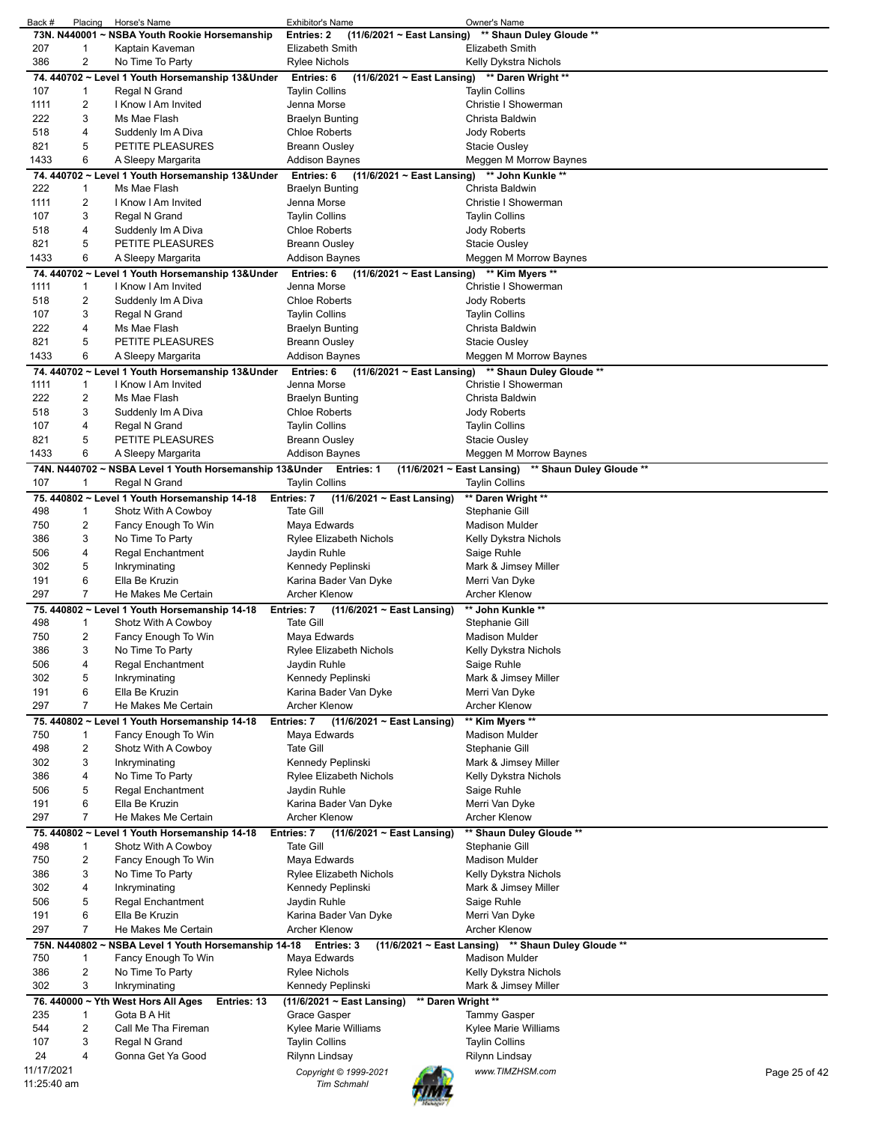| Back #      | Placing        | Horse's Name                                                       | <b>Exhibitor's Name</b>                               | Owner's Name                                        |               |
|-------------|----------------|--------------------------------------------------------------------|-------------------------------------------------------|-----------------------------------------------------|---------------|
|             |                | 73N. N440001 ~ NSBA Youth Rookie Horsemanship                      | $(11/6/2021 \sim$ East Lansing)<br><b>Entries: 2</b>  | ** Shaun Duley Gloude **                            |               |
| 207         | $\mathbf 1$    | Kaptain Kaveman                                                    | Elizabeth Smith                                       | Elizabeth Smith                                     |               |
| 386         | $\overline{c}$ | No Time To Party                                                   | Rylee Nichols                                         | Kelly Dykstra Nichols                               |               |
|             |                |                                                                    |                                                       |                                                     |               |
|             |                | 74. 440702 ~ Level 1 Youth Horsemanship 13&Under                   | $(11/6/2021 \sim East$ Lansing)<br>Entries: 6         | ** Daren Wright **                                  |               |
| 107         | $\mathbf{1}$   | Regal N Grand                                                      | Taylin Collins                                        | <b>Taylin Collins</b>                               |               |
| 1111        | 2              | I Know I Am Invited                                                | Jenna Morse                                           | Christie I Showerman                                |               |
| 222         | 3              | Ms Mae Flash                                                       | Braelyn Bunting                                       | Christa Baldwin                                     |               |
| 518         | 4              |                                                                    |                                                       | Jody Roberts                                        |               |
|             |                | Suddenly Im A Diva                                                 | Chloe Roberts                                         |                                                     |               |
| 821         | 5              | PETITE PLEASURES                                                   | Breann Ousley                                         | Stacie Ousley                                       |               |
| 1433        | 6              | A Sleepy Margarita                                                 | Addison Baynes                                        | Meggen M Morrow Baynes                              |               |
|             |                | 74. 440702 ~ Level 1 Youth Horsemanship 13&Under                   | Entries: 6<br>$(11/6/2021 \sim East$ Lansing)         | ** John Kunkle **                                   |               |
| 222         | $\mathbf 1$    | Ms Mae Flash                                                       | Braelyn Bunting                                       | Christa Baldwin                                     |               |
|             | 2              | I Know I Am Invited                                                | Jenna Morse                                           | Christie I Showerman                                |               |
| 1111        |                |                                                                    |                                                       |                                                     |               |
| 107         | 3              | Regal N Grand                                                      | <b>Taylin Collins</b>                                 | <b>Taylin Collins</b>                               |               |
| 518         | 4              | Suddenly Im A Diva                                                 | Chloe Roberts                                         | Jody Roberts                                        |               |
| 821         | 5              | PETITE PLEASURES                                                   | Breann Ousley                                         | Stacie Ousley                                       |               |
| 1433        | 6              | A Sleepy Margarita                                                 | <b>Addison Baynes</b>                                 | Meggen M Morrow Baynes                              |               |
|             |                |                                                                    |                                                       |                                                     |               |
|             |                | 74. 440702 ~ Level 1 Youth Horsemanship 13&Under                   | Entries: 6<br>$(11/6/2021 \sim$ East Lansing)         | ** Kim Myers **                                     |               |
| 1111        | $\mathbf{1}$   | I Know I Am Invited                                                | Jenna Morse                                           | Christie I Showerman                                |               |
| 518         | $\overline{c}$ | Suddenly Im A Diva                                                 | <b>Chloe Roberts</b>                                  | Jody Roberts                                        |               |
| 107         | 3              | Regal N Grand                                                      | Taylin Collins                                        | <b>Taylin Collins</b>                               |               |
| 222         | 4              | Ms Mae Flash                                                       | Braelyn Bunting                                       | Christa Baldwin                                     |               |
|             |                |                                                                    |                                                       |                                                     |               |
| 821         | 5              | PETITE PLEASURES                                                   | Breann Ousley                                         | <b>Stacie Ousley</b>                                |               |
| 1433        | 6              | A Sleepy Margarita                                                 | <b>Addison Baynes</b>                                 | Meggen M Morrow Baynes                              |               |
|             |                | 74. 440702 ~ Level 1 Youth Horsemanship 13&Under                   | Entries: 6                                            | (11/6/2021 ~ East Lansing) ** Shaun Duley Gloude ** |               |
| 1111        | $\mathbf 1$    | I Know I Am Invited                                                | Jenna Morse                                           | Christie I Showerman                                |               |
| 222         | 2              | Ms Mae Flash                                                       | Braelyn Bunting                                       | Christa Baldwin                                     |               |
|             |                |                                                                    |                                                       |                                                     |               |
| 518         | 3              | Suddenly Im A Diva                                                 | <b>Chloe Roberts</b>                                  | Jody Roberts                                        |               |
| 107         | 4              | Regal N Grand                                                      | <b>Taylin Collins</b>                                 | <b>Taylin Collins</b>                               |               |
| 821         | 5              | PETITE PLEASURES                                                   | Breann Ousley                                         | Stacie Ousley                                       |               |
| 1433        | 6              | A Sleepy Margarita                                                 | Addison Baynes                                        | Meggen M Morrow Baynes                              |               |
|             |                | 74N. N440702 ~ NSBA Level 1 Youth Horsemanship 13&Under Entries: 1 |                                                       | (11/6/2021 ~ East Lansing) ** Shaun Duley Gloude ** |               |
| 107         | $\mathbf{1}$   | Regal N Grand                                                      | <b>Taylin Collins</b>                                 | <b>Taylin Collins</b>                               |               |
|             |                |                                                                    |                                                       |                                                     |               |
|             |                | 75. 440802 ~ Level 1 Youth Horsemanship 14-18                      | Entries: 7<br>$(11/6/2021 \sim$ East Lansing)         | ** Daren Wright **                                  |               |
| 498         | $\mathbf 1$    | Shotz With A Cowboy                                                | Tate Gill                                             | Stephanie Gill                                      |               |
| 750         | $\overline{c}$ | Fancy Enough To Win                                                | Maya Edwards                                          | Madison Mulder                                      |               |
| 386         | 3              | No Time To Party                                                   | Rylee Elizabeth Nichols                               | Kelly Dykstra Nichols                               |               |
| 506         | 4              | Regal Enchantment                                                  | Jaydin Ruhle                                          | Saige Ruhle                                         |               |
| 302         | 5              | Inkryminating                                                      | Kennedy Peplinski                                     | Mark & Jimsey Miller                                |               |
| 191         | 6              | Ella Be Kruzin                                                     | Karina Bader Van Dyke                                 | Merri Van Dyke                                      |               |
| 297         | $\overline{7}$ | He Makes Me Certain                                                | <b>Archer Klenow</b>                                  | <b>Archer Klenow</b>                                |               |
|             |                |                                                                    |                                                       |                                                     |               |
|             |                | 75.440802 ~ Level 1 Youth Horsemanship 14-18                       | Entries: 7<br>$(11/6/2021 \sim$ East Lansing)         | ** John Kunkle **                                   |               |
| 498         | $\mathbf 1$    | Shotz With A Cowboy                                                | <b>Tate Gill</b>                                      | Stephanie Gill                                      |               |
| 750         | 2              | Fancy Enough To Win                                                | Maya Edwards                                          | Madison Mulder                                      |               |
| 386         | 3              | No Time To Party                                                   | Rylee Elizabeth Nichols                               | Kelly Dykstra Nichols                               |               |
| 506         | 4              | <b>Regal Enchantment</b>                                           | Jaydin Ruhle                                          | Saige Ruhle                                         |               |
| 302         | 5              | Inkryminating                                                      | Kennedy Peplinski                                     | Mark & Jimsey Miller                                |               |
|             |                |                                                                    |                                                       |                                                     |               |
| 191         | 6              | Ella Be Kruzin                                                     | Karina Bader Van Dyke                                 | Merri Van Dyke                                      |               |
| 297         | $\overline{7}$ | He Makes Me Certain                                                | <b>Archer Klenow</b>                                  | <b>Archer Klenow</b>                                |               |
|             |                | 75. 440802 ~ Level 1 Youth Horsemanship 14-18                      | Entries: 7<br>(11/6/2021 ~ East Lansing)              | ** Kim Myers **                                     |               |
| 750         | $\mathbf 1$    | Fancy Enough To Win                                                | Maya Edwards                                          | Madison Mulder                                      |               |
| 498         | $\overline{c}$ | Shotz With A Cowboy                                                | <b>Tate Gill</b>                                      | Stephanie Gill                                      |               |
| 302         | 3              | Inkryminating                                                      |                                                       |                                                     |               |
|             |                |                                                                    | Kennedy Peplinski                                     | Mark & Jimsey Miller                                |               |
| 386         | 4              | No Time To Party                                                   | Rylee Elizabeth Nichols                               | Kelly Dykstra Nichols                               |               |
| 506         | 5              | Regal Enchantment                                                  | Jaydin Ruhle                                          | Saige Ruhle                                         |               |
| 191         | 6              | Ella Be Kruzin                                                     | Karina Bader Van Dyke                                 | Merri Van Dyke                                      |               |
| 297         | 7              | He Makes Me Certain                                                | <b>Archer Klenow</b>                                  | <b>Archer Klenow</b>                                |               |
|             |                | 75. 440802 ~ Level 1 Youth Horsemanship 14-18                      | Entries: 7<br>$(11/6/2021 \sim East$ Lansing)         | ** Shaun Duley Gloude **                            |               |
|             |                |                                                                    |                                                       |                                                     |               |
| 498         | $\mathbf 1$    | Shotz With A Cowboy                                                | <b>Tate Gill</b>                                      | Stephanie Gill                                      |               |
| 750         | 2              | Fancy Enough To Win                                                | Maya Edwards                                          | <b>Madison Mulder</b>                               |               |
| 386         | 3              | No Time To Party                                                   | Rylee Elizabeth Nichols                               | Kelly Dykstra Nichols                               |               |
| 302         | 4              | Inkryminating                                                      | Kennedy Peplinski                                     | Mark & Jimsey Miller                                |               |
| 506         | 5              | <b>Regal Enchantment</b>                                           | Jaydin Ruhle                                          | Saige Ruhle                                         |               |
| 191         | 6              | Ella Be Kruzin                                                     | Karina Bader Van Dyke                                 | Merri Van Dyke                                      |               |
| 297         | $\overline{7}$ | He Makes Me Certain                                                | <b>Archer Klenow</b>                                  | <b>Archer Klenow</b>                                |               |
|             |                |                                                                    |                                                       |                                                     |               |
|             |                | 75N. N440802 ~ NSBA Level 1 Youth Horsemanship 14-18               | Entries: 3                                            | (11/6/2021 ~ East Lansing) ** Shaun Duley Gloude ** |               |
| 750         | 1              | Fancy Enough To Win                                                | Maya Edwards                                          | <b>Madison Mulder</b>                               |               |
| 386         | $\overline{2}$ | No Time To Party                                                   | Rylee Nichols                                         | Kelly Dykstra Nichols                               |               |
| 302         | 3              | Inkryminating                                                      | Kennedy Peplinski                                     | Mark & Jimsey Miller                                |               |
|             |                | 76. 440000 ~ Yth West Hors All Ages<br>Entries: 13                 | ** Daren Wright **<br>$(11/6/2021 \sim$ East Lansing) |                                                     |               |
| 235         | $\mathbf 1$    | Gota B A Hit                                                       | Grace Gasper                                          | Tammy Gasper                                        |               |
| 544         | 2              | Call Me Tha Fireman                                                | Kylee Marie Williams                                  | Kylee Marie Williams                                |               |
| 107         | 3              | Regal N Grand                                                      | <b>Taylin Collins</b>                                 | <b>Taylin Collins</b>                               |               |
|             | 4              |                                                                    |                                                       |                                                     |               |
| 24          |                | Gonna Get Ya Good                                                  | Rilynn Lindsay                                        | Rilynn Lindsay                                      |               |
| 11/17/2021  |                |                                                                    | Copyright © 1999-2021                                 | www.TIMZHSM.com                                     | Page 25 of 42 |
| 11:25:40 am |                |                                                                    | <b>Tim Schmahl</b>                                    |                                                     |               |
|             |                |                                                                    |                                                       |                                                     |               |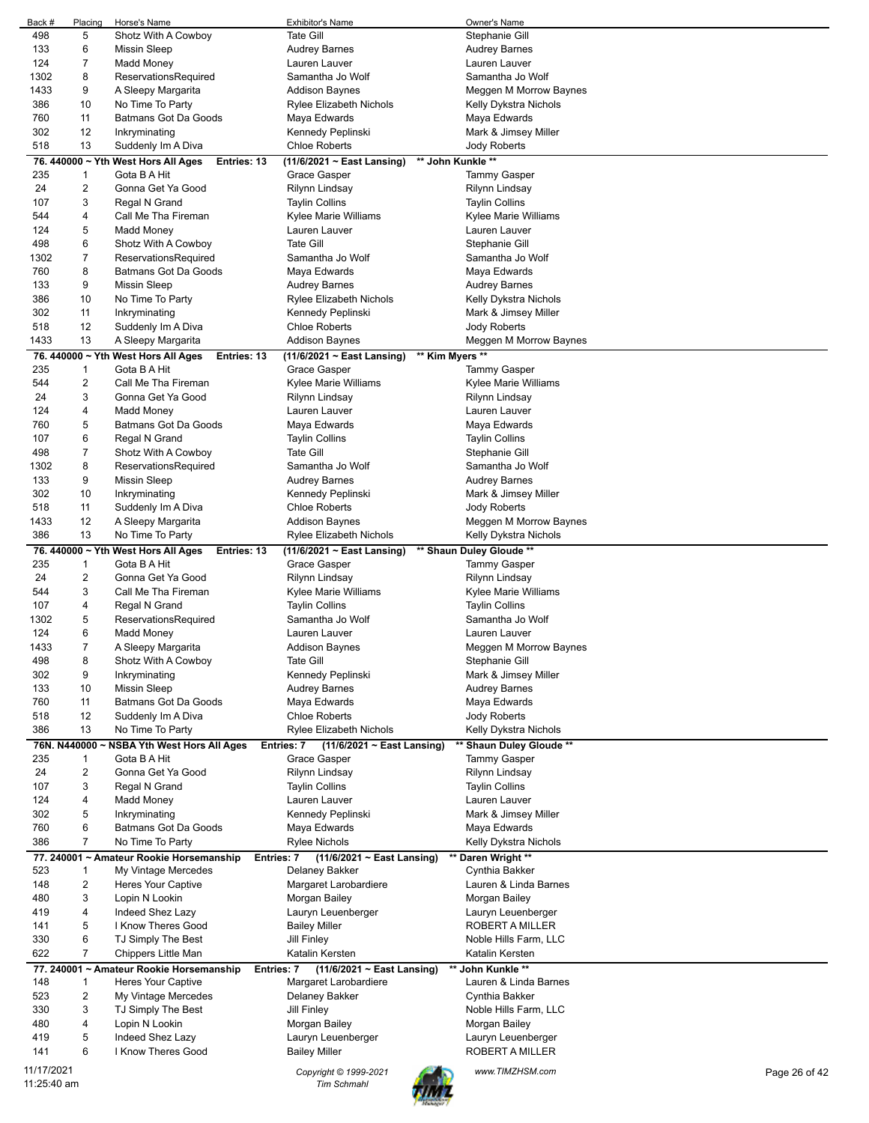| Back #                    | Placing      | Horse's Name                                                       | <b>Exhibitor's Name</b>                              | Owner's Name                             |  |
|---------------------------|--------------|--------------------------------------------------------------------|------------------------------------------------------|------------------------------------------|--|
| 498                       | 5            | Shotz With A Cowboy                                                | <b>Tate Gill</b>                                     | Stephanie Gill                           |  |
| 133                       | 6            | <b>Missin Sleep</b>                                                | <b>Audrey Barnes</b>                                 | <b>Audrey Barnes</b>                     |  |
| 124                       | 7            | Madd Money                                                         | Lauren Lauver                                        | Lauren Lauver                            |  |
| 1302                      | 8            | ReservationsRequired                                               | Samantha Jo Wolf                                     | Samantha Jo Wolf                         |  |
| 1433                      | 9            | A Sleepy Margarita                                                 | <b>Addison Baynes</b>                                | Meggen M Morrow Baynes                   |  |
| 386                       | 10           | No Time To Party                                                   | Rylee Elizabeth Nichols                              | Kelly Dykstra Nichols                    |  |
| 760                       | 11           | Batmans Got Da Goods                                               | Maya Edwards                                         | Maya Edwards                             |  |
| 302                       | 12           | Inkryminating                                                      | Kennedy Peplinski                                    | Mark & Jimsey Miller                     |  |
| 518                       | 13           | Suddenly Im A Diva                                                 | <b>Chloe Roberts</b>                                 | Jody Roberts                             |  |
|                           |              | 76. 440000 ~ Yth West Hors All Ages<br>Entries: 13                 | ** John Kunkle **<br>(11/6/2021 ~ East Lansing)      |                                          |  |
| 235                       | $\mathbf{1}$ | Gota B A Hit                                                       | Grace Gasper                                         | <b>Tammy Gasper</b>                      |  |
| 24                        | 2            | Gonna Get Ya Good                                                  | Rilynn Lindsay                                       | Rilynn Lindsay                           |  |
| 107                       | 3            | Regal N Grand                                                      | <b>Taylin Collins</b>                                | <b>Taylin Collins</b>                    |  |
| 544                       | 4            | Call Me Tha Fireman                                                | Kylee Marie Williams                                 | Kylee Marie Williams                     |  |
| 124                       | 5            | Madd Money                                                         | Lauren Lauver                                        | Lauren Lauver                            |  |
| 498                       | 6            | Shotz With A Cowboy                                                | <b>Tate Gill</b>                                     | Stephanie Gill                           |  |
| 1302                      | 7            | ReservationsRequired                                               | Samantha Jo Wolf                                     | Samantha Jo Wolf                         |  |
| 760                       | 8            | Batmans Got Da Goods                                               | Maya Edwards                                         | Maya Edwards                             |  |
| 133                       | 9            | <b>Missin Sleep</b>                                                | <b>Audrey Barnes</b>                                 | <b>Audrey Barnes</b>                     |  |
| 386                       | 10           | No Time To Party                                                   | Rylee Elizabeth Nichols                              | Kelly Dykstra Nichols                    |  |
| 302                       | 11           | Inkryminating                                                      | Kennedy Peplinski                                    | Mark & Jimsey Miller                     |  |
| 518                       | 12           | Suddenly Im A Diva                                                 | <b>Chloe Roberts</b>                                 | Jody Roberts                             |  |
| 1433                      | 13           | A Sleepy Margarita                                                 | <b>Addison Baynes</b>                                | Meggen M Morrow Baynes                   |  |
|                           |              | 76. 440000 ~ Yth West Hors All Ages<br>Entries: 13                 | ** Kim Myers **<br>(11/6/2021 ~ East Lansing)        |                                          |  |
| 235                       | $\mathbf{1}$ | Gota B A Hit                                                       | Grace Gasper                                         | <b>Tammy Gasper</b>                      |  |
| 544                       | 2            | Call Me Tha Fireman                                                | Kylee Marie Williams                                 | Kylee Marie Williams                     |  |
| 24                        | 3            | Gonna Get Ya Good                                                  | Rilynn Lindsay                                       | Rilynn Lindsay                           |  |
| 124                       | 4            | Madd Money                                                         | Lauren Lauver                                        | Lauren Lauver                            |  |
| 760                       | 5            | Batmans Got Da Goods                                               | Maya Edwards                                         | Maya Edwards                             |  |
| 107                       | 6            | Regal N Grand                                                      | <b>Taylin Collins</b>                                | <b>Taylin Collins</b>                    |  |
| 498                       | 7            | Shotz With A Cowboy                                                | <b>Tate Gill</b>                                     | Stephanie Gill                           |  |
| 1302                      | 8            | ReservationsRequired                                               | Samantha Jo Wolf                                     | Samantha Jo Wolf                         |  |
| 133                       | 9            | <b>Missin Sleep</b>                                                | <b>Audrey Barnes</b>                                 | <b>Audrey Barnes</b>                     |  |
| 302                       | 10           | Inkryminating                                                      | Kennedy Peplinski                                    | Mark & Jimsey Miller                     |  |
| 518                       | 11           | Suddenly Im A Diva                                                 | <b>Chloe Roberts</b>                                 | Jody Roberts                             |  |
| 1433                      | 12           |                                                                    |                                                      |                                          |  |
| 386                       | 13           | A Sleepy Margarita<br>No Time To Party                             | Addison Baynes                                       | Meggen M Morrow Baynes                   |  |
|                           |              |                                                                    | Rylee Elizabeth Nichols                              | Kelly Dykstra Nichols                    |  |
|                           | $\mathbf{1}$ | 76. 440000 ~ Yth West Hors All Ages<br>Entries: 13<br>Gota B A Hit | (11/6/2021 ~ East Lansing)                           | ** Shaun Duley Gloude **<br>Tammy Gasper |  |
| 235<br>24                 | 2            | Gonna Get Ya Good                                                  | Grace Gasper                                         |                                          |  |
|                           | 3            | Call Me Tha Fireman                                                | Rilynn Lindsay                                       | Rilynn Lindsay                           |  |
| 544<br>107                | 4            |                                                                    | Kylee Marie Williams<br><b>Taylin Collins</b>        | Kylee Marie Williams                     |  |
|                           |              | Regal N Grand<br>ReservationsRequired                              |                                                      | <b>Taylin Collins</b>                    |  |
| 1302                      | 5            |                                                                    | Samantha Jo Wolf                                     | Samantha Jo Wolf                         |  |
| 124                       | 6<br>7       | Madd Money                                                         | Lauren Lauver                                        | Lauren Lauver                            |  |
| 1433                      |              | A Sleepy Margarita                                                 | <b>Addison Baynes</b>                                | Meggen M Morrow Baynes                   |  |
| 498                       | 8            | Shotz With A Cowboy                                                | <b>Tate Gill</b>                                     | Stephanie Gill                           |  |
| 302                       | 9            | Inkryminating                                                      | Kennedy Peplinski                                    | Mark & Jimsey Miller                     |  |
| 133                       | 10           | <b>Missin Sleep</b>                                                | <b>Audrey Barnes</b>                                 | <b>Audrey Barnes</b>                     |  |
| 760                       | 11           | Batmans Got Da Goods                                               | Maya Edwards                                         | Maya Edwards                             |  |
| 518                       | 12           | Suddenly Im A Diva                                                 | <b>Chloe Roberts</b>                                 | Jody Roberts                             |  |
| 386                       | 13           | No Time To Party                                                   | <b>Rylee Elizabeth Nichols</b>                       | Kelly Dykstra Nichols                    |  |
|                           |              | 76N. N440000 ~ NSBA Yth West Hors All Ages                         | Entries: 7<br>$(11/6/2021 \sim$ East Lansing)        | ** Shaun Duley Gloude **                 |  |
| 235                       | 1            | Gota B A Hit                                                       | Grace Gasper                                         | Tammy Gasper                             |  |
| 24                        | 2            | Gonna Get Ya Good                                                  | Rilynn Lindsay                                       | Rilynn Lindsay                           |  |
| 107                       | 3            | Regal N Grand                                                      | <b>Taylin Collins</b>                                | <b>Taylin Collins</b>                    |  |
| 124                       | 4            | Madd Money                                                         | Lauren Lauver                                        | Lauren Lauver                            |  |
| 302                       | 5            | Inkryminating                                                      | Kennedy Peplinski                                    | Mark & Jimsey Miller                     |  |
| 760                       | 6            | Batmans Got Da Goods                                               | Maya Edwards                                         | Maya Edwards                             |  |
| 386                       | 7            | No Time To Party                                                   | <b>Rylee Nichols</b>                                 | Kelly Dykstra Nichols                    |  |
|                           |              | 77. 240001 ~ Amateur Rookie Horsemanship                           | $(11/6/2021 \sim East$ Lansing)<br>Entries: 7        | ** Daren Wright **                       |  |
| 523                       | 1            | My Vintage Mercedes                                                | Delaney Bakker                                       | Cynthia Bakker                           |  |
| 148                       | 2            | <b>Heres Your Captive</b>                                          | Margaret Larobardiere                                | Lauren & Linda Barnes                    |  |
| 480                       | 3            | Lopin N Lookin                                                     | Morgan Bailey                                        | Morgan Bailey                            |  |
| 419                       | 4            | Indeed Shez Lazy                                                   | Lauryn Leuenberger                                   | Lauryn Leuenberger                       |  |
| 141                       | 5            | I Know Theres Good                                                 | <b>Bailey Miller</b>                                 | ROBERT A MILLER                          |  |
| 330                       | 6            | TJ Simply The Best                                                 | <b>Jill Finley</b>                                   | Noble Hills Farm, LLC                    |  |
| 622                       |              | Chippers Little Man                                                | Katalin Kersten                                      | Katalin Kersten                          |  |
|                           | 7            |                                                                    |                                                      |                                          |  |
| 148                       |              | 77. 240001 ~ Amateur Rookie Horsemanship                           | $(11/6/2021 \sim East$ Lansing)<br><b>Entries: 7</b> | ** John Kunkle **                        |  |
|                           | $\mathbf{1}$ | <b>Heres Your Captive</b>                                          | Margaret Larobardiere                                | Lauren & Linda Barnes                    |  |
| 523                       | 2            | My Vintage Mercedes                                                | Delaney Bakker                                       | Cynthia Bakker                           |  |
| 330                       | 3            |                                                                    |                                                      | Noble Hills Farm, LLC                    |  |
| 480                       | 4            | TJ Simply The Best<br>Lopin N Lookin                               | <b>Jill Finley</b><br>Morgan Bailey                  | Morgan Bailey                            |  |
| 419                       | 5            | Indeed Shez Lazy                                                   | Lauryn Leuenberger                                   | Lauryn Leuenberger                       |  |
| 141                       | 6            | I Know Theres Good                                                 | <b>Bailey Miller</b>                                 | ROBERT A MILLER                          |  |
|                           |              |                                                                    |                                                      |                                          |  |
| 11/17/2021<br>11:25:40 am |              |                                                                    | Copyright © 1999-2021<br><b>Tim Schmahl</b>          | www.TIMZHSM.com<br>Page 26 of 42         |  |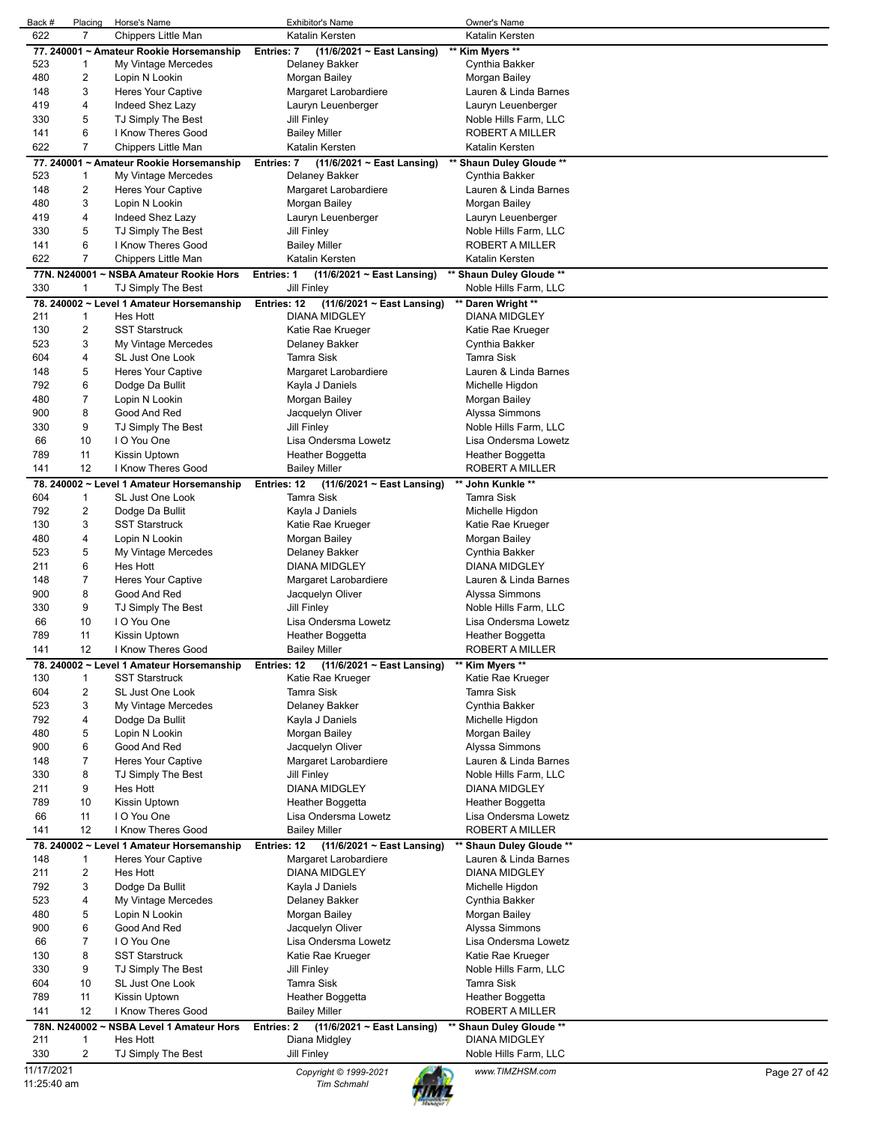| Back #      | Placing                 | Horse's Name                              | <b>Exhibitor's Name</b>                              | Owner's Name             |               |
|-------------|-------------------------|-------------------------------------------|------------------------------------------------------|--------------------------|---------------|
| 622         | $\overline{7}$          | Chippers Little Man                       | Katalin Kersten                                      | Katalin Kersten          |               |
|             |                         | 77. 240001 ~ Amateur Rookie Horsemanship  | (11/6/2021 ~ East Lansing)<br><b>Entries: 7</b>      | ** Kim Myers **          |               |
| 523         | 1                       | My Vintage Mercedes                       | Delaney Bakker                                       | Cynthia Bakker           |               |
| 480         | $\overline{c}$          | Lopin N Lookin                            | Morgan Bailey                                        | Morgan Bailey            |               |
| 148         | 3                       | <b>Heres Your Captive</b>                 | Margaret Larobardiere                                | Lauren & Linda Barnes    |               |
|             |                         |                                           |                                                      |                          |               |
| 419         | 4                       | Indeed Shez Lazy                          | Lauryn Leuenberger                                   | Lauryn Leuenberger       |               |
| 330         | 5                       | TJ Simply The Best                        | <b>Jill Finley</b>                                   | Noble Hills Farm, LLC    |               |
| 141         | 6                       | I Know Theres Good                        | <b>Bailey Miller</b>                                 | ROBERT A MILLER          |               |
| 622         | $\overline{7}$          | Chippers Little Man                       | Katalin Kersten                                      | Katalin Kersten          |               |
|             |                         | 77. 240001 ~ Amateur Rookie Horsemanship  | Entries: 7<br>$(11/6/2021 \sim$ East Lansing)        | ** Shaun Duley Gloude ** |               |
| 523         | 1                       | My Vintage Mercedes                       | Delaney Bakker                                       | Cynthia Bakker           |               |
| 148         | 2                       | <b>Heres Your Captive</b>                 | Margaret Larobardiere                                | Lauren & Linda Barnes    |               |
| 480         | 3                       | Lopin N Lookin                            | Morgan Bailey                                        | Morgan Bailey            |               |
| 419         | 4                       | Indeed Shez Lazy                          | Lauryn Leuenberger                                   | Lauryn Leuenberger       |               |
|             |                         |                                           |                                                      |                          |               |
| 330         | 5                       | TJ Simply The Best                        | <b>Jill Finley</b>                                   | Noble Hills Farm, LLC    |               |
| 141         | 6                       | I Know Theres Good                        | <b>Bailey Miller</b>                                 | <b>ROBERT A MILLER</b>   |               |
| 622         | 7                       | Chippers Little Man                       | Katalin Kersten                                      | Katalin Kersten          |               |
|             |                         | 77N. N240001 ~ NSBA Amateur Rookie Hors   | <b>Entries: 1</b><br>$(11/6/2021 \sim East$ Lansing) | ** Shaun Duley Gloude ** |               |
| 330         | 1                       | TJ Simply The Best                        | Jill Finley                                          | Noble Hills Farm, LLC    |               |
|             |                         | 78. 240002 ~ Level 1 Amateur Horsemanship | Entries: 12<br>(11/6/2021 ~ East Lansing)            | ** Daren Wright **       |               |
| 211         | 1                       | Hes Hott                                  | <b>DIANA MIDGLEY</b>                                 | DIANA MIDGLEY            |               |
| 130         | 2                       | <b>SST Starstruck</b>                     | Katie Rae Krueger                                    | Katie Rae Krueger        |               |
|             | 3                       |                                           | Delaney Bakker                                       | Cynthia Bakker           |               |
| 523         |                         | My Vintage Mercedes                       |                                                      |                          |               |
| 604         | 4                       | SL Just One Look                          | <b>Tamra Sisk</b>                                    | <b>Tamra Sisk</b>        |               |
| 148         | 5                       | <b>Heres Your Captive</b>                 | Margaret Larobardiere                                | Lauren & Linda Barnes    |               |
| 792         | 6                       | Dodge Da Bullit                           | Kayla J Daniels                                      | Michelle Higdon          |               |
| 480         | 7                       | Lopin N Lookin                            | Morgan Bailey                                        | Morgan Bailey            |               |
| 900         | 8                       | Good And Red                              | Jacquelyn Oliver                                     | Alyssa Simmons           |               |
| 330         | 9                       | TJ Simply The Best                        | <b>Jill Finley</b>                                   | Noble Hills Farm, LLC    |               |
| 66          | 10                      | I O You One                               | Lisa Ondersma Lowetz                                 | Lisa Ondersma Lowetz     |               |
| 789         | 11                      | Kissin Uptown                             | Heather Boggetta                                     | Heather Boggetta         |               |
|             | 12                      | I Know Theres Good                        |                                                      |                          |               |
| 141         |                         |                                           | <b>Bailey Miller</b>                                 | ROBERT A MILLER          |               |
|             |                         | 78. 240002 ~ Level 1 Amateur Horsemanship | Entries: 12<br>$(11/6/2021 \sim$ East Lansing)       | ** John Kunkle **        |               |
| 604         | $\mathbf{1}$            | SL Just One Look                          | <b>Tamra Sisk</b>                                    | <b>Tamra Sisk</b>        |               |
| 792         | 2                       | Dodge Da Bullit                           | Kayla J Daniels                                      | Michelle Higdon          |               |
| 130         | 3                       | <b>SST Starstruck</b>                     | Katie Rae Krueger                                    | Katie Rae Krueger        |               |
| 480         | 4                       | Lopin N Lookin                            | Morgan Bailey                                        | Morgan Bailey            |               |
| 523         | 5                       | My Vintage Mercedes                       | Delaney Bakker                                       | Cynthia Bakker           |               |
| 211         | 6                       | Hes Hott                                  | <b>DIANA MIDGLEY</b>                                 | <b>DIANA MIDGLEY</b>     |               |
| 148         | 7                       | <b>Heres Your Captive</b>                 | Margaret Larobardiere                                | Lauren & Linda Barnes    |               |
|             |                         |                                           |                                                      |                          |               |
| 900         | 8                       | Good And Red                              | Jacquelyn Oliver                                     | Alyssa Simmons           |               |
| 330         | 9                       | TJ Simply The Best                        | <b>Jill Finley</b>                                   | Noble Hills Farm, LLC    |               |
| 66          | 10                      | I O You One                               | Lisa Ondersma Lowetz                                 | Lisa Ondersma Lowetz     |               |
| 789         | 11                      | Kissin Uptown                             | Heather Boggetta                                     | Heather Boggetta         |               |
| 141         | 12                      | I Know Theres Good                        | <b>Bailey Miller</b>                                 | ROBERT A MILLER          |               |
|             |                         | 78. 240002 ~ Level 1 Amateur Horsemanship | $(11/6/2021 \sim East$ Lansing)<br>Entries: 12       | ** Kim Myers **          |               |
| 130         | $\mathbf{1}$            | <b>SST Starstruck</b>                     | Katie Rae Krueger                                    | Katie Rae Krueger        |               |
| 604         | 2                       | SL Just One Look                          | <b>Tamra Sisk</b>                                    | <b>Tamra Sisk</b>        |               |
| 523         | 3                       | My Vintage Mercedes                       | Delaney Bakker                                       | Cynthia Bakker           |               |
|             |                         |                                           |                                                      |                          |               |
| 792         | 4                       | Dodge Da Bullit                           | Kayla J Daniels                                      | Michelle Higdon          |               |
| 480         | 5                       | Lopin N Lookin                            | Morgan Bailey                                        | Morgan Bailey            |               |
| 900         | 6                       | Good And Red                              | Jacquelyn Oliver                                     | Alyssa Simmons           |               |
| 148         | 7                       | Heres Your Captive                        | Margaret Larobardiere                                | Lauren & Linda Barnes    |               |
| 330         | 8                       | TJ Simply The Best                        | Jill Finley                                          | Noble Hills Farm, LLC    |               |
| 211         | 9                       | Hes Hott                                  | <b>DIANA MIDGLEY</b>                                 | DIANA MIDGLEY            |               |
| 789         | 10                      | Kissin Uptown                             | Heather Boggetta                                     | Heather Boggetta         |               |
| 66          | 11                      | I O You One                               | Lisa Ondersma Lowetz                                 | Lisa Ondersma Lowetz     |               |
| 141         | 12                      | I Know Theres Good                        | <b>Bailey Miller</b>                                 | <b>ROBERT A MILLER</b>   |               |
|             |                         |                                           |                                                      |                          |               |
|             |                         | 78. 240002 ~ Level 1 Amateur Horsemanship | $(11/6/2021 \sim East$ Lansing)<br>Entries: 12       | ** Shaun Duley Gloude ** |               |
| 148         | 1                       | Heres Your Captive                        | Margaret Larobardiere                                | Lauren & Linda Barnes    |               |
| 211         | $\overline{\mathbf{c}}$ | Hes Hott                                  | <b>DIANA MIDGLEY</b>                                 | <b>DIANA MIDGLEY</b>     |               |
| 792         | 3                       | Dodge Da Bullit                           | Kayla J Daniels                                      | Michelle Higdon          |               |
| 523         | 4                       | My Vintage Mercedes                       | Delaney Bakker                                       | Cynthia Bakker           |               |
| 480         | 5                       | Lopin N Lookin                            | Morgan Bailey                                        | Morgan Bailey            |               |
| 900         | 6                       | Good And Red                              | Jacquelyn Oliver                                     | Alyssa Simmons           |               |
| 66          | 7                       | I O You One                               | Lisa Ondersma Lowetz                                 | Lisa Ondersma Lowetz     |               |
| 130         | 8                       | <b>SST Starstruck</b>                     | Katie Rae Krueger                                    | Katie Rae Krueger        |               |
| 330         | 9                       | TJ Simply The Best                        | Jill Finley                                          | Noble Hills Farm, LLC    |               |
|             |                         |                                           |                                                      |                          |               |
| 604         | 10                      | SL Just One Look                          | <b>Tamra Sisk</b>                                    | <b>Tamra Sisk</b>        |               |
| 789         | 11                      | Kissin Uptown                             | Heather Boggetta                                     | Heather Boggetta         |               |
| 141         | 12                      | I Know Theres Good                        | <b>Bailey Miller</b>                                 | ROBERT A MILLER          |               |
|             |                         | 78N. N240002 ~ NSBA Level 1 Amateur Hors  | (11/6/2021 ~ East Lansing)<br>Entries: 2             | ** Shaun Duley Gloude ** |               |
| 211         | 1                       | Hes Hott                                  | Diana Midgley                                        | DIANA MIDGLEY            |               |
| 330         | $\overline{\mathbf{c}}$ | TJ Simply The Best                        | <b>Jill Finley</b>                                   | Noble Hills Farm, LLC    |               |
| 11/17/2021  |                         |                                           |                                                      | www.TIMZHSM.com          | Page 27 of 42 |
| 11:25:40 am |                         |                                           | Copyright © 1999-2021<br>Tim Schmahl                 |                          |               |
|             |                         |                                           |                                                      |                          |               |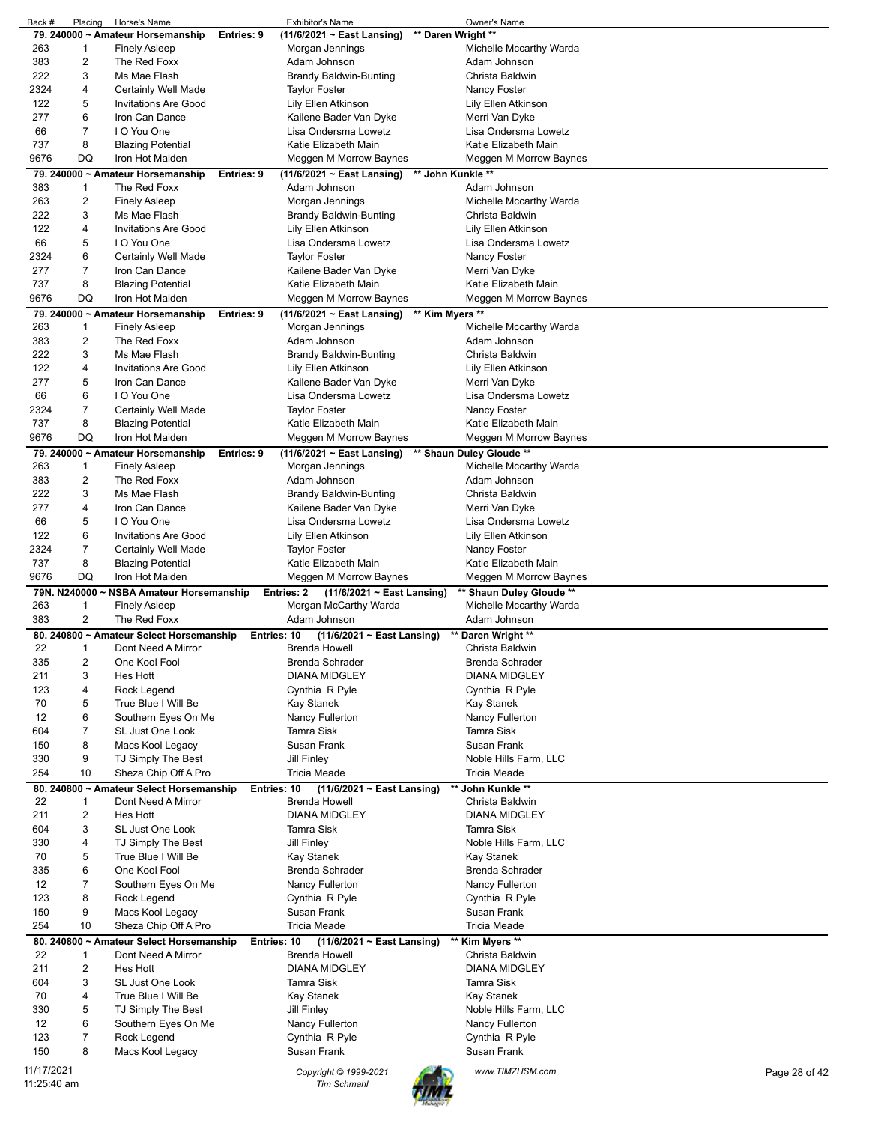| Back #       | Placing        | Horse's Name                             |            | <b>Exhibitor's Name</b>                        | Owner's Name             |               |
|--------------|----------------|------------------------------------------|------------|------------------------------------------------|--------------------------|---------------|
|              |                | 79. 240000 ~ Amateur Horsemanship        | Entries: 9 | $(11/6/2021 \sim$ East Lansing)                | ** Daren Wright **       |               |
| 263          | 1              | <b>Finely Asleep</b>                     |            | Morgan Jennings                                | Michelle Mccarthy Warda  |               |
| 383          | 2              | The Red Foxx                             |            | Adam Johnson                                   | Adam Johnson             |               |
|              |                |                                          |            |                                                |                          |               |
| 222          | 3              | Ms Mae Flash                             |            | Brandy Baldwin-Bunting                         | Christa Baldwin          |               |
| 2324         | 4              | Certainly Well Made                      |            | <b>Taylor Foster</b>                           | Nancy Foster             |               |
| 122          | 5              | Invitations Are Good                     |            | Lily Ellen Atkinson                            | Lily Ellen Atkinson      |               |
| 277          | 6              | Iron Can Dance                           |            | Kailene Bader Van Dyke                         | Merri Van Dyke           |               |
| 66           | 7              | I O You One                              |            | Lisa Ondersma Lowetz                           | Lisa Ondersma Lowetz     |               |
|              |                |                                          |            |                                                |                          |               |
| 737          | 8              | <b>Blazing Potential</b>                 |            | Katie Elizabeth Main                           | Katie Elizabeth Main     |               |
| 9676         | DQ             | Iron Hot Maiden                          |            | Meggen M Morrow Baynes                         | Meggen M Morrow Baynes   |               |
|              |                | 79. 240000 ~ Amateur Horsemanship        | Entries: 9 | $(11/6/2021 \sim East$ Lansing)                | ** John Kunkle **        |               |
|              |                |                                          |            |                                                |                          |               |
| 383          | 1              | The Red Foxx                             |            | Adam Johnson                                   | Adam Johnson             |               |
| 263          | $\overline{a}$ | Finely Asleep                            |            | Morgan Jennings                                | Michelle Mccarthy Warda  |               |
| 222          | 3              | Ms Mae Flash                             |            | <b>Brandy Baldwin-Bunting</b>                  | Christa Baldwin          |               |
| 122          | 4              | <b>Invitations Are Good</b>              |            | Lily Ellen Atkinson                            | Lily Ellen Atkinson      |               |
|              |                |                                          |            |                                                |                          |               |
| 66           | 5              | I O You One                              |            | Lisa Ondersma Lowetz                           | Lisa Ondersma Lowetz     |               |
| 2324         | 6              | Certainly Well Made                      |            | Taylor Foster                                  | Nancy Foster             |               |
| 277          | 7              | Iron Can Dance                           |            | Kailene Bader Van Dyke                         | Merri Van Dyke           |               |
| 737          | 8              | <b>Blazing Potential</b>                 |            | Katie Elizabeth Main                           | Katie Elizabeth Main     |               |
|              |                |                                          |            |                                                |                          |               |
| 9676         | DQ             | Iron Hot Maiden                          |            | Meggen M Morrow Baynes                         | Meggen M Morrow Baynes   |               |
|              |                | 79. 240000 ~ Amateur Horsemanship        | Entries: 9 | $(11/6/2021 \sim$ East Lansing)                | ** Kim Myers **          |               |
| 263          | 1              | Finely Asleep                            |            | Morgan Jennings                                | Michelle Mccarthy Warda  |               |
| 383          | 2              | The Red Foxx                             |            | Adam Johnson                                   | Adam Johnson             |               |
|              |                |                                          |            |                                                |                          |               |
| 222          | 3              | Ms Mae Flash                             |            | <b>Brandy Baldwin-Bunting</b>                  | Christa Baldwin          |               |
| 122          | 4              | Invitations Are Good                     |            | Lily Ellen Atkinson                            | Lily Ellen Atkinson      |               |
| 277          | 5              | Iron Can Dance                           |            | Kailene Bader Van Dyke                         | Merri Van Dyke           |               |
| 66           | 6              | I O You One                              |            | Lisa Ondersma Lowetz                           | Lisa Ondersma Lowetz     |               |
|              |                |                                          |            |                                                |                          |               |
| 2324         | 7              | Certainly Well Made                      |            | Taylor Foster                                  | Nancy Foster             |               |
| 737          | 8              | <b>Blazing Potential</b>                 |            | Katie Elizabeth Main                           | Katie Elizabeth Main     |               |
| 9676         | DQ             | Iron Hot Maiden                          |            | Meggen M Morrow Baynes                         | Meggen M Morrow Baynes   |               |
|              |                |                                          |            |                                                |                          |               |
|              |                | 79. 240000 ~ Amateur Horsemanship        | Entries: 9 | $(11/6/2021 \sim$ East Lansing)                | ** Shaun Duley Gloude ** |               |
| 263          | 1              | <b>Finely Asleep</b>                     |            | Morgan Jennings                                | Michelle Mccarthy Warda  |               |
| 383          | 2              | The Red Foxx                             |            | Adam Johnson                                   | Adam Johnson             |               |
| 222          | 3              | Ms Mae Flash                             |            | Brandy Baldwin-Bunting                         | Christa Baldwin          |               |
|              |                |                                          |            |                                                |                          |               |
| 277          | 4              | Iron Can Dance                           |            | Kailene Bader Van Dyke                         | Merri Van Dyke           |               |
| 66           | 5              | I O You One                              |            | Lisa Ondersma Lowetz                           | Lisa Ondersma Lowetz     |               |
| 122          | 6              | <b>Invitations Are Good</b>              |            | Lily Ellen Atkinson                            | Lily Ellen Atkinson      |               |
| 2324         | 7              | Certainly Well Made                      |            | <b>Taylor Foster</b>                           | Nancy Foster             |               |
| 737          | 8              |                                          |            |                                                |                          |               |
|              |                | <b>Blazing Potential</b>                 |            |                                                |                          |               |
|              |                |                                          |            | Katie Elizabeth Main                           | Katie Elizabeth Main     |               |
| 9676         | DQ             | Iron Hot Maiden                          |            | Meggen M Morrow Baynes                         | Meggen M Morrow Baynes   |               |
|              |                |                                          |            |                                                |                          |               |
| 79N. N240000 |                | ~ NSBA Amateur Horsemanship              |            | Entries: 2<br>$(11/6/2021 \sim$ East Lansing)  | ** Shaun Duley Gloude ** |               |
| 263          | 1              | <b>Finely Asleep</b>                     |            | Morgan McCarthy Warda                          | Michelle Mccarthy Warda  |               |
| 383          | $\overline{a}$ | The Red Foxx                             |            | Adam Johnson                                   | Adam Johnson             |               |
|              |                | 80. 240800 ~ Amateur Select Horsemanship |            | $(11/6/2021 \sim$ East Lansing)<br>Entries: 10 | ** Daren Wright **       |               |
| 22           | 1              | Dont Need A Mirror                       |            | Brenda Howell                                  | Christa Baldwin          |               |
|              |                |                                          |            |                                                |                          |               |
| 335          | $\overline{a}$ | One Kool Fool                            |            | Brenda Schrader                                | Brenda Schrader          |               |
| 211          | 3              | <b>Hes Hott</b>                          |            | <b>DIANA MIDGLEY</b>                           | <b>DIANA MIDGLEY</b>     |               |
| 123          | 4              | Rock Legend                              |            | Cynthia R Pyle                                 | Cynthia R Pyle           |               |
| 70           | 5              | True Blue I Will Be                      |            |                                                |                          |               |
|              |                |                                          |            | Kay Stanek                                     | Kay Stanek               |               |
| 12           | 6              | Southern Eyes On Me                      |            | Nancy Fullerton                                | Nancy Fullerton          |               |
| 604          | 7              | SL Just One Look                         |            | <b>Tamra Sisk</b>                              | Tamra Sisk               |               |
| 150          | 8              | Macs Kool Legacy                         |            | Susan Frank                                    | Susan Frank              |               |
| 330          | 9              | TJ Simply The Best                       |            | <b>Jill Finley</b>                             | Noble Hills Farm, LLC    |               |
|              |                |                                          |            |                                                |                          |               |
| 254          | 10             | Sheza Chip Off A Pro                     |            | <b>Tricia Meade</b>                            | <b>Tricia Meade</b>      |               |
|              |                | 80. 240800 ~ Amateur Select Horsemanship |            | (11/6/2021 ~ East Lansing)<br>Entries: 10      | ** John Kunkle **        |               |
| 22           | 1              | Dont Need A Mirror                       |            | Brenda Howell                                  | Christa Baldwin          |               |
| 211          | 2              | <b>Hes Hott</b>                          |            | <b>DIANA MIDGLEY</b>                           | <b>DIANA MIDGLEY</b>     |               |
|              |                |                                          |            |                                                |                          |               |
| 604          | 3              | SL Just One Look                         |            | <b>Tamra Sisk</b>                              | <b>Tamra Sisk</b>        |               |
| 330          | 4              | TJ Simply The Best                       |            | <b>Jill Finley</b>                             | Noble Hills Farm, LLC    |               |
| 70           | 5              | True Blue I Will Be                      |            | Kay Stanek                                     | Kay Stanek               |               |
| 335          | 6              | One Kool Fool                            |            | Brenda Schrader                                | Brenda Schrader          |               |
| 12           | 7              |                                          |            |                                                |                          |               |
|              |                | Southern Eyes On Me                      |            | Nancy Fullerton                                | Nancy Fullerton          |               |
| 123          | 8              | Rock Legend                              |            | Cynthia R Pyle                                 | Cynthia R Pyle           |               |
| 150          | 9              | Macs Kool Legacy                         |            | Susan Frank                                    | Susan Frank              |               |
| 254          | 10             | Sheza Chip Off A Pro                     |            | <b>Tricia Meade</b>                            | <b>Tricia Meade</b>      |               |
|              |                |                                          |            |                                                |                          |               |
|              |                | 80. 240800 ~ Amateur Select Horsemanship |            | (11/6/2021 ~ East Lansing)<br>Entries: 10      | ** Kim Myers **          |               |
| 22           | 1              | Dont Need A Mirror                       |            | <b>Brenda Howell</b>                           | Christa Baldwin          |               |
| 211          | $\overline{a}$ | Hes Hott                                 |            | <b>DIANA MIDGLEY</b>                           | <b>DIANA MIDGLEY</b>     |               |
| 604          | 3              | SL Just One Look                         |            | <b>Tamra Sisk</b>                              | <b>Tamra Sisk</b>        |               |
|              | 4              |                                          |            |                                                |                          |               |
| 70           |                | True Blue I Will Be                      |            | Kay Stanek                                     | <b>Kay Stanek</b>        |               |
| 330          | 5              | TJ Simply The Best                       |            | <b>Jill Finley</b>                             | Noble Hills Farm, LLC    |               |
| 12           | 6              | Southern Eyes On Me                      |            | Nancy Fullerton                                | Nancy Fullerton          |               |
| 123          | 7              | Rock Legend                              |            | Cynthia R Pyle                                 | Cynthia R Pyle           |               |
|              |                |                                          |            |                                                |                          |               |
| 150          | 8              | Macs Kool Legacy                         |            | Susan Frank                                    | Susan Frank              |               |
| 11/17/2021   |                |                                          |            | Copyright © 1999-2021                          | www.TIMZHSM.com          | Page 28 of 42 |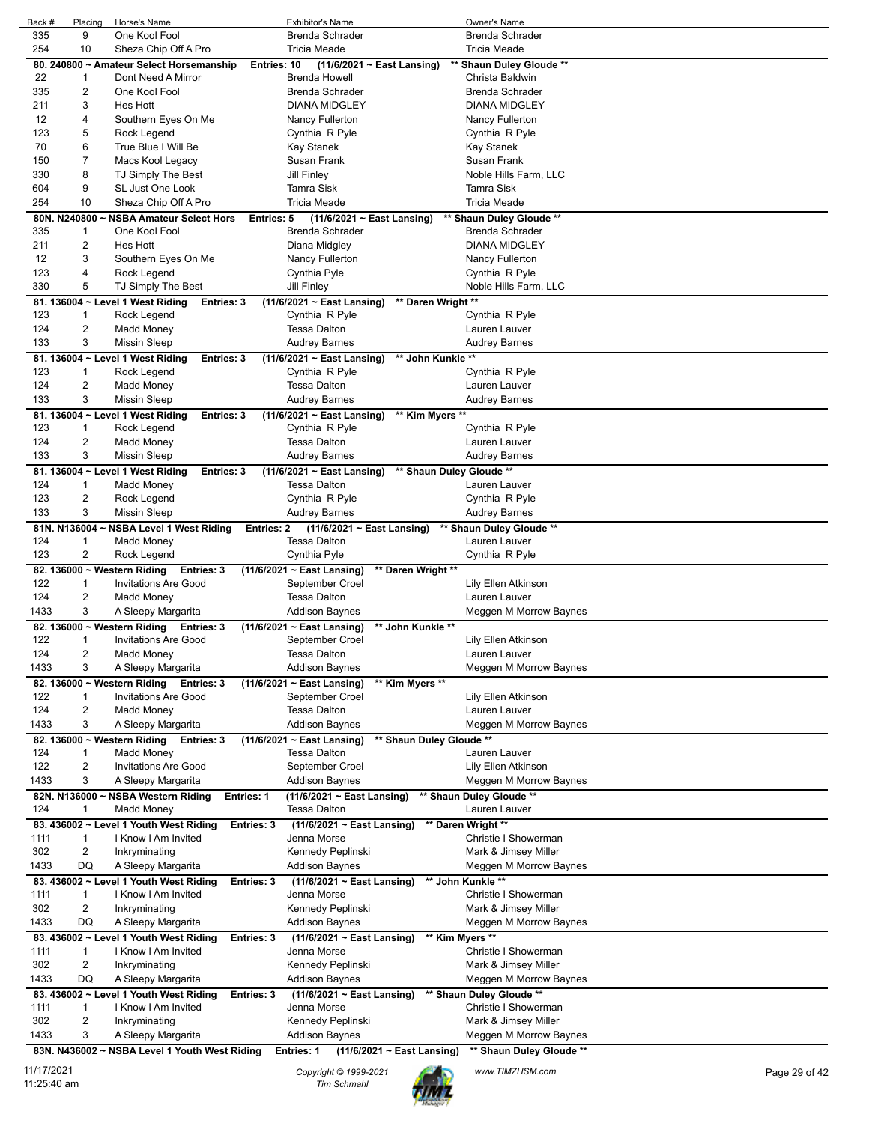| Back #     | Placing      | Horse's Name                                          | <b>Exhibitor's Name</b>                              | Owner's Name             |               |
|------------|--------------|-------------------------------------------------------|------------------------------------------------------|--------------------------|---------------|
| 335        | 9            | One Kool Fool                                         | <b>Brenda Schrader</b>                               | Brenda Schrader          |               |
| 254        | 10           | Sheza Chip Off A Pro                                  | <b>Tricia Meade</b>                                  | <b>Tricia Meade</b>      |               |
|            |              | 80. 240800 ~ Amateur Select Horsemanship              | $(11/6/2021 \sim$ East Lansing)<br>Entries: 10       | ** Shaun Duley Gloude ** |               |
| 22         | 1            | Dont Need A Mirror                                    | <b>Brenda Howell</b>                                 | Christa Baldwin          |               |
| 335        | 2            | One Kool Fool                                         | <b>Brenda Schrader</b>                               | <b>Brenda Schrader</b>   |               |
| 211        | 3            | Hes Hott                                              | <b>DIANA MIDGLEY</b>                                 | <b>DIANA MIDGLEY</b>     |               |
|            |              |                                                       |                                                      |                          |               |
| 12         | 4            | Southern Eyes On Me                                   | Nancy Fullerton                                      | Nancy Fullerton          |               |
| 123        | 5            | Rock Legend                                           | Cynthia R Pyle                                       | Cynthia R Pyle           |               |
| 70         | 6            | True Blue I Will Be                                   | Kay Stanek                                           | Kay Stanek               |               |
| 150        | 7            | Macs Kool Legacy                                      | Susan Frank                                          | Susan Frank              |               |
| 330        | 8            | TJ Simply The Best                                    | <b>Jill Finley</b>                                   | Noble Hills Farm, LLC    |               |
| 604        | 9            | SL Just One Look                                      | Tamra Sisk                                           | <b>Tamra Sisk</b>        |               |
| 254        | 10           | Sheza Chip Off A Pro                                  | <b>Tricia Meade</b>                                  | <b>Tricia Meade</b>      |               |
|            | 80N. N240800 | <b>NSBA Amateur Select Hors</b>                       | $(11/6/2021 \sim$ East Lansing)<br>Entries: 5        | ** Shaun Duley Gloude ** |               |
|            |              |                                                       |                                                      |                          |               |
| 335        | 1            | One Kool Fool                                         | Brenda Schrader                                      | Brenda Schrader          |               |
| 211        | 2            | Hes Hott                                              | Diana Midgley                                        | <b>DIANA MIDGLEY</b>     |               |
| 12         | 3            | Southern Eyes On Me                                   | Nancy Fullerton                                      | Nancy Fullerton          |               |
| 123        | 4            | Rock Legend                                           | Cynthia Pyle                                         | Cynthia R Pyle           |               |
| 330        | 5            | TJ Simply The Best                                    | <b>Jill Finley</b>                                   | Noble Hills Farm, LLC    |               |
|            |              | 81. 136004 ~ Level 1 West Riding<br><b>Entries: 3</b> | $(11/6/2021 \sim$ East Lansing)                      | ** Daren Wright **       |               |
| 123        | 1            | Rock Legend                                           | Cynthia R Pyle                                       | Cynthia R Pyle           |               |
| 124        | 2            | Madd Money                                            | <b>Tessa Dalton</b>                                  | Lauren Lauver            |               |
| 133        | 3            | <b>Missin Sleep</b>                                   | <b>Audrey Barnes</b>                                 | <b>Audrey Barnes</b>     |               |
|            |              |                                                       |                                                      |                          |               |
|            |              | 81. 136004 ~ Level 1 West Riding<br>Entries: 3        | $(11/6/2021 \sim$ East Lansing)                      | ** John Kunkle **        |               |
| 123        | 1            | Rock Legend                                           | Cynthia R Pyle                                       | Cynthia R Pyle           |               |
| 124        | 2            | Madd Money                                            | <b>Tessa Dalton</b>                                  | Lauren Lauver            |               |
| 133        | 3            | <b>Missin Sleep</b>                                   | <b>Audrey Barnes</b>                                 | <b>Audrey Barnes</b>     |               |
|            |              | 81. 136004 ~ Level 1 West Riding<br>Entries: 3        | ** Kim Myers **<br>(11/6/2021 ~ East Lansing)        |                          |               |
| 123        | 1            | Rock Legend                                           | Cynthia R Pyle                                       | Cynthia R Pyle           |               |
| 124        | 2            | Madd Money                                            | <b>Tessa Dalton</b>                                  | Lauren Lauver            |               |
| 133        | 3            | <b>Missin Sleep</b>                                   | <b>Audrey Barnes</b>                                 | <b>Audrey Barnes</b>     |               |
|            |              |                                                       |                                                      |                          |               |
|            |              | 81. 136004 ~ Level 1 West Riding<br><b>Entries: 3</b> | $(11/6/2021 \sim$ East Lansing)                      | ** Shaun Duley Gloude ** |               |
| 124        | 1            | Madd Money                                            | <b>Tessa Dalton</b>                                  | Lauren Lauver            |               |
| 123        | 2            | Rock Legend                                           | Cynthia R Pyle                                       | Cynthia R Pyle           |               |
| 133        | 3            | <b>Missin Sleep</b>                                   | <b>Audrey Barnes</b>                                 | <b>Audrey Barnes</b>     |               |
|            |              | 81N. N136004 ~ NSBA Level 1 West Riding               | $(11/6/2021 \sim$ East Lansing)<br><b>Entries: 2</b> | ** Shaun Duley Gloude ** |               |
| 124        | 1            | Madd Money                                            | Tessa Dalton                                         | Lauren Lauver            |               |
| 123        | 2            | Rock Legend                                           | Cynthia Pyle                                         | Cynthia R Pyle           |               |
|            |              | 82. 136000 ~ Western Riding<br>Entries: 3             | (11/6/2021 ~ East Lansing)<br>** Daren Wright **     |                          |               |
| 122        | $\mathbf{1}$ | <b>Invitations Are Good</b>                           | September Croel                                      | Lily Ellen Atkinson      |               |
|            |              |                                                       |                                                      |                          |               |
| 124        | 2            | Madd Money                                            | <b>Tessa Dalton</b>                                  | Lauren Lauver            |               |
| 1433       | 3            | A Sleepy Margarita                                    | Addison Baynes                                       | Meggen M Morrow Baynes   |               |
|            |              | 82. 136000 ~ Western Riding<br>Entries: 3             | (11/6/2021 ~ East Lansing)<br>** John Kunkle **      |                          |               |
| 122        | 1            | <b>Invitations Are Good</b>                           | September Croel                                      | Lily Ellen Atkinson      |               |
| 124        | 2            | <b>Madd Money</b>                                     | <b>Tessa Dalton</b>                                  | Lauren Lauver            |               |
| 1433       | 3            | A Sleepy Margarita                                    | <b>Addison Baynes</b>                                | Meggen M Morrow Baynes   |               |
|            |              | 82. 136000 ~ Western Riding<br>Entries: 3             | (11/6/2021 ~ East Lansing)<br>** Kim Myers **        |                          |               |
|            |              |                                                       |                                                      |                          |               |
| 122        | 1            | <b>Invitations Are Good</b>                           | September Croel                                      | Lily Ellen Atkinson      |               |
| 124        | 2            | Madd Money                                            | <b>Tessa Dalton</b>                                  | Lauren Lauver            |               |
| 1433       | 3            | A Sleepy Margarita                                    | Addison Baynes                                       | Meggen M Morrow Baynes   |               |
|            |              | 82. 136000 ~ Western Riding<br>Entries: 3             | (11/6/2021 ~ East Lansing)                           | ** Shaun Duley Gloude ** |               |
| 124        | 1            | Madd Money                                            | <b>Tessa Dalton</b>                                  | Lauren Lauver            |               |
| 122        | 2            | <b>Invitations Are Good</b>                           | September Croel                                      | Lily Ellen Atkinson      |               |
| 1433       | 3            | A Sleepy Margarita                                    | <b>Addison Baynes</b>                                | Meggen M Morrow Baynes   |               |
|            |              | 82N. N136000 ~ NSBA Western Riding                    | (11/6/2021 ~ East Lansing)                           | ** Shaun Duley Gloude ** |               |
|            |              |                                                       | <b>Entries: 1</b>                                    |                          |               |
| 124        | 1            | Madd Money                                            | <b>Tessa Dalton</b>                                  | Lauren Lauver            |               |
|            |              | 83. 436002 ~ Level 1 Youth West Riding                | Entries: 3<br>$(11/6/2021 \sim$ East Lansing)        | ** Daren Wright **       |               |
| 1111       | 1            | I Know I Am Invited                                   | Jenna Morse                                          | Christie I Showerman     |               |
| 302        | 2            | Inkryminating                                         | Kennedy Peplinski                                    | Mark & Jimsey Miller     |               |
| 1433       | DQ           | A Sleepy Margarita                                    | <b>Addison Baynes</b>                                | Meggen M Morrow Baynes   |               |
|            |              | 83. 436002 ~ Level 1 Youth West Riding                | $(11/6/2021 \sim$ East Lansing)<br>Entries: 3        | ** John Kunkle **        |               |
| 1111       | 1            | I Know I Am Invited                                   | Jenna Morse                                          | Christie I Showerman     |               |
| 302        | 2            |                                                       | Kennedy Peplinski                                    | Mark & Jimsey Miller     |               |
|            |              | Inkryminating                                         |                                                      |                          |               |
| 1433       | DQ           | A Sleepy Margarita                                    | <b>Addison Baynes</b>                                | Meggen M Morrow Baynes   |               |
|            |              | 83. 436002 ~ Level 1 Youth West Riding                | $(11/6/2021 \sim$ East Lansing)<br>Entries: 3        | ** Kim Myers **          |               |
| 1111       | $\mathbf{1}$ | I Know I Am Invited                                   | Jenna Morse                                          | Christie I Showerman     |               |
| 302        | 2            | Inkryminating                                         | Kennedy Peplinski                                    | Mark & Jimsey Miller     |               |
| 1433       | DQ           | A Sleepy Margarita                                    | <b>Addison Baynes</b>                                | Meggen M Morrow Baynes   |               |
|            |              | 83. 436002 ~ Level 1 Youth West Riding                | $(11/6/2021 \sim$ East Lansing)<br>Entries: 3        | ** Shaun Duley Gloude ** |               |
| 1111       | 1            | I Know I Am Invited                                   | Jenna Morse                                          | Christie I Showerman     |               |
| 302        | 2            | Inkryminating                                         | Kennedy Peplinski                                    | Mark & Jimsey Miller     |               |
| 1433       |              |                                                       |                                                      |                          |               |
|            | 3            | A Sleepy Margarita                                    | <b>Addison Baynes</b>                                | Meggen M Morrow Baynes   |               |
|            |              | 83N. N436002 ~ NSBA Level 1 Youth West Riding         | <b>Entries: 1</b><br>$(11/6/2021 \sim$ East Lansing) | ** Shaun Duley Gloude ** |               |
|            |              |                                                       |                                                      |                          |               |
| 11/17/2021 |              |                                                       | Copyright © 1999-2021                                | www.TIMZHSM.com          | Page 29 of 42 |

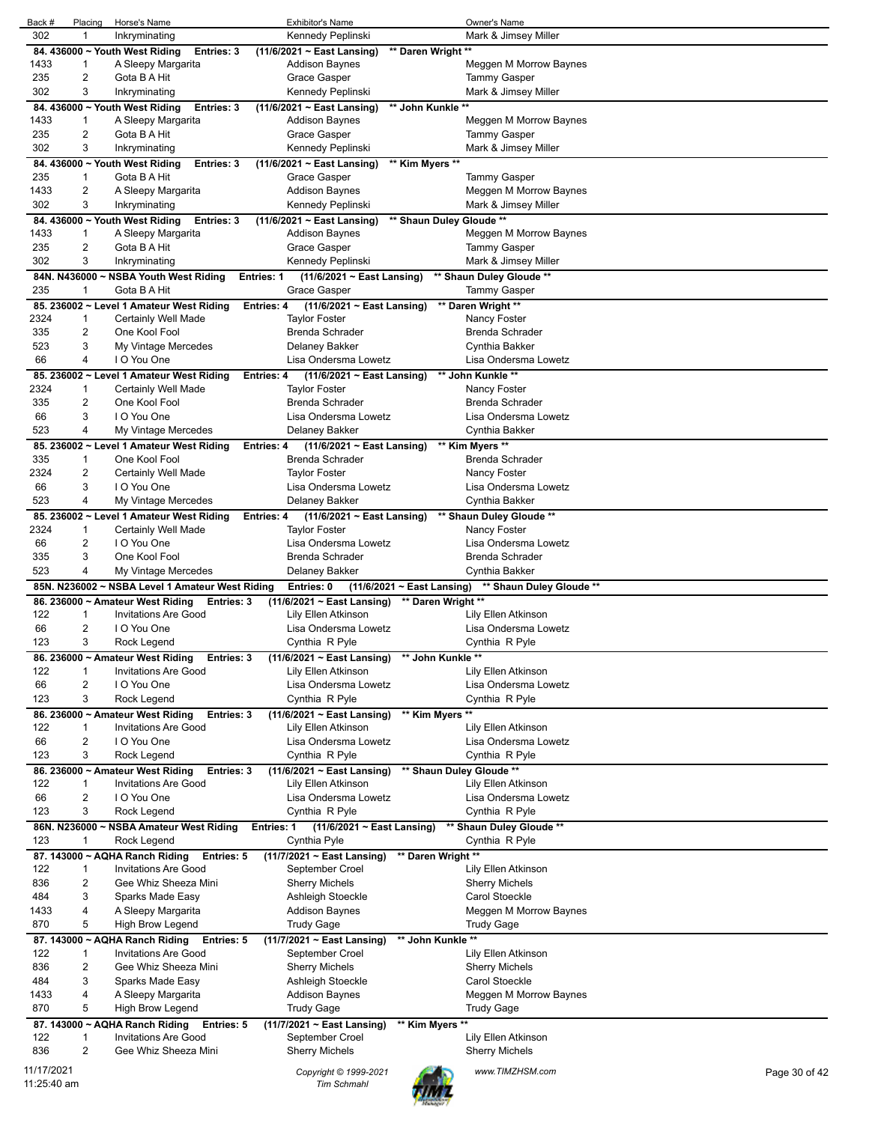| Back #      | Placing        | Horse's Name                                    | <b>Exhibitor's Name</b>                |                                 | Owner's Name                           |               |
|-------------|----------------|-------------------------------------------------|----------------------------------------|---------------------------------|----------------------------------------|---------------|
| 302         | 1              | Inkryminating                                   | Kennedy Peplinski                      |                                 | Mark & Jimsey Miller                   |               |
|             |                | 84. 436000 ~ Youth West Riding<br>Entries: 3    | (11/6/2021 ~ East Lansing)             | ** Daren Wright **              |                                        |               |
| 1433        | 1              | A Sleepy Margarita                              | <b>Addison Baynes</b>                  |                                 | Meggen M Morrow Baynes                 |               |
| 235         | 2              | Gota B A Hit                                    | Grace Gasper                           |                                 | <b>Tammy Gasper</b>                    |               |
| 302         | 3              | Inkryminating                                   | Kennedy Peplinski                      |                                 | Mark & Jimsey Miller                   |               |
|             |                | 84. 436000 ~ Youth West Riding<br>Entries: 3    | (11/6/2021 ~ East Lansing)             | ** John Kunkle **               |                                        |               |
| 1433        | 1              | A Sleepy Margarita                              | Addison Baynes                         |                                 | Meggen M Morrow Baynes                 |               |
| 235         | 2              | Gota B A Hit                                    | Grace Gasper                           |                                 | <b>Tammy Gasper</b>                    |               |
| 302         | 3              | Inkryminating                                   | Kennedy Peplinski                      |                                 | Mark & Jimsey Miller                   |               |
|             |                | 84. 436000 ~ Youth West Riding<br>Entries: 3    | (11/6/2021 ~ East Lansing)             | ** Kim Myers **                 |                                        |               |
| 235         | 1              | Gota B A Hit                                    | Grace Gasper                           |                                 | <b>Tammy Gasper</b>                    |               |
| 1433        | $\overline{c}$ | A Sleepy Margarita                              | Addison Baynes                         |                                 | Meggen M Morrow Baynes                 |               |
| 302         | 3              | Inkryminating                                   | Kennedy Peplinski                      |                                 | Mark & Jimsey Miller                   |               |
|             |                | 84. 436000 ~ Youth West Riding<br>Entries: 3    | $(11/6/2021 \sim$ East Lansing)        | ** Shaun Duley Gloude **        |                                        |               |
| 1433        | 1              | A Sleepy Margarita                              | Addison Baynes                         |                                 | Meggen M Morrow Baynes                 |               |
| 235         | 2              | Gota B A Hit                                    | Grace Gasper                           |                                 | Tammy Gasper                           |               |
| 302         | 3              | Inkryminating                                   | Kennedy Peplinski                      |                                 | Mark & Jimsey Miller                   |               |
|             |                | 84N. N436000 ~ NSBA Youth West Riding           | <b>Entries: 1</b>                      | (11/6/2021 ~ East Lansing)      | ** Shaun Duley Gloude **               |               |
| 235         | -1             | Gota B A Hit                                    | Grace Gasper                           |                                 | Tammy Gasper                           |               |
|             |                | 85. 236002 ~ Level 1 Amateur West Riding        | Entries: 4                             | $(11/6/2021 \sim East$ Lansing) | ** Daren Wright **                     |               |
| 2324        | 1              | Certainly Well Made                             | Taylor Foster                          |                                 | Nancy Foster                           |               |
| 335         | 2              | One Kool Fool                                   | Brenda Schrader                        |                                 | Brenda Schrader                        |               |
| 523         | 3              |                                                 |                                        |                                 |                                        |               |
| 66          | 4              | My Vintage Mercedes<br>I O You One              | Delaney Bakker<br>Lisa Ondersma Lowetz |                                 | Cynthia Bakker<br>Lisa Ondersma Lowetz |               |
|             |                |                                                 |                                        |                                 |                                        |               |
|             |                | 85. 236002 ~ Level 1 Amateur West Riding        | <b>Entries: 4</b>                      | $(11/6/2021 \sim$ East Lansing) | ** John Kunkle **                      |               |
| 2324        | 1              | Certainly Well Made                             | Taylor Foster                          |                                 | Nancy Foster                           |               |
| 335         | 2              | One Kool Fool                                   | <b>Brenda Schrader</b>                 |                                 | Brenda Schrader                        |               |
| 66          | 3              | I O You One                                     | Lisa Ondersma Lowetz                   |                                 | Lisa Ondersma Lowetz                   |               |
| 523         | 4              | My Vintage Mercedes                             | Delaney Bakker                         |                                 | Cynthia Bakker                         |               |
|             |                | 85. 236002 ~ Level 1 Amateur West Riding        | Entries: 4                             | $(11/6/2021 \sim$ East Lansing) | ** Kim Myers **                        |               |
| 335         | 1              | One Kool Fool                                   | <b>Brenda Schrader</b>                 |                                 | <b>Brenda Schrader</b>                 |               |
| 2324        | 2              | Certainly Well Made                             | <b>Taylor Foster</b>                   |                                 | Nancy Foster                           |               |
| 66          | 3              | I O You One                                     | Lisa Ondersma Lowetz                   |                                 | Lisa Ondersma Lowetz                   |               |
| 523         | 4              | My Vintage Mercedes                             | Delaney Bakker                         |                                 | Cynthia Bakker                         |               |
|             |                | 85. 236002 ~ Level 1 Amateur West Riding        | <b>Entries: 4</b>                      | (11/6/2021 ~ East Lansing)      | ** Shaun Duley Gloude **               |               |
| 2324        | 1              | Certainly Well Made                             | Taylor Foster                          |                                 | Nancy Foster                           |               |
| 66          | 2              | I O You One                                     | Lisa Ondersma Lowetz                   |                                 | Lisa Ondersma Lowetz                   |               |
| 335         | 3              | One Kool Fool                                   | Brenda Schrader                        |                                 | Brenda Schrader                        |               |
| 523         | 4              | My Vintage Mercedes                             | Delaney Bakker                         |                                 | Cynthia Bakker                         |               |
|             |                | 85N. N236002 ~ NSBA Level 1 Amateur West Riding | Entries: 0                             | $(11/6/2021 \sim$ East Lansing) | ** Shaun Duley Gloude **               |               |
|             |                | 86. 236000 ~ Amateur West Riding<br>Entries: 3  | $(11/6/2021 \sim$ East Lansing)        | ** Daren Wright **              |                                        |               |
| 122         | 1              | <b>Invitations Are Good</b>                     | Lily Ellen Atkinson                    |                                 | Lily Ellen Atkinson                    |               |
| 66          | 2              | I O You One                                     | Lisa Ondersma Lowetz                   |                                 | Lisa Ondersma Lowetz                   |               |
| 123         | 3              | Rock Legend                                     | Cynthia R Pyle                         |                                 | Cynthia R Pyle                         |               |
|             |                | 86. 236000 ~ Amateur West Riding<br>Entries: 3  | $(11/6/2021 \sim$ East Lansing)        | ** John Kunkle **               |                                        |               |
| 122         | $\mathbf{1}$   | <b>Invitations Are Good</b>                     | Lily Ellen Atkinson                    |                                 | Lily Ellen Atkinson                    |               |
| 66          | 2              | I O You One                                     | Lisa Ondersma Lowetz                   |                                 | Lisa Ondersma Lowetz                   |               |
| 123         | 3              | Rock Legend                                     | Cynthia R Pyle                         |                                 | Cynthia R Pyle                         |               |
|             |                | 86. 236000 ~ Amateur West Riding<br>Entries: 3  | $(11/6/2021 \sim$ East Lansing)        | ** Kim Myers **                 |                                        |               |
| 122         | 1              | <b>Invitations Are Good</b>                     | Lily Ellen Atkinson                    |                                 | Lily Ellen Atkinson                    |               |
| 66          | 2              | I O You One                                     | Lisa Ondersma Lowetz                   |                                 | Lisa Ondersma Lowetz                   |               |
| 123         | 3              | Rock Legend                                     | Cynthia R Pyle                         |                                 | Cynthia R Pyle                         |               |
|             |                | 86. 236000 ~ Amateur West Riding<br>Entries: 3  | $(11/6/2021 \sim East$ Lansing)        |                                 | ** Shaun Duley Gloude **               |               |
| 122         | 1              | <b>Invitations Are Good</b>                     | Lily Ellen Atkinson                    |                                 | Lily Ellen Atkinson                    |               |
| 66          | $\overline{2}$ | I O You One                                     | Lisa Ondersma Lowetz                   |                                 | Lisa Ondersma Lowetz                   |               |
| 123         | 3              | Rock Legend                                     | Cynthia R Pyle                         |                                 | Cynthia R Pyle                         |               |
|             |                | 86N. N236000 ~ NSBA Amateur West Riding         | <b>Entries: 1</b>                      | (11/6/2021 ~ East Lansing)      | ** Shaun Duley Gloude **               |               |
| 123         | 1              | Rock Legend                                     | Cynthia Pyle                           |                                 | Cynthia R Pyle                         |               |
|             |                | 87. 143000 ~ AQHA Ranch Riding<br>Entries: 5    | (11/7/2021 ~ East Lansing)             | ** Daren Wright **              |                                        |               |
| 122         | 1              | Invitations Are Good                            | September Croel                        |                                 | Lily Ellen Atkinson                    |               |
| 836         | $\overline{2}$ | Gee Whiz Sheeza Mini                            | Sherry Michels                         |                                 | <b>Sherry Michels</b>                  |               |
| 484         | 3              | Sparks Made Easy                                | Ashleigh Stoeckle                      |                                 | Carol Stoeckle                         |               |
| 1433        | 4              | A Sleepy Margarita                              | <b>Addison Baynes</b>                  |                                 | Meggen M Morrow Baynes                 |               |
| 870         | 5              |                                                 |                                        |                                 |                                        |               |
|             |                | High Brow Legend                                | Trudy Gage                             |                                 | <b>Trudy Gage</b>                      |               |
|             |                | 87. 143000 ~ AQHA Ranch Riding<br>Entries: 5    | (11/7/2021 ~ East Lansing)             | ** John Kunkle **               |                                        |               |
| 122         | 1              | <b>Invitations Are Good</b>                     | September Croel                        |                                 | Lily Ellen Atkinson                    |               |
| 836         | $\overline{2}$ | Gee Whiz Sheeza Mini                            | Sherry Michels                         |                                 | <b>Sherry Michels</b>                  |               |
| 484         | 3              | Sparks Made Easy                                | Ashleigh Stoeckle                      |                                 | Carol Stoeckle                         |               |
| 1433        | 4              | A Sleepy Margarita                              | Addison Baynes                         |                                 | Meggen M Morrow Baynes                 |               |
| 870         | 5              | High Brow Legend                                | Trudy Gage                             |                                 | <b>Trudy Gage</b>                      |               |
|             |                | 87. 143000 ~ AQHA Ranch Riding<br>Entries: 5    | (11/7/2021 ~ East Lansing)             | ** Kim Myers **                 |                                        |               |
| 122         | 1              | <b>Invitations Are Good</b>                     | September Croel                        |                                 | Lily Ellen Atkinson                    |               |
| 836         | 2              | Gee Whiz Sheeza Mini                            | <b>Sherry Michels</b>                  |                                 | <b>Sherry Michels</b>                  |               |
| 11/17/2021  |                |                                                 | Copyright © 1999-2021                  |                                 | www.TIMZHSM.com                        | Page 30 of 42 |
| 11:25:40 am |                |                                                 | <b>Tim Schmahl</b>                     |                                 |                                        |               |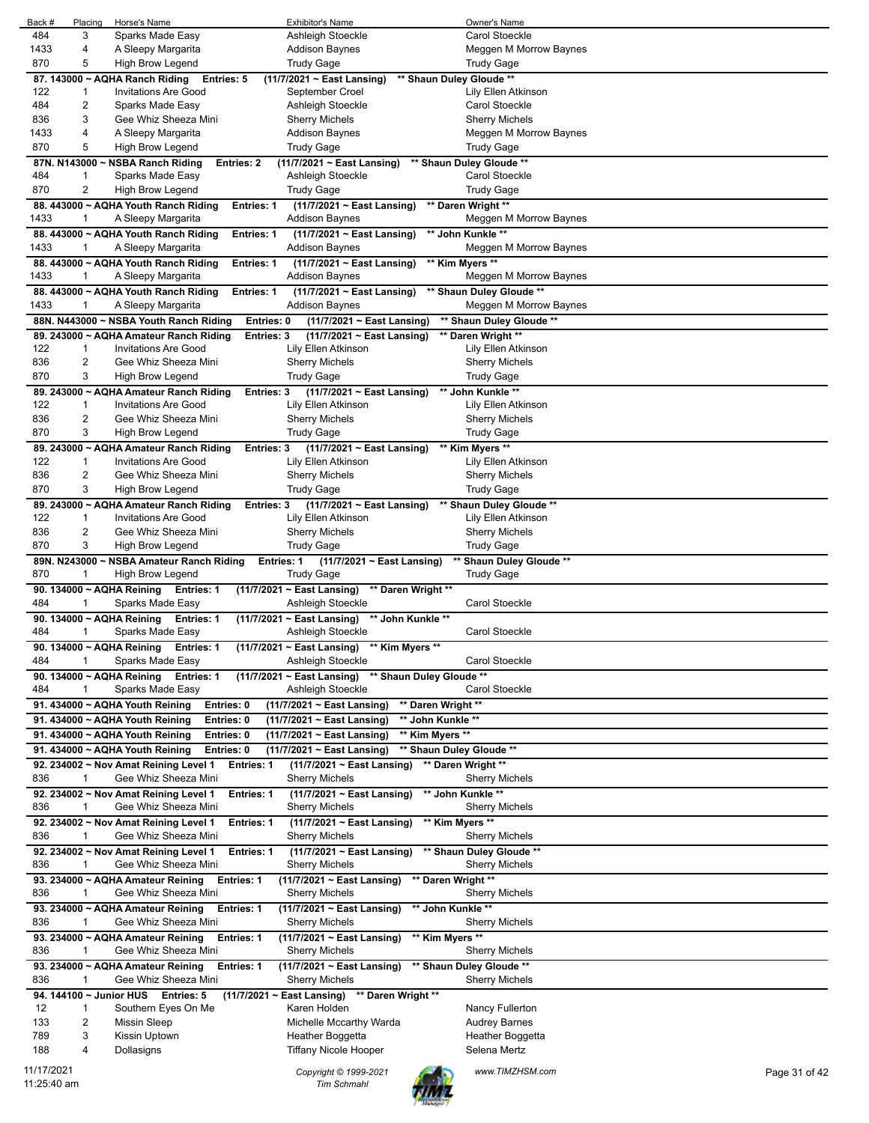| Back #<br>484 | Placing       | Horse's Name                                                | <b>Exhibitor's Name</b>                                     | Owner's Name             |               |
|---------------|---------------|-------------------------------------------------------------|-------------------------------------------------------------|--------------------------|---------------|
|               | 3             | Sparks Made Easy                                            | Ashleigh Stoeckle                                           | Carol Stoeckle           |               |
| 1433          | 4             | A Sleepy Margarita                                          | <b>Addison Baynes</b>                                       | Meggen M Morrow Baynes   |               |
|               |               |                                                             |                                                             |                          |               |
| 870           | 5             | High Brow Legend                                            | <b>Trudy Gage</b>                                           | <b>Trudy Gage</b>        |               |
|               |               | 87. 143000 ~ AQHA Ranch Riding<br><b>Entries: 5</b>         | (11/7/2021 ~ East Lansing)                                  | ** Shaun Duley Gloude ** |               |
| 122           | 1             | <b>Invitations Are Good</b>                                 | September Croel                                             | Lily Ellen Atkinson      |               |
| 484           | 2             | Sparks Made Easy                                            | Ashleigh Stoeckle                                           | <b>Carol Stoeckle</b>    |               |
| 836           | 3             | Gee Whiz Sheeza Mini                                        | <b>Sherry Michels</b>                                       | <b>Sherry Michels</b>    |               |
|               |               |                                                             |                                                             |                          |               |
| 1433          | 4             | A Sleepy Margarita                                          | Addison Baynes                                              | Meggen M Morrow Baynes   |               |
| 870           | 5             | High Brow Legend                                            | Trudy Gage                                                  | Trudy Gage               |               |
|               | 87N. N143000~ | <b>NSBA Ranch Riding</b><br><b>Entries: 2</b>               | $(11/7/2021 \sim$ East Lansing)                             | ** Shaun Duley Gloude ** |               |
| 484           | $\mathbf{1}$  | Sparks Made Easy                                            | Ashleigh Stoeckle                                           | Carol Stoeckle           |               |
| 870           | 2             | High Brow Legend                                            | Trudy Gage                                                  | <b>Trudy Gage</b>        |               |
|               |               |                                                             |                                                             |                          |               |
|               |               | 88. 443000 ~ AQHA Youth Ranch Riding<br><b>Entries: 1</b>   | (11/7/2021 ~ East Lansing)                                  | ** Daren Wright **       |               |
| 1433          | 1             | A Sleepy Margarita                                          | <b>Addison Baynes</b>                                       | Meggen M Morrow Baynes   |               |
|               |               | 88. 443000 ~ AQHA Youth Ranch Riding<br><b>Entries: 1</b>   | (11/7/2021 ~ East Lansing)                                  | ** John Kunkle **        |               |
| 1433          | 1             | A Sleepy Margarita                                          | <b>Addison Baynes</b>                                       | Meggen M Morrow Baynes   |               |
|               |               |                                                             |                                                             |                          |               |
|               |               | 88. 443000 ~ AQHA Youth Ranch Riding<br>Entries: 1          | $(11/7/2021 \sim East$ Lansing)                             | ** Kim Myers **          |               |
| 1433          | 1             | A Sleepy Margarita                                          | <b>Addison Baynes</b>                                       | Meggen M Morrow Baynes   |               |
|               |               | 88. 443000 ~ AQHA Youth Ranch Riding<br><b>Entries: 1</b>   | (11/7/2021 ~ East Lansing)                                  | ** Shaun Duley Gloude ** |               |
| 1433          | 1             | A Sleepy Margarita                                          | <b>Addison Baynes</b>                                       | Meggen M Morrow Baynes   |               |
|               |               |                                                             |                                                             |                          |               |
|               |               | 88N. N443000 ~ NSBA Youth Ranch Riding<br>Entries: 0        | (11/7/2021 ~ East Lansing)                                  | ** Shaun Duley Gloude ** |               |
|               |               | 89. 243000 ~ AQHA Amateur Ranch Riding<br><b>Entries: 3</b> | (11/7/2021 ~ East Lansing)                                  | ** Daren Wright **       |               |
| 122           | 1             | <b>Invitations Are Good</b>                                 | Lily Ellen Atkinson                                         | Lily Ellen Atkinson      |               |
| 836           | 2             | Gee Whiz Sheeza Mini                                        | Sherry Michels                                              | <b>Sherry Michels</b>    |               |
| 870           | 3             | High Brow Legend                                            | <b>Trudy Gage</b>                                           | <b>Trudy Gage</b>        |               |
|               |               |                                                             |                                                             |                          |               |
|               |               | 89. 243000 ~ AQHA Amateur Ranch Riding<br>Entries: 3        | (11/7/2021 ~ East Lansing)                                  | ** John Kunkle **        |               |
| 122           | 1             | <b>Invitations Are Good</b>                                 | Lily Ellen Atkinson                                         | Lily Ellen Atkinson      |               |
| 836           | 2             | Gee Whiz Sheeza Mini                                        | <b>Sherry Michels</b>                                       | <b>Sherry Michels</b>    |               |
| 870           | 3             | <b>High Brow Legend</b>                                     | <b>Trudy Gage</b>                                           | <b>Trudy Gage</b>        |               |
|               |               |                                                             |                                                             |                          |               |
|               |               | 89. 243000 ~ AQHA Amateur Ranch Riding<br>Entries: 3        | (11/7/2021 ~ East Lansing)                                  | ** Kim Myers **          |               |
| 122           | 1             | <b>Invitations Are Good</b>                                 | Lily Ellen Atkinson                                         | Lily Ellen Atkinson      |               |
| 836           | 2             | Gee Whiz Sheeza Mini                                        | <b>Sherry Michels</b>                                       | <b>Sherry Michels</b>    |               |
| 870           | 3             | High Brow Legend                                            | <b>Trudy Gage</b>                                           | <b>Trudy Gage</b>        |               |
|               |               | 89. 243000 ~ AQHA Amateur Ranch Riding<br><b>Entries: 3</b> | (11/7/2021 ~ East Lansing)                                  | ** Shaun Duley Gloude ** |               |
|               |               |                                                             |                                                             |                          |               |
| 122           | 1             | <b>Invitations Are Good</b>                                 | Lily Ellen Atkinson                                         | Lily Ellen Atkinson      |               |
| 836           | 2             | Gee Whiz Sheeza Mini                                        | <b>Sherry Michels</b>                                       | <b>Sherry Michels</b>    |               |
| 870           | 3             | High Brow Legend                                            | <b>Trudy Gage</b>                                           | <b>Trudy Gage</b>        |               |
|               |               | 89N. N243000 ~ NSBA Amateur Ranch Riding<br>Entries: 1      | $(11/7/2021 \sim$ East Lansing)                             | ** Shaun Duley Gloude ** |               |
|               |               |                                                             |                                                             |                          |               |
|               |               |                                                             |                                                             |                          |               |
| 870           | 1             | High Brow Legend                                            | <b>Trudy Gage</b>                                           | <b>Trudy Gage</b>        |               |
|               |               | 90. 134000 ~ AQHA Reining<br>Entries: 1                     | (11/7/2021 ~ East Lansing)<br>** Daren Wright **            |                          |               |
| 484           | 1             | Sparks Made Easy                                            | Ashleigh Stoeckle                                           | Carol Stoeckle           |               |
|               |               | <b>Entries: 1</b>                                           | ** John Kunkle **<br>$(11/7/2021 \sim East$ Lansing)        |                          |               |
|               |               | 90. 134000 ~ AQHA Reining                                   |                                                             |                          |               |
| 484           | 1             | Sparks Made Easy                                            | Ashleigh Stoeckle                                           | Carol Stoeckle           |               |
|               |               | 90. 134000 ~ AQHA Reining<br><b>Entries: 1</b>              | (11/7/2021 ~ East Lansing) ** Kim Myers **                  |                          |               |
| 484           | $\mathbf{1}$  | Sparks Made Easy                                            | Ashleigh Stoeckle                                           | Carol Stoeckle           |               |
|               |               | <b>Entries: 1</b><br>90. 134000 ~ AQHA Reining              | ** Shaun Duley Gloude **<br>$(11/7/2021 \sim$ East Lansing) |                          |               |
|               | 1             |                                                             |                                                             |                          |               |
| 484           |               | Sparks Made Easy                                            | Ashleigh Stoeckle                                           | Carol Stoeckle           |               |
|               |               | 91. 434000 ~ AQHA Youth Reining<br>Entries: 0               | ** Daren Wright **<br>(11/7/2021 ~ East Lansing)            |                          |               |
|               |               | 91. 434000 ~ AQHA Youth Reining<br>Entries: 0               | ** John Kunkle **<br>(11/7/2021 ~ East Lansing)             |                          |               |
|               |               |                                                             |                                                             |                          |               |
|               |               | 91. 434000 ~ AQHA Youth Reining<br>Entries: 0               | (11/7/2021 ~ East Lansing)<br>** Kim Myers **               |                          |               |
|               |               | Entries: 0<br>91. 434000 ~ AQHA Youth Reining               | (11/7/2021 ~ East Lansing)                                  | ** Shaun Duley Gloude ** |               |
|               |               | 92. 234002 ~ Nov Amat Reining Level 1<br>Entries: 1         | $(11/7/2021 \sim$ East Lansing)                             | ** Daren Wright **       |               |
| 836           | 1             | Gee Whiz Sheeza Mini                                        | Sherry Michels                                              | <b>Sherry Michels</b>    |               |
|               |               |                                                             |                                                             |                          |               |
|               |               | 92. 234002 ~ Nov Amat Reining Level 1<br>Entries: 1         | $(11/7/2021 \sim$ East Lansing)                             | ** John Kunkle **        |               |
| 836           | 1             | Gee Whiz Sheeza Mini                                        | Sherry Michels                                              | <b>Sherry Michels</b>    |               |
|               |               | 92. 234002 ~ Nov Amat Reining Level 1<br>Entries: 1         | (11/7/2021 ~ East Lansing)                                  | ** Kim Myers **          |               |
| 836           | 1             | Gee Whiz Sheeza Mini                                        | Sherry Michels                                              | <b>Sherry Michels</b>    |               |
|               |               |                                                             |                                                             |                          |               |
|               |               | 92. 234002 ~ Nov Amat Reining Level 1<br><b>Entries: 1</b>  | $(11/7/2021 \sim$ East Lansing)                             | ** Shaun Duley Gloude ** |               |
| 836           | 1             | Gee Whiz Sheeza Mini                                        | <b>Sherry Michels</b>                                       | <b>Sherry Michels</b>    |               |
|               |               | <b>Entries: 1</b><br>93. 234000 ~ AQHA Amateur Reining      | (11/7/2021 ~ East Lansing)                                  | ** Daren Wright **       |               |
| 836           | 1             | Gee Whiz Sheeza Mini                                        | Sherry Michels                                              | <b>Sherry Michels</b>    |               |
|               |               |                                                             |                                                             |                          |               |
|               |               | 93. 234000 ~ AQHA Amateur Reining<br><b>Entries: 1</b>      | ** John Kunkle **<br>$(11/7/2021 \sim$ East Lansing)        |                          |               |
| 836           | 1             | Gee Whiz Sheeza Mini                                        | Sherry Michels                                              | <b>Sherry Michels</b>    |               |
|               |               | 93. 234000 ~ AQHA Amateur Reining<br>Entries: 1             | ** Kim Myers **<br>(11/7/2021 ~ East Lansing)               |                          |               |
| 836           | 1             | Gee Whiz Sheeza Mini                                        | <b>Sherry Michels</b>                                       | Sherry Michels           |               |
|               |               |                                                             |                                                             |                          |               |
|               |               | 93. 234000 ~ AQHA Amateur Reining<br><b>Entries: 1</b>      | $(11/7/2021 \sim$ East Lansing)                             | ** Shaun Duley Gloude ** |               |
| 836           | 1             | Gee Whiz Sheeza Mini                                        | <b>Sherry Michels</b>                                       | <b>Sherry Michels</b>    |               |
|               |               | 94. 144100 ~ Junior HUS Entries: 5                          | $(11/7/2021 \sim$ East Lansing) ** Daren Wright **          |                          |               |
| 12            | 1             | Southern Eyes On Me                                         | Karen Holden                                                | Nancy Fullerton          |               |
| 133           | 2             | Missin Sleep                                                | Michelle Mccarthy Warda                                     | <b>Audrey Barnes</b>     |               |
|               |               |                                                             |                                                             |                          |               |
| 789           | 3             | Kissin Uptown                                               | Heather Boggetta                                            | Heather Boggetta         |               |
| 188           | 4             | Dollasigns                                                  | Tiffany Nicole Hooper                                       | Selena Mertz             |               |
| 11/17/2021    |               |                                                             | Copyright © 1999-2021                                       | www.TIMZHSM.com          | Page 31 of 42 |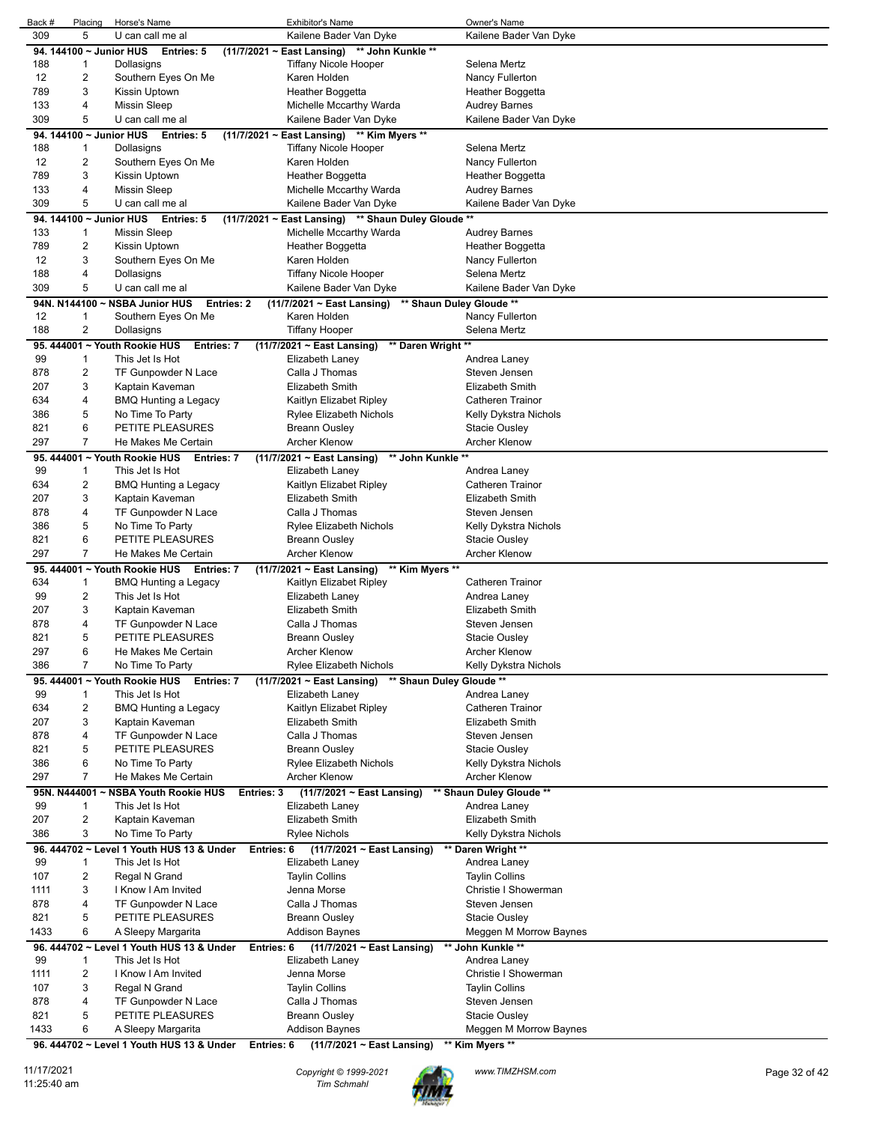| Back #      | Placing                        | Horse's Name                                                          | <b>Exhibitor's Name</b>                                                 | Owner's Name                                  |
|-------------|--------------------------------|-----------------------------------------------------------------------|-------------------------------------------------------------------------|-----------------------------------------------|
| 309         | 5                              | U can call me al                                                      | Kailene Bader Van Dyke                                                  | Kailene Bader Van Dyke                        |
|             | 94. 144100 ~ Junior HUS        | Entries: 5                                                            | $(11/7/2021 \sim$ East Lansing)<br>** John Kunkle **                    |                                               |
| 188         | $\mathbf{1}$                   | Dollasigns                                                            | <b>Tiffany Nicole Hooper</b>                                            | Selena Mertz                                  |
| 12          | $\overline{c}$                 | Southern Eyes On Me                                                   | Karen Holden                                                            | Nancy Fullerton                               |
| 789         | 3                              | Kissin Uptown                                                         | Heather Boggetta                                                        | Heather Boggetta                              |
| 133         | 4                              | <b>Missin Sleep</b>                                                   | Michelle Mccarthy Warda                                                 | <b>Audrey Barnes</b>                          |
| 309         | 5                              | U can call me al                                                      | Kailene Bader Van Dyke                                                  | Kailene Bader Van Dyke                        |
|             |                                | 94. 144100 ~ Junior HUS Entries: 5                                    | (11/7/2021 ~ East Lansing) ** Kim Myers **                              |                                               |
| 188         | 1<br>2                         | Dollasigns                                                            | <b>Tiffany Nicole Hooper</b><br>Karen Holden                            | Selena Mertz<br>Nancy Fullerton               |
| 12<br>789   | 3                              | Southern Eyes On Me<br>Kissin Uptown                                  | Heather Boggetta                                                        | Heather Boggetta                              |
| 133         | $\overline{4}$                 | <b>Missin Sleep</b>                                                   | Michelle Mccarthy Warda                                                 | <b>Audrey Barnes</b>                          |
| 309         | 5                              | U can call me al                                                      | Kailene Bader Van Dyke                                                  | Kailene Bader Van Dyke                        |
|             |                                | 94. 144100 ~ Junior HUS Entries: 5                                    | (11/7/2021 ~ East Lansing) ** Shaun Duley Gloude **                     |                                               |
| 133         | 1                              | <b>Missin Sleep</b>                                                   | Michelle Mccarthy Warda                                                 | <b>Audrey Barnes</b>                          |
| 789         | $\overline{c}$                 | Kissin Uptown                                                         | Heather Boggetta                                                        | Heather Boggetta                              |
| 12          | 3                              | Southern Eyes On Me                                                   | Karen Holden                                                            | Nancy Fullerton                               |
| 188         | 4                              | Dollasigns                                                            | Tiffany Nicole Hooper                                                   | Selena Mertz                                  |
| 309         | 5                              | U can call me al                                                      | Kailene Bader Van Dyke                                                  | Kailene Bader Van Dyke                        |
|             |                                | 94N. N144100 ~ NSBA Junior HUS<br>Entries: 2                          | (11/7/2021 ~ East Lansing) ** Shaun Duley Gloude **                     |                                               |
| 12          | 1                              | Southern Eyes On Me                                                   | Karen Holden                                                            | Nancy Fullerton                               |
| 188         | 2                              | Dollasigns                                                            | <b>Tiffany Hooper</b>                                                   | Selena Mertz                                  |
|             |                                | 95. 444001 ~ Youth Rookie HUS<br><b>Entries: 7</b>                    | ** Daren Wright **<br>$(11/7/2021 \sim$ East Lansing)                   |                                               |
| 99          | 1                              | This Jet Is Hot                                                       | Elizabeth Laney                                                         | Andrea Laney                                  |
| 878         | 2                              | TF Gunpowder N Lace                                                   | Calla J Thomas                                                          | Steven Jensen                                 |
| 207         | 3                              | Kaptain Kaveman                                                       | <b>Elizabeth Smith</b>                                                  | <b>Elizabeth Smith</b>                        |
| 634         | 4                              | <b>BMQ Hunting a Legacy</b>                                           | Kaitlyn Elizabet Ripley                                                 | <b>Catheren Trainor</b>                       |
| 386         | 5                              | No Time To Party                                                      | Rylee Elizabeth Nichols                                                 | Kelly Dykstra Nichols                         |
| 821<br>297  | 6<br>7                         | PETITE PLEASURES<br>He Makes Me Certain                               | <b>Breann Ousley</b><br><b>Archer Klenow</b>                            | Stacie Ousley<br><b>Archer Klenow</b>         |
|             |                                |                                                                       |                                                                         |                                               |
| 99          | 1                              | 95. 444001 ~ Youth Rookie HUS<br><b>Entries: 7</b><br>This Jet Is Hot | $(11/7/2021 \sim East$ Lansing)<br>** John Kunkle **<br>Elizabeth Laney | Andrea Laney                                  |
| 634         | $\overline{c}$                 | BMQ Hunting a Legacy                                                  | Kaitlyn Elizabet Ripley                                                 | <b>Catheren Trainor</b>                       |
| 207         | 3                              | Kaptain Kaveman                                                       | <b>Elizabeth Smith</b>                                                  | Elizabeth Smith                               |
| 878         | 4                              | TF Gunpowder N Lace                                                   | Calla J Thomas                                                          | Steven Jensen                                 |
| 386         | 5                              | No Time To Party                                                      | Rylee Elizabeth Nichols                                                 | Kelly Dykstra Nichols                         |
| 821         | 6                              | PETITE PLEASURES                                                      | <b>Breann Ousley</b>                                                    | <b>Stacie Ousley</b>                          |
| 297         | 7                              | He Makes Me Certain                                                   | <b>Archer Klenow</b>                                                    | <b>Archer Klenow</b>                          |
|             |                                | 95. 444001 ~ Youth Rookie HUS Entries: 7                              | (11/7/2021 ~ East Lansing)<br>** Kim Myers **                           |                                               |
| 634         | 1                              | <b>BMQ Hunting a Legacy</b>                                           | Kaitlyn Elizabet Ripley                                                 | <b>Catheren Trainor</b>                       |
| 99          | 2                              | This Jet Is Hot                                                       | Elizabeth Laney                                                         | Andrea Laney                                  |
| 207         | 3                              | Kaptain Kaveman                                                       | Elizabeth Smith                                                         | Elizabeth Smith                               |
| 878         | 4                              | TF Gunpowder N Lace                                                   | Calla J Thomas                                                          | Steven Jensen                                 |
| 821         | 5                              | PETITE PLEASURES                                                      | Breann Ousley                                                           | Stacie Ousley                                 |
| 297         | 6                              | He Makes Me Certain                                                   | Archer Klenow                                                           | Archer Klenow                                 |
| 386         | 7                              | No Time To Party                                                      | <b>Rylee Elizabeth Nichols</b>                                          | Kelly Dykstra Nichols                         |
|             |                                | 95. 444001 ~ Youth Rookie HUS<br><b>Entries: 7</b>                    | $(11/7/2021 \sim$ East Lansing)                                         | ** Shaun Duley Gloude **                      |
| 99<br>634   | $\mathbf{1}$<br>$\overline{c}$ | This Jet Is Hot<br><b>BMQ Hunting a Legacy</b>                        | Elizabeth Laney<br>Kaitlyn Elizabet Ripley                              | Andrea Laney<br><b>Catheren Trainor</b>       |
| 207         | 3                              | Kaptain Kaveman                                                       | <b>Elizabeth Smith</b>                                                  | Elizabeth Smith                               |
| 878         | 4                              | TF Gunpowder N Lace                                                   | Calla J Thomas                                                          | Steven Jensen                                 |
| 821         | 5                              | PETITE PLEASURES                                                      | Breann Ousley                                                           | <b>Stacie Ousley</b>                          |
| 386         | 6                              | No Time To Party                                                      | <b>Rylee Elizabeth Nichols</b>                                          | Kelly Dykstra Nichols                         |
| 297         | $\overline{7}$                 | He Makes Me Certain                                                   | <b>Archer Klenow</b>                                                    | Archer Klenow                                 |
|             | 95N. N444001                   | <b>NSBA Youth Rookie HUS</b>                                          | (11/7/2021 ~ East Lansing)<br>Entries: 3                                | ** Shaun Duley Gloude **                      |
| 99          | $\mathbf{1}$                   | This Jet Is Hot                                                       | Elizabeth Laney                                                         | Andrea Laney                                  |
| 207         | $\overline{2}$                 | Kaptain Kaveman                                                       | <b>Elizabeth Smith</b>                                                  | Elizabeth Smith                               |
| 386         | 3                              | No Time To Party                                                      | Rylee Nichols                                                           | Kelly Dykstra Nichols                         |
|             |                                | 96. 444702 ~ Level 1 Youth HUS 13 & Under                             | $(11/7/2021 \sim$ East Lansing)<br>Entries: 6                           | ** Daren Wright **                            |
| 99          | $\mathbf{1}$                   | This Jet Is Hot                                                       | Elizabeth Laney                                                         | Andrea Laney                                  |
| 107         | 2                              | Regal N Grand                                                         | <b>Taylin Collins</b>                                                   | <b>Taylin Collins</b>                         |
| 1111        | 3                              | I Know I Am Invited                                                   | Jenna Morse                                                             | Christie I Showerman                          |
| 878         | 4                              | TF Gunpowder N Lace                                                   | Calla J Thomas                                                          | Steven Jensen                                 |
| 821         | 5                              | PETITE PLEASURES                                                      | <b>Breann Ousley</b>                                                    | Stacie Ousley                                 |
| 1433        | 6                              | A Sleepy Margarita                                                    | <b>Addison Baynes</b>                                                   | Meggen M Morrow Baynes                        |
|             |                                | 96. 444702 ~ Level 1 Youth HUS 13 & Under                             | $(11/7/2021 \sim$ East Lansing)<br>Entries: 6                           | ** John Kunkle **                             |
| 99          | 1<br>2                         | This Jet Is Hot<br>I Know I Am Invited                                | Elizabeth Laney<br>Jenna Morse                                          | Andrea Laney                                  |
| 1111<br>107 | 3                              | Regal N Grand                                                         | <b>Taylin Collins</b>                                                   | Christie I Showerman<br><b>Taylin Collins</b> |
| 878         | 4                              | TF Gunpowder N Lace                                                   | Calla J Thomas                                                          | Steven Jensen                                 |
| 821         | 5                              | PETITE PLEASURES                                                      | <b>Breann Ousley</b>                                                    | <b>Stacie Ousley</b>                          |
| 1433        | 6                              | A Sleepy Margarita                                                    | <b>Addison Baynes</b>                                                   | Meggen M Morrow Baynes                        |
|             |                                | 96. 444702 ~ Level 1 Youth HUS 13 & Under                             | Entries: 6<br>(11/7/2021 ~ East Lansing)                                | ** Kim Myers **                               |

11/17/2021 *Copyright © 1999-2021 Tim Schmahl www.TIMZHSM.com* Page 32 of 42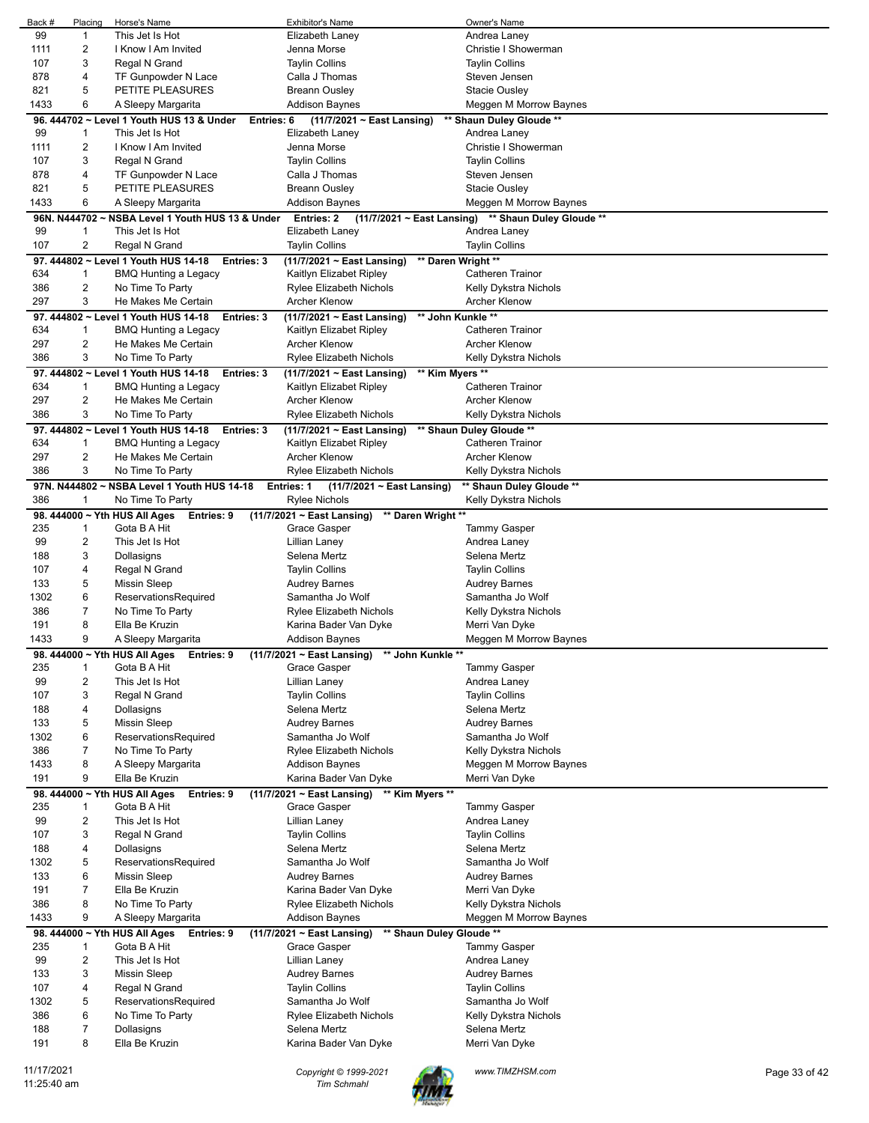| Back #      | Placing        | Horse's Name                                                | <b>Exhibitor's Name</b>                                                     | Owner's Name                                        |               |
|-------------|----------------|-------------------------------------------------------------|-----------------------------------------------------------------------------|-----------------------------------------------------|---------------|
| 99          | $\mathbf{1}$   | This Jet Is Hot                                             | Elizabeth Laney                                                             | Andrea Laney                                        |               |
| 1111        | 2              | I Know I Am Invited                                         | Jenna Morse                                                                 | Christie I Showerman                                |               |
| 107         | 3              | Regal N Grand                                               | <b>Taylin Collins</b>                                                       | <b>Taylin Collins</b>                               |               |
| 878         | 4              | TF Gunpowder N Lace                                         | Calla J Thomas                                                              | Steven Jensen                                       |               |
| 821         | 5              | PETITE PLEASURES                                            | <b>Breann Ousley</b>                                                        | <b>Stacie Ousley</b>                                |               |
| 1433        | 6              | A Sleepy Margarita                                          | <b>Addison Baynes</b>                                                       | Meggen M Morrow Baynes                              |               |
|             |                | 96. 444702 ~ Level 1 Youth HUS 13 & Under<br>Entries: 6     | (11/7/2021 ~ East Lansing)                                                  | ** Shaun Duley Gloude **                            |               |
| 99          | 1              | This Jet Is Hot                                             | Elizabeth Laney                                                             | Andrea Laney                                        |               |
| 1111        | 2              | I Know I Am Invited                                         | Jenna Morse                                                                 | Christie I Showerman                                |               |
| 107         | 3              | Regal N Grand                                               | <b>Taylin Collins</b>                                                       | <b>Taylin Collins</b>                               |               |
| 878         | 4              | TF Gunpowder N Lace                                         | Calla J Thomas                                                              | Steven Jensen                                       |               |
| 821         | 5              | PETITE PLEASURES                                            | <b>Breann Ousley</b>                                                        | <b>Stacie Ousley</b>                                |               |
| 1433        | 6              | A Sleepy Margarita                                          | <b>Addison Baynes</b>                                                       | Meggen M Morrow Baynes                              |               |
|             | 96N. N444702~  | NSBA Level 1 Youth HUS 13 & Under                           | Entries: 2                                                                  | (11/7/2021 ~ East Lansing) ** Shaun Duley Gloude ** |               |
| 99          | 1              | This Jet Is Hot                                             | Elizabeth Laney                                                             | Andrea Laney                                        |               |
| 107         | 2              | Regal N Grand                                               | <b>Taylin Collins</b>                                                       | <b>Taylin Collins</b>                               |               |
|             |                | 97. 444802 ~ Level 1 Youth HUS 14-18<br>Entries: 3          | (11/7/2021 ~ East Lansing)                                                  | ** Daren Wright **                                  |               |
| 634         | 1              | BMQ Hunting a Legacy                                        | Kaitlyn Elizabet Ripley                                                     | <b>Catheren Trainor</b>                             |               |
| 386         | 2              | No Time To Party                                            | <b>Rylee Elizabeth Nichols</b>                                              | Kelly Dykstra Nichols                               |               |
| 297         | 3              | He Makes Me Certain                                         | <b>Archer Klenow</b>                                                        | <b>Archer Klenow</b>                                |               |
|             |                | 97. 444802 ~ Level 1 Youth HUS 14-18<br>Entries: 3          | ** John Kunkle **<br>(11/7/2021 ~ East Lansing)                             |                                                     |               |
| 634         | 1              | BMQ Hunting a Legacy                                        | Kaitlyn Elizabet Ripley                                                     | <b>Catheren Trainor</b>                             |               |
| 297         | 2              | He Makes Me Certain                                         | <b>Archer Klenow</b>                                                        | <b>Archer Klenow</b>                                |               |
| 386         | 3              | No Time To Party                                            | Rylee Elizabeth Nichols                                                     | Kelly Dykstra Nichols                               |               |
|             |                | 97. 444802 ~ Level 1 Youth HUS 14-18<br>Entries: 3          | ** Kim Myers **<br>(11/7/2021 ~ East Lansing)                               |                                                     |               |
| 634         | 1              | BMQ Hunting a Legacy                                        | Kaitlyn Elizabet Ripley                                                     | <b>Catheren Trainor</b>                             |               |
| 297         | 2              | He Makes Me Certain                                         | <b>Archer Klenow</b>                                                        | <b>Archer Klenow</b>                                |               |
| 386         | 3              | No Time To Party                                            | <b>Rylee Elizabeth Nichols</b>                                              | Kelly Dykstra Nichols                               |               |
|             |                | 97. 444802 ~ Level 1 Youth HUS 14-18<br>Entries: 3          | $(11/7/2021 \sim$ East Lansing)                                             | ** Shaun Duley Gloude **                            |               |
| 634         | 1              | BMQ Hunting a Legacy                                        | Kaitlyn Elizabet Ripley                                                     | <b>Catheren Trainor</b>                             |               |
| 297         | 2              | He Makes Me Certain                                         | <b>Archer Klenow</b>                                                        | <b>Archer Klenow</b>                                |               |
| 386         | 3              | No Time To Party                                            | Rylee Elizabeth Nichols                                                     | Kelly Dykstra Nichols                               |               |
|             |                | 97N. N444802 ~ NSBA Level 1 Youth HUS 14-18                 | $(11/7/2021 \sim$ East Lansing)<br><b>Entries: 1</b>                        | ** Shaun Duley Gloude **                            |               |
| 386         | 1              | No Time To Party                                            | <b>Rylee Nichols</b>                                                        | Kelly Dykstra Nichols                               |               |
|             |                | 98. 444000 ~ Yth HUS All Ages<br>Entries: 9                 | $(11/7/2021 \sim$ East Lansing)<br>** Daren Wright **                       |                                                     |               |
| 235         | 1              | Gota B A Hit                                                | Grace Gasper                                                                | <b>Tammy Gasper</b>                                 |               |
| 99          | 2              | This Jet Is Hot                                             | Lillian Laney                                                               | Andrea Laney                                        |               |
| 188         | 3              | Dollasigns                                                  | Selena Mertz                                                                | Selena Mertz                                        |               |
| 107         | 4              | Regal N Grand                                               | <b>Taylin Collins</b>                                                       | <b>Taylin Collins</b>                               |               |
| 133         | 5              | <b>Missin Sleep</b>                                         | Audrey Barnes                                                               | <b>Audrey Barnes</b>                                |               |
| 1302        | 6              | ReservationsRequired                                        | Samantha Jo Wolf                                                            | Samantha Jo Wolf                                    |               |
| 386         | 7              | No Time To Party                                            | Rylee Elizabeth Nichols                                                     | Kelly Dykstra Nichols                               |               |
| 191         | 8              | Ella Be Kruzin                                              | Karina Bader Van Dyke                                                       | Merri Van Dyke                                      |               |
| 1433        | 9              | A Sleepy Margarita                                          | Addison Baynes                                                              | Meggen M Morrow Baynes                              |               |
|             |                | 98. 444000 ~ Yth HUS All Ages<br>Entries: 9                 | (11/7/2021 ~ East Lansing)<br>** John Kunkle **                             |                                                     |               |
| 235         | $\mathbf{1}$   | Gota B A Hit                                                | Grace Gasper                                                                | <b>Tammy Gasper</b>                                 |               |
| 99          | 2              | This Jet Is Hot                                             | Lillian Laney                                                               | Andrea Laney                                        |               |
| 107         | 3              | Regal N Grand                                               | <b>Taylin Collins</b>                                                       | <b>Taylin Collins</b>                               |               |
| 188         | 4              | Dollasigns                                                  | Selena Mertz                                                                | Selena Mertz                                        |               |
| 133         | 5              | <b>Missin Sleep</b>                                         | <b>Audrey Barnes</b>                                                        | <b>Audrey Barnes</b>                                |               |
| 1302        | 6              | ReservationsRequired                                        | Samantha Jo Wolf                                                            | Samantha Jo Wolf                                    |               |
| 386         | 7              | No Time To Party                                            | <b>Rylee Elizabeth Nichols</b>                                              | Kelly Dykstra Nichols                               |               |
| 1433        | 8              | A Sleepy Margarita                                          | <b>Addison Baynes</b>                                                       | Meggen M Morrow Baynes                              |               |
| 191         | 9              | Ella Be Kruzin                                              | Karina Bader Van Dyke                                                       | Merri Van Dyke                                      |               |
|             |                |                                                             |                                                                             |                                                     |               |
| 235         |                | 98. 444000 ~ Yth HUS All Ages<br>Entries: 9<br>Gota B A Hit | (11/7/2021 ~ East Lansing)<br>** Kim Myers **<br>Grace Gasper               | <b>Tammy Gasper</b>                                 |               |
| 99          | 1<br>2         | This Jet Is Hot                                             | Lillian Laney                                                               | Andrea Laney                                        |               |
| 107         | 3              | Regal N Grand                                               | <b>Taylin Collins</b>                                                       | <b>Taylin Collins</b>                               |               |
| 188         | 4              | Dollasigns                                                  | Selena Mertz                                                                | Selena Mertz                                        |               |
| 1302        | 5              | ReservationsRequired                                        | Samantha Jo Wolf                                                            | Samantha Jo Wolf                                    |               |
| 133         | 6              | <b>Missin Sleep</b>                                         | <b>Audrey Barnes</b>                                                        | <b>Audrey Barnes</b>                                |               |
| 191         | $\overline{7}$ | Ella Be Kruzin                                              | Karina Bader Van Dyke                                                       | Merri Van Dyke                                      |               |
| 386         | 8              | No Time To Party                                            | <b>Rylee Elizabeth Nichols</b>                                              | Kelly Dykstra Nichols                               |               |
| 1433        | 9              | A Sleepy Margarita                                          | <b>Addison Baynes</b>                                                       | Meggen M Morrow Baynes                              |               |
|             |                |                                                             |                                                                             |                                                     |               |
| 235         | 1              | 98. 444000 ~ Yth HUS All Ages<br>Entries: 9<br>Gota B A Hit | ** Shaun Duley Gloude **<br>$(11/7/2021 \sim$ East Lansing)<br>Grace Gasper | <b>Tammy Gasper</b>                                 |               |
| 99          | 2              | This Jet Is Hot                                             | Lillian Laney                                                               | Andrea Laney                                        |               |
| 133         | 3              | <b>Missin Sleep</b>                                         | <b>Audrey Barnes</b>                                                        | <b>Audrey Barnes</b>                                |               |
| 107         | 4              |                                                             | <b>Taylin Collins</b>                                                       | <b>Taylin Collins</b>                               |               |
| 1302        | 5              | Regal N Grand<br>ReservationsRequired                       | Samantha Jo Wolf                                                            | Samantha Jo Wolf                                    |               |
| 386         | 6              | No Time To Party                                            | <b>Rylee Elizabeth Nichols</b>                                              |                                                     |               |
| 188         | 7              | Dollasigns                                                  | Selena Mertz                                                                | Kelly Dykstra Nichols<br>Selena Mertz               |               |
| 191         | 8              | Ella Be Kruzin                                              | Karina Bader Van Dyke                                                       | Merri Van Dyke                                      |               |
|             |                |                                                             |                                                                             |                                                     |               |
| 11/17/2021  |                |                                                             | Copyright © 1999-2021                                                       | www.TIMZHSM.com                                     | Page 33 of 42 |
| 11:25:40 am |                |                                                             | <b>Tim Schmahl</b>                                                          |                                                     |               |
|             |                |                                                             |                                                                             |                                                     |               |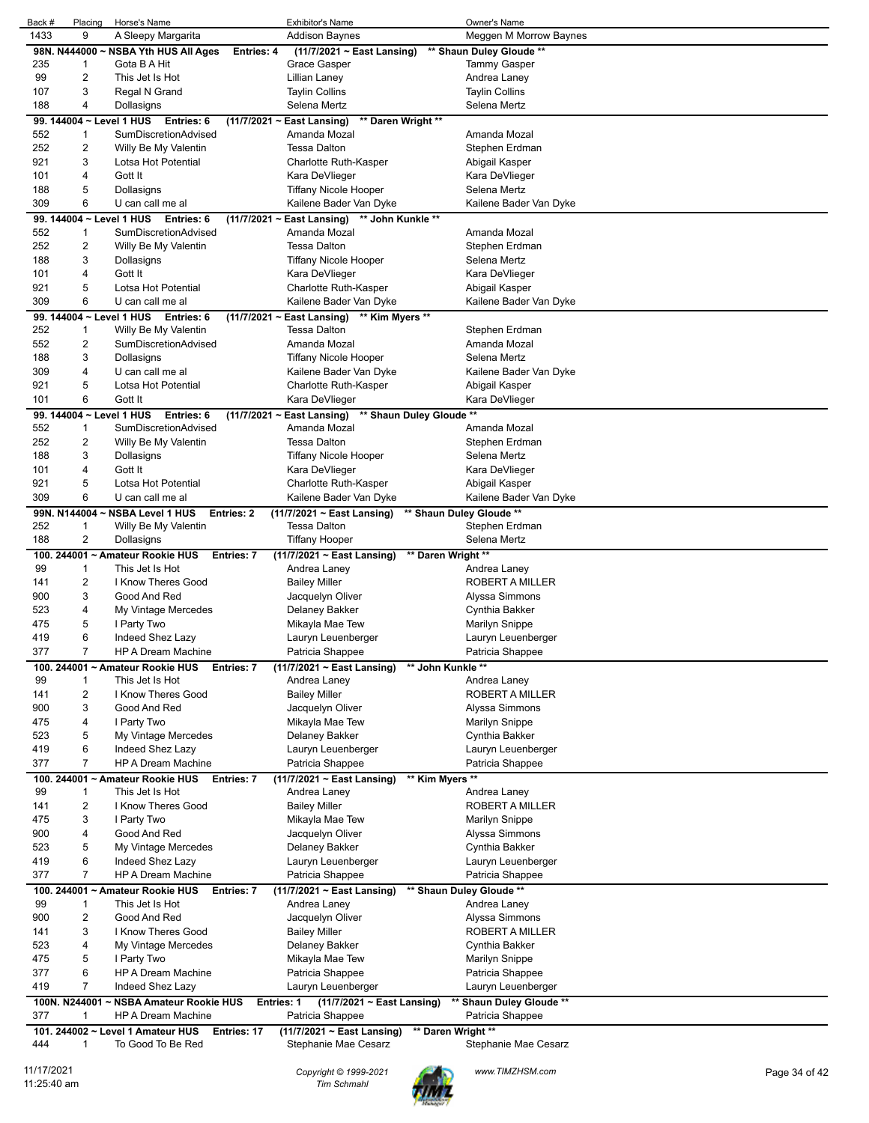| Back # | Placing                  | Horse's Name                            | <b>Exhibitor's Name</b>                                              | Owner's Name             |
|--------|--------------------------|-----------------------------------------|----------------------------------------------------------------------|--------------------------|
| 1433   | 9                        | A Sleepy Margarita                      | <b>Addison Baynes</b>                                                | Meggen M Morrow Baynes   |
|        |                          | 98N. N444000 ~ NSBA Yth HUS All Ages    | Entries: 4<br>$(11/7/2021 \sim East$ Lansing)                        | ** Shaun Duley Gloude ** |
| 235    | 1                        | Gota B A Hit                            | Grace Gasper                                                         | <b>Tammy Gasper</b>      |
| 99     | 2                        | This Jet Is Hot                         | Lillian Laney                                                        | Andrea Laney             |
|        |                          |                                         |                                                                      |                          |
| 107    | 3                        | Regal N Grand                           | <b>Taylin Collins</b>                                                | <b>Taylin Collins</b>    |
| 188    | 4                        | Dollasigns                              | Selena Mertz                                                         | Selena Mertz             |
|        | 99. 144004 ~ Level 1 HUS | Entries: 6                              | (11/7/2021 ~ East Lansing)<br>** Daren Wright **                     |                          |
| 552    | $\mathbf{1}$             | SumDiscretionAdvised                    | Amanda Mozal                                                         | Amanda Mozal             |
| 252    | $\overline{c}$           | Willy Be My Valentin                    | Tessa Dalton                                                         | Stephen Erdman           |
| 921    | 3                        | Lotsa Hot Potential                     | Charlotte Ruth-Kasper                                                | Abigail Kasper           |
|        |                          |                                         |                                                                      |                          |
| 101    | 4                        | Gott It                                 | Kara DeVlieger                                                       | Kara DeVlieger           |
| 188    | 5                        | Dollasigns                              | <b>Tiffany Nicole Hooper</b>                                         | Selena Mertz             |
| 309    | 6                        | U can call me al                        | Kailene Bader Van Dyke                                               | Kailene Bader Van Dyke   |
|        | 99. 144004 ~ Level 1 HUS | Entries: 6                              | ** John Kunkle **<br>$(11/7/2021 -$<br>East Lansing)                 |                          |
| 552    | 1                        | SumDiscretionAdvised                    | Amanda Mozal                                                         | Amanda Mozal             |
| 252    | $\overline{c}$           | Willy Be My Valentin                    | <b>Tessa Dalton</b>                                                  | Stephen Erdman           |
| 188    | 3                        | Dollasigns                              | <b>Tiffany Nicole Hooper</b>                                         | Selena Mertz             |
|        |                          |                                         |                                                                      |                          |
| 101    | 4                        | Gott It                                 | Kara DeVlieger                                                       | Kara DeVlieger           |
| 921    | 5                        | Lotsa Hot Potential                     | Charlotte Ruth-Kasper                                                | Abigail Kasper           |
| 309    | 6                        | U can call me al                        | Kailene Bader Van Dyke                                               | Kailene Bader Van Dyke   |
|        |                          | 99. 144004 ~ Level 1 HUS Entries: 6     | ** Kim Myers **<br>$(11/7/2021 \sim$ East Lansing)                   |                          |
| 252    | $\mathbf{1}$             | Willy Be My Valentin                    | <b>Tessa Dalton</b>                                                  | Stephen Erdman           |
| 552    | 2                        | SumDiscretionAdvised                    | Amanda Mozal                                                         | Amanda Mozal             |
| 188    | 3                        | Dollasigns                              | Tiffany Nicole Hooper                                                | Selena Mertz             |
|        | 4                        |                                         |                                                                      |                          |
| 309    |                          | U can call me al                        | Kailene Bader Van Dyke                                               | Kailene Bader Van Dyke   |
| 921    | 5                        | Lotsa Hot Potential                     | Charlotte Ruth-Kasper                                                | Abigail Kasper           |
| 101    | 6                        | Gott It                                 | Kara DeVlieger                                                       | Kara DeVlieger           |
|        | 99. 144004 ~ Level 1 HUS | Entries: 6                              | $(11/7/2021 \sim$ East Lansing)<br>** Shaun Duley Gloude **          |                          |
| 552    | 1                        | SumDiscretionAdvised                    | Amanda Mozal                                                         | Amanda Mozal             |
| 252    | $\overline{c}$           | Willy Be My Valentin                    | Tessa Dalton                                                         | Stephen Erdman           |
| 188    | 3                        | Dollasigns                              | <b>Tiffany Nicole Hooper</b>                                         | Selena Mertz             |
| 101    | 4                        | Gott It                                 | Kara DeVlieger                                                       | Kara DeVlieger           |
|        |                          |                                         |                                                                      |                          |
| 921    | 5                        | Lotsa Hot Potential                     | Charlotte Ruth-Kasper                                                | Abigail Kasper           |
| 309    | 6                        | U can call me al                        | Kailene Bader Van Dyke                                               | Kailene Bader Van Dyke   |
|        | 99N. N144004~            | <b>NSBA Level 1 HUS</b>                 | <b>Entries: 2</b><br>$(11/7/2021 \sim$ East Lansing)                 | ** Shaun Duley Gloude ** |
| 252    | $\mathbf{1}$             | Willy Be My Valentin                    | <b>Tessa Dalton</b>                                                  | Stephen Erdman           |
| 188    | 2                        | Dollasigns                              |                                                                      | Selena Mertz             |
|        |                          |                                         | Tiffany Hooper                                                       |                          |
|        |                          |                                         |                                                                      |                          |
|        |                          | 100. 244001 ~ Amateur Rookie HUS        | ** Daren Wright **<br>(11/7/2021 ~ East Lansing)<br>Entries: 7       |                          |
| 99     | $\mathbf{1}$             | This Jet Is Hot                         | Andrea Laney                                                         | Andrea Laney             |
| 141    | 2                        | I Know Theres Good                      | <b>Bailey Miller</b>                                                 | <b>ROBERT A MILLER</b>   |
| 900    | 3                        | Good And Red                            | Jacquelyn Oliver                                                     | Alyssa Simmons           |
| 523    | 4                        | My Vintage Mercedes                     | Delaney Bakker                                                       | Cynthia Bakker           |
| 475    | 5                        | I Party Two                             | Mikayla Mae Tew                                                      | <b>Marilyn Snippe</b>    |
| 419    | 6                        | Indeed Shez Lazy                        | Lauryn Leuenberger                                                   | Lauryn Leuenberger       |
| 377    | 7                        | HP A Dream Machine                      |                                                                      |                          |
|        |                          |                                         | Patricia Shappee                                                     | Patricia Shappee         |
|        |                          | 100. 244001 ~ Amateur Rookie HUS        | (11/7/2021 ~ East Lansing)<br>** John Kunkle **<br>Entries: 7        |                          |
| 99     | $\mathbf{1}$             | This Jet Is Hot                         | Andrea Laney                                                         | Andrea Laney             |
| 141    | $\overline{\mathbf{c}}$  | I Know Theres Good                      | <b>Bailey Miller</b>                                                 | ROBERT A MILLER          |
| 900    | 3                        | Good And Red                            | Jacquelyn Oliver                                                     | Alyssa Simmons           |
| 475    | 4                        | I Party Two                             | Mikayla Mae Tew                                                      | <b>Marilyn Snippe</b>    |
| 523    | 5                        | My Vintage Mercedes                     | Delaney Bakker                                                       | Cynthia Bakker           |
| 419    | 6                        | Indeed Shez Lazy                        | Lauryn Leuenberger                                                   | Lauryn Leuenberger       |
| 377    | $\overline{7}$           | <b>HP A Dream Machine</b>               |                                                                      | Patricia Shappee         |
|        |                          |                                         | Patricia Shappee                                                     |                          |
|        |                          | 100. 244001 ~ Amateur Rookie HUS        | ** Kim Myers **<br>(11/7/2021 ~ East Lansing)<br>Entries: 7          |                          |
| 99     | 1                        | This Jet Is Hot                         | Andrea Laney                                                         | Andrea Laney             |
| 141    | $\overline{\mathbf{c}}$  | I Know Theres Good                      | <b>Bailey Miller</b>                                                 | ROBERT A MILLER          |
| 475    | 3                        | I Party Two                             | Mikayla Mae Tew                                                      | <b>Marilyn Snippe</b>    |
| 900    | 4                        | Good And Red                            | Jacquelyn Oliver                                                     | Alyssa Simmons           |
| 523    | 5                        | My Vintage Mercedes                     | Delaney Bakker                                                       | Cynthia Bakker           |
| 419    | 6                        | Indeed Shez Lazy                        | Lauryn Leuenberger                                                   | Lauryn Leuenberger       |
|        |                          |                                         |                                                                      |                          |
| 377    | $\overline{7}$           | <b>HP A Dream Machine</b>               | Patricia Shappee                                                     | Patricia Shappee         |
|        |                          | 100. 244001 ~ Amateur Rookie HUS        | (11/7/2021 ~ East Lansing)<br>Entries: 7                             | ** Shaun Duley Gloude ** |
| 99     | 1                        | This Jet Is Hot                         | Andrea Laney                                                         | Andrea Laney             |
| 900    | $\overline{c}$           | Good And Red                            | Jacquelyn Oliver                                                     | Alyssa Simmons           |
| 141    | 3                        | I Know Theres Good                      | <b>Bailey Miller</b>                                                 | ROBERT A MILLER          |
| 523    | 4                        | My Vintage Mercedes                     | Delaney Bakker                                                       | Cynthia Bakker           |
| 475    | 5                        | I Party Two                             | Mikayla Mae Tew                                                      | <b>Marilyn Snippe</b>    |
| 377    | 6                        | HP A Dream Machine                      | Patricia Shappee                                                     | Patricia Shappee         |
| 419    | $\overline{7}$           | Indeed Shez Lazy                        |                                                                      |                          |
|        |                          |                                         | Lauryn Leuenberger                                                   | Lauryn Leuenberger       |
|        |                          | 100N. N244001 ~ NSBA Amateur Rookie HUS | Entries: 1<br>(11/7/2021 ~ East Lansing)                             | ** Shaun Duley Gloude ** |
| 377    | 1                        | <b>HP A Dream Machine</b>               | Patricia Shappee                                                     | Patricia Shappee         |
|        |                          | 101. 244002 ~ Level 1 Amateur HUS       | ** Daren Wright **<br>$(11/7/2021 \sim$ East Lansing)<br>Entries: 17 |                          |
| 444    | 1                        | To Good To Be Red                       | Stephanie Mae Cesarz                                                 | Stephanie Mae Cesarz     |

11/17/2021 *Copyright © 1999-2021 Tim Schmahl www.TIMZHSM.com* Page 34 of 42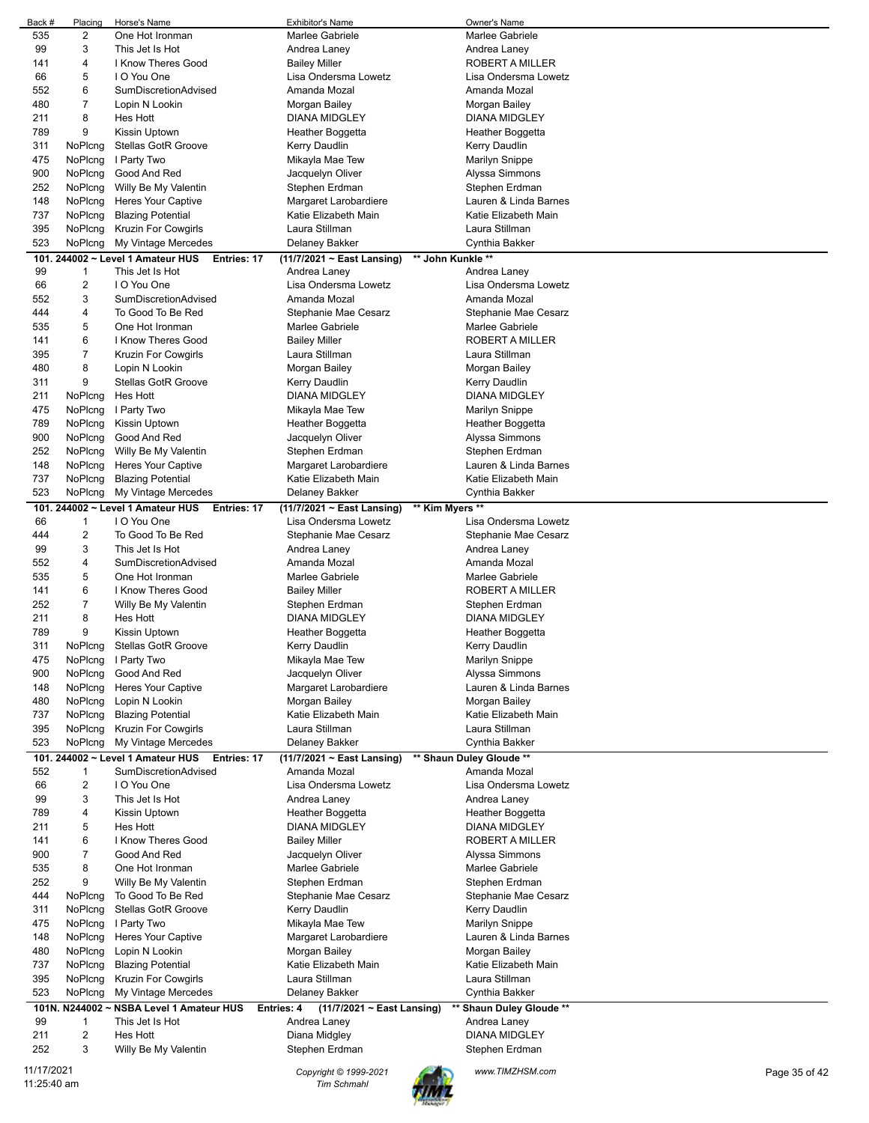|            | Back #<br>Placing | Horse's Name                                     | <b>Exhibitor's Name</b>    | Owner's Name             |               |
|------------|-------------------|--------------------------------------------------|----------------------------|--------------------------|---------------|
| 535        | $\overline{a}$    | One Hot Ironman                                  | Marlee Gabriele            | Marlee Gabriele          |               |
| 99         | 3                 | This Jet Is Hot                                  | Andrea Laney               | Andrea Laney             |               |
| 141        | 4                 | I Know Theres Good                               | <b>Bailey Miller</b>       | ROBERT A MILLER          |               |
| 66         | 5                 | I O You One                                      | Lisa Ondersma Lowetz       | Lisa Ondersma Lowetz     |               |
| 552        | 6                 | <b>SumDiscretionAdvised</b>                      | Amanda Mozal               | Amanda Mozal             |               |
| 480        | 7                 | Lopin N Lookin                                   | Morgan Bailey              | Morgan Bailey            |               |
| 211        | 8                 | Hes Hott                                         | <b>DIANA MIDGLEY</b>       | <b>DIANA MIDGLEY</b>     |               |
| 789        | 9                 | Kissin Uptown                                    | Heather Boggetta           | Heather Boggetta         |               |
| 311        | NoPlcng           | Stellas GotR Groove                              | Kerry Daudlin              | Kerry Daudlin            |               |
| 475        | NoPlcng           | I Party Two                                      | Mikayla Mae Tew            | <b>Marilyn Snippe</b>    |               |
|            |                   | Good And Red                                     |                            |                          |               |
| 900        | NoPlcng           |                                                  | Jacquelyn Oliver           | Alyssa Simmons           |               |
| 252        | NoPlcng           | Willy Be My Valentin                             | Stephen Erdman             | Stephen Erdman           |               |
| 148        | NoPlcng           | <b>Heres Your Captive</b>                        | Margaret Larobardiere      | Lauren & Linda Barnes    |               |
| 737        | NoPlcng           | <b>Blazing Potential</b>                         | Katie Elizabeth Main       | Katie Elizabeth Main     |               |
| 395        | NoPlcng           | Kruzin For Cowgirls                              | Laura Stillman             | Laura Stillman           |               |
| 523        | NoPlcng           | My Vintage Mercedes                              | Delaney Bakker             | Cynthia Bakker           |               |
|            |                   | 101. 244002 ~ Level 1 Amateur HUS<br>Entries: 17 | (11/7/2021 ~ East Lansing) | ** John Kunkle **        |               |
| 99         | 1                 | This Jet Is Hot                                  | Andrea Laney               | Andrea Laney             |               |
| 66         | $\overline{c}$    | I O You One                                      | Lisa Ondersma Lowetz       | Lisa Ondersma Lowetz     |               |
| 552        | 3                 | SumDiscretionAdvised                             | Amanda Mozal               | Amanda Mozal             |               |
| 444        | 4                 | To Good To Be Red                                | Stephanie Mae Cesarz       | Stephanie Mae Cesarz     |               |
| 535        | 5                 | One Hot Ironman                                  | Marlee Gabriele            | Marlee Gabriele          |               |
| 141        | 6                 | I Know Theres Good                               |                            | <b>ROBERT A MILLER</b>   |               |
|            | 7                 |                                                  | <b>Bailey Miller</b>       |                          |               |
| 395        |                   | Kruzin For Cowgirls                              | Laura Stillman             | Laura Stillman           |               |
| 480        | 8                 | Lopin N Lookin                                   | Morgan Bailey              | Morgan Bailey            |               |
| 311        | 9                 | <b>Stellas GotR Groove</b>                       | Kerry Daudlin              | Kerry Daudlin            |               |
| 211        | NoPlcng           | Hes Hott                                         | <b>DIANA MIDGLEY</b>       | <b>DIANA MIDGLEY</b>     |               |
| 475        | NoPlcng           | I Party Two                                      | Mikayla Mae Tew            | Marilyn Snippe           |               |
| 789        | NoPlcng           | Kissin Uptown                                    | Heather Boggetta           | Heather Boggetta         |               |
| 900        | NoPlcng           | Good And Red                                     | Jacquelyn Oliver           | Alyssa Simmons           |               |
| 252        | NoPlcng           | Willy Be My Valentin                             | Stephen Erdman             | Stephen Erdman           |               |
| 148        | NoPlcng           | <b>Heres Your Captive</b>                        | Margaret Larobardiere      | Lauren & Linda Barnes    |               |
| 737        | NoPlcng           | <b>Blazing Potential</b>                         | Katie Elizabeth Main       | Katie Elizabeth Main     |               |
| 523        | NoPlcng           | My Vintage Mercedes                              | Delaney Bakker             | Cynthia Bakker           |               |
|            |                   | 101. 244002 ~ Level 1 Amateur HUS                |                            | ** Kim Myers **          |               |
|            |                   | Entries: 17                                      | (11/7/2021 ~ East Lansing) |                          |               |
| 66         | 1                 | I O You One                                      | Lisa Ondersma Lowetz       | Lisa Ondersma Lowetz     |               |
| 444        | 2                 | To Good To Be Red                                | Stephanie Mae Cesarz       | Stephanie Mae Cesarz     |               |
| 99         | 3                 | This Jet Is Hot                                  | Andrea Laney               | Andrea Laney             |               |
| 552        | 4                 | SumDiscretionAdvised                             | Amanda Mozal               | Amanda Mozal             |               |
| 535        | 5                 | One Hot Ironman                                  | Marlee Gabriele            | Marlee Gabriele          |               |
| 141        | 6                 | I Know Theres Good                               | <b>Bailey Miller</b>       | ROBERT A MILLER          |               |
| 252        | 7                 | Willy Be My Valentin                             | Stephen Erdman             | Stephen Erdman           |               |
| 211        | 8                 | Hes Hott                                         | DIANA MIDGLEY              | <b>DIANA MIDGLEY</b>     |               |
| 789        | 9                 | Kissin Uptown                                    | Heather Boggetta           | Heather Boggetta         |               |
| 311        |                   |                                                  |                            |                          |               |
|            |                   | <b>Stellas GotR Groove</b>                       |                            |                          |               |
|            | NoPlcng           |                                                  | Kerry Daudlin              | Kerry Daudlin            |               |
| 475        | NoPlcng           | I Party Two                                      | Mikayla Mae Tew            | Marilyn Snippe           |               |
| 900        | NoPlcng           | Good And Red                                     | Jacquelyn Oliver           | Alyssa Simmons           |               |
| 148        | NoPlcng           | <b>Heres Your Captive</b>                        | Margaret Larobardiere      | Lauren & Linda Barnes    |               |
| 480        | NoPlcng           | Lopin N Lookin                                   | Morgan Bailey              | Morgan Bailey            |               |
| 737        | NoPlcng           | <b>Blazing Potential</b>                         | Katie Elizabeth Main       | Katie Elizabeth Main     |               |
| 395        | NoPlcng           | Kruzin For Cowgirls                              | Laura Stillman             | Laura Stillman           |               |
| 523        | NoPlcng           | My Vintage Mercedes                              | Delaney Bakker             | Cynthia Bakker           |               |
|            |                   | 101. 244002 ~ Level 1 Amateur HUS<br>Entries: 17 | (11/7/2021 ~ East Lansing) | ** Shaun Duley Gloude ** |               |
| 552        | 1                 | SumDiscretionAdvised                             | Amanda Mozal               | Amanda Mozal             |               |
| 66         | $\overline{a}$    | I O You One                                      | Lisa Ondersma Lowetz       | Lisa Ondersma Lowetz     |               |
| 99         | 3                 | This Jet Is Hot                                  | Andrea Laney               | Andrea Laney             |               |
| 789        | 4                 | Kissin Uptown                                    | Heather Boggetta           | Heather Boggetta         |               |
| 211        | 5                 | Hes Hott                                         | DIANA MIDGLEY              | <b>DIANA MIDGLEY</b>     |               |
|            |                   |                                                  |                            |                          |               |
| 141        | 6                 | I Know Theres Good                               | <b>Bailey Miller</b>       | ROBERT A MILLER          |               |
| 900        | 7                 | Good And Red                                     | Jacquelyn Oliver           | Alyssa Simmons           |               |
| 535        | 8                 | One Hot Ironman                                  | Marlee Gabriele            | Marlee Gabriele          |               |
| 252        | 9                 | Willy Be My Valentin                             | Stephen Erdman             | Stephen Erdman           |               |
| 444        | NoPlcng           | To Good To Be Red                                | Stephanie Mae Cesarz       | Stephanie Mae Cesarz     |               |
| 311        | NoPlcng           | Stellas GotR Groove                              | Kerry Daudlin              | Kerry Daudlin            |               |
| 475        | NoPlcng           | I Party Two                                      | Mikayla Mae Tew            | Marilyn Snippe           |               |
| 148        | NoPlcng           | <b>Heres Your Captive</b>                        | Margaret Larobardiere      | Lauren & Linda Barnes    |               |
| 480        | NoPlcng           | Lopin N Lookin                                   | Morgan Bailey              | Morgan Bailey            |               |
| 737        | NoPlcng           | <b>Blazing Potential</b>                         | Katie Elizabeth Main       | Katie Elizabeth Main     |               |
| 395        | NoPlcng           | <b>Kruzin For Cowgirls</b>                       | Laura Stillman             | Laura Stillman           |               |
| 523        | NoPlcng           | My Vintage Mercedes                              | Delaney Bakker             | Cynthia Bakker           |               |
|            | 101N. N244002     | ~ NSBA Level 1 Amateur HUS                       | Entries: 4                 |                          |               |
| 99         | 1                 | This Jet Is Hot                                  | (11/7/2021 ~ East Lansing) | ** Shaun Duley Gloude ** |               |
|            |                   |                                                  | Andrea Laney               | Andrea Laney             |               |
| 211        | $\overline{c}$    | Hes Hott                                         | Diana Midgley              | <b>DIANA MIDGLEY</b>     |               |
| 252        | 3                 | Willy Be My Valentin                             | Stephen Erdman             | Stephen Erdman           |               |
| 11/17/2021 |                   |                                                  | Copyright © 1999-2021      | www.TIMZHSM.com          | Page 35 of 42 |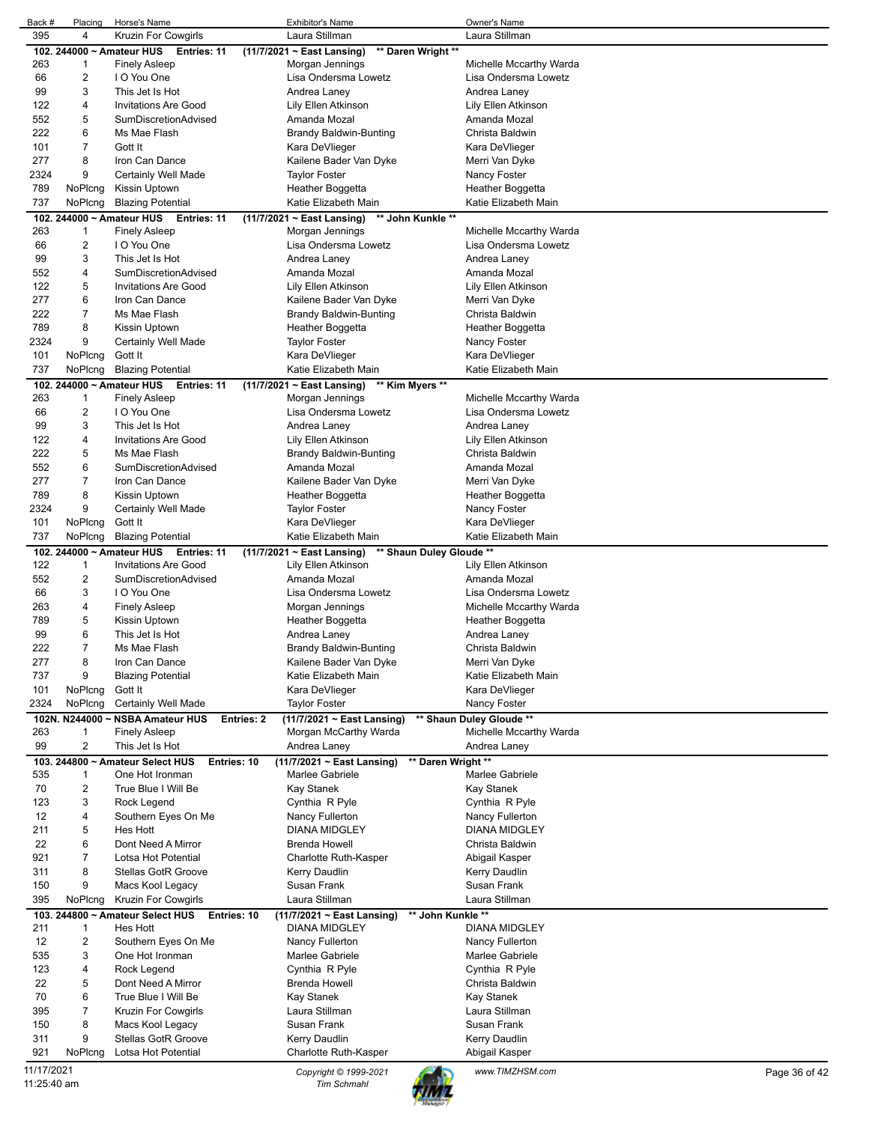| 395                       | Placing        | Horse's Name                                           | <b>Exhibitor's Name</b>                               | Owner's Name                              |               |
|---------------------------|----------------|--------------------------------------------------------|-------------------------------------------------------|-------------------------------------------|---------------|
|                           | 4              | Kruzin For Cowgirls                                    | Laura Stillman                                        | Laura Stillman                            |               |
|                           |                | 102. 244000 ~ Amateur HUS<br>Entries: 11               | $(11/7/2021 \sim$ East Lansing)<br>** Daren Wright ** |                                           |               |
| 263                       | 1              | <b>Finely Asleep</b>                                   | Morgan Jennings                                       | Michelle Mccarthy Warda                   |               |
| 66                        | 2              | I O You One                                            | Lisa Ondersma Lowetz                                  | Lisa Ondersma Lowetz                      |               |
| 99                        | 3              | This Jet Is Hot                                        | Andrea Laney                                          | Andrea Laney                              |               |
| 122                       | 4              | <b>Invitations Are Good</b>                            | Lily Ellen Atkinson                                   | Lily Ellen Atkinson                       |               |
| 552                       | 5              | <b>SumDiscretionAdvised</b>                            | Amanda Mozal                                          | Amanda Mozal                              |               |
| 222                       | 6              | Ms Mae Flash                                           | <b>Brandy Baldwin-Bunting</b>                         | Christa Baldwin                           |               |
| 101                       | 7              | Gott It                                                | Kara DeVlieger                                        | Kara DeVlieger                            |               |
| 277                       | 8              | Iron Can Dance                                         | Kailene Bader Van Dyke                                | Merri Van Dyke                            |               |
| 2324                      | 9              | Certainly Well Made                                    | <b>Taylor Foster</b>                                  | Nancy Foster                              |               |
| 789                       | NoPlcng        | Kissin Uptown                                          | Heather Boggetta                                      | Heather Boggetta                          |               |
| 737                       | NoPlcng        | <b>Blazing Potential</b>                               | Katie Elizabeth Main                                  | Katie Elizabeth Main                      |               |
|                           |                | 102. 244000 ~ Amateur HUS<br>Entries: 11               | ** John Kunkle **<br>$(11/7/2021 \sim$ East Lansing)  |                                           |               |
| 263                       | 1              | <b>Finely Asleep</b>                                   | Morgan Jennings                                       | Michelle Mccarthy Warda                   |               |
| 66                        | 2              | I O You One                                            | Lisa Ondersma Lowetz                                  | Lisa Ondersma Lowetz                      |               |
| 99                        | 3              | This Jet Is Hot                                        | Andrea Laney                                          | Andrea Laney                              |               |
| 552                       | 4              | SumDiscretionAdvised                                   | Amanda Mozal                                          | Amanda Mozal                              |               |
| 122                       | 5              | <b>Invitations Are Good</b>                            | Lily Ellen Atkinson                                   | Lily Ellen Atkinson                       |               |
| 277                       | 6              | Iron Can Dance                                         | Kailene Bader Van Dyke                                | Merri Van Dyke                            |               |
| 222                       | 7              | Ms Mae Flash                                           | <b>Brandy Baldwin-Bunting</b>                         | Christa Baldwin                           |               |
| 789                       | 8              | Kissin Uptown                                          | Heather Boggetta                                      | Heather Boggetta                          |               |
| 2324                      | 9              | Certainly Well Made                                    | <b>Taylor Foster</b>                                  | Nancy Foster                              |               |
| 101                       | NoPlcng        | Gott It                                                | Kara DeVlieger                                        | Kara DeVlieger                            |               |
| 737                       | NoPlcng        | <b>Blazing Potential</b>                               | Katie Elizabeth Main                                  | Katie Elizabeth Main                      |               |
|                           |                | 102. 244000 ~ Amateur HUS<br>Entries: 11               | ** Kim Myers **<br>(11/7/2021 ~ East Lansing)         |                                           |               |
| 263                       | 1              | <b>Finely Asleep</b>                                   | Morgan Jennings                                       | Michelle Mccarthy Warda                   |               |
| 66                        | 2              | I O You One                                            | Lisa Ondersma Lowetz                                  | Lisa Ondersma Lowetz                      |               |
| 99                        | 3              | This Jet Is Hot                                        | Andrea Laney                                          | Andrea Laney                              |               |
| 122                       | 4              | <b>Invitations Are Good</b>                            | Lily Ellen Atkinson                                   | Lily Ellen Atkinson                       |               |
| 222                       | 5              | Ms Mae Flash                                           |                                                       | Christa Baldwin                           |               |
|                           |                |                                                        | Brandy Baldwin-Bunting                                |                                           |               |
| 552                       | 6              | SumDiscretionAdvised                                   | Amanda Mozal                                          | Amanda Mozal                              |               |
| 277                       | 7              | Iron Can Dance                                         | Kailene Bader Van Dyke                                | Merri Van Dyke                            |               |
| 789                       | 8              | Kissin Uptown                                          | Heather Boggetta                                      | Heather Boggetta                          |               |
| 2324                      | 9              | Certainly Well Made                                    | Taylor Foster                                         | Nancy Foster                              |               |
| 101                       | NoPlcng        | Gott It                                                | Kara DeVlieger                                        | Kara DeVlieger                            |               |
| 737                       | NoPlcng        | <b>Blazing Potential</b>                               | Katie Elizabeth Main                                  | Katie Elizabeth Main                      |               |
|                           |                | 102. 244000 ~ Amateur HUS Entries: 11                  | $(11/7/2021 \sim$ East Lansing)                       | ** Shaun Duley Gloude **                  |               |
| 122                       | $\mathbf{1}$   | <b>Invitations Are Good</b>                            | Lily Ellen Atkinson                                   | Lily Ellen Atkinson                       |               |
| 552                       | 2              | SumDiscretionAdvised                                   | Amanda Mozal                                          | Amanda Mozal                              |               |
| 66                        | 3              | I O You One                                            | Lisa Ondersma Lowetz                                  | Lisa Ondersma Lowetz                      |               |
| 263                       | 4              | <b>Finely Asleep</b>                                   | Morgan Jennings                                       | Michelle Mccarthy Warda                   |               |
| 789                       | 5              | Kissin Uptown                                          | Heather Boggetta                                      | Heather Boggetta                          |               |
| 99                        | 6              | This Jet Is Hot                                        | Andrea Laney                                          | Andrea Laney                              |               |
| 222                       | 7              | Ms Mae Flash                                           | Brandy Baldwin-Bunting                                | Christa Baldwin                           |               |
| 277                       | 8              | Iron Can Dance                                         |                                                       |                                           |               |
| 737                       | 9              |                                                        | Kailene Bader Van Dyke                                | Merri Van Dyke                            |               |
|                           |                | <b>Blazing Potential</b>                               | Katie Elizabeth Main                                  | Katie Elizabeth Main                      |               |
| 101                       | NoPlcng        | Gott It                                                | Kara DeVlieger                                        | Kara DeVlieger                            |               |
| 2324                      | NoPlcng        | Certainly Well Made                                    | <b>Taylor Foster</b>                                  | Nancy Foster                              |               |
|                           |                | 102N. N244000 ~ NSBA Amateur HUS<br><b>Entries: 2</b>  | (11/7/2021 ~ East Lansing)                            | ** Shaun Duley Gloude **                  |               |
| 263                       | 1              | Finely Asleep                                          | Morgan McCarthy Warda                                 | Michelle Mccarthy Warda                   |               |
| 99                        | $\overline{c}$ | This Jet Is Hot                                        | Andrea Laney                                          | Andrea Laney                              |               |
| 103.                      |                | 244800 ~ Amateur Select HUS<br>Entries: 10             | (11/7/2021 ~ East Lansing)                            | ** Daren Wright **                        |               |
| 535                       | 1              | One Hot Ironman                                        | Marlee Gabriele                                       | Marlee Gabriele                           |               |
| 70                        | 2              | True Blue I Will Be                                    | Kay Stanek                                            | Kay Stanek                                |               |
| 123                       | 3              | Rock Legend                                            | Cynthia R Pyle                                        | Cynthia R Pyle                            |               |
| 12                        | 4              | Southern Eyes On Me                                    | Nancy Fullerton                                       | Nancy Fullerton                           |               |
| 211                       | 5              | Hes Hott                                               | DIANA MIDGLEY                                         | <b>DIANA MIDGLEY</b>                      |               |
| 22                        | 6              | Dont Need A Mirror                                     | <b>Brenda Howell</b>                                  | Christa Baldwin                           |               |
| 921                       | 7              | Lotsa Hot Potential                                    | Charlotte Ruth-Kasper                                 | Abigail Kasper                            |               |
| 311                       | 8              | <b>Stellas GotR Groove</b>                             |                                                       |                                           |               |
| 150                       | 9              |                                                        | Kerry Daudlin<br>Susan Frank                          | Kerry Daudlin<br>Susan Frank              |               |
|                           |                | Macs Kool Legacy                                       | Laura Stillman                                        | Laura Stillman                            |               |
| 395                       | NoPlcng        | <b>Kruzin For Cowgirls</b>                             |                                                       |                                           |               |
| 103.<br>211               | 1              | 244800 ~ Amateur Select HUS<br>Entries: 10<br>Hes Hott | (11/7/2021 ~ East Lansing)<br><b>DIANA MIDGLEY</b>    | ** John Kunkle **<br><b>DIANA MIDGLEY</b> |               |
|                           |                |                                                        |                                                       |                                           |               |
| 12                        | 2              | Southern Eyes On Me                                    | Nancy Fullerton                                       | Nancy Fullerton                           |               |
| 535                       | 3              | One Hot Ironman                                        | Marlee Gabriele                                       | Marlee Gabriele                           |               |
| 123                       | 4              | Rock Legend                                            | Cynthia R Pyle                                        | Cynthia R Pyle                            |               |
| 22                        | 5              | Dont Need A Mirror                                     | <b>Brenda Howell</b>                                  | Christa Baldwin                           |               |
| 70                        | 6              | True Blue I Will Be                                    | Kay Stanek                                            | Kay Stanek                                |               |
| 395                       | 7              | <b>Kruzin For Cowgirls</b>                             | Laura Stillman                                        | Laura Stillman                            |               |
| 150                       | 8              | Macs Kool Legacy                                       | Susan Frank                                           | Susan Frank                               |               |
| 311                       | 9              | Stellas GotR Groove                                    | Kerry Daudlin                                         | Kerry Daudlin                             |               |
| 921                       | NoPlcng        | Lotsa Hot Potential                                    | Charlotte Ruth-Kasper                                 | Abigail Kasper                            |               |
| 11/17/2021<br>11:25:40 am |                |                                                        | Copyright © 1999-2021<br><b>Tim Schmahl</b>           | www.TIMZHSM.com                           | Page 36 of 42 |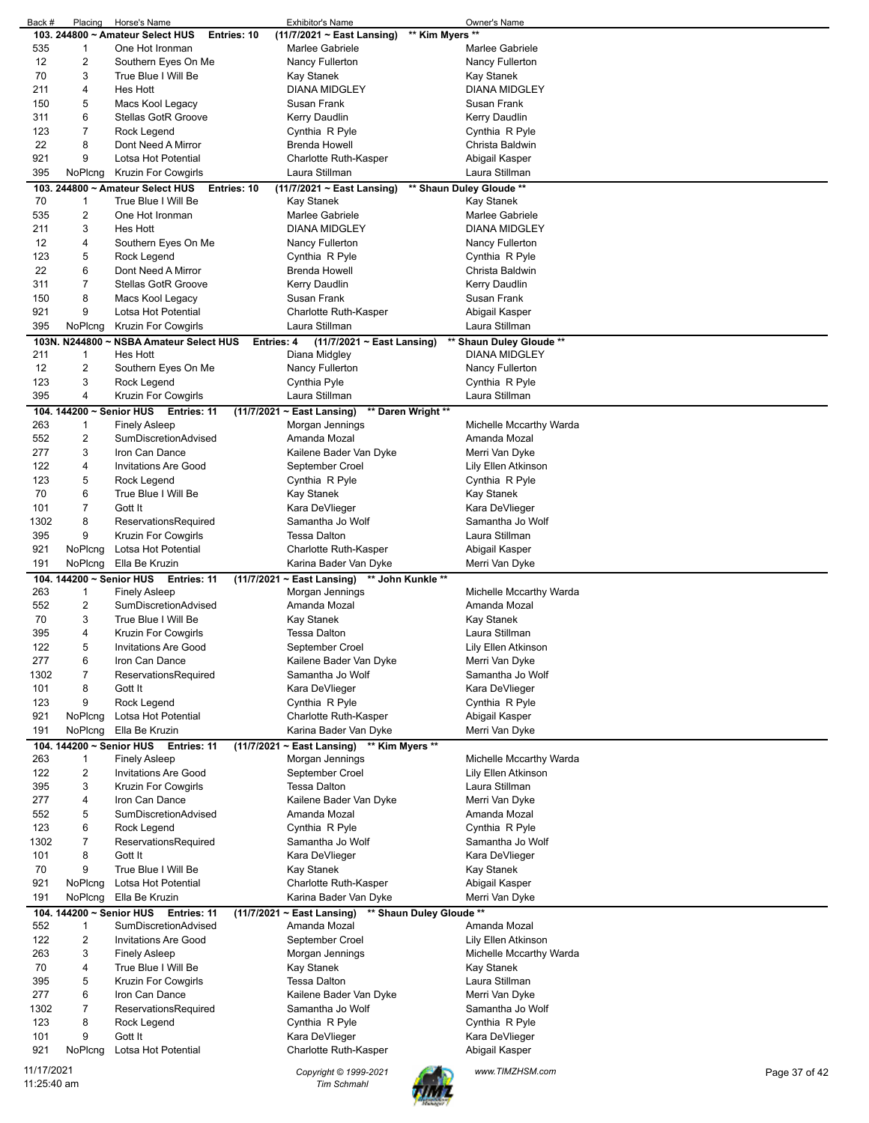|                           | Placing                       | Horse's Name                                        | Exhibitor's Name                                   | Owner's Name                                     |               |
|---------------------------|-------------------------------|-----------------------------------------------------|----------------------------------------------------|--------------------------------------------------|---------------|
|                           |                               | 103. 244800 ~ Amateur Select HUS<br>Entries: 10     | (11/7/2021 ~ East Lansing)                         | ** Kim Myers **                                  |               |
| 535                       | $\mathbf{1}$                  | One Hot Ironman                                     | Marlee Gabriele                                    | Marlee Gabriele                                  |               |
| 12                        | 2                             | Southern Eyes On Me                                 | Nancy Fullerton                                    | Nancy Fullerton                                  |               |
| 70                        | 3                             | True Blue I Will Be                                 | Kay Stanek                                         | Kay Stanek                                       |               |
| 211                       | 4                             | <b>Hes Hott</b>                                     | <b>DIANA MIDGLEY</b>                               | <b>DIANA MIDGLEY</b>                             |               |
| 150                       | 5                             | Macs Kool Legacy                                    | Susan Frank                                        | Susan Frank                                      |               |
| 311                       | 6                             | <b>Stellas GotR Groove</b>                          | Kerry Daudlin                                      | Kerry Daudlin                                    |               |
| 123                       | 7                             | Rock Legend                                         | Cynthia R Pyle                                     | Cynthia R Pyle                                   |               |
| 22                        | 8                             | Dont Need A Mirror                                  | <b>Brenda Howell</b>                               | Christa Baldwin                                  |               |
| 921                       | 9                             | Lotsa Hot Potential                                 | Charlotte Ruth-Kasper                              | Abigail Kasper                                   |               |
| 395                       | NoPlcng                       | Kruzin For Cowgirls                                 | Laura Stillman                                     | Laura Stillman                                   |               |
|                           |                               | 103. 244800 ~ Amateur Select HUS<br>Entries: 10     | (11/7/2021 ~ East Lansing)                         | ** Shaun Duley Gloude **                         |               |
| 70                        | 1                             | True Blue I Will Be                                 | <b>Kay Stanek</b>                                  | Kay Stanek                                       |               |
| 535                       | 2                             | One Hot Ironman                                     | Marlee Gabriele                                    | Marlee Gabriele                                  |               |
| 211                       | 3                             | <b>Hes Hott</b>                                     | <b>DIANA MIDGLEY</b>                               | <b>DIANA MIDGLEY</b>                             |               |
| 12                        | 4                             | Southern Eyes On Me                                 | Nancy Fullerton                                    | Nancy Fullerton                                  |               |
| 123                       | 5                             | Rock Legend                                         | Cynthia R Pyle                                     | Cynthia R Pyle                                   |               |
| 22                        | 6                             | Dont Need A Mirror                                  | <b>Brenda Howell</b>                               | Christa Baldwin                                  |               |
| 311                       | 7                             | <b>Stellas GotR Groove</b>                          | Kerry Daudlin                                      | Kerry Daudlin                                    |               |
| 150                       | 8                             | Macs Kool Legacy                                    | Susan Frank                                        | Susan Frank                                      |               |
| 921                       | 9                             | Lotsa Hot Potential                                 | Charlotte Ruth-Kasper                              | Abigail Kasper                                   |               |
| 395                       | NoPlcng                       | Kruzin For Cowgirls                                 | Laura Stillman                                     | Laura Stillman                                   |               |
|                           |                               |                                                     |                                                    |                                                  |               |
| 211                       | 1                             | 103N. N244800 ~ NSBA Amateur Select HUS<br>Hes Hott | Entries: 4<br>(11/7/2021 ~ East Lansing)           | ** Shaun Duley Gloude **<br><b>DIANA MIDGLEY</b> |               |
|                           |                               |                                                     | Diana Midgley                                      |                                                  |               |
| 12                        | 2                             | Southern Eyes On Me                                 | Nancy Fullerton                                    | Nancy Fullerton                                  |               |
| 123                       | 3                             | Rock Legend                                         | Cynthia Pyle                                       | Cynthia R Pyle                                   |               |
| 395                       | 4                             | <b>Kruzin For Cowgirls</b>                          | Laura Stillman                                     | Laura Stillman                                   |               |
|                           | 104. 144200 ~ Senior HUS      | Entries: 11                                         | (11/7/2021 ~ East Lansing)                         | ** Daren Wright **                               |               |
| 263                       | 1                             | <b>Finely Asleep</b>                                | Morgan Jennings                                    | Michelle Mccarthy Warda                          |               |
| 552                       | 2                             | SumDiscretionAdvised                                | Amanda Mozal                                       | Amanda Mozal                                     |               |
| 277                       | 3                             | Iron Can Dance                                      | Kailene Bader Van Dyke                             | Merri Van Dyke                                   |               |
| 122                       | 4                             | <b>Invitations Are Good</b>                         | September Croel                                    | Lily Ellen Atkinson                              |               |
| 123                       | 5                             | Rock Legend                                         | Cynthia R Pyle                                     | Cynthia R Pyle                                   |               |
| 70                        | 6                             | True Blue I Will Be                                 | Kay Stanek                                         | Kay Stanek                                       |               |
| 101                       | 7                             | Gott It                                             | Kara DeVlieger                                     | Kara DeVlieger                                   |               |
| 1302                      | 8                             | ReservationsRequired                                | Samantha Jo Wolf                                   | Samantha Jo Wolf                                 |               |
| 395                       | 9                             | <b>Kruzin For Cowgirls</b>                          | <b>Tessa Dalton</b>                                | Laura Stillman                                   |               |
| 921                       | NoPlcng                       | Lotsa Hot Potential                                 | Charlotte Ruth-Kasper                              | Abigail Kasper                                   |               |
| 191                       |                               | NoPlcng Ella Be Kruzin                              | Karina Bader Van Dyke                              |                                                  |               |
|                           |                               |                                                     |                                                    | Merri Van Dyke                                   |               |
|                           | 104. 144200 ~ Senior HUS      | Entries: 11                                         | $(11/7/2021 \sim$ East Lansing)                    | ** John Kunkle **                                |               |
| 263                       | 1                             | <b>Finely Asleep</b>                                | Morgan Jennings                                    | Michelle Mccarthy Warda                          |               |
| 552                       | $\overline{\mathbf{c}}$       | SumDiscretionAdvised                                | Amanda Mozal                                       | Amanda Mozal                                     |               |
| 70                        | 3                             | True Blue I Will Be                                 | Kay Stanek                                         | <b>Kay Stanek</b>                                |               |
| 395                       | 4                             | Kruzin For Cowgirls                                 | <b>Tessa Dalton</b>                                | Laura Stillman                                   |               |
| 122                       | 5                             | <b>Invitations Are Good</b>                         | September Croel                                    | Lily Ellen Atkinson                              |               |
| 277                       | 6                             | Iron Can Dance                                      | Kailene Bader Van Dyke                             | Merri Van Dyke                                   |               |
| 1302                      | 7                             | ReservationsRequired                                | Samantha Jo Wolf                                   | Samantha Jo Wolf                                 |               |
| 101                       | 8                             | Gott It                                             | Kara DeVlieger                                     | Kara DeVlieger                                   |               |
| 123                       | 9                             | Rock Legend                                         | Cynthia R Pyle                                     | Cynthia R Pyle                                   |               |
| 921                       | NoPlcng                       | Lotsa Hot Potential                                 | Charlotte Ruth-Kasper                              | Abigail Kasper                                   |               |
| 191                       | NoPlcng                       | Ella Be Kruzin                                      | Karina Bader Van Dyke                              | Merri Van Dyke                                   |               |
|                           | 104. 144200 ~ Senior HUS      | Entries: 11                                         | $(11/7/2021 \sim$ East Lansing)<br>** Kim Myers ** |                                                  |               |
| 263                       | 1                             | <b>Finely Asleep</b>                                | Morgan Jennings                                    | Michelle Mccarthy Warda                          |               |
| 122                       | $\overline{\mathbf{c}}$       | <b>Invitations Are Good</b>                         | September Croel                                    | Lily Ellen Atkinson                              |               |
| 395                       | 3                             | <b>Kruzin For Cowgirls</b>                          | <b>Tessa Dalton</b>                                | Laura Stillman                                   |               |
| 277                       | 4                             | Iron Can Dance                                      | Kailene Bader Van Dyke                             | Merri Van Dyke                                   |               |
| 552                       | 5                             | SumDiscretionAdvised                                | Amanda Mozal                                       | Amanda Mozal                                     |               |
| 123                       | 6                             | Rock Legend                                         | Cynthia R Pyle                                     | Cynthia R Pyle                                   |               |
| 1302                      | 7                             | ReservationsRequired                                | Samantha Jo Wolf                                   | Samantha Jo Wolf                                 |               |
| 101                       | 8                             | Gott It                                             | Kara DeVlieger                                     | Kara DeVlieger                                   |               |
| 70                        | 9                             | True Blue I Will Be                                 | Kay Stanek                                         | Kay Stanek                                       |               |
| 921                       | NoPlcng                       | Lotsa Hot Potential                                 | Charlotte Ruth-Kasper                              |                                                  |               |
| 191                       |                               | NoPlcng Ella Be Kruzin                              | Karina Bader Van Dyke                              | Abigail Kasper<br>Merri Van Dyke                 |               |
|                           |                               |                                                     |                                                    |                                                  |               |
| 552                       | 104. 144200 ~ Senior HUS<br>1 | Entries: 11<br>SumDiscretionAdvised                 | (11/7/2021 ~ East Lansing)<br>Amanda Mozal         | ** Shaun Duley Gloude **<br>Amanda Mozal         |               |
| 122                       | $\overline{\mathbf{c}}$       | <b>Invitations Are Good</b>                         | September Croel                                    | Lily Ellen Atkinson                              |               |
| 263                       | 3                             | <b>Finely Asleep</b>                                | Morgan Jennings                                    | Michelle Mccarthy Warda                          |               |
| 70                        | 4                             | True Blue I Will Be                                 | Kay Stanek                                         | Kay Stanek                                       |               |
| 395                       | 5                             | <b>Kruzin For Cowgirls</b>                          | <b>Tessa Dalton</b>                                | Laura Stillman                                   |               |
|                           |                               | Iron Can Dance                                      |                                                    |                                                  |               |
| 277<br>1302               | 6<br>7                        |                                                     | Kailene Bader Van Dyke<br>Samantha Jo Wolf         | Merri Van Dyke<br>Samantha Jo Wolf               |               |
|                           |                               | ReservationsRequired                                |                                                    |                                                  |               |
| 123<br>101                | 8<br>9                        | Rock Legend<br>Gott It                              | Cynthia R Pyle                                     | Cynthia R Pyle                                   |               |
| 921                       | NoPlcng                       | Lotsa Hot Potential                                 | Kara DeVlieger<br>Charlotte Ruth-Kasper            | Kara DeVlieger                                   |               |
|                           |                               |                                                     |                                                    | Abigail Kasper                                   |               |
| 11/17/2021<br>11:25:40 am |                               |                                                     | Copyright © 1999-2021<br><b>Tim Schmahl</b>        | www.TIMZHSM.com                                  | Page 37 of 42 |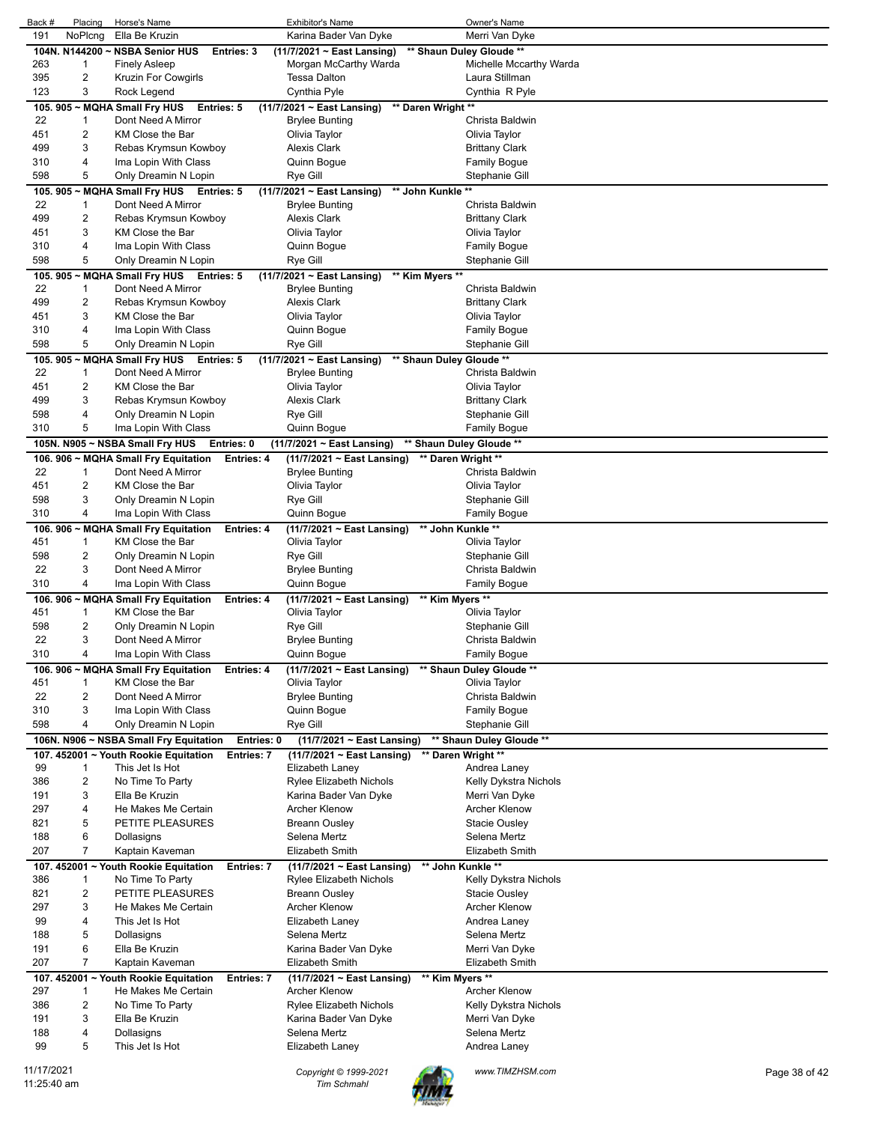| Back #      | Placing | Horse's Name                             |                   | Exhibitor's Name                |                    | Owner's Name             |               |
|-------------|---------|------------------------------------------|-------------------|---------------------------------|--------------------|--------------------------|---------------|
| 191         | NoPlcng | Ella Be Kruzin                           |                   | Karina Bader Van Dyke           |                    | Merri Van Dyke           |               |
|             |         | 104N. N144200 ~ NSBA Senior HUS          | Entries: 3        | $(11/7/2021 \sim$ East Lansing) |                    | ** Shaun Duley Gloude ** |               |
| 263         | 1       |                                          |                   | Morgan McCarthy Warda           |                    | Michelle Mccarthy Warda  |               |
|             |         | <b>Finely Asleep</b>                     |                   |                                 |                    |                          |               |
| 395         | 2       | Kruzin For Cowgirls                      |                   | Tessa Dalton                    |                    | Laura Stillman           |               |
| 123         | 3       | Rock Legend                              |                   | Cynthia Pyle                    |                    | Cynthia R Pyle           |               |
| 105.905     |         | ~ MQHA Small Fry HUS                     | <b>Entries: 5</b> | (11/7/2021 ~ East Lansing)      | ** Daren Wright ** |                          |               |
| 22          | 1       | Dont Need A Mirror                       |                   | <b>Brylee Bunting</b>           |                    | Christa Baldwin          |               |
| 451         | 2       | KM Close the Bar                         |                   | Olivia Taylor                   |                    | Olivia Taylor            |               |
|             | 3       |                                          |                   |                                 |                    |                          |               |
| 499         |         | Rebas Krymsun Kowboy                     |                   | <b>Alexis Clark</b>             |                    | <b>Brittany Clark</b>    |               |
| 310         | 4       | Ima Lopin With Class                     |                   | Quinn Bogue                     |                    | <b>Family Bogue</b>      |               |
| 598         | 5       | Only Dreamin N Lopin                     |                   | Rye Gill                        |                    | Stephanie Gill           |               |
| 105.905     |         | ~ MQHA Small Fry HUS Entries: 5          |                   | (11/7/2021 ~ East Lansing)      | ** John Kunkle **  |                          |               |
| 22          | 1       | Dont Need A Mirror                       |                   | <b>Brylee Bunting</b>           |                    | Christa Baldwin          |               |
| 499         | 2       | Rebas Krymsun Kowboy                     |                   | <b>Alexis Clark</b>             |                    | <b>Brittany Clark</b>    |               |
| 451         | 3       | KM Close the Bar                         |                   | Olivia Taylor                   |                    | Olivia Taylor            |               |
|             |         |                                          |                   |                                 |                    |                          |               |
| 310         | 4       | Ima Lopin With Class                     |                   | Quinn Bogue                     |                    | <b>Family Bogue</b>      |               |
| 598         | 5       | Only Dreamin N Lopin                     |                   | Rye Gill                        |                    | Stephanie Gill           |               |
|             |         | 105. 905 ~ MQHA Small Fry HUS Entries: 5 |                   | $(11/7/2021 \sim$ East Lansing) | ** Kim Myers **    |                          |               |
| 22          | 1       | Dont Need A Mirror                       |                   | <b>Brylee Bunting</b>           |                    | Christa Baldwin          |               |
| 499         | 2       | Rebas Krymsun Kowboy                     |                   | <b>Alexis Clark</b>             |                    | <b>Brittany Clark</b>    |               |
| 451         | 3       | KM Close the Bar                         |                   | Olivia Taylor                   |                    | Olivia Taylor            |               |
|             |         |                                          |                   |                                 |                    |                          |               |
| 310         | 4       | Ima Lopin With Class                     |                   | Quinn Bogue                     |                    | <b>Family Bogue</b>      |               |
| 598         | 5       | Only Dreamin N Lopin                     |                   | Rye Gill                        |                    | Stephanie Gill           |               |
|             |         | 105. 905 ~ MQHA Small Fry HUS Entries: 5 |                   | (11/7/2021 ~ East Lansing)      |                    | ** Shaun Duley Gloude ** |               |
| 22          | 1       | Dont Need A Mirror                       |                   | <b>Brylee Bunting</b>           |                    | Christa Baldwin          |               |
| 451         | 2       | KM Close the Bar                         |                   | Olivia Taylor                   |                    | Olivia Taylor            |               |
| 499         |         | Rebas Krymsun Kowboy                     |                   |                                 |                    |                          |               |
|             | 3       |                                          |                   | <b>Alexis Clark</b>             |                    | <b>Brittany Clark</b>    |               |
| 598         | 4       | Only Dreamin N Lopin                     |                   | Rye Gill                        |                    | Stephanie Gill           |               |
| 310         | 5       | Ima Lopin With Class                     |                   | Quinn Bogue                     |                    | Family Bogue             |               |
|             |         | 105N. N905 ~ NSBA Small Fry HUS          | Entries: 0        | (11/7/2021 ~ East Lansing)      |                    | ** Shaun Duley Gloude ** |               |
|             |         | 106. 906 ~ MQHA Small Fry Equitation     | Entries: 4        | $(11/7/2021 \sim$ East Lansing) | ** Daren Wright ** |                          |               |
| 22          | 1       | Dont Need A Mirror                       |                   | <b>Brylee Bunting</b>           |                    | Christa Baldwin          |               |
|             |         |                                          |                   |                                 |                    |                          |               |
| 451         | 2       | KM Close the Bar                         |                   | Olivia Taylor                   |                    | Olivia Taylor            |               |
| 598         | 3       | Only Dreamin N Lopin                     |                   | Rye Gill                        |                    | Stephanie Gill           |               |
| 310         | 4       | Ima Lopin With Class                     |                   | Quinn Bogue                     |                    | <b>Family Bogue</b>      |               |
|             |         | 106. 906 ~ MQHA Small Fry Equitation     | Entries: 4        | (11/7/2021 ~ East Lansing)      | ** John Kunkle **  |                          |               |
| 451         | 1       | KM Close the Bar                         |                   | Olivia Taylor                   |                    | Olivia Taylor            |               |
| 598         | 2       | Only Dreamin N Lopin                     |                   | Rye Gill                        |                    | Stephanie Gill           |               |
| 22          | 3       |                                          |                   |                                 |                    |                          |               |
|             |         | Dont Need A Mirror                       |                   | <b>Brylee Bunting</b>           |                    | Christa Baldwin          |               |
| 310         | 4       | Ima Lopin With Class                     |                   | Quinn Bogue                     |                    | Family Bogue             |               |
|             |         | 106. 906 ~ MQHA Small Fry Equitation     | Entries: 4        | (11/7/2021 ~ East Lansing)      | ** Kim Myers **    |                          |               |
| 451         | 1       | KM Close the Bar                         |                   | Olivia Taylor                   |                    | Olivia Taylor            |               |
| 598         | 2       | Only Dreamin N Lopin                     |                   | Rye Gill                        |                    | Stephanie Gill           |               |
| 22          | 3       | Dont Need A Mirror                       |                   | <b>Brylee Bunting</b>           |                    | Christa Baldwin          |               |
|             |         | Ima Lopin With Class                     |                   | Quinn Bogue                     |                    |                          |               |
| 310         |         |                                          |                   |                                 |                    | Family Bogue             |               |
|             |         | 106. 906 ~ MQHA Small Fry Equitation     | Entries: 4        | $(11/7/2021 \sim$ East Lansing) |                    | ** Shaun Duley Gloude ** |               |
| 451         | 1       | KM Close the Bar                         |                   | Olivia Taylor                   |                    | Olivia Taylor            |               |
| 22          | 2       | Dont Need A Mirror                       |                   | <b>Brylee Bunting</b>           |                    | Christa Baldwin          |               |
| 310         | 3       | Ima Lopin With Class                     |                   | Quinn Bogue                     |                    | <b>Family Bogue</b>      |               |
| 598         | 4       | Only Dreamin N Lopin                     |                   | Rye Gill                        |                    | Stephanie Gill           |               |
|             |         |                                          |                   |                                 |                    |                          |               |
|             |         | 106N. N906 ~ NSBA Small Fry Equitation   | Entries: 0        | (11/7/2021 ~ East Lansing)      |                    | ** Shaun Duley Gloude ** |               |
|             |         | 107. 452001 ~ Youth Rookie Equitation    | Entries: 7        | (11/7/2021 ~ East Lansing)      |                    | ** Daren Wright **       |               |
| 99          | 1       | This Jet Is Hot                          |                   | Elizabeth Laney                 |                    | Andrea Laney             |               |
| 386         | 2       | No Time To Party                         |                   | <b>Rylee Elizabeth Nichols</b>  |                    | Kelly Dykstra Nichols    |               |
| 191         | 3       | Ella Be Kruzin                           |                   | Karina Bader Van Dyke           |                    | Merri Van Dyke           |               |
| 297         | 4       | He Makes Me Certain                      |                   | Archer Klenow                   |                    | <b>Archer Klenow</b>     |               |
| 821         | 5       | PETITE PLEASURES                         |                   | <b>Breann Ousley</b>            |                    | <b>Stacie Ousley</b>     |               |
| 188         | 6       | Dollasigns                               |                   | Selena Mertz                    |                    | Selena Mertz             |               |
|             |         |                                          |                   |                                 |                    |                          |               |
| 207         | 7       | Kaptain Kaveman                          |                   | <b>Elizabeth Smith</b>          |                    | Elizabeth Smith          |               |
|             |         | 107. 452001 ~ Youth Rookie Equitation    | Entries: 7        | (11/7/2021 ~ East Lansing)      | ** John Kunkle **  |                          |               |
| 386         | 1       | No Time To Party                         |                   | Rylee Elizabeth Nichols         |                    | Kelly Dykstra Nichols    |               |
| 821         | 2       | PETITE PLEASURES                         |                   | <b>Breann Ousley</b>            |                    | <b>Stacie Ousley</b>     |               |
| 297         | 3       | He Makes Me Certain                      |                   | Archer Klenow                   |                    | <b>Archer Klenow</b>     |               |
| 99          | 4       | This Jet Is Hot                          |                   | Elizabeth Laney                 |                    | Andrea Laney             |               |
|             |         |                                          |                   |                                 |                    |                          |               |
| 188         | 5       | Dollasigns                               |                   | Selena Mertz                    |                    | Selena Mertz             |               |
| 191         | 6       | Ella Be Kruzin                           |                   | Karina Bader Van Dyke           |                    | Merri Van Dyke           |               |
| 207         | 7       | Kaptain Kaveman                          |                   | Elizabeth Smith                 |                    | Elizabeth Smith          |               |
|             |         | 107. 452001 ~ Youth Rookie Equitation    | Entries: 7        | (11/7/2021 ~ East Lansing)      | ** Kim Myers **    |                          |               |
| 297         | 1       | He Makes Me Certain                      |                   | <b>Archer Klenow</b>            |                    | <b>Archer Klenow</b>     |               |
| 386         | 2       | No Time To Party                         |                   | <b>Rylee Elizabeth Nichols</b>  |                    | Kelly Dykstra Nichols    |               |
| 191         | 3       | Ella Be Kruzin                           |                   | Karina Bader Van Dyke           |                    | Merri Van Dyke           |               |
|             |         |                                          |                   |                                 |                    |                          |               |
| 188         | 4       | Dollasigns                               |                   | Selena Mertz                    |                    | Selena Mertz             |               |
| 99          | 5       | This Jet Is Hot                          |                   | Elizabeth Laney                 |                    | Andrea Laney             |               |
|             |         |                                          |                   |                                 |                    |                          |               |
| 11/17/2021  |         |                                          |                   | Copyright © 1999-2021           |                    | www.TIMZHSM.com          | Page 38 of 42 |
| 11:25:40 am |         |                                          |                   | <b>Tim Schmahl</b>              |                    |                          |               |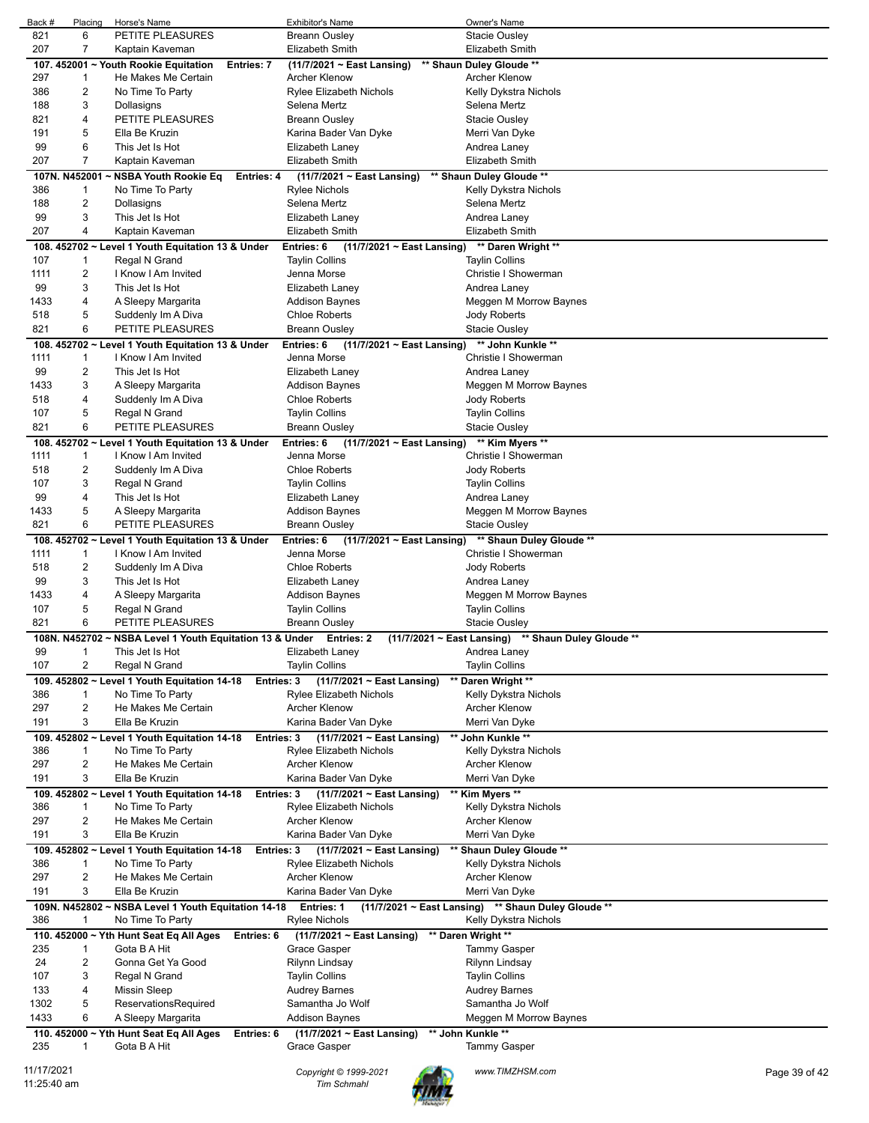| Back #      | Placing        | Horse's Name                                                        | Exhibitor's Name                              | Owner's Name                                        |               |
|-------------|----------------|---------------------------------------------------------------------|-----------------------------------------------|-----------------------------------------------------|---------------|
| 821         | 6              | PETITE PLEASURES                                                    | <b>Breann Ousley</b>                          | Stacie Ousley                                       |               |
| 207         | 7              | Kaptain Kaveman                                                     | <b>Elizabeth Smith</b>                        | <b>Elizabeth Smith</b>                              |               |
|             |                | 107. 452001 ~ Youth Rookie Equitation<br>Entries: 7                 | (11/7/2021 ~ East Lansing)                    | ** Shaun Duley Gloude **                            |               |
| 297         | 1              | He Makes Me Certain                                                 | Archer Klenow                                 | Archer Klenow                                       |               |
| 386         | 2              | No Time To Party                                                    | <b>Rylee Elizabeth Nichols</b>                | Kelly Dykstra Nichols                               |               |
| 188         | 3              | Dollasigns                                                          | Selena Mertz                                  | Selena Mertz                                        |               |
| 821         | 4              | PETITE PLEASURES                                                    | <b>Breann Ousley</b>                          | Stacie Ousley                                       |               |
| 191         | 5              |                                                                     |                                               |                                                     |               |
|             |                | Ella Be Kruzin                                                      | Karina Bader Van Dyke                         | Merri Van Dyke                                      |               |
| 99          | 6              | This Jet Is Hot                                                     | Elizabeth Laney                               | Andrea Laney                                        |               |
| 207         | $\overline{7}$ | Kaptain Kaveman                                                     | <b>Elizabeth Smith</b>                        | Elizabeth Smith                                     |               |
|             | 107N. N452001  | ~ NSBA Youth Rookie Eq<br>Entries: 4                                | $(11/7/2021 \sim$ East Lansing)               | ** Shaun Duley Gloude **                            |               |
| 386         | 1              | No Time To Party                                                    | <b>Rylee Nichols</b>                          | Kelly Dykstra Nichols                               |               |
| 188         | 2              | Dollasigns                                                          | Selena Mertz                                  | Selena Mertz                                        |               |
| 99          | 3              | This Jet Is Hot                                                     | Elizabeth Laney                               | Andrea Laney                                        |               |
| 207         | 4              | Kaptain Kaveman                                                     | Elizabeth Smith                               | Elizabeth Smith                                     |               |
|             |                | 108. 452702 ~ Level 1 Youth Equitation 13 & Under                   | Entries: 6<br>(11/7/2021 ~ East Lansing)      | ** Daren Wright **                                  |               |
| 107         | 1              | Regal N Grand                                                       | <b>Taylin Collins</b>                         | <b>Taylin Collins</b>                               |               |
| 1111        | 2              | I Know I Am Invited                                                 | Jenna Morse                                   | Christie I Showerman                                |               |
| 99          | 3              |                                                                     |                                               |                                                     |               |
|             |                | This Jet Is Hot                                                     | Elizabeth Laney                               | Andrea Laney                                        |               |
| 1433        | 4              | A Sleepy Margarita                                                  | Addison Baynes                                | Meggen M Morrow Baynes                              |               |
| 518         | 5              | Suddenly Im A Diva                                                  | <b>Chloe Roberts</b>                          | Jody Roberts                                        |               |
| 821         | 6              | PETITE PLEASURES                                                    | <b>Breann Ousley</b>                          | <b>Stacie Ousley</b>                                |               |
|             |                | 108. 452702 ~ Level 1 Youth Equitation 13 & Under                   | Entries: 6<br>$(11/7/2021 \sim$ East Lansing) | ** John Kunkle **                                   |               |
| 1111        | 1              | I Know I Am Invited                                                 | Jenna Morse                                   | Christie I Showerman                                |               |
| 99          | 2              | This Jet Is Hot                                                     | Elizabeth Laney                               | Andrea Laney                                        |               |
| 1433        | 3              | A Sleepy Margarita                                                  | Addison Baynes                                | Meggen M Morrow Baynes                              |               |
| 518         | 4              | Suddenly Im A Diva                                                  | <b>Chloe Roberts</b>                          | Jody Roberts                                        |               |
| 107         | 5              |                                                                     | <b>Taylin Collins</b>                         |                                                     |               |
|             |                | Regal N Grand                                                       |                                               | <b>Taylin Collins</b>                               |               |
| 821         | 6              | PETITE PLEASURES                                                    | Breann Ousley                                 | Stacie Ousley                                       |               |
|             |                | 108. 452702 ~ Level 1 Youth Equitation 13 & Under                   | Entries: 6<br>$(11/7/2021 \sim$ East Lansing) | ** Kim Myers **                                     |               |
| 1111        | 1              | I Know I Am Invited                                                 | Jenna Morse                                   | Christie I Showerman                                |               |
| 518         | 2              | Suddenly Im A Diva                                                  | <b>Chloe Roberts</b>                          | Jody Roberts                                        |               |
| 107         | 3              | Regal N Grand                                                       | <b>Taylin Collins</b>                         | <b>Taylin Collins</b>                               |               |
| 99          | 4              | This Jet Is Hot                                                     | Elizabeth Laney                               | Andrea Laney                                        |               |
| 1433        | 5              | A Sleepy Margarita                                                  | Addison Baynes                                | Meggen M Morrow Baynes                              |               |
| 821         | 6              | PETITE PLEASURES                                                    | Breann Ousley                                 | Stacie Ousley                                       |               |
|             |                |                                                                     |                                               |                                                     |               |
|             |                | 108. 452702 ~ Level 1 Youth Equitation 13 & Under                   | Entries: 6<br>$(11/7/2021 \sim$ East Lansing) | ** Shaun Duley Gloude **                            |               |
| 1111        | 1              | I Know I Am Invited                                                 | Jenna Morse                                   | Christie I Showerman                                |               |
| 518         | 2              | Suddenly Im A Diva                                                  | <b>Chloe Roberts</b>                          | Jody Roberts                                        |               |
| 99          | 3              | This Jet Is Hot                                                     | Elizabeth Laney                               | Andrea Laney                                        |               |
| 1433        | 4              | A Sleepy Margarita                                                  | <b>Addison Baynes</b>                         | Meggen M Morrow Baynes                              |               |
| 107         | 5              | Regal N Grand                                                       | <b>Taylin Collins</b>                         | <b>Taylin Collins</b>                               |               |
| 821         | 6              | PETITE PLEASURES                                                    | Breann Ousley                                 | Stacie Ousley                                       |               |
|             |                | 108N. N452702 ~ NSBA Level 1 Youth Equitation 13 & Under Entries: 2 |                                               | (11/7/2021 ~ East Lansing) ** Shaun Duley Gloude ** |               |
| 99          |                | This Jet Is Hot                                                     | Elizabeth Laney                               | Andrea Laney                                        |               |
| 107         | 2              | Regal N Grand                                                       | <b>Taylin Collins</b>                         | <b>Taylin Collins</b>                               |               |
|             |                |                                                                     |                                               |                                                     |               |
|             |                | 109. 452802 ~ Level 1 Youth Equitation 14-18<br>Entries: 3          | $(11/7/2021 \sim East$ Lansing)               | Daren Wright **                                     |               |
| 386         | 1              | No Time To Party                                                    | Rylee Elizabeth Nichols                       | Kelly Dykstra Nichols                               |               |
| 297         | 2              | He Makes Me Certain                                                 | Archer Klenow                                 | <b>Archer Klenow</b>                                |               |
| 191         | 3              | Ella Be Kruzin                                                      | Karina Bader Van Dyke                         | Merri Van Dyke                                      |               |
|             |                | 109. 452802 ~ Level 1 Youth Equitation 14-18<br><b>Entries: 3</b>   | $(11/7/2021 \sim$ East Lansing)               | ** John Kunkle **                                   |               |
| 386         | 1              | No Time To Party                                                    | <b>Rylee Elizabeth Nichols</b>                | Kelly Dykstra Nichols                               |               |
| 297         | 2              | He Makes Me Certain                                                 | Archer Klenow                                 | <b>Archer Klenow</b>                                |               |
| 191         | 3              | Ella Be Kruzin                                                      | Karina Bader Van Dyke                         | Merri Van Dyke                                      |               |
|             |                | 109. 452802 ~ Level 1 Youth Equitation 14-18<br><b>Entries: 3</b>   | $(11/7/2021 \sim$ East Lansing)               | ** Kim Myers **                                     |               |
| 386         | 1              | No Time To Party                                                    | Rylee Elizabeth Nichols                       | Kelly Dykstra Nichols                               |               |
|             | 2              | He Makes Me Certain                                                 | Archer Klenow                                 |                                                     |               |
| 297         |                |                                                                     |                                               | <b>Archer Klenow</b>                                |               |
| 191         | 3              | Ella Be Kruzin                                                      | Karina Bader Van Dyke                         | Merri Van Dyke                                      |               |
|             |                | 109. 452802 ~ Level 1 Youth Equitation 14-18<br>Entries: 3          | $(11/7/2021 \sim$ East Lansing)               | ** Shaun Duley Gloude **                            |               |
| 386         | 1              | No Time To Party                                                    | Rylee Elizabeth Nichols                       | Kelly Dykstra Nichols                               |               |
| 297         | 2              | He Makes Me Certain                                                 | Archer Klenow                                 | Archer Klenow                                       |               |
| 191         | 3              | Ella Be Kruzin                                                      | Karina Bader Van Dyke                         | Merri Van Dyke                                      |               |
|             |                | 109N. N452802 ~ NSBA Level 1 Youth Equitation 14-18                 | Entries: 1                                    | (11/7/2021 ~ East Lansing) ** Shaun Duley Gloude ** |               |
| 386         | 1              | No Time To Party                                                    | Rylee Nichols                                 | Kelly Dykstra Nichols                               |               |
|             |                | 110. 452000 ~ Yth Hunt Seat Eq All Ages                             |                                               | ** Daren Wright **                                  |               |
|             |                | Entries: 6                                                          | (11/7/2021 ~ East Lansing)                    |                                                     |               |
| 235         | 1              | Gota B A Hit                                                        | Grace Gasper                                  | <b>Tammy Gasper</b>                                 |               |
| 24          | 2              | Gonna Get Ya Good                                                   | Rilynn Lindsay                                | Rilynn Lindsay                                      |               |
| 107         | 3              | Regal N Grand                                                       | <b>Taylin Collins</b>                         | <b>Taylin Collins</b>                               |               |
| 133         | 4              | Missin Sleep                                                        | Audrey Barnes                                 | <b>Audrey Barnes</b>                                |               |
| 1302        | 5              | ReservationsRequired                                                | Samantha Jo Wolf                              | Samantha Jo Wolf                                    |               |
| 1433        | 6              | A Sleepy Margarita                                                  | <b>Addison Baynes</b>                         | Meggen M Morrow Baynes                              |               |
|             |                | 110. 452000 ~ Yth Hunt Seat Eq All Ages<br>Entries: 6               | (11/7/2021 ~ East Lansing)                    | ** John Kunkle **                                   |               |
| 235         | 1              | Gota B A Hit                                                        | Grace Gasper                                  | Tammy Gasper                                        |               |
|             |                |                                                                     |                                               |                                                     |               |
| 11/17/2021  |                |                                                                     | Copyright © 1999-2021                         | www.TIMZHSM.com                                     | Page 39 of 42 |
| 11:25:40 am |                |                                                                     | <b>Tim Schmahl</b>                            |                                                     |               |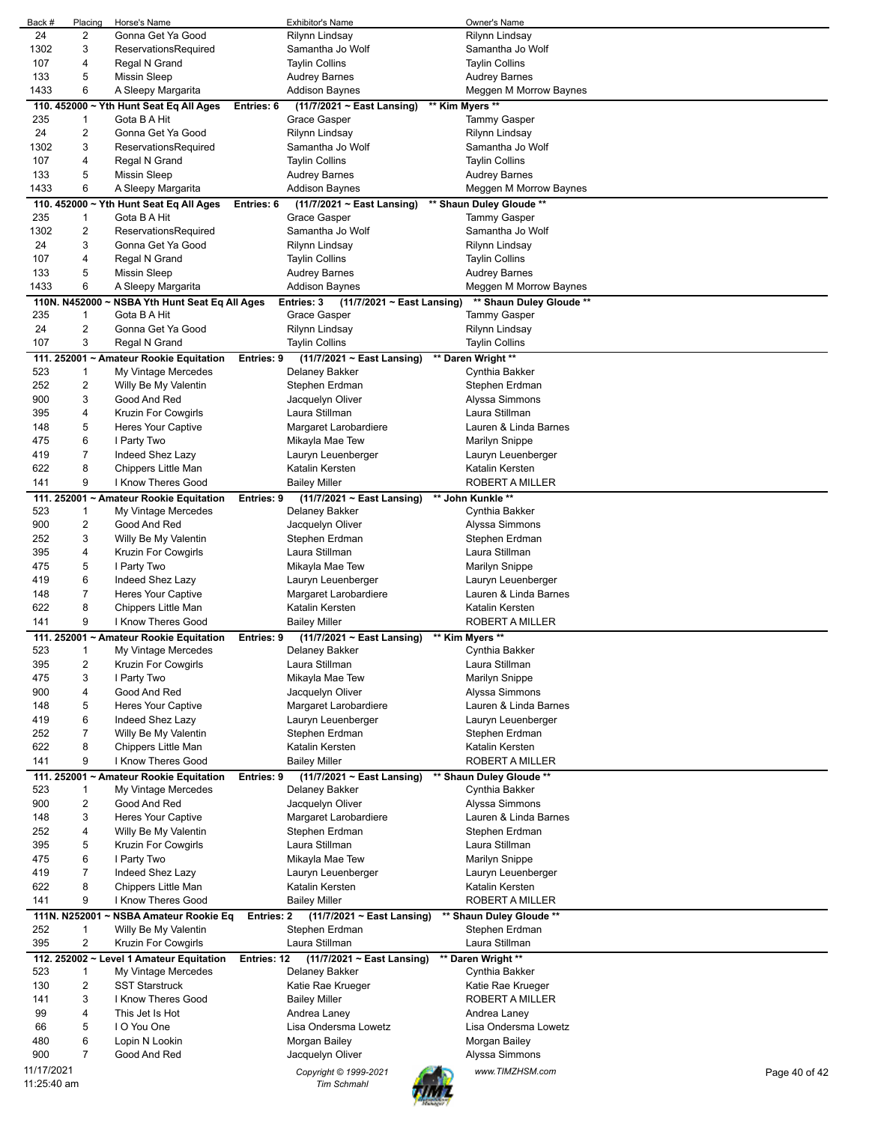| Back #      | Placing                 | Horse's Name                             |             | <b>Exhibitor's Name</b>                       | Owner's Name             |               |
|-------------|-------------------------|------------------------------------------|-------------|-----------------------------------------------|--------------------------|---------------|
| 24          | 2                       | Gonna Get Ya Good                        |             | Rilynn Lindsay                                | Rilynn Lindsay           |               |
| 1302        | 3                       | ReservationsRequired                     |             | Samantha Jo Wolf                              | Samantha Jo Wolf         |               |
|             |                         |                                          |             |                                               |                          |               |
| 107         | 4                       | Regal N Grand                            |             | <b>Taylin Collins</b>                         | <b>Taylin Collins</b>    |               |
| 133         | 5                       | <b>Missin Sleep</b>                      |             | <b>Audrey Barnes</b>                          | <b>Audrey Barnes</b>     |               |
| 1433        | 6                       | A Sleepy Margarita                       |             | <b>Addison Baynes</b>                         | Meggen M Morrow Baynes   |               |
|             |                         | 110. 452000 ~ Yth Hunt Seat Eq All Ages  | Entries: 6  | $(11/7/2021 \sim$ East Lansing)               | ** Kim Myers **          |               |
| 235         | 1                       | Gota B A Hit                             |             | Grace Gasper                                  | Tammy Gasper             |               |
| 24          | $\overline{\mathbf{c}}$ | Gonna Get Ya Good                        |             | Rilynn Lindsay                                | Rilynn Lindsay           |               |
|             |                         |                                          |             |                                               |                          |               |
| 1302        | 3                       | ReservationsRequired                     |             | Samantha Jo Wolf                              | Samantha Jo Wolf         |               |
| 107         | 4                       | Regal N Grand                            |             | <b>Taylin Collins</b>                         | <b>Taylin Collins</b>    |               |
| 133         | 5                       | <b>Missin Sleep</b>                      |             | <b>Audrey Barnes</b>                          | Audrey Barnes            |               |
| 1433        | 6                       | A Sleepy Margarita                       |             | <b>Addison Baynes</b>                         | Meggen M Morrow Baynes   |               |
|             |                         | 110. 452000 ~ Yth Hunt Seat Eq All Ages  | Entries: 6  | (11/7/2021 ~ East Lansing)                    | ** Shaun Duley Gloude ** |               |
| 235         | 1                       | Gota B A Hit                             |             | Grace Gasper                                  | <b>Tammy Gasper</b>      |               |
|             |                         |                                          |             |                                               |                          |               |
| 1302        | 2                       | ReservationsRequired                     |             | Samantha Jo Wolf                              | Samantha Jo Wolf         |               |
| 24          | 3                       | Gonna Get Ya Good                        |             | Rilynn Lindsay                                | Rilynn Lindsay           |               |
| 107         | 4                       | Regal N Grand                            |             | <b>Taylin Collins</b>                         | <b>Taylin Collins</b>    |               |
| 133         | 5                       | <b>Missin Sleep</b>                      |             | <b>Audrey Barnes</b>                          | Audrey Barnes            |               |
| 1433        | 6                       | A Sleepy Margarita                       |             | Addison Baynes                                | Meggen M Morrow Baynes   |               |
|             | 110N. N452000           | ~ NSBA Yth Hunt Seat Eq All Ages         |             | Entries: 3<br>$(11/7/2021 \sim$ East Lansing) | ** Shaun Duley Gloude ** |               |
| 235         | 1                       | Gota B A Hit                             |             | Grace Gasper                                  | <b>Tammy Gasper</b>      |               |
| 24          |                         |                                          |             |                                               |                          |               |
|             | $\overline{c}$          | Gonna Get Ya Good                        |             | Rilynn Lindsay                                | Rilynn Lindsay           |               |
| 107         | 3                       | Regal N Grand                            |             | <b>Taylin Collins</b>                         | Taylin Collins           |               |
|             |                         | 111. 252001 ~ Amateur Rookie Equitation  | Entries: 9  | (11/7/2021 ~ East Lansing)                    | ** Daren Wright **       |               |
| 523         | 1                       | My Vintage Mercedes                      |             | Delaney Bakker                                | Cynthia Bakker           |               |
| 252         | 2                       | Willy Be My Valentin                     |             | Stephen Erdman                                | Stephen Erdman           |               |
| 900         | 3                       | Good And Red                             |             | Jacquelyn Oliver                              | Alyssa Simmons           |               |
|             | 4                       |                                          |             | Laura Stillman                                | Laura Stillman           |               |
| 395         |                         | Kruzin For Cowgirls                      |             |                                               |                          |               |
| 148         | 5                       | <b>Heres Your Captive</b>                |             | Margaret Larobardiere                         | Lauren & Linda Barnes    |               |
| 475         | 6                       | I Party Two                              |             | Mikayla Mae Tew                               | Marilyn Snippe           |               |
| 419         | 7                       | Indeed Shez Lazy                         |             | Lauryn Leuenberger                            | Lauryn Leuenberger       |               |
| 622         | 8                       | Chippers Little Man                      |             | Katalin Kersten                               | Katalin Kersten          |               |
| 141         | 9                       | I Know Theres Good                       |             | <b>Bailey Miller</b>                          | ROBERT A MILLER          |               |
|             |                         | 111. 252001 ~ Amateur Rookie Equitation  | Entries: 9  | (11/7/2021 ~ East Lansing)                    | ** John Kunkle **        |               |
| 523         | 1                       | My Vintage Mercedes                      |             | Delaney Bakker                                | Cynthia Bakker           |               |
| 900         | 2                       | Good And Red                             |             |                                               |                          |               |
|             |                         |                                          |             | Jacquelyn Oliver                              | Alyssa Simmons           |               |
| 252         | 3                       | Willy Be My Valentin                     |             | Stephen Erdman                                | Stephen Erdman           |               |
| 395         | 4                       | Kruzin For Cowgirls                      |             | Laura Stillman                                | Laura Stillman           |               |
| 475         | 5                       | I Party Two                              |             | Mikayla Mae Tew                               | Marilyn Snippe           |               |
| 419         | 6                       | Indeed Shez Lazy                         |             | Lauryn Leuenberger                            | Lauryn Leuenberger       |               |
| 148         | $\overline{7}$          | Heres Your Captive                       |             | Margaret Larobardiere                         | Lauren & Linda Barnes    |               |
| 622         | 8                       | Chippers Little Man                      |             | Katalin Kersten                               | Katalin Kersten          |               |
| 141         | 9                       | I Know Theres Good                       |             | <b>Bailey Miller</b>                          | ROBERT A MILLER          |               |
|             |                         |                                          |             |                                               |                          |               |
|             |                         | 111. 252001 ~ Amateur Rookie Equitation  | Entries: 9  | (11/7/2021 ~ East Lansing)                    | ** Kim Myers **          |               |
| 523         |                         | My Vintage Mercedes                      |             | Delaney Bakker                                | Cynthia Bakker           |               |
| 395         | 2                       | Kruzin For Cowgirls                      |             | Laura Stillman                                | Laura Stillman           |               |
| 475         | 3                       | I Party Two                              |             | Mikayla Mae Tew                               | Marilyn Snippe           |               |
| 900         | 4                       | Good And Red                             |             | Jacquelyn Oliver                              | Alyssa Simmons           |               |
| 148         | 5                       | Heres Your Captive                       |             | Margaret Larobardiere                         | Lauren & Linda Barnes    |               |
| 419         | 6                       | Indeed Shez Lazy                         |             | Lauryn Leuenberger                            | Lauryn Leuenberger       |               |
| 252         | 7                       | Willy Be My Valentin                     |             | Stephen Erdman                                | Stephen Erdman           |               |
|             |                         |                                          |             |                                               |                          |               |
| 622         | 8                       | Chippers Little Man                      |             | Katalin Kersten                               | Katalin Kersten          |               |
| 141         | 9                       | I Know Theres Good                       |             | <b>Bailey Miller</b>                          | <b>ROBERT A MILLER</b>   |               |
|             |                         | 111. 252001 ~ Amateur Rookie Equitation  | Entries: 9  | (11/7/2021 ~ East Lansing)                    | ** Shaun Duley Gloude ** |               |
| 523         | 1                       | My Vintage Mercedes                      |             | Delaney Bakker                                | Cynthia Bakker           |               |
| 900         | $\overline{\mathbf{c}}$ | Good And Red                             |             | Jacquelyn Oliver                              | Alyssa Simmons           |               |
| 148         | 3                       | Heres Your Captive                       |             | Margaret Larobardiere                         | Lauren & Linda Barnes    |               |
| 252         | 4                       | Willy Be My Valentin                     |             | Stephen Erdman                                | Stephen Erdman           |               |
| 395         | 5                       | Kruzin For Cowgirls                      |             | Laura Stillman                                | Laura Stillman           |               |
|             |                         |                                          |             |                                               |                          |               |
| 475         | 6                       | I Party Two                              |             | Mikayla Mae Tew                               | <b>Marilyn Snippe</b>    |               |
| 419         | 7                       | Indeed Shez Lazy                         |             | Lauryn Leuenberger                            | Lauryn Leuenberger       |               |
| 622         | 8                       | Chippers Little Man                      |             | Katalin Kersten                               | Katalin Kersten          |               |
| 141         | 9                       | I Know Theres Good                       |             | <b>Bailey Miller</b>                          | ROBERT A MILLER          |               |
|             | 111N. N252001           | ~ NSBA Amateur Rookie Eq                 | Entries: 2  | (11/7/2021 ~ East Lansing)                    | ** Shaun Duley Gloude ** |               |
| 252         | 1                       | Willy Be My Valentin                     |             | Stephen Erdman                                | Stephen Erdman           |               |
| 395         | $\overline{\mathbf{c}}$ | Kruzin For Cowgirls                      |             | Laura Stillman                                | Laura Stillman           |               |
|             |                         |                                          |             |                                               |                          |               |
|             |                         | 112. 252002 ~ Level 1 Amateur Equitation | Entries: 12 | (11/7/2021 ~ East Lansing)                    | ** Daren Wright **       |               |
| 523         | 1                       | My Vintage Mercedes                      |             | Delaney Bakker                                | Cynthia Bakker           |               |
| 130         | 2                       | <b>SST Starstruck</b>                    |             | Katie Rae Krueger                             | Katie Rae Krueger        |               |
| 141         | 3                       | I Know Theres Good                       |             | <b>Bailey Miller</b>                          | ROBERT A MILLER          |               |
| 99          | 4                       | This Jet Is Hot                          |             | Andrea Laney                                  | Andrea Laney             |               |
| 66          | 5                       | I O You One                              |             | Lisa Ondersma Lowetz                          | Lisa Ondersma Lowetz     |               |
| 480         | 6                       | Lopin N Lookin                           |             | Morgan Bailey                                 | Morgan Bailey            |               |
|             | 7                       |                                          |             |                                               |                          |               |
| 900         |                         | Good And Red                             |             | Jacquelyn Oliver                              | Alyssa Simmons           |               |
| 11/17/2021  |                         |                                          |             | Copyright © 1999-2021                         | www.TIMZHSM.com          | Page 40 of 42 |
| 11:25:40 am |                         |                                          |             | <b>Tim Schmahl</b>                            |                          |               |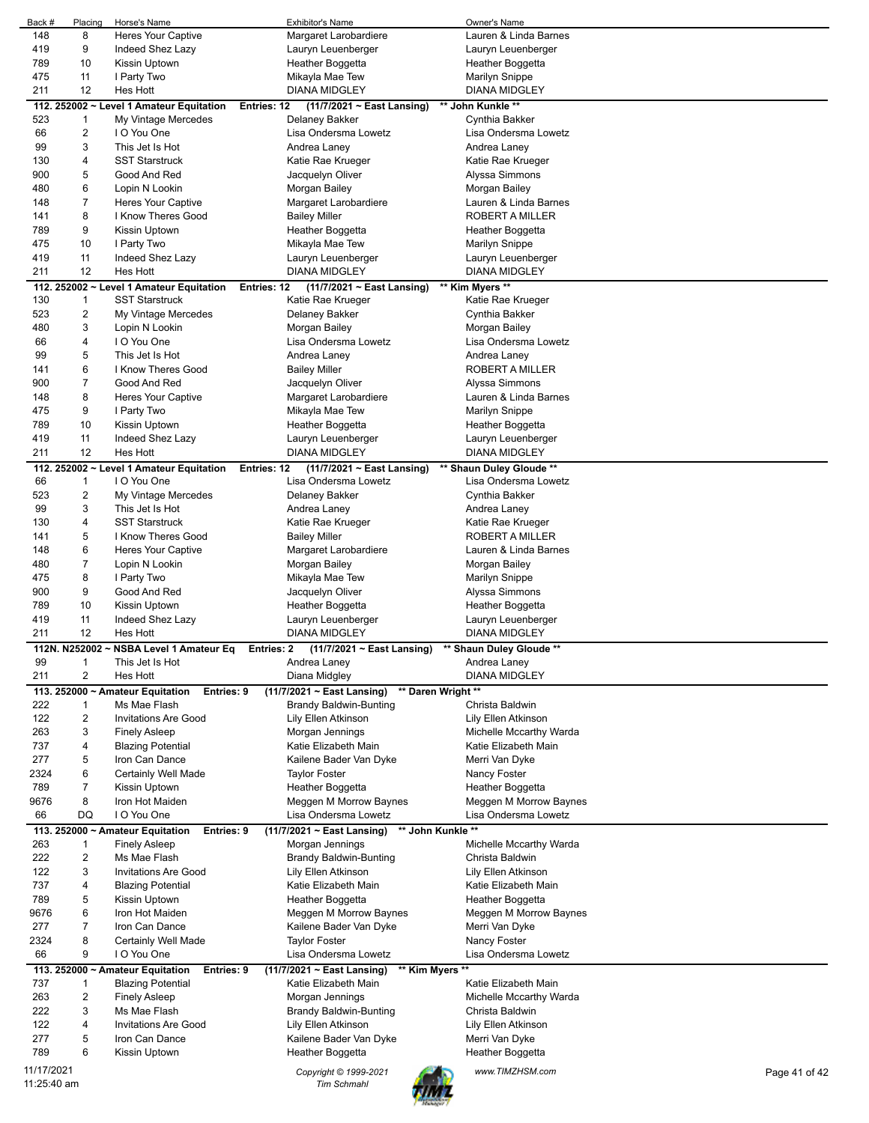| Back #     | Placing        | Horse's Name                                   | <b>Exhibitor's Name</b>                          | Owner's Name             |               |
|------------|----------------|------------------------------------------------|--------------------------------------------------|--------------------------|---------------|
| 148        | 8              | <b>Heres Your Captive</b>                      | Margaret Larobardiere                            | Lauren & Linda Barnes    |               |
| 419        | 9              | Indeed Shez Lazy                               | Lauryn Leuenberger                               | Lauryn Leuenberger       |               |
| 789        | 10             | Kissin Uptown                                  | Heather Boggetta                                 | Heather Boggetta         |               |
| 475        | 11             | I Party Two                                    | Mikayla Mae Tew                                  | <b>Marilyn Snippe</b>    |               |
| 211        | 12             | <b>Hes Hott</b>                                | <b>DIANA MIDGLEY</b>                             | DIANA MIDGLEY            |               |
|            |                | 112. 252002 ~ Level 1 Amateur Equitation       | (11/7/2021 ~ East Lansing)<br><b>Entries: 12</b> | ** John Kunkle **        |               |
| 523        | 1              | My Vintage Mercedes                            | Delaney Bakker                                   | Cynthia Bakker           |               |
| 66         | 2              | I O You One                                    | Lisa Ondersma Lowetz                             | Lisa Ondersma Lowetz     |               |
| 99         | 3              | This Jet Is Hot                                | Andrea Laney                                     | Andrea Laney             |               |
| 130        | 4              | <b>SST Starstruck</b>                          | Katie Rae Krueger                                | Katie Rae Krueger        |               |
| 900        | 5              | Good And Red                                   | Jacquelyn Oliver                                 | Alyssa Simmons           |               |
| 480        | 6              | Lopin N Lookin                                 | Morgan Bailey                                    | Morgan Bailey            |               |
| 148        | 7              | <b>Heres Your Captive</b>                      | Margaret Larobardiere                            | Lauren & Linda Barnes    |               |
| 141        | 8              | I Know Theres Good                             | <b>Bailey Miller</b>                             | ROBERT A MILLER          |               |
| 789        | 9              | Kissin Uptown                                  | Heather Boggetta                                 | Heather Boggetta         |               |
| 475        | 10             | I Party Two                                    |                                                  |                          |               |
|            |                | Indeed Shez Lazy                               | Mikayla Mae Tew                                  | <b>Marilyn Snippe</b>    |               |
| 419        | 11             | Hes Hott                                       | Lauryn Leuenberger<br><b>DIANA MIDGLEY</b>       | Lauryn Leuenberger       |               |
| 211        | 12             |                                                |                                                  | <b>DIANA MIDGLEY</b>     |               |
|            |                | 112. 252002 ~ Level 1 Amateur Equitation       | Entries: 12<br>(11/7/2021 ~ East Lansing)        | ** Kim Myers **          |               |
| 130        | 1              | <b>SST Starstruck</b>                          | Katie Rae Krueger                                | Katie Rae Krueger        |               |
| 523        | 2              | My Vintage Mercedes                            | Delaney Bakker                                   | Cynthia Bakker           |               |
| 480        | 3              | Lopin N Lookin                                 | Morgan Bailey                                    | Morgan Bailey            |               |
| 66         | 4              | I O You One                                    | Lisa Ondersma Lowetz                             | Lisa Ondersma Lowetz     |               |
| 99         | 5              | This Jet Is Hot                                | Andrea Laney                                     | Andrea Laney             |               |
| 141        | 6              | I Know Theres Good                             | <b>Bailey Miller</b>                             | ROBERT A MILLER          |               |
| 900        | $\overline{7}$ | Good And Red                                   | Jacquelyn Oliver                                 | Alyssa Simmons           |               |
| 148        | 8              | <b>Heres Your Captive</b>                      | Margaret Larobardiere                            | Lauren & Linda Barnes    |               |
| 475        | 9              | I Party Two                                    | Mikayla Mae Tew                                  | <b>Marilyn Snippe</b>    |               |
| 789        | 10             | Kissin Uptown                                  | Heather Boggetta                                 | Heather Boggetta         |               |
| 419        | 11             | Indeed Shez Lazy                               | Lauryn Leuenberger                               | Lauryn Leuenberger       |               |
| 211        | 12             | Hes Hott                                       | <b>DIANA MIDGLEY</b>                             | <b>DIANA MIDGLEY</b>     |               |
|            |                | 112. 252002 ~ Level 1 Amateur Equitation       | (11/7/2021 ~ East Lansing)<br>Entries: 12        | ** Shaun Duley Gloude ** |               |
| 66         | $\mathbf{1}$   | I O You One                                    | Lisa Ondersma Lowetz                             | Lisa Ondersma Lowetz     |               |
| 523        | 2              | My Vintage Mercedes                            | Delaney Bakker                                   | Cynthia Bakker           |               |
| 99         | 3              | This Jet Is Hot                                | Andrea Laney                                     | Andrea Laney             |               |
| 130        | 4              | <b>SST Starstruck</b>                          | Katie Rae Krueger                                | Katie Rae Krueger        |               |
| 141        | 5              | I Know Theres Good                             |                                                  | ROBERT A MILLER          |               |
|            |                |                                                | <b>Bailey Miller</b>                             |                          |               |
| 148        | 6              | <b>Heres Your Captive</b>                      | Margaret Larobardiere                            | Lauren & Linda Barnes    |               |
| 480        | 7              | Lopin N Lookin                                 | Morgan Bailey                                    | Morgan Bailey            |               |
| 475        | 8              | I Party Two                                    | Mikayla Mae Tew                                  | <b>Marilyn Snippe</b>    |               |
| 900        | 9              | Good And Red                                   | Jacquelyn Oliver                                 | Alyssa Simmons           |               |
| 789        | 10             | Kissin Uptown                                  | Heather Boggetta                                 | Heather Boggetta         |               |
| 419        | 11             | Indeed Shez Lazy                               | Lauryn Leuenberger                               | Lauryn Leuenberger       |               |
| 211        | 12             | Hes Hott                                       | <b>DIANA MIDGLEY</b>                             | <b>DIANA MIDGLEY</b>     |               |
|            |                | 112N. N252002 ~ NSBA Level 1 Amateur Eq        | <b>Entries: 2</b><br>(11/7/2021 ~ East Lansing)  | ** Shaun Duley Gloude ** |               |
| 99         | 1              | This Jet Is Hot                                | Andrea Laney                                     | Andrea Laney             |               |
| 211        | 2              | Hes Hott                                       | Diana Midgley                                    | <b>DIANA MIDGLEY</b>     |               |
|            |                | 113. 252000 ~ Amateur Equitation<br>Entries: 9 | (11/7/2021 ~ East Lansing)                       | ** Daren Wright **       |               |
| 222        | 1              | Ms Mae Flash                                   | <b>Brandy Baldwin-Bunting</b>                    | Christa Baldwin          |               |
| 122        | 2              | <b>Invitations Are Good</b>                    | Lily Ellen Atkinson                              | Lily Ellen Atkinson      |               |
| 263        | 3              | <b>Finely Asleep</b>                           | Morgan Jennings                                  | Michelle Mccarthy Warda  |               |
| 737        | 4              | <b>Blazing Potential</b>                       | Katie Elizabeth Main                             | Katie Elizabeth Main     |               |
| 277        | 5              | Iron Can Dance                                 | Kailene Bader Van Dyke                           | Merri Van Dyke           |               |
| 2324       | 6              | Certainly Well Made                            | Taylor Foster                                    | Nancy Foster             |               |
| 789        | 7              | Kissin Uptown                                  | Heather Boggetta                                 | Heather Boggetta         |               |
| 9676       | 8              | Iron Hot Maiden                                | Meggen M Morrow Baynes                           | Meggen M Morrow Baynes   |               |
| 66         | DQ             | I O You One                                    | Lisa Ondersma Lowetz                             | Lisa Ondersma Lowetz     |               |
|            |                | 113. 252000 ~ Amateur Equitation<br>Entries: 9 | (11/7/2021 ~ East Lansing) ** John Kunkle **     |                          |               |
| 263        | 1              | <b>Finely Asleep</b>                           | Morgan Jennings                                  | Michelle Mccarthy Warda  |               |
| 222        | 2              | Ms Mae Flash                                   | <b>Brandy Baldwin-Bunting</b>                    | Christa Baldwin          |               |
| 122        | 3              | <b>Invitations Are Good</b>                    | Lily Ellen Atkinson                              | Lily Ellen Atkinson      |               |
| 737        |                |                                                |                                                  |                          |               |
|            | 4              | <b>Blazing Potential</b>                       | Katie Elizabeth Main                             | Katie Elizabeth Main     |               |
| 789        | 5              | Kissin Uptown                                  | Heather Boggetta                                 | Heather Boggetta         |               |
| 9676       | 6              | Iron Hot Maiden                                | Meggen M Morrow Baynes                           | Meggen M Morrow Baynes   |               |
| 277        | $\overline{7}$ | Iron Can Dance                                 | Kailene Bader Van Dyke                           | Merri Van Dyke           |               |
| 2324       | 8              | Certainly Well Made                            | <b>Taylor Foster</b>                             | Nancy Foster             |               |
| 66         | 9              | I O You One                                    | Lisa Ondersma Lowetz                             | Lisa Ondersma Lowetz     |               |
|            |                | 113. 252000 ~ Amateur Equitation<br>Entries: 9 | ** Kim Myers **<br>(11/7/2021 ~ East Lansing)    |                          |               |
| 737        | 1              | <b>Blazing Potential</b>                       | Katie Elizabeth Main                             | Katie Elizabeth Main     |               |
| 263        | 2              | <b>Finely Asleep</b>                           | Morgan Jennings                                  | Michelle Mccarthy Warda  |               |
| 222        | 3              | Ms Mae Flash                                   | <b>Brandy Baldwin-Bunting</b>                    | Christa Baldwin          |               |
| 122        | 4              | <b>Invitations Are Good</b>                    | Lily Ellen Atkinson                              | Lily Ellen Atkinson      |               |
| 277        | 5              | Iron Can Dance                                 | Kailene Bader Van Dyke                           | Merri Van Dyke           |               |
| 789        | 6              | Kissin Uptown                                  | Heather Boggetta                                 | Heather Boggetta         |               |
| 11/17/2021 |                |                                                | Copyright © 1999-2021                            | www.TIMZHSM.com          | Page 41 of 42 |
|            | 11:25:40 am    |                                                | Tim Schmahl                                      |                          |               |